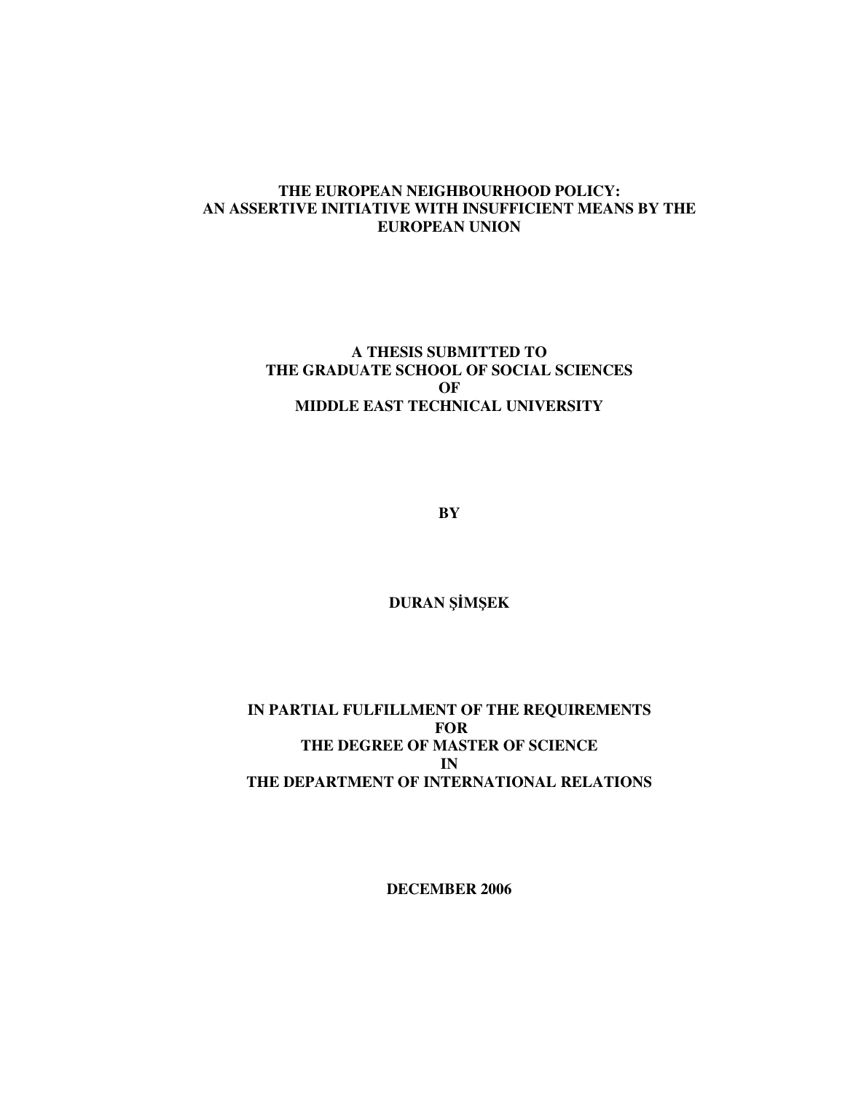### **THE EUROPEAN NEIGHBOURHOOD POLICY: AN ASSERTIVE INITIATIVE WITH INSUFFICIENT MEANS BY THE EUROPEAN UNION**

## **A THESIS SUBMITTED TO THE GRADUATE SCHOOL OF SOCIAL SCIENCES OF MIDDLE EAST TECHNICAL UNIVERSITY**

**BY** 

**DURAN** Şİ**M**Ş**EK** 

### **IN PARTIAL FULFILLMENT OF THE REQUIREMENTS FOR THE DEGREE OF MASTER OF SCIENCE IN THE DEPARTMENT OF INTERNATIONAL RELATIONS**

**DECEMBER 2006**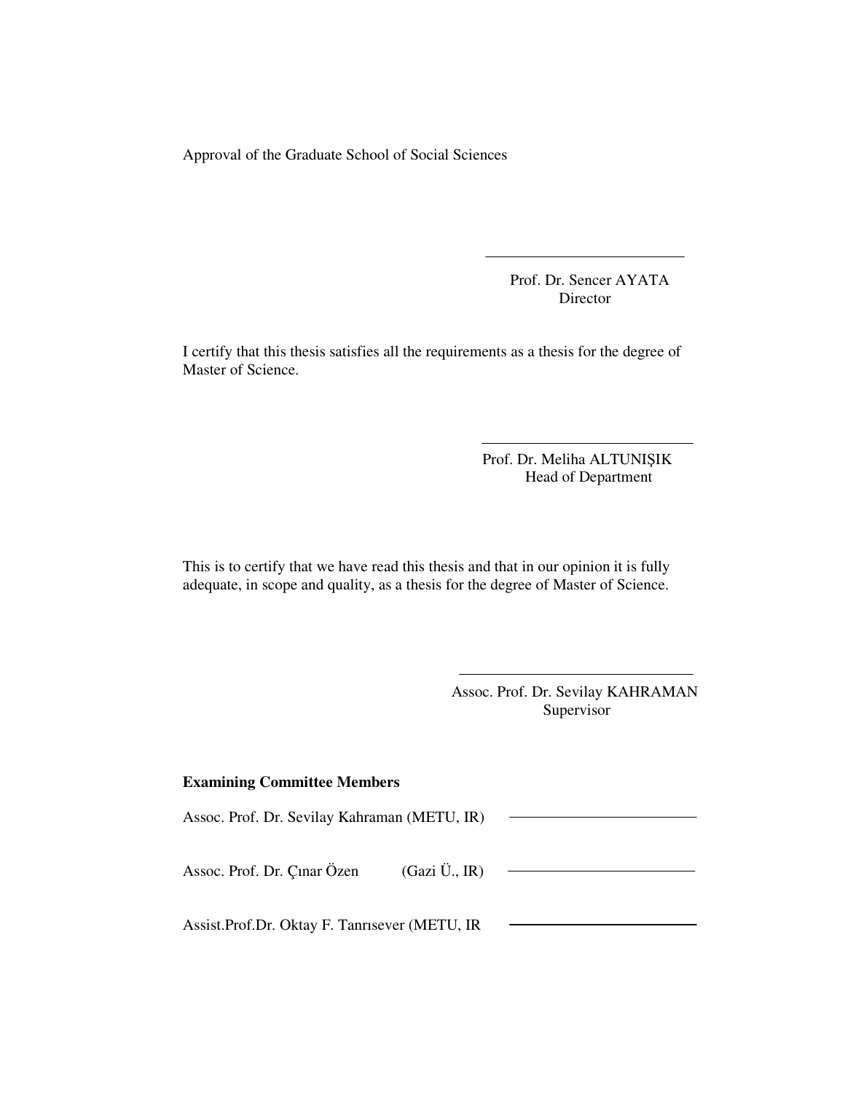Approval of the Graduate School of Social Sciences

 Prof. Dr. Sencer AYATA Director

I certify that this thesis satisfies all the requirements as a thesis for the degree of Master of Science.

> Prof. Dr. Meliha ALTUNIŞIK Head of Department

This is to certify that we have read this thesis and that in our opinion it is fully adequate, in scope and quality, as a thesis for the degree of Master of Science.

> Assoc. Prof. Dr. Sevilay KAHRAMAN Supervisor

#### **Examining Committee Members**

Assoc. Prof. Dr. Sevilay Kahraman (METU, IR) Assoc. Prof. Dr. Çınar Özen (Gazi Ü., IR) Assist.Prof.Dr. Oktay F. Tanrısever (METU, IR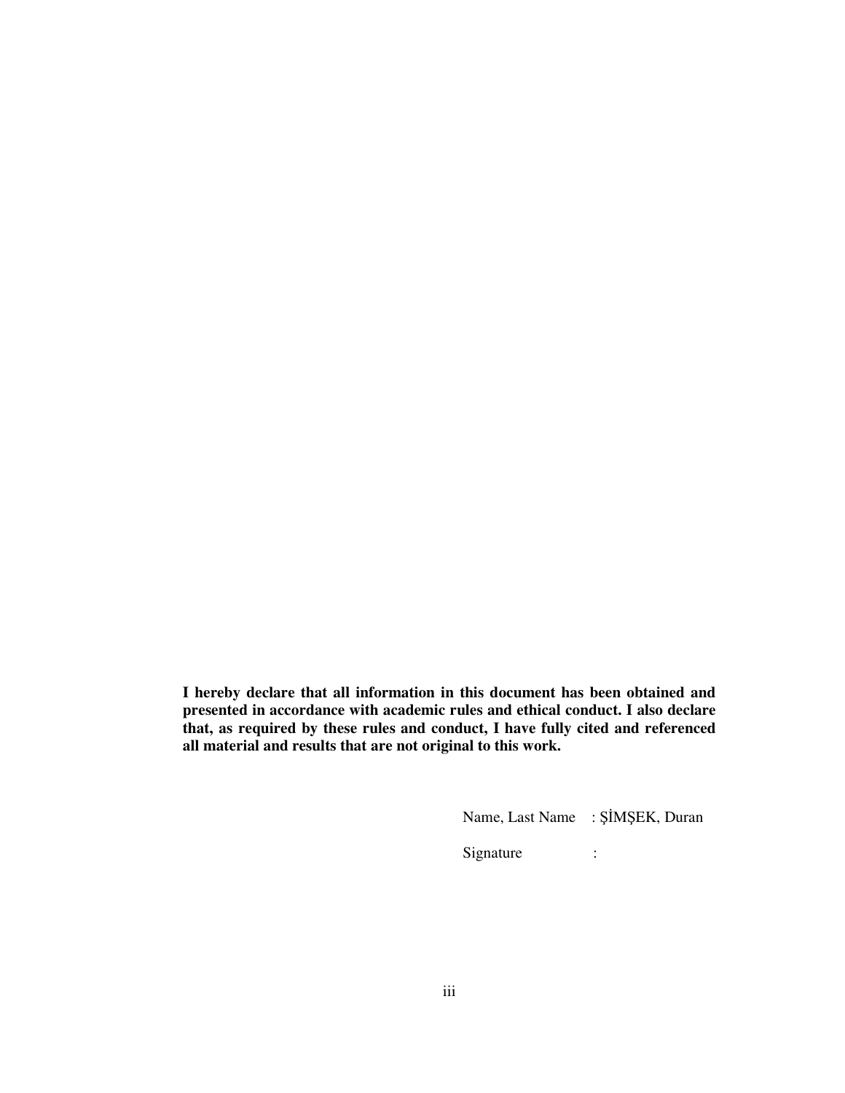**I hereby declare that all information in this document has been obtained and presented in accordance with academic rules and ethical conduct. I also declare that, as required by these rules and conduct, I have fully cited and referenced all material and results that are not original to this work.** 

Name, Last Name : ŞİMŞEK, Duran

Signature :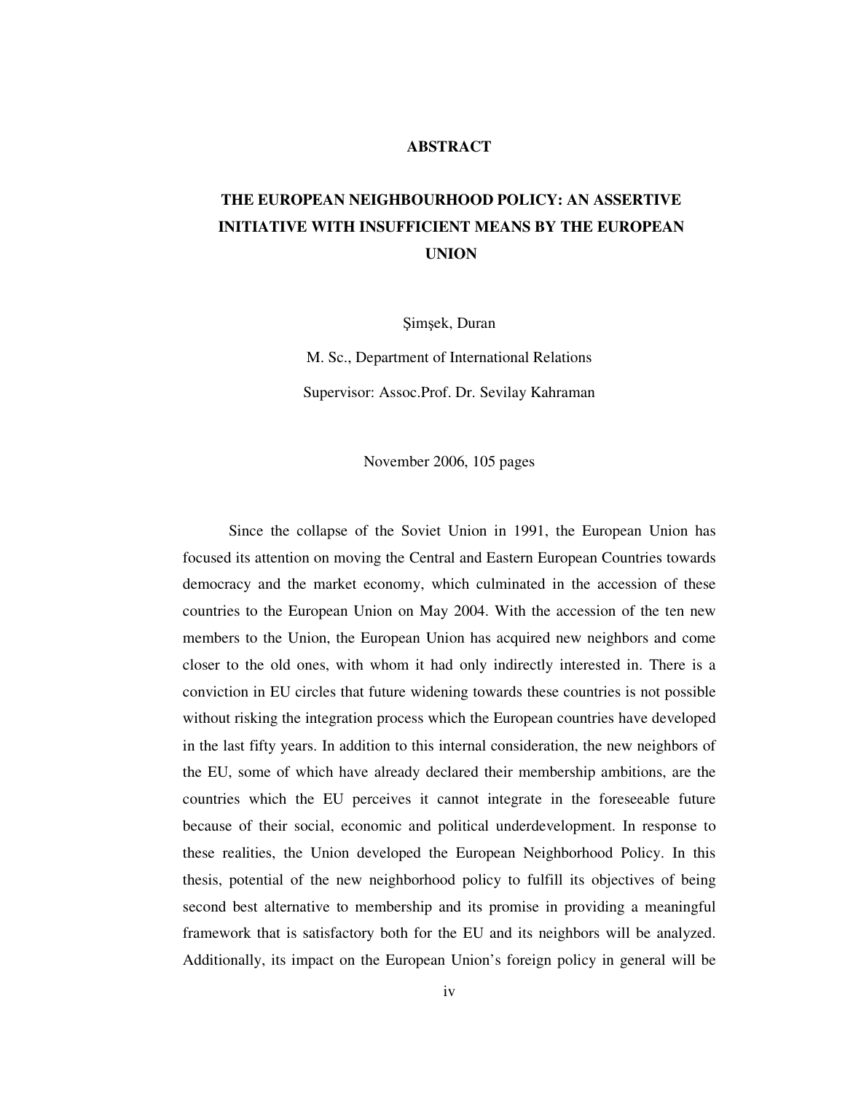#### **ABSTRACT**

# **THE EUROPEAN NEIGHBOURHOOD POLICY: AN ASSERTIVE INITIATIVE WITH INSUFFICIENT MEANS BY THE EUROPEAN UNION**

Şimşek, Duran

M. Sc., Department of International Relations Supervisor: Assoc.Prof. Dr. Sevilay Kahraman

November 2006, 105 pages

Since the collapse of the Soviet Union in 1991, the European Union has focused its attention on moving the Central and Eastern European Countries towards democracy and the market economy, which culminated in the accession of these countries to the European Union on May 2004. With the accession of the ten new members to the Union, the European Union has acquired new neighbors and come closer to the old ones, with whom it had only indirectly interested in. There is a conviction in EU circles that future widening towards these countries is not possible without risking the integration process which the European countries have developed in the last fifty years. In addition to this internal consideration, the new neighbors of the EU, some of which have already declared their membership ambitions, are the countries which the EU perceives it cannot integrate in the foreseeable future because of their social, economic and political underdevelopment. In response to these realities, the Union developed the European Neighborhood Policy. In this thesis, potential of the new neighborhood policy to fulfill its objectives of being second best alternative to membership and its promise in providing a meaningful framework that is satisfactory both for the EU and its neighbors will be analyzed. Additionally, its impact on the European Union's foreign policy in general will be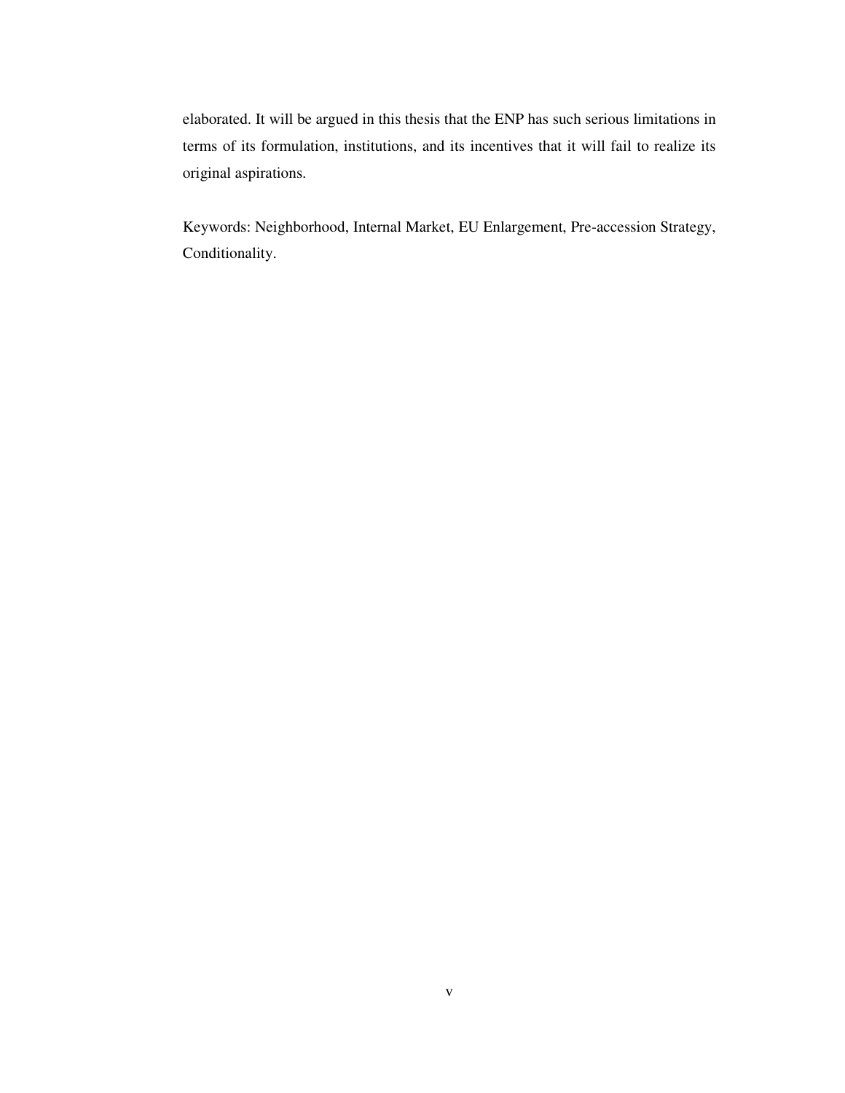elaborated. It will be argued in this thesis that the ENP has such serious limitations in terms of its formulation, institutions, and its incentives that it will fail to realize its original aspirations.

Keywords: Neighborhood, Internal Market, EU Enlargement, Pre-accession Strategy, Conditionality.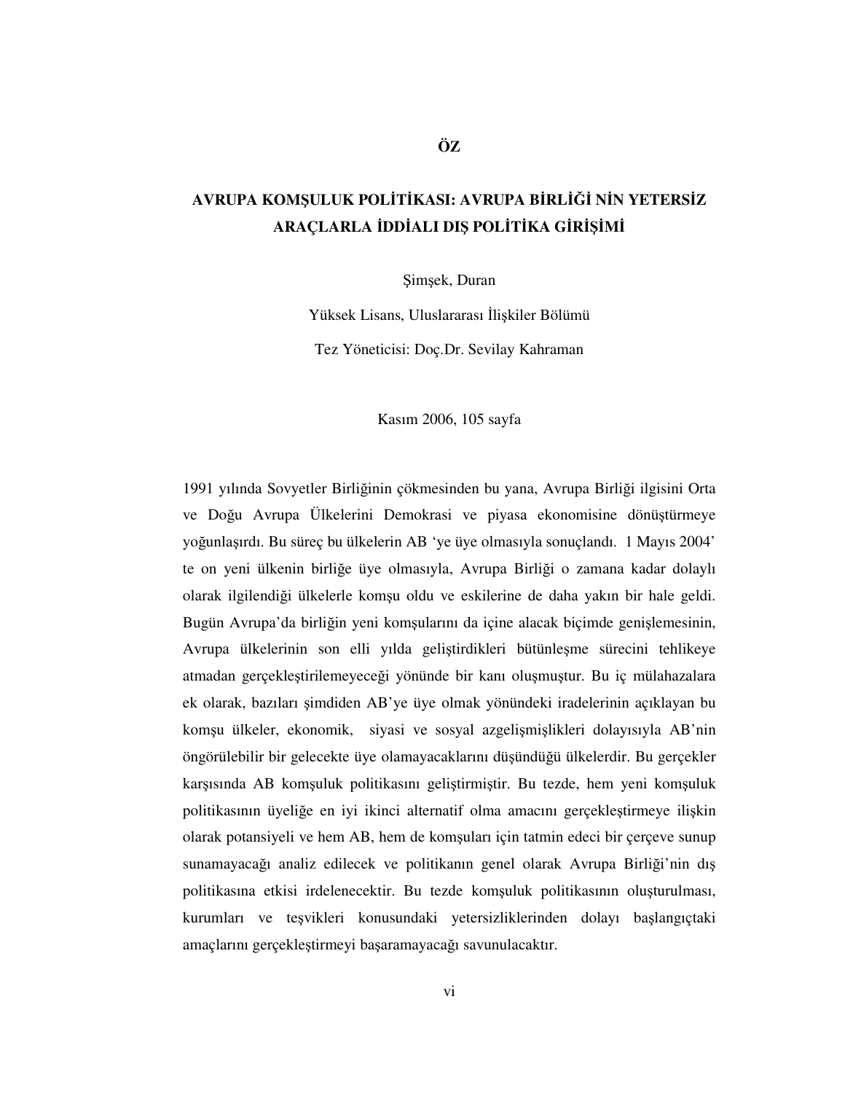# **AVRUPA KOM**Ş**ULUK POL**İ**T**İ**KASI: AVRUPA B**İ**RL**İĞİ **N**İ**N YETERS**İ**Z ARAÇLARLA** İ**DD**İ**ALI DI**Ş **POL**İ**T**İ**KA G**İ**R**İŞİ**M**İ

Şimşek, Duran

Yüksek Lisans, Uluslararası İlişkiler Bölümü

Tez Yöneticisi: Doç.Dr. Sevilay Kahraman

Kasım 2006, 105 sayfa

1991 yılında Sovyetler Birliğinin çökmesinden bu yana, Avrupa Birliği ilgisini Orta ve Doğu Avrupa Ülkelerini Demokrasi ve piyasa ekonomisine dönüştürmeye yoğunlaşırdı. Bu süreç bu ülkelerin AB 'ye üye olmasıyla sonuçlandı. 1 Mayıs 2004' te on yeni ülkenin birliğe üye olmasıyla, Avrupa Birliği o zamana kadar dolaylı olarak ilgilendiği ülkelerle komşu oldu ve eskilerine de daha yakın bir hale geldi. Bugün Avrupa'da birliğin yeni komşularını da içine alacak biçimde genişlemesinin, Avrupa ülkelerinin son elli yılda geliştirdikleri bütünleşme sürecini tehlikeye atmadan gerçekleştirilemeyeceği yönünde bir kanı oluşmuştur. Bu iç mülahazalara ek olarak, bazıları şimdiden AB'ye üye olmak yönündeki iradelerinin açıklayan bu komşu ülkeler, ekonomik, siyasi ve sosyal azgelişmişlikleri dolayısıyla AB'nin öngörülebilir bir gelecekte üye olamayacaklarını düşündüğü ülkelerdir. Bu gerçekler karşısında AB komşuluk politikasını geliştirmiştir. Bu tezde, hem yeni komşuluk politikasının üyeliğe en iyi ikinci alternatif olma amacını gerçekleştirmeye ilişkin olarak potansiyeli ve hem AB, hem de komşuları için tatmin edeci bir çerçeve sunup sunamayacağı analiz edilecek ve politikanın genel olarak Avrupa Birliği'nin dış politikasına etkisi irdelenecektir. Bu tezde komşuluk politikasının oluşturulması, kurumları ve teşvikleri konusundaki yetersizliklerinden dolayı başlangıçtaki amaçlarını gerçekleştirmeyi başaramayacağı savunulacaktır.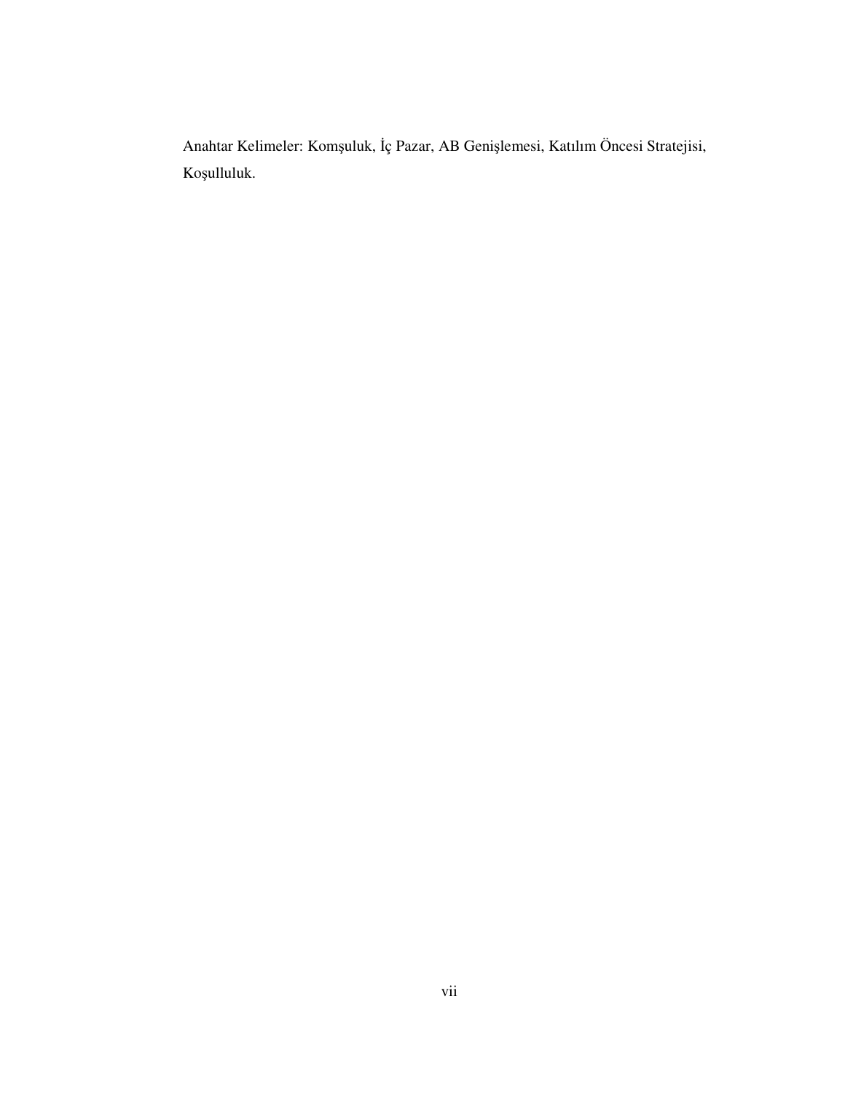Anahtar Kelimeler: Komşuluk, İç Pazar, AB Genişlemesi, Katılım Öncesi Stratejisi, Koşulluluk.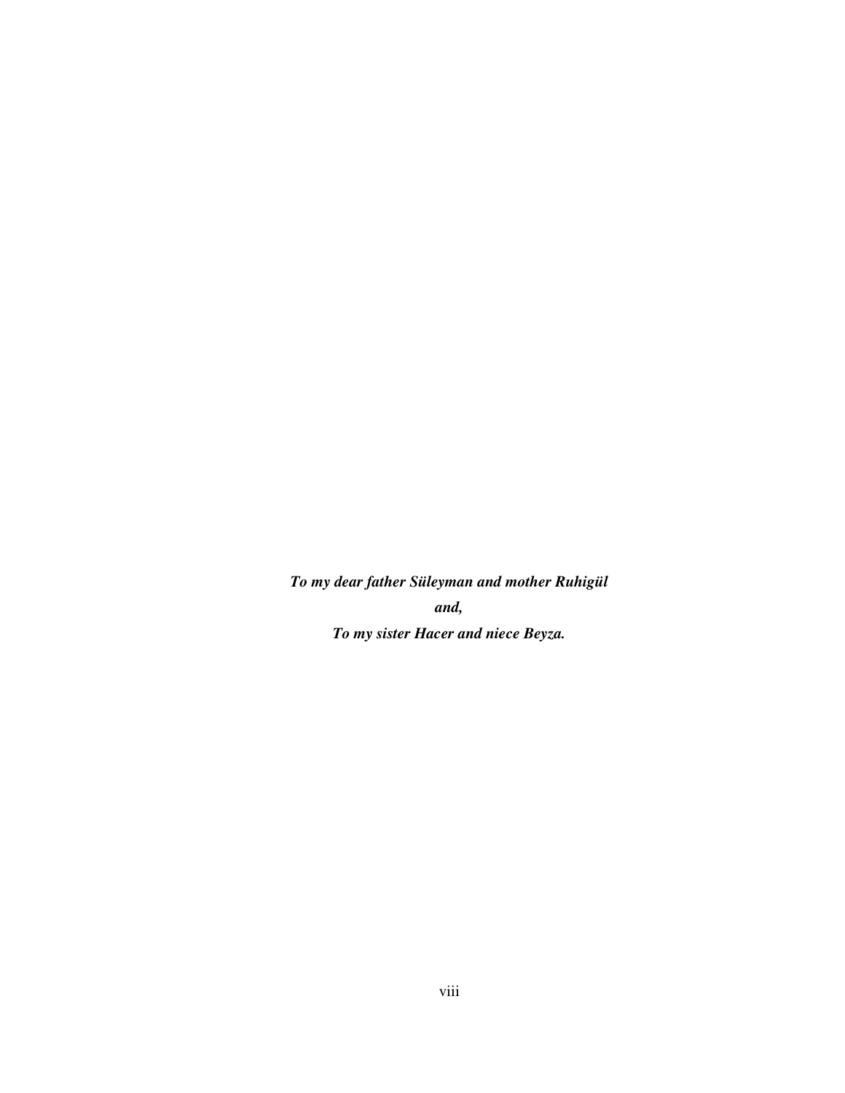*To my dear father Süleyman and mother Ruhigül and, To my sister Hacer and niece Beyza.*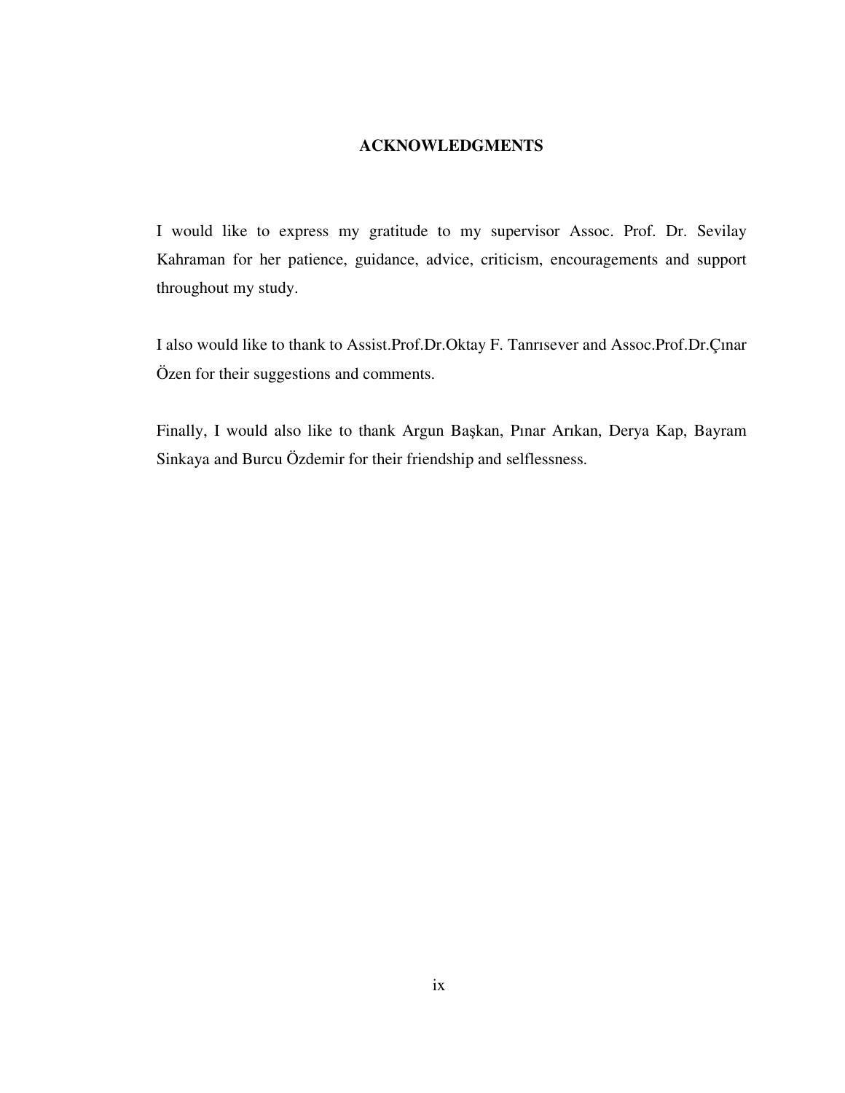## **ACKNOWLEDGMENTS**

I would like to express my gratitude to my supervisor Assoc. Prof. Dr. Sevilay Kahraman for her patience, guidance, advice, criticism, encouragements and support throughout my study.

I also would like to thank to Assist.Prof.Dr.Oktay F. Tanrısever and Assoc.Prof.Dr.Çınar Özen for their suggestions and comments.

Finally, I would also like to thank Argun Başkan, Pınar Arıkan, Derya Kap, Bayram Sinkaya and Burcu Özdemir for their friendship and selflessness.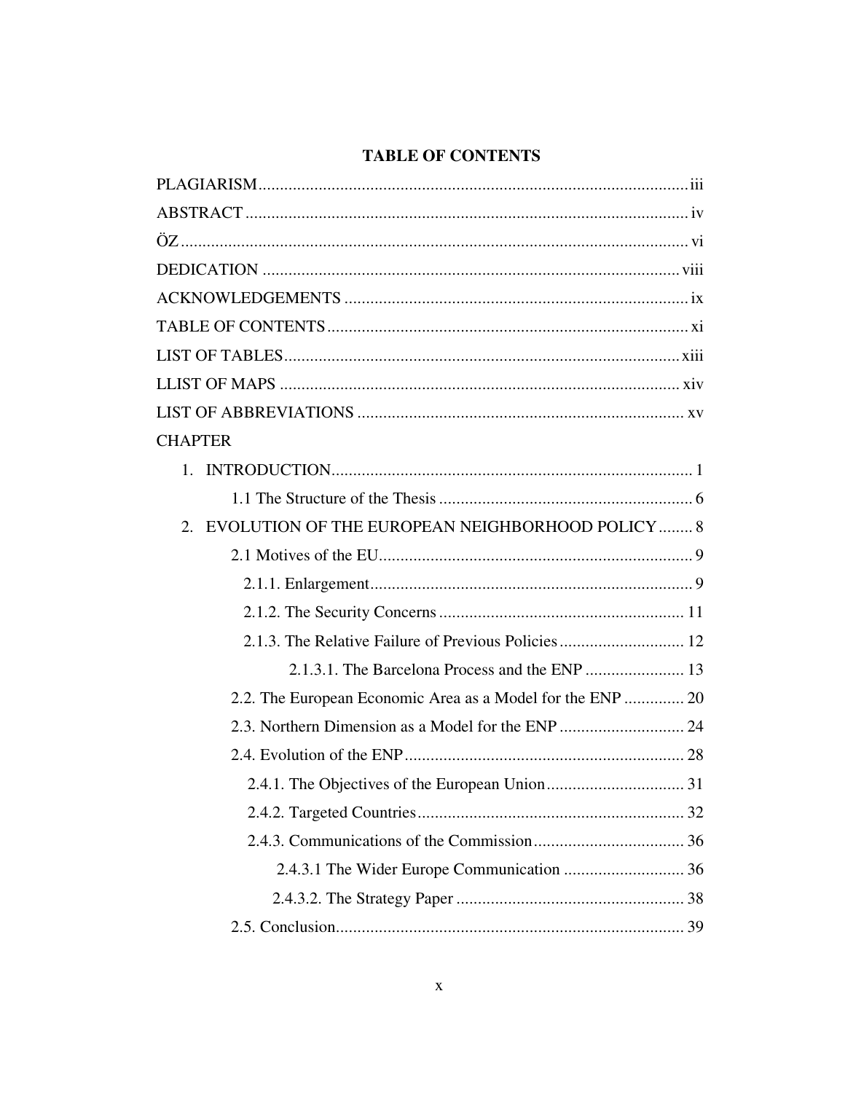## **TABLE OF CONTENTS**

| <b>CHAPTER</b>                                             |
|------------------------------------------------------------|
|                                                            |
|                                                            |
| 2. EVOLUTION OF THE EUROPEAN NEIGHBORHOOD POLICY  8        |
|                                                            |
|                                                            |
|                                                            |
| 2.1.3. The Relative Failure of Previous Policies 12        |
| 2.1.3.1. The Barcelona Process and the ENP  13             |
| 2.2. The European Economic Area as a Model for the ENP  20 |
|                                                            |
|                                                            |
|                                                            |
|                                                            |
|                                                            |
|                                                            |
|                                                            |
|                                                            |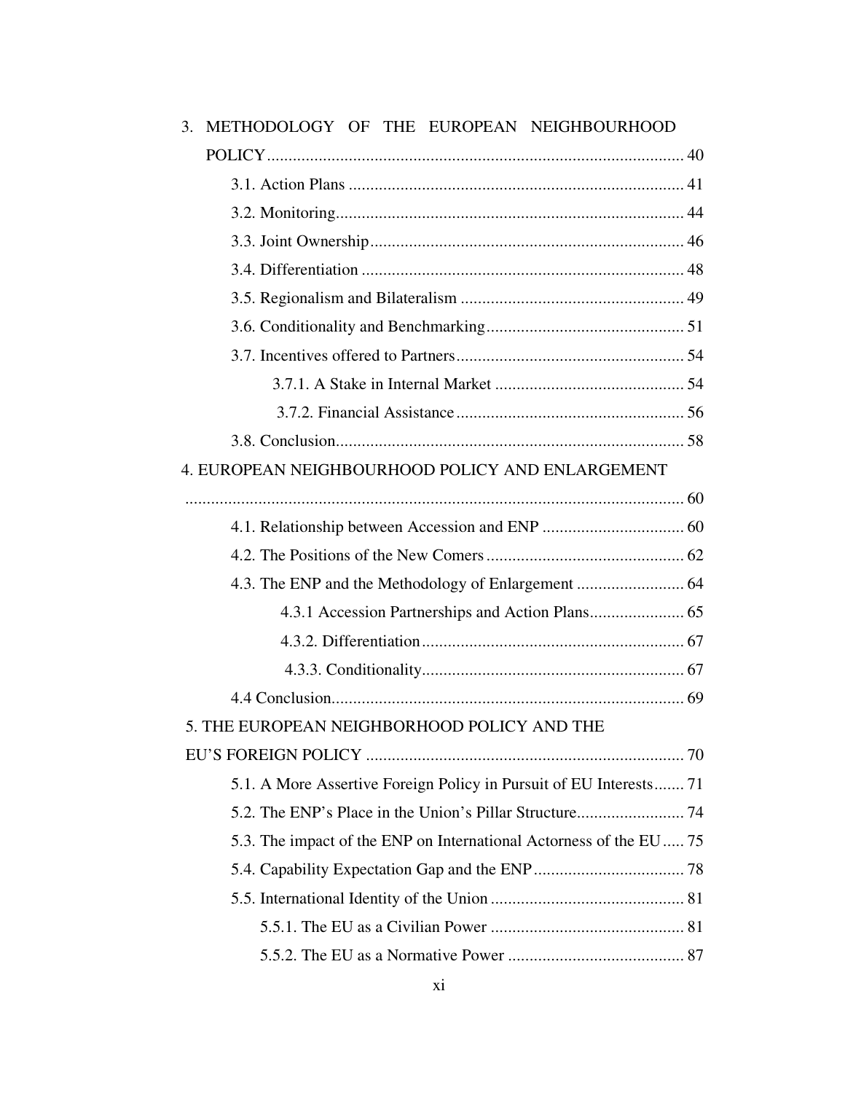| METHODOLOGY OF THE EUROPEAN NEIGHBOURHOOD<br>3.                    |  |
|--------------------------------------------------------------------|--|
|                                                                    |  |
|                                                                    |  |
|                                                                    |  |
|                                                                    |  |
|                                                                    |  |
|                                                                    |  |
|                                                                    |  |
|                                                                    |  |
|                                                                    |  |
|                                                                    |  |
|                                                                    |  |
| 4. EUROPEAN NEIGHBOURHOOD POLICY AND ENLARGEMENT                   |  |
|                                                                    |  |
|                                                                    |  |
|                                                                    |  |
|                                                                    |  |
|                                                                    |  |
|                                                                    |  |
|                                                                    |  |
|                                                                    |  |
| 5. THE EUROPEAN NEIGHBORHOOD POLICY AND THE                        |  |
|                                                                    |  |
| 5.1. A More Assertive Foreign Policy in Pursuit of EU Interests 71 |  |
|                                                                    |  |
| 5.3. The impact of the ENP on International Actorness of the EU 75 |  |
|                                                                    |  |
|                                                                    |  |
|                                                                    |  |
|                                                                    |  |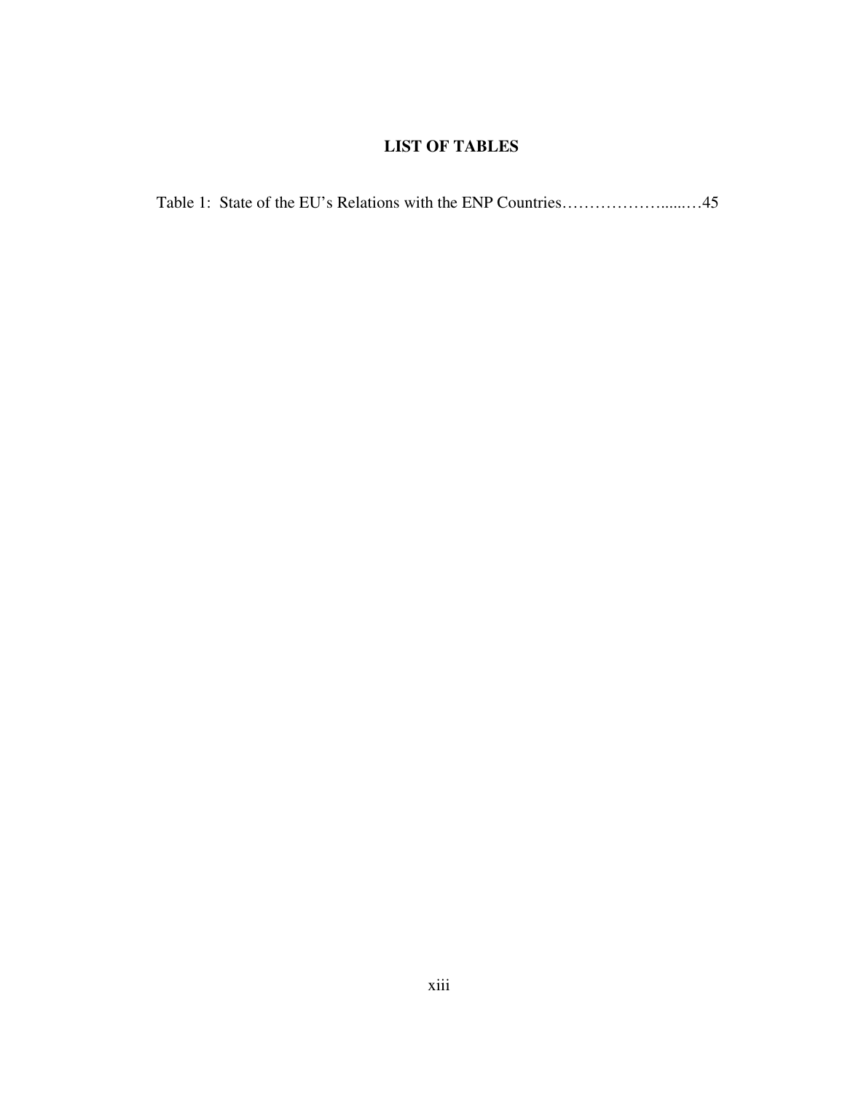## **LIST OF TABLES**

|--|--|--|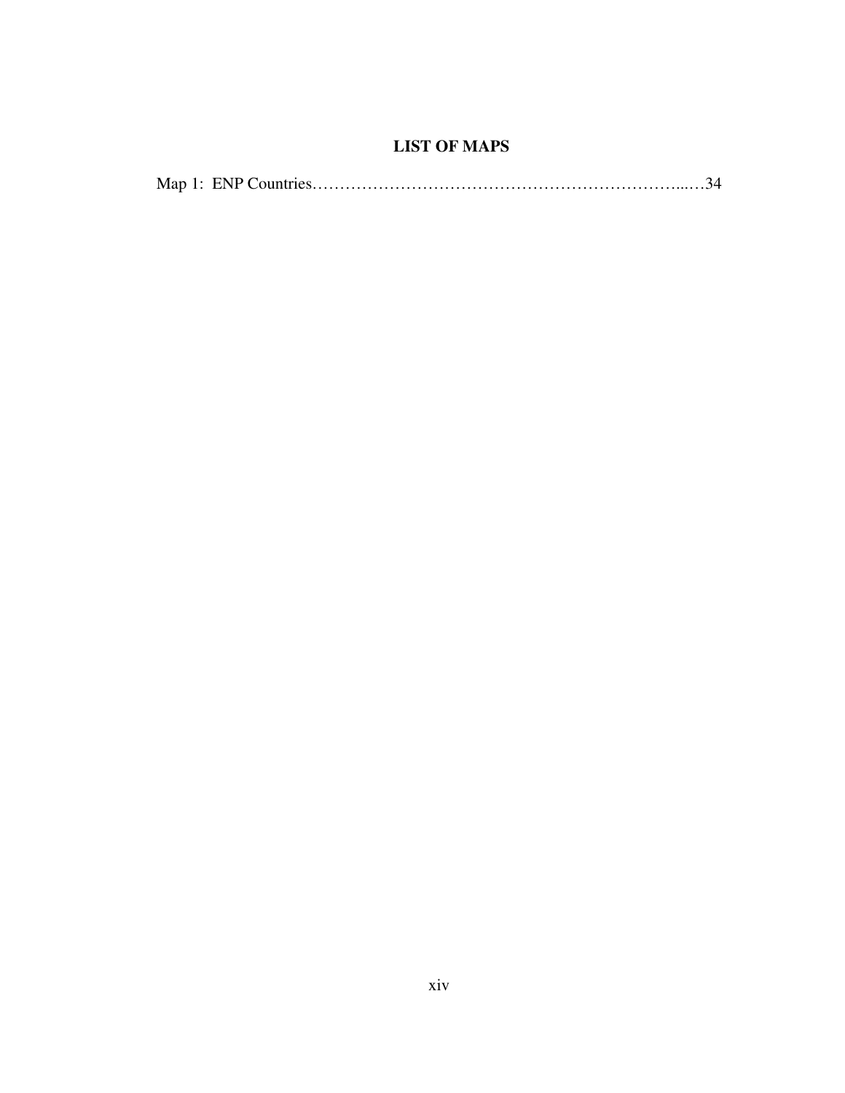# **LIST OF MAPS**

|--|--|--|--|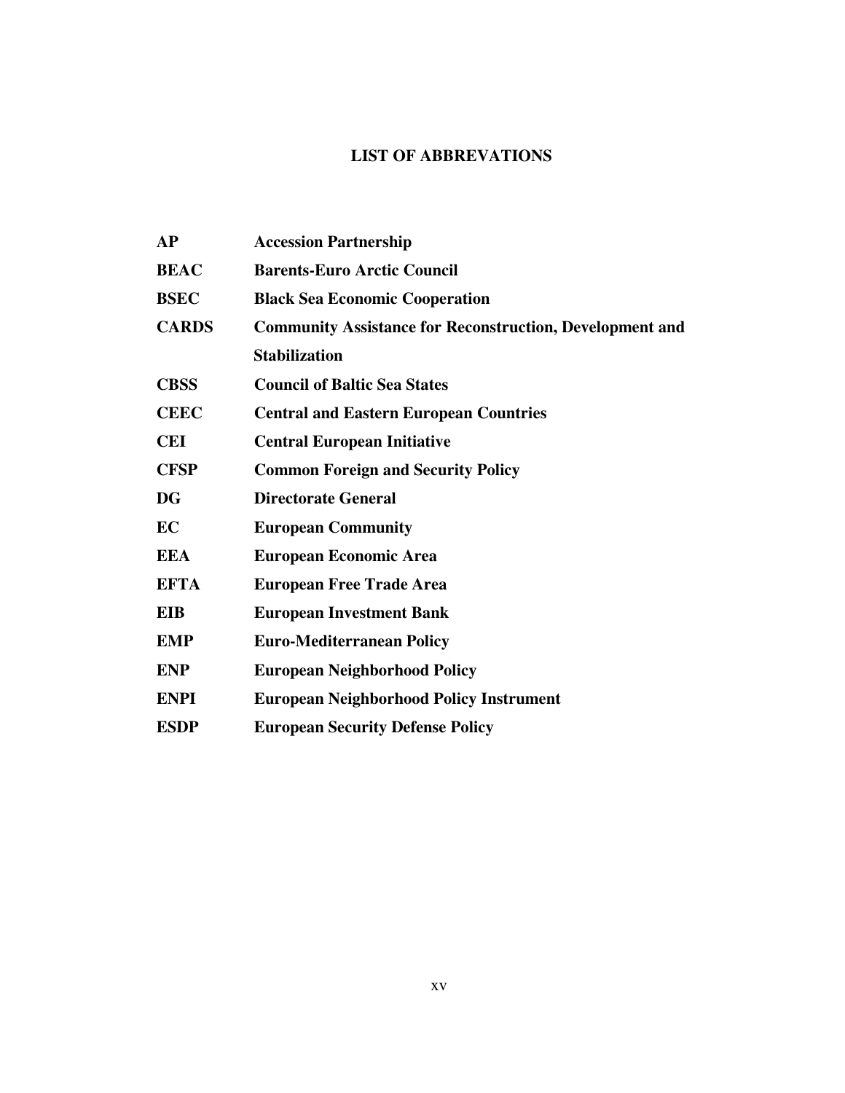## **LIST OF ABBREVATIONS**

| AP           | <b>Accession Partnership</b>                                    |
|--------------|-----------------------------------------------------------------|
| <b>BEAC</b>  | <b>Barents-Euro Arctic Council</b>                              |
| <b>BSEC</b>  | <b>Black Sea Economic Cooperation</b>                           |
| <b>CARDS</b> | <b>Community Assistance for Reconstruction, Development and</b> |
|              | <b>Stabilization</b>                                            |
| <b>CBSS</b>  | <b>Council of Baltic Sea States</b>                             |
| <b>CEEC</b>  | <b>Central and Eastern European Countries</b>                   |
| <b>CEI</b>   | <b>Central European Initiative</b>                              |
| <b>CFSP</b>  | <b>Common Foreign and Security Policy</b>                       |
| <b>DG</b>    | <b>Directorate General</b>                                      |
| EC           | <b>European Community</b>                                       |
| <b>EEA</b>   | <b>European Economic Area</b>                                   |
| <b>EFTA</b>  | <b>European Free Trade Area</b>                                 |
| <b>EIB</b>   | <b>European Investment Bank</b>                                 |
| <b>EMP</b>   | <b>Euro-Mediterranean Policy</b>                                |
| <b>ENP</b>   | <b>European Neighborhood Policy</b>                             |
| <b>ENPI</b>  | <b>European Neighborhood Policy Instrument</b>                  |
| <b>ESDP</b>  | <b>European Security Defense Policy</b>                         |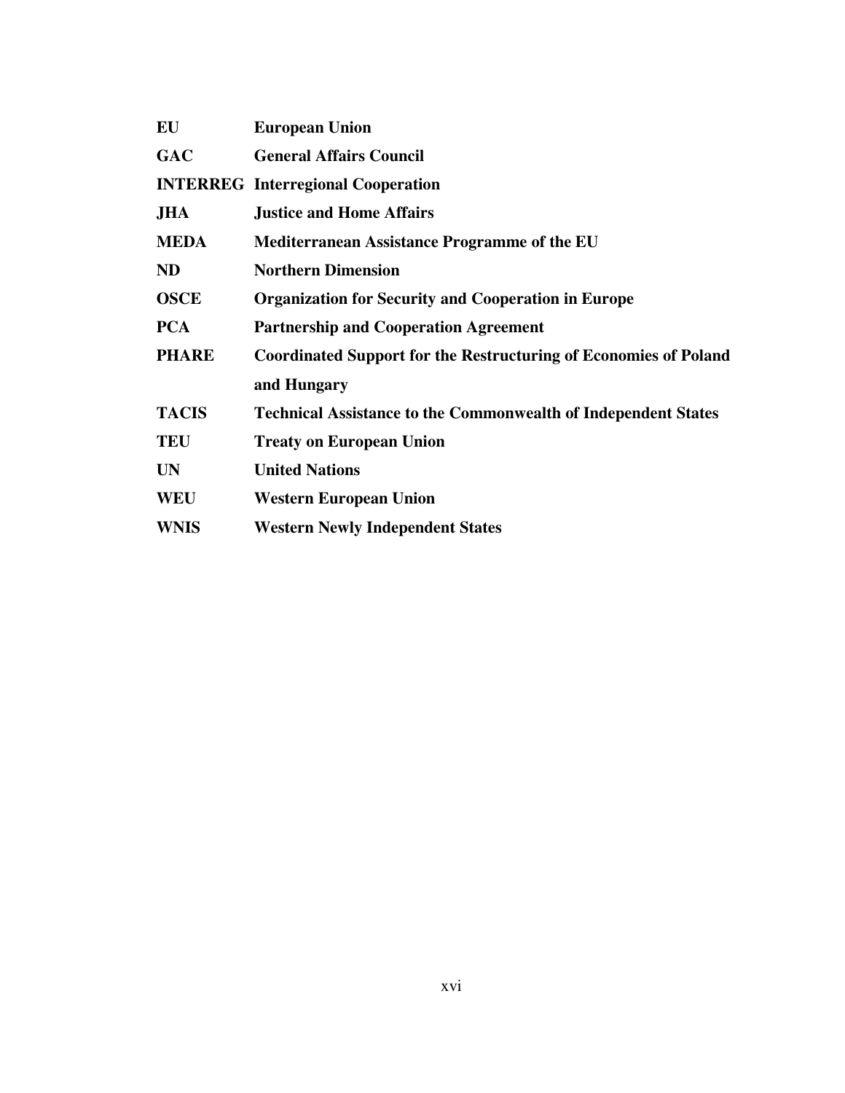| <b>European Union</b>                                                   |
|-------------------------------------------------------------------------|
| <b>General Affairs Council</b>                                          |
| <b>INTERREG</b> Interregional Cooperation                               |
| <b>Justice and Home Affairs</b>                                         |
| <b>Mediterranean Assistance Programme of the EU</b>                     |
| <b>Northern Dimension</b>                                               |
| <b>Organization for Security and Cooperation in Europe</b>              |
| <b>Partnership and Cooperation Agreement</b>                            |
| <b>Coordinated Support for the Restructuring of Economies of Poland</b> |
| and Hungary                                                             |
| <b>Technical Assistance to the Commonwealth of Independent States</b>   |
| <b>Treaty on European Union</b>                                         |
| <b>United Nations</b>                                                   |
| <b>Western European Union</b>                                           |
| <b>Western Newly Independent States</b>                                 |
|                                                                         |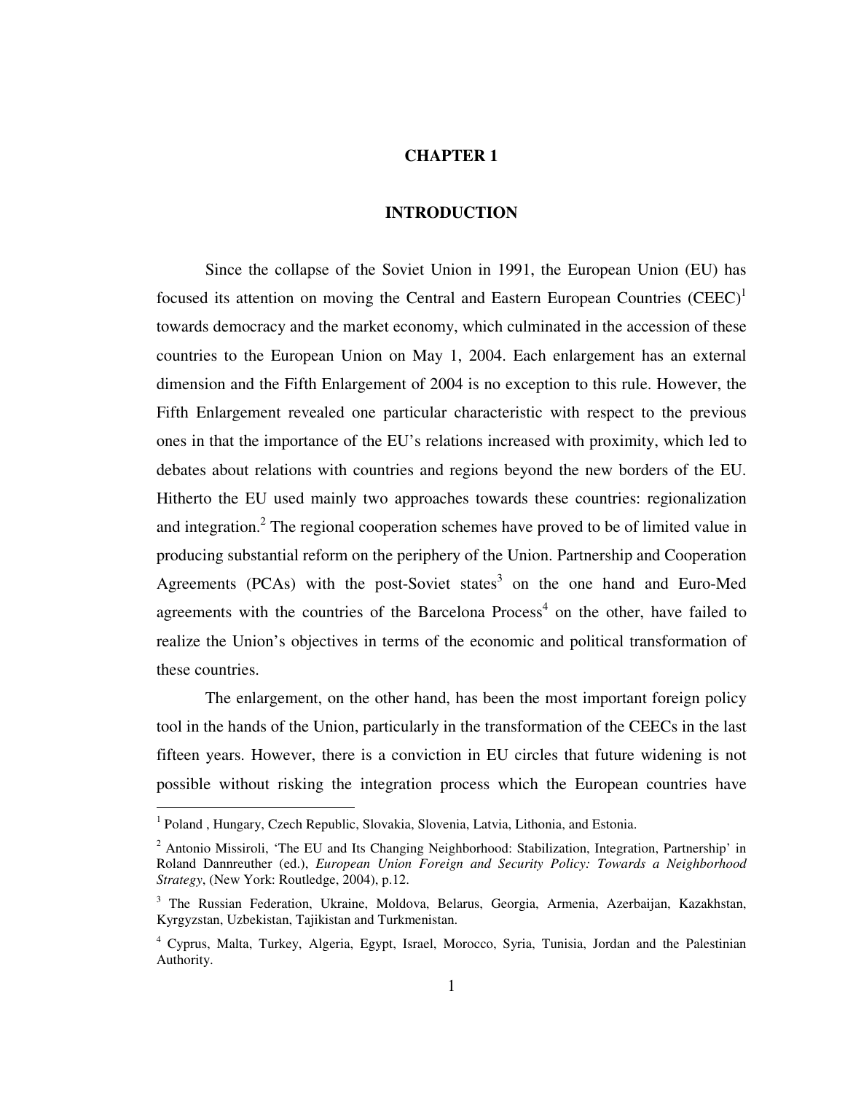### **CHAPTER 1**

### **INTRODUCTION**

 Since the collapse of the Soviet Union in 1991, the European Union (EU) has focused its attention on moving the Central and Eastern European Countries  $(CEEC)^1$ towards democracy and the market economy, which culminated in the accession of these countries to the European Union on May 1, 2004. Each enlargement has an external dimension and the Fifth Enlargement of 2004 is no exception to this rule. However, the Fifth Enlargement revealed one particular characteristic with respect to the previous ones in that the importance of the EU's relations increased with proximity, which led to debates about relations with countries and regions beyond the new borders of the EU. Hitherto the EU used mainly two approaches towards these countries: regionalization and integration.<sup>2</sup> The regional cooperation schemes have proved to be of limited value in producing substantial reform on the periphery of the Union. Partnership and Cooperation Agreements (PCAs) with the post-Soviet states<sup>3</sup> on the one hand and Euro-Med agreements with the countries of the Barcelona  $Process<sup>4</sup>$  on the other, have failed to realize the Union's objectives in terms of the economic and political transformation of these countries.

 The enlargement, on the other hand, has been the most important foreign policy tool in the hands of the Union, particularly in the transformation of the CEECs in the last fifteen years. However, there is a conviction in EU circles that future widening is not possible without risking the integration process which the European countries have

<sup>&</sup>lt;sup>1</sup> Poland , Hungary, Czech Republic, Slovakia, Slovenia, Latvia, Lithonia, and Estonia.

<sup>&</sup>lt;sup>2</sup> Antonio Missiroli, 'The EU and Its Changing Neighborhood: Stabilization, Integration, Partnership' in Roland Dannreuther (ed.), *European Union Foreign and Security Policy: Towards a Neighborhood Strategy*, (New York: Routledge, 2004), p.12.

<sup>&</sup>lt;sup>3</sup> The Russian Federation, Ukraine, Moldova, Belarus, Georgia, Armenia, Azerbaijan, Kazakhstan, Kyrgyzstan, Uzbekistan, Tajikistan and Turkmenistan.

<sup>4</sup> Cyprus, Malta, Turkey, Algeria, Egypt, Israel, Morocco, Syria, Tunisia, Jordan and the Palestinian Authority.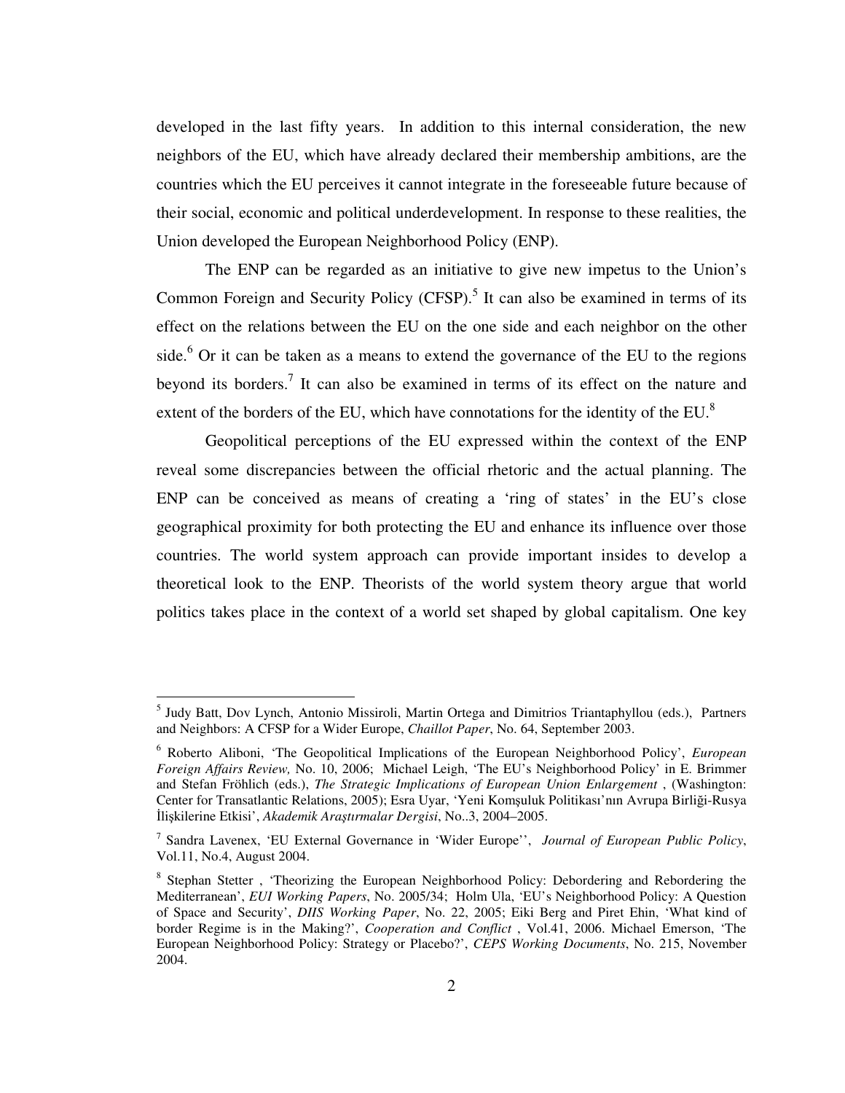developed in the last fifty years. In addition to this internal consideration, the new neighbors of the EU, which have already declared their membership ambitions, are the countries which the EU perceives it cannot integrate in the foreseeable future because of their social, economic and political underdevelopment. In response to these realities, the Union developed the European Neighborhood Policy (ENP).

 The ENP can be regarded as an initiative to give new impetus to the Union's Common Foreign and Security Policy  $(CFSP)$ .<sup>5</sup> It can also be examined in terms of its effect on the relations between the EU on the one side and each neighbor on the other side. $6$  Or it can be taken as a means to extend the governance of the EU to the regions beyond its borders.<sup>7</sup> It can also be examined in terms of its effect on the nature and extent of the borders of the EU, which have connotations for the identity of the EU. $8$ 

 Geopolitical perceptions of the EU expressed within the context of the ENP reveal some discrepancies between the official rhetoric and the actual planning. The ENP can be conceived as means of creating a 'ring of states' in the EU's close geographical proximity for both protecting the EU and enhance its influence over those countries. The world system approach can provide important insides to develop a theoretical look to the ENP. Theorists of the world system theory argue that world politics takes place in the context of a world set shaped by global capitalism. One key

<sup>&</sup>lt;sup>5</sup> Judy Batt, Dov Lynch, Antonio Missiroli, Martin Ortega and Dimitrios Triantaphyllou (eds.), Partners and Neighbors: A CFSP for a Wider Europe, *Chaillot Paper*, No. 64, September 2003.

<sup>6</sup> Roberto Aliboni, 'The Geopolitical Implications of the European Neighborhood Policy', *European Foreign Affairs Review,* No. 10, 2006; Michael Leigh, 'The EU's Neighborhood Policy' in E. Brimmer and Stefan Fröhlich (eds.), *The Strategic Implications of European Union Enlargement* , (Washington: Center for Transatlantic Relations, 2005); Esra Uyar, 'Yeni Komşuluk Politikası'nın Avrupa Birliği-Rusya İlişkilerine Etkisi', *Akademik Ara*ş*tırmalar Dergisi*, No..3, 2004–2005.

<sup>7</sup> Sandra Lavenex, 'EU External Governance in 'Wider Europe'', *Journal of European Public Policy*, Vol.11, No.4, August 2004.

<sup>&</sup>lt;sup>8</sup> Stephan Stetter, 'Theorizing the European Neighborhood Policy: Debordering and Rebordering the Mediterranean', *EUI Working Papers*, No. 2005/34; Holm Ula, 'EU's Neighborhood Policy: A Question of Space and Security', *DIIS Working Paper*, No. 22, 2005; Eiki Berg and Piret Ehin, 'What kind of border Regime is in the Making?', *Cooperation and Conflict* , Vol.41, 2006. Michael Emerson, 'The European Neighborhood Policy: Strategy or Placebo?', *CEPS Working Documents*, No. 215, November 2004.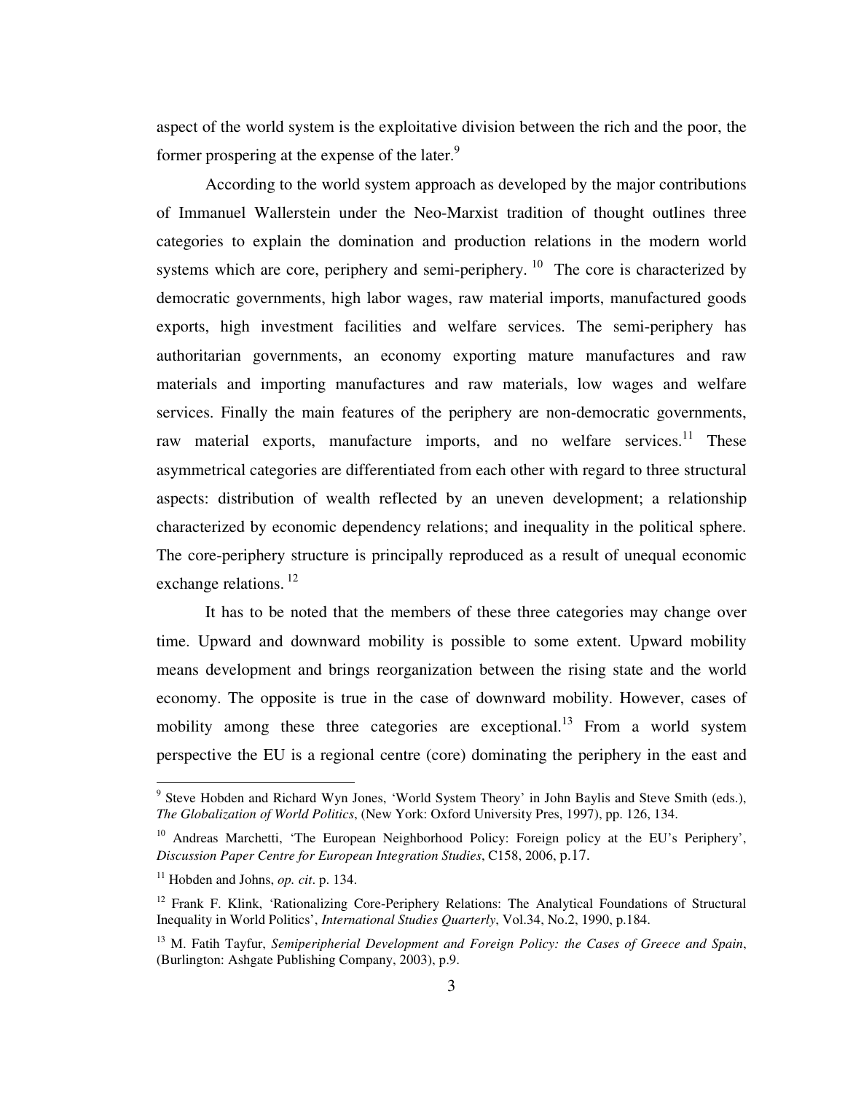aspect of the world system is the exploitative division between the rich and the poor, the former prospering at the expense of the later.<sup>9</sup>

According to the world system approach as developed by the major contributions of Immanuel Wallerstein under the Neo-Marxist tradition of thought outlines three categories to explain the domination and production relations in the modern world systems which are core, periphery and semi-periphery.<sup>10</sup> The core is characterized by democratic governments, high labor wages, raw material imports, manufactured goods exports, high investment facilities and welfare services. The semi-periphery has authoritarian governments, an economy exporting mature manufactures and raw materials and importing manufactures and raw materials, low wages and welfare services. Finally the main features of the periphery are non-democratic governments, raw material exports, manufacture imports, and no welfare services.<sup>11</sup> These asymmetrical categories are differentiated from each other with regard to three structural aspects: distribution of wealth reflected by an uneven development; a relationship characterized by economic dependency relations; and inequality in the political sphere. The core-periphery structure is principally reproduced as a result of unequal economic exchange relations.<sup>12</sup>

 It has to be noted that the members of these three categories may change over time. Upward and downward mobility is possible to some extent. Upward mobility means development and brings reorganization between the rising state and the world economy. The opposite is true in the case of downward mobility. However, cases of mobility among these three categories are exceptional.<sup>13</sup> From a world system perspective the EU is a regional centre (core) dominating the periphery in the east and

<sup>&</sup>lt;sup>9</sup> Steve Hobden and Richard Wyn Jones, 'World System Theory' in John Baylis and Steve Smith (eds.), *The Globalization of World Politics*, (New York: Oxford University Pres, 1997), pp. 126, 134.

<sup>&</sup>lt;sup>10</sup> Andreas Marchetti, 'The European Neighborhood Policy: Foreign policy at the EU's Periphery', *Discussion Paper Centre for European Integration Studies*, C158, 2006, p.17.

<sup>11</sup> Hobden and Johns, *op. cit*. p. 134.

<sup>&</sup>lt;sup>12</sup> Frank F. Klink, 'Rationalizing Core-Periphery Relations: The Analytical Foundations of Structural Inequality in World Politics', *International Studies Quarterly*, Vol.34, No.2, 1990, p.184.

<sup>13</sup> M. Fatih Tayfur, *Semiperipherial Development and Foreign Policy: the Cases of Greece and Spain*, (Burlington: Ashgate Publishing Company, 2003), p.9.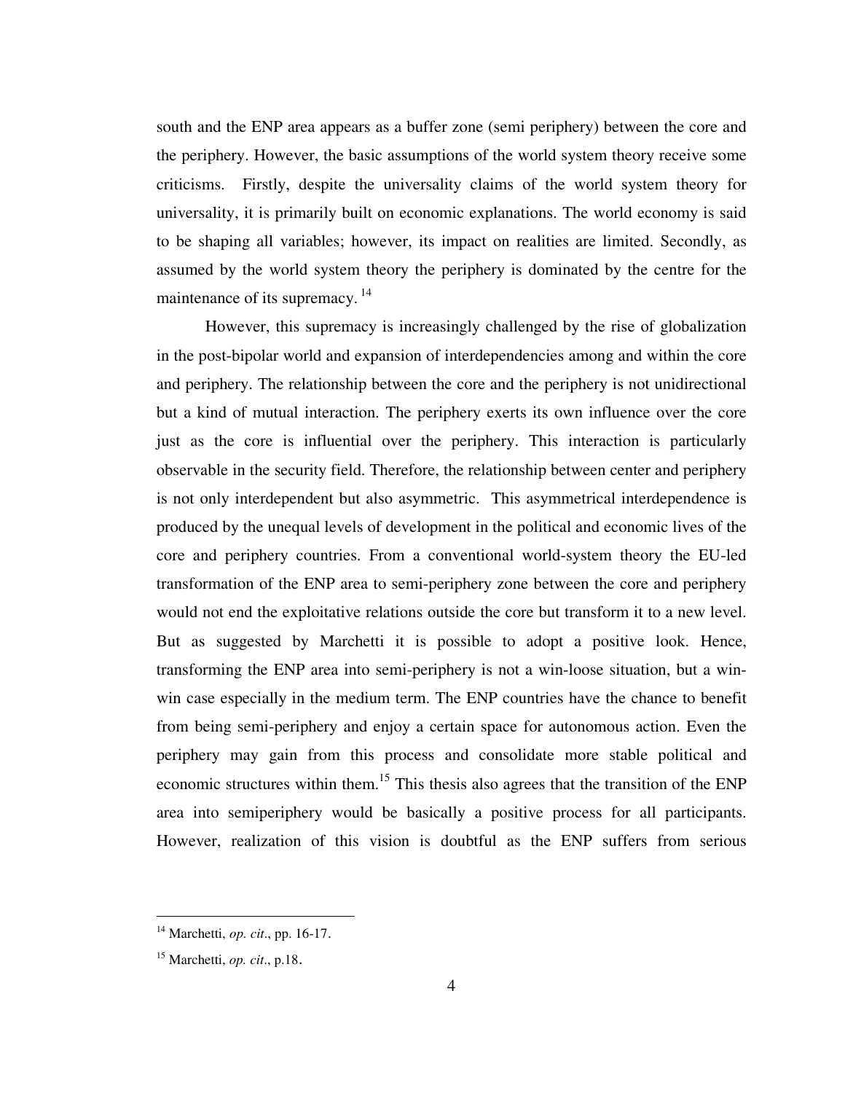south and the ENP area appears as a buffer zone (semi periphery) between the core and the periphery. However, the basic assumptions of the world system theory receive some criticisms. Firstly, despite the universality claims of the world system theory for universality, it is primarily built on economic explanations. The world economy is said to be shaping all variables; however, its impact on realities are limited. Secondly, as assumed by the world system theory the periphery is dominated by the centre for the maintenance of its supremacy.<sup>14</sup>

 However, this supremacy is increasingly challenged by the rise of globalization in the post-bipolar world and expansion of interdependencies among and within the core and periphery. The relationship between the core and the periphery is not unidirectional but a kind of mutual interaction. The periphery exerts its own influence over the core just as the core is influential over the periphery. This interaction is particularly observable in the security field. Therefore, the relationship between center and periphery is not only interdependent but also asymmetric. This asymmetrical interdependence is produced by the unequal levels of development in the political and economic lives of the core and periphery countries. From a conventional world-system theory the EU-led transformation of the ENP area to semi-periphery zone between the core and periphery would not end the exploitative relations outside the core but transform it to a new level. But as suggested by Marchetti it is possible to adopt a positive look. Hence, transforming the ENP area into semi-periphery is not a win-loose situation, but a winwin case especially in the medium term. The ENP countries have the chance to benefit from being semi-periphery and enjoy a certain space for autonomous action. Even the periphery may gain from this process and consolidate more stable political and economic structures within them.<sup>15</sup> This thesis also agrees that the transition of the ENP area into semiperiphery would be basically a positive process for all participants. However, realization of this vision is doubtful as the ENP suffers from serious

<sup>14</sup> Marchetti, *op. cit*., pp. 16-17.

<sup>15</sup> Marchetti, *op. cit*., p.18.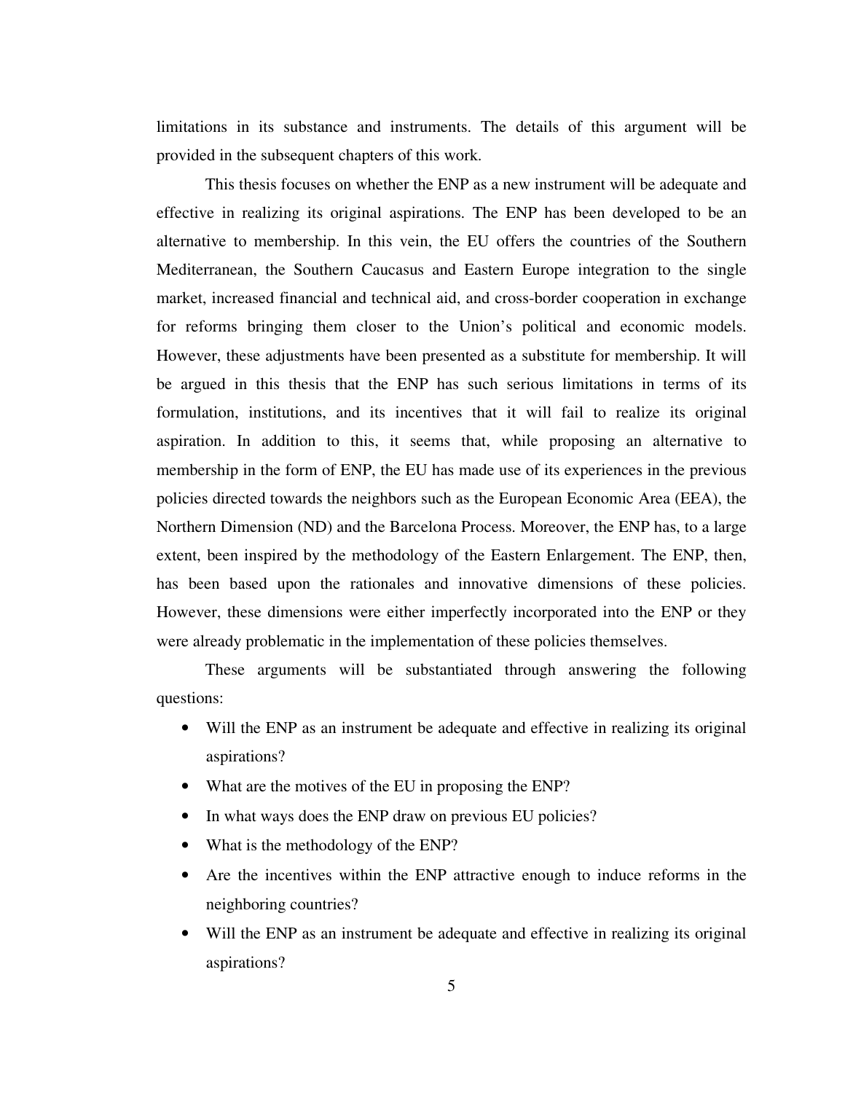limitations in its substance and instruments. The details of this argument will be provided in the subsequent chapters of this work.

This thesis focuses on whether the ENP as a new instrument will be adequate and effective in realizing its original aspirations. The ENP has been developed to be an alternative to membership. In this vein, the EU offers the countries of the Southern Mediterranean, the Southern Caucasus and Eastern Europe integration to the single market, increased financial and technical aid, and cross-border cooperation in exchange for reforms bringing them closer to the Union's political and economic models. However, these adjustments have been presented as a substitute for membership. It will be argued in this thesis that the ENP has such serious limitations in terms of its formulation, institutions, and its incentives that it will fail to realize its original aspiration. In addition to this, it seems that, while proposing an alternative to membership in the form of ENP, the EU has made use of its experiences in the previous policies directed towards the neighbors such as the European Economic Area (EEA), the Northern Dimension (ND) and the Barcelona Process. Moreover, the ENP has, to a large extent, been inspired by the methodology of the Eastern Enlargement. The ENP, then, has been based upon the rationales and innovative dimensions of these policies. However, these dimensions were either imperfectly incorporated into the ENP or they were already problematic in the implementation of these policies themselves.

 These arguments will be substantiated through answering the following questions:

- Will the ENP as an instrument be adequate and effective in realizing its original aspirations?
- What are the motives of the EU in proposing the ENP?
- In what ways does the ENP draw on previous EU policies?
- What is the methodology of the ENP?
- Are the incentives within the ENP attractive enough to induce reforms in the neighboring countries?
- Will the ENP as an instrument be adequate and effective in realizing its original aspirations?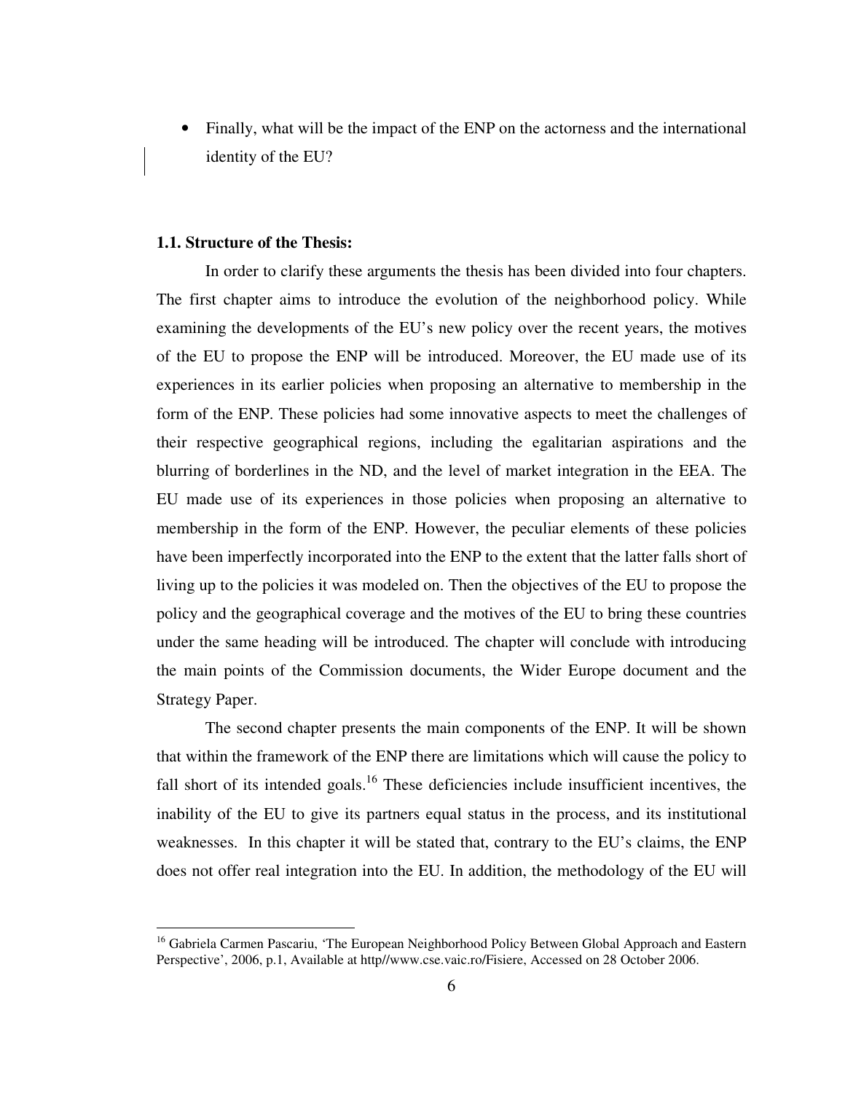• Finally, what will be the impact of the ENP on the actorness and the international identity of the EU?

### **1.1. Structure of the Thesis:**

 $\overline{a}$ 

In order to clarify these arguments the thesis has been divided into four chapters. The first chapter aims to introduce the evolution of the neighborhood policy. While examining the developments of the EU's new policy over the recent years, the motives of the EU to propose the ENP will be introduced. Moreover, the EU made use of its experiences in its earlier policies when proposing an alternative to membership in the form of the ENP. These policies had some innovative aspects to meet the challenges of their respective geographical regions, including the egalitarian aspirations and the blurring of borderlines in the ND, and the level of market integration in the EEA. The EU made use of its experiences in those policies when proposing an alternative to membership in the form of the ENP. However, the peculiar elements of these policies have been imperfectly incorporated into the ENP to the extent that the latter falls short of living up to the policies it was modeled on. Then the objectives of the EU to propose the policy and the geographical coverage and the motives of the EU to bring these countries under the same heading will be introduced. The chapter will conclude with introducing the main points of the Commission documents, the Wider Europe document and the Strategy Paper.

 The second chapter presents the main components of the ENP. It will be shown that within the framework of the ENP there are limitations which will cause the policy to fall short of its intended goals.<sup>16</sup> These deficiencies include insufficient incentives, the inability of the EU to give its partners equal status in the process, and its institutional weaknesses. In this chapter it will be stated that, contrary to the EU's claims, the ENP does not offer real integration into the EU. In addition, the methodology of the EU will

<sup>&</sup>lt;sup>16</sup> Gabriela Carmen Pascariu, 'The European Neighborhood Policy Between Global Approach and Eastern Perspective', 2006, p.1, Available at http//www.cse.vaic.ro/Fisiere, Accessed on 28 October 2006.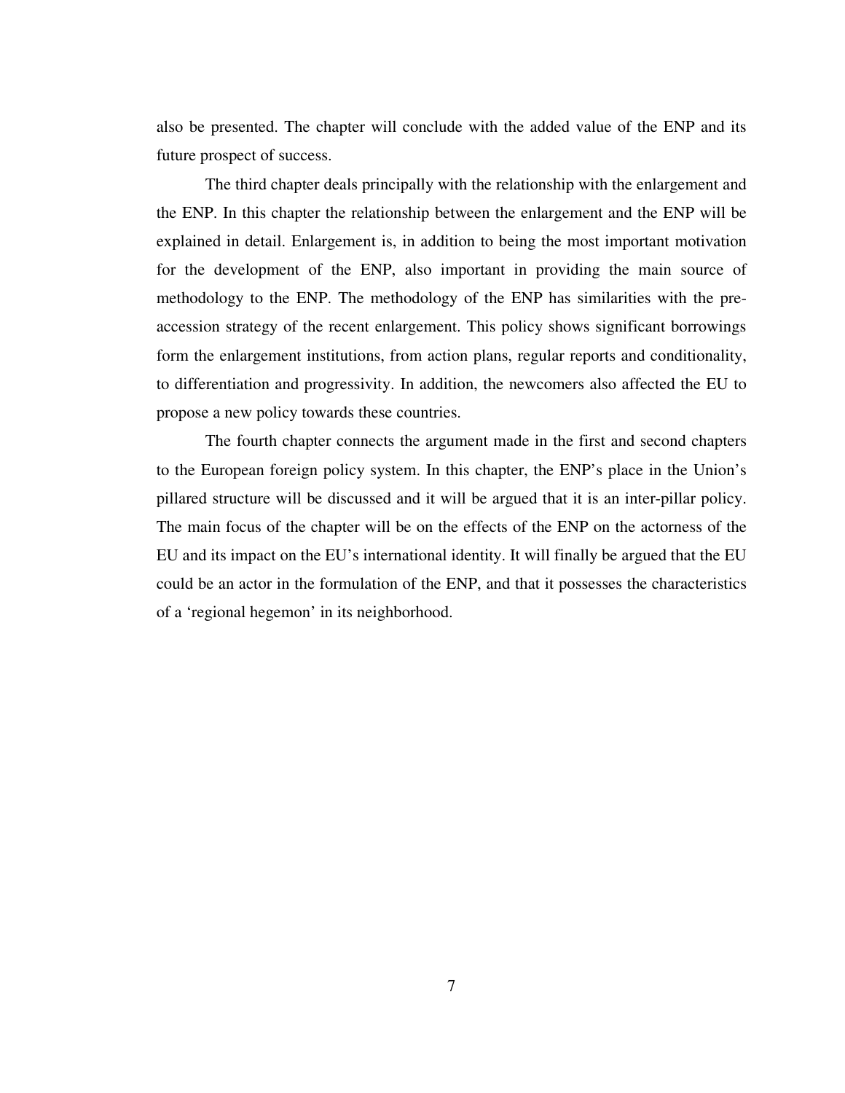also be presented. The chapter will conclude with the added value of the ENP and its future prospect of success.

 The third chapter deals principally with the relationship with the enlargement and the ENP. In this chapter the relationship between the enlargement and the ENP will be explained in detail. Enlargement is, in addition to being the most important motivation for the development of the ENP, also important in providing the main source of methodology to the ENP. The methodology of the ENP has similarities with the preaccession strategy of the recent enlargement. This policy shows significant borrowings form the enlargement institutions, from action plans, regular reports and conditionality, to differentiation and progressivity. In addition, the newcomers also affected the EU to propose a new policy towards these countries.

 The fourth chapter connects the argument made in the first and second chapters to the European foreign policy system. In this chapter, the ENP's place in the Union's pillared structure will be discussed and it will be argued that it is an inter-pillar policy. The main focus of the chapter will be on the effects of the ENP on the actorness of the EU and its impact on the EU's international identity. It will finally be argued that the EU could be an actor in the formulation of the ENP, and that it possesses the characteristics of a 'regional hegemon' in its neighborhood.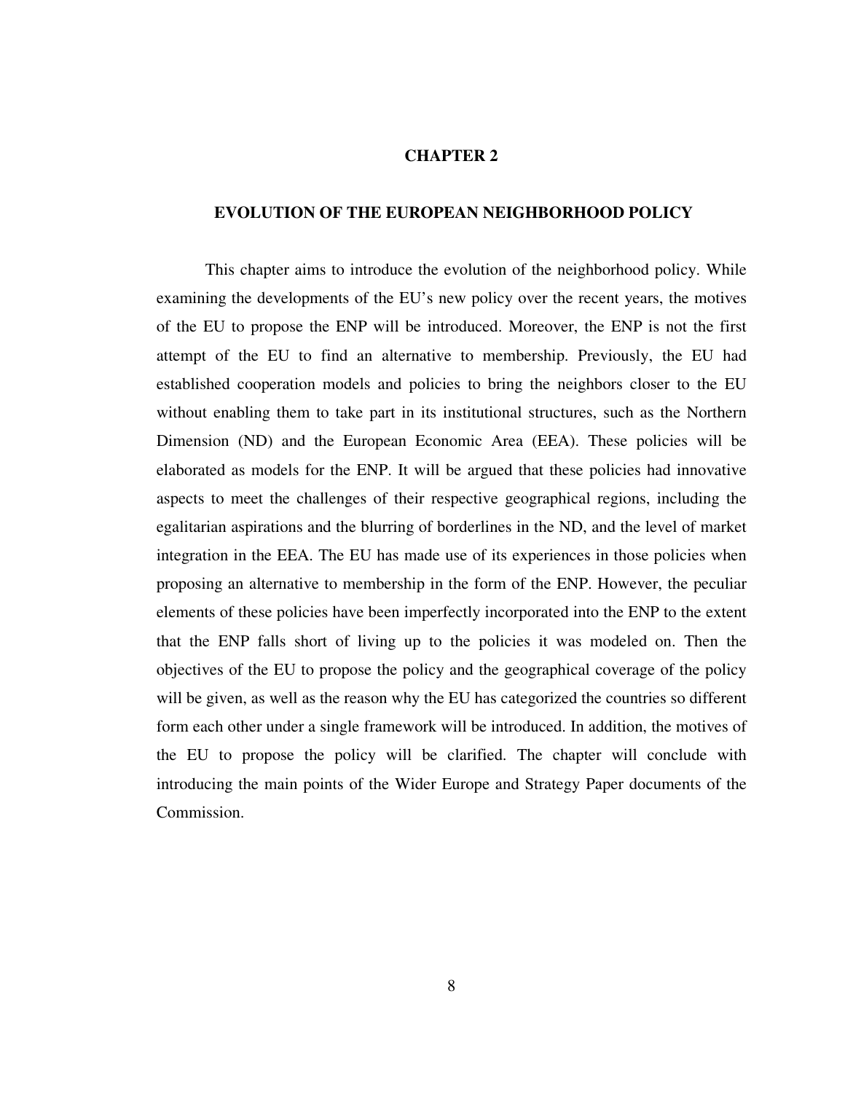#### **CHAPTER 2**

### **EVOLUTION OF THE EUROPEAN NEIGHBORHOOD POLICY**

 This chapter aims to introduce the evolution of the neighborhood policy. While examining the developments of the EU's new policy over the recent years, the motives of the EU to propose the ENP will be introduced. Moreover, the ENP is not the first attempt of the EU to find an alternative to membership. Previously, the EU had established cooperation models and policies to bring the neighbors closer to the EU without enabling them to take part in its institutional structures, such as the Northern Dimension (ND) and the European Economic Area (EEA). These policies will be elaborated as models for the ENP. It will be argued that these policies had innovative aspects to meet the challenges of their respective geographical regions, including the egalitarian aspirations and the blurring of borderlines in the ND, and the level of market integration in the EEA. The EU has made use of its experiences in those policies when proposing an alternative to membership in the form of the ENP. However, the peculiar elements of these policies have been imperfectly incorporated into the ENP to the extent that the ENP falls short of living up to the policies it was modeled on. Then the objectives of the EU to propose the policy and the geographical coverage of the policy will be given, as well as the reason why the EU has categorized the countries so different form each other under a single framework will be introduced. In addition, the motives of the EU to propose the policy will be clarified. The chapter will conclude with introducing the main points of the Wider Europe and Strategy Paper documents of the Commission.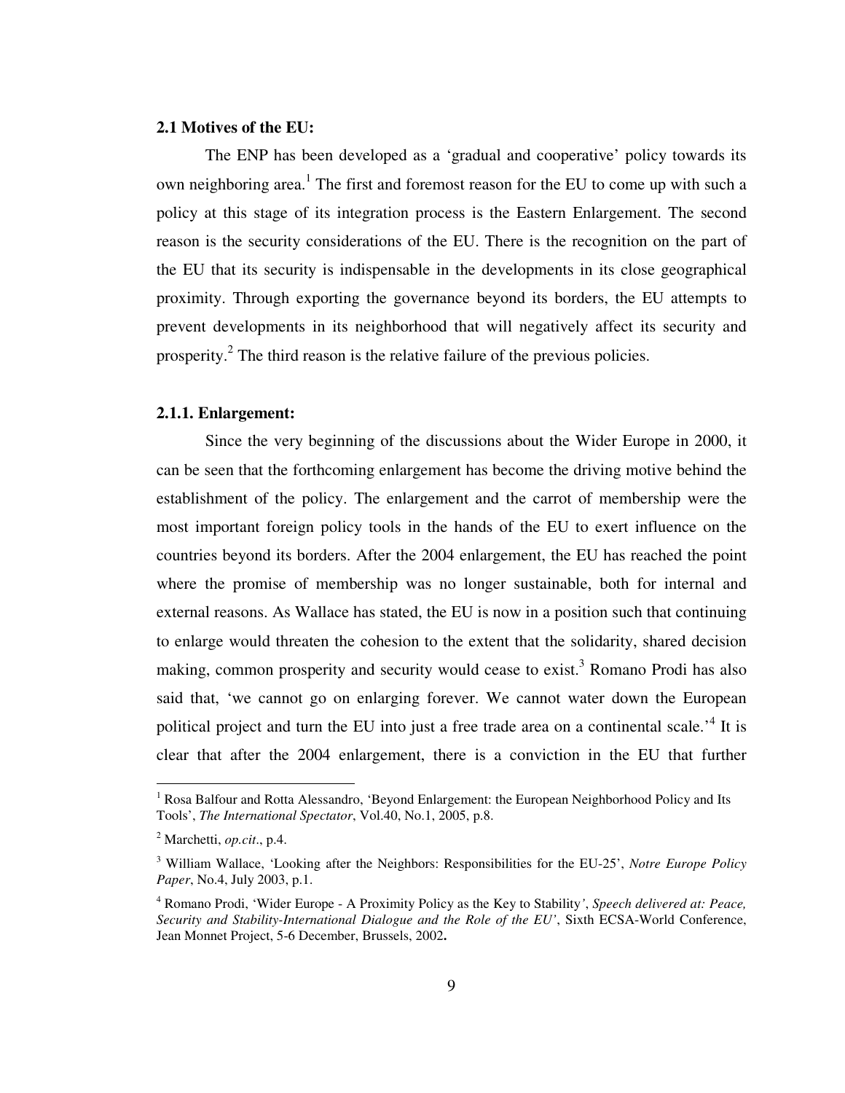### **2.1 Motives of the EU:**

 The ENP has been developed as a 'gradual and cooperative' policy towards its own neighboring area.<sup>1</sup> The first and foremost reason for the EU to come up with such a policy at this stage of its integration process is the Eastern Enlargement. The second reason is the security considerations of the EU. There is the recognition on the part of the EU that its security is indispensable in the developments in its close geographical proximity. Through exporting the governance beyond its borders, the EU attempts to prevent developments in its neighborhood that will negatively affect its security and prosperity. $^{2}$  The third reason is the relative failure of the previous policies.

### **2.1.1. Enlargement:**

Since the very beginning of the discussions about the Wider Europe in 2000, it can be seen that the forthcoming enlargement has become the driving motive behind the establishment of the policy. The enlargement and the carrot of membership were the most important foreign policy tools in the hands of the EU to exert influence on the countries beyond its borders. After the 2004 enlargement, the EU has reached the point where the promise of membership was no longer sustainable, both for internal and external reasons. As Wallace has stated, the EU is now in a position such that continuing to enlarge would threaten the cohesion to the extent that the solidarity, shared decision making, common prosperity and security would cease to exist.<sup>3</sup> Romano Prodi has also said that, 'we cannot go on enlarging forever. We cannot water down the European political project and turn the EU into just a free trade area on a continental scale.<sup>4</sup> It is clear that after the 2004 enlargement, there is a conviction in the EU that further

<sup>&</sup>lt;sup>1</sup> Rosa Balfour and Rotta Alessandro, 'Beyond Enlargement: the European Neighborhood Policy and Its Tools', *The International Spectator*, Vol.40, No.1, 2005, p.8.

<sup>2</sup> Marchetti, *op.cit*., p.4.

<sup>3</sup> William Wallace, 'Looking after the Neighbors: Responsibilities for the EU-25', *Notre Europe Policy Paper*, No.4, July 2003, p.1.

<sup>4</sup> Romano Prodi, 'Wider Europe - A Proximity Policy as the Key to Stability*'*, *Speech delivered at: Peace, Security and Stability-International Dialogue and the Role of the EU'*, Sixth ECSA-World Conference, Jean Monnet Project, 5-6 December, Brussels, 2002**.**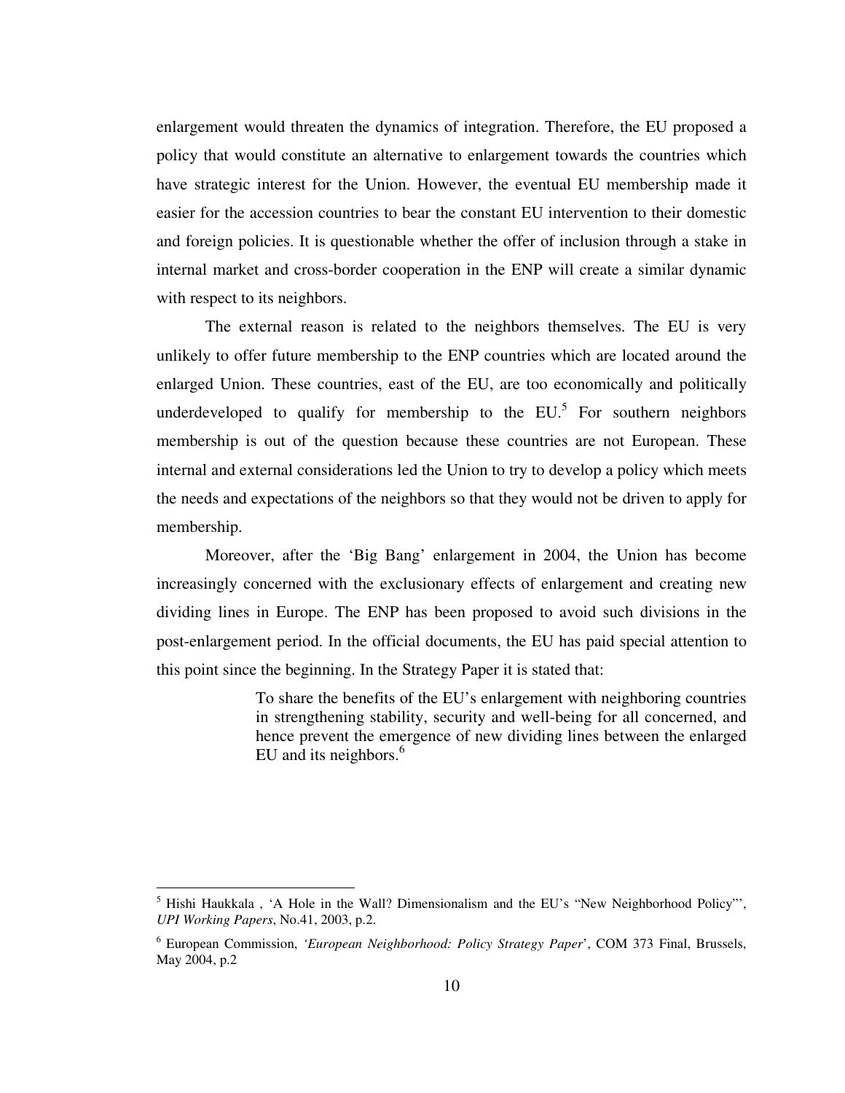enlargement would threaten the dynamics of integration. Therefore, the EU proposed a policy that would constitute an alternative to enlargement towards the countries which have strategic interest for the Union. However, the eventual EU membership made it easier for the accession countries to bear the constant EU intervention to their domestic and foreign policies. It is questionable whether the offer of inclusion through a stake in internal market and cross-border cooperation in the ENP will create a similar dynamic with respect to its neighbors.

 The external reason is related to the neighbors themselves. The EU is very unlikely to offer future membership to the ENP countries which are located around the enlarged Union. These countries, east of the EU, are too economically and politically underdeveloped to qualify for membership to the  $EU<sup>5</sup>$  For southern neighbors membership is out of the question because these countries are not European. These internal and external considerations led the Union to try to develop a policy which meets the needs and expectations of the neighbors so that they would not be driven to apply for membership.

 Moreover, after the 'Big Bang' enlargement in 2004, the Union has become increasingly concerned with the exclusionary effects of enlargement and creating new dividing lines in Europe. The ENP has been proposed to avoid such divisions in the post-enlargement period. In the official documents, the EU has paid special attention to this point since the beginning. In the Strategy Paper it is stated that:

> To share the benefits of the EU's enlargement with neighboring countries in strengthening stability, security and well-being for all concerned, and hence prevent the emergence of new dividing lines between the enlarged EU and its neighbors.<sup>6</sup>

<sup>&</sup>lt;sup>5</sup> Hishi Haukkala, 'A Hole in the Wall? Dimensionalism and the EU's "New Neighborhood Policy"', *UPI Working Papers*, No.41, 2003, p.2.

<sup>6</sup> European Commission, *'European Neighborhood: Policy Strategy Paper*', COM 373 Final, Brussels, May 2004, p.2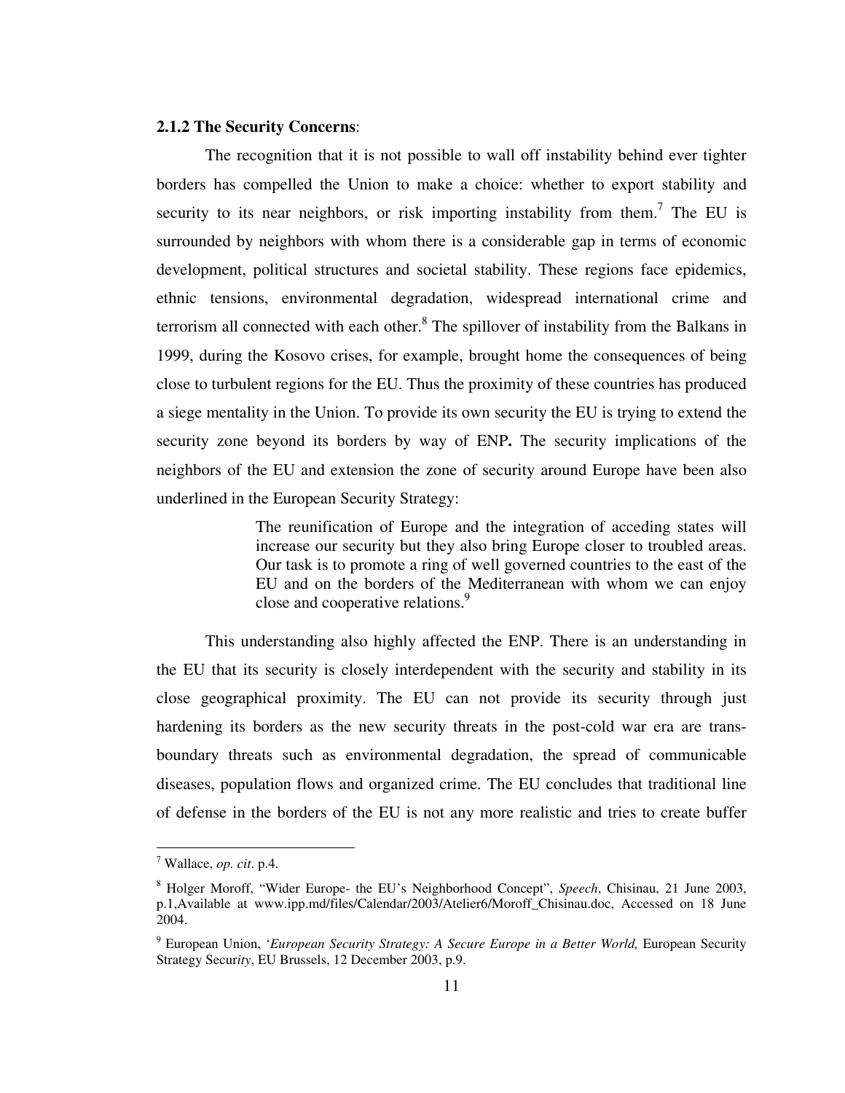#### **2.1.2 The Security Concerns**:

The recognition that it is not possible to wall off instability behind ever tighter borders has compelled the Union to make a choice: whether to export stability and security to its near neighbors, or risk importing instability from them.<sup>7</sup> The EU is surrounded by neighbors with whom there is a considerable gap in terms of economic development, political structures and societal stability. These regions face epidemics, ethnic tensions, environmental degradation, widespread international crime and terrorism all connected with each other. $<sup>8</sup>$  The spillover of instability from the Balkans in</sup> 1999, during the Kosovo crises, for example, brought home the consequences of being close to turbulent regions for the EU. Thus the proximity of these countries has produced a siege mentality in the Union. To provide its own security the EU is trying to extend the security zone beyond its borders by way of ENP**.** The security implications of the neighbors of the EU and extension the zone of security around Europe have been also underlined in the European Security Strategy:

> The reunification of Europe and the integration of acceding states will increase our security but they also bring Europe closer to troubled areas. Our task is to promote a ring of well governed countries to the east of the EU and on the borders of the Mediterranean with whom we can enjoy close and cooperative relations.<sup>9</sup>

This understanding also highly affected the ENP. There is an understanding in the EU that its security is closely interdependent with the security and stability in its close geographical proximity. The EU can not provide its security through just hardening its borders as the new security threats in the post-cold war era are transboundary threats such as environmental degradation, the spread of communicable diseases, population flows and organized crime. The EU concludes that traditional line of defense in the borders of the EU is not any more realistic and tries to create buffer

<sup>7</sup> Wallace, *op. cit*. p.4.

<sup>8</sup> Holger Moroff, "Wider Europe- the EU's Neighborhood Concept", *Speech*, Chisinau, 21 June 2003, p.1,Available at www.ipp.md/files/Calendar/2003/Atelier6/Moroff\_Chisinau.doc, Accessed on 18 June 2004.

<sup>9</sup> European Union, '*European Security Strategy: A Secure Europe in a Better World,* European Security Strategy Secur*ity*, EU Brussels, 12 December 2003, p.9.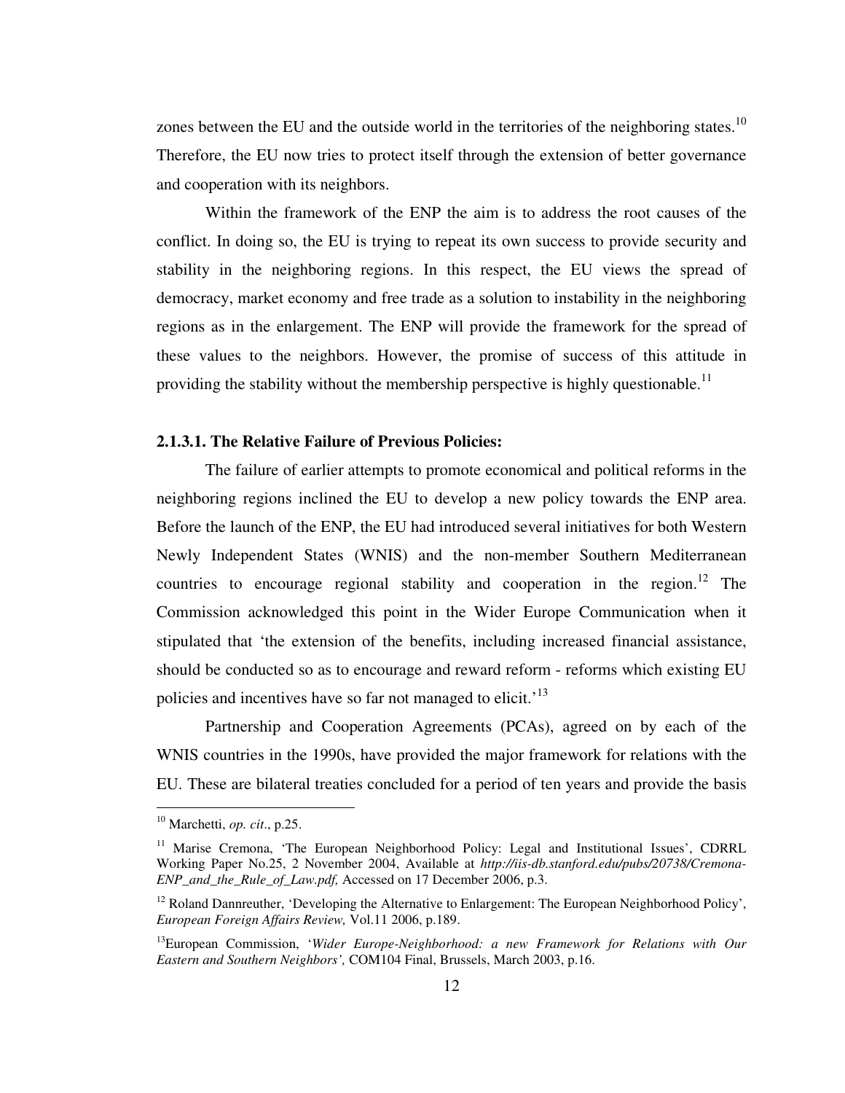zones between the EU and the outside world in the territories of the neighboring states.<sup>10</sup> Therefore, the EU now tries to protect itself through the extension of better governance and cooperation with its neighbors.

Within the framework of the ENP the aim is to address the root causes of the conflict. In doing so, the EU is trying to repeat its own success to provide security and stability in the neighboring regions. In this respect, the EU views the spread of democracy, market economy and free trade as a solution to instability in the neighboring regions as in the enlargement. The ENP will provide the framework for the spread of these values to the neighbors. However, the promise of success of this attitude in providing the stability without the membership perspective is highly questionable.<sup>11</sup>

#### **2.1.3.1. The Relative Failure of Previous Policies:**

The failure of earlier attempts to promote economical and political reforms in the neighboring regions inclined the EU to develop a new policy towards the ENP area. Before the launch of the ENP, the EU had introduced several initiatives for both Western Newly Independent States (WNIS) and the non-member Southern Mediterranean countries to encourage regional stability and cooperation in the region.<sup>12</sup> The Commission acknowledged this point in the Wider Europe Communication when it stipulated that 'the extension of the benefits, including increased financial assistance, should be conducted so as to encourage and reward reform - reforms which existing EU policies and incentives have so far not managed to elicit.<sup>'13</sup>

Partnership and Cooperation Agreements (PCAs), agreed on by each of the WNIS countries in the 1990s, have provided the major framework for relations with the EU. These are bilateral treaties concluded for a period of ten years and provide the basis

<sup>10</sup> Marchetti, *op. cit*., p.25.

<sup>&</sup>lt;sup>11</sup> Marise Cremona, 'The European Neighborhood Policy: Legal and Institutional Issues', CDRRL Working Paper No.25, 2 November 2004, Available at *http://iis-db.stanford.edu/pubs/20738/Cremona-ENP\_and\_the\_Rule\_of\_Law.pdf,* Accessed on 17 December 2006, p.3.

 $12$  Roland Dannreuther, 'Developing the Alternative to Enlargement: The European Neighborhood Policy', *European Foreign Affairs Review,* Vol.11 2006, p.189.

<sup>13</sup>European Commission, '*Wider Europe-Neighborhood: a new Framework for Relations with Our Eastern and Southern Neighbors',* COM104 Final, Brussels, March 2003, p.16.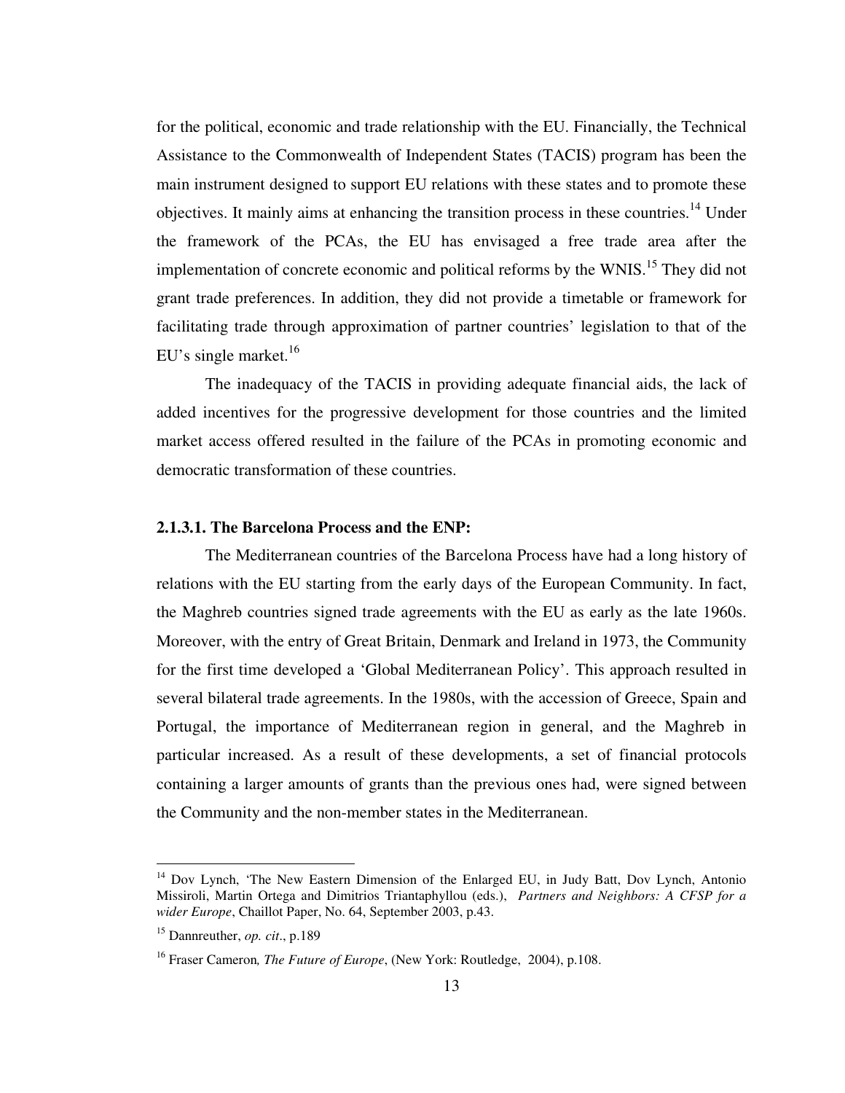for the political, economic and trade relationship with the EU. Financially, the Technical Assistance to the Commonwealth of Independent States (TACIS) program has been the main instrument designed to support EU relations with these states and to promote these objectives. It mainly aims at enhancing the transition process in these countries.<sup>14</sup> Under the framework of the PCAs, the EU has envisaged a free trade area after the implementation of concrete economic and political reforms by the WNIS.<sup>15</sup> They did not grant trade preferences. In addition, they did not provide a timetable or framework for facilitating trade through approximation of partner countries' legislation to that of the EU's single market. $^{16}$ 

The inadequacy of the TACIS in providing adequate financial aids, the lack of added incentives for the progressive development for those countries and the limited market access offered resulted in the failure of the PCAs in promoting economic and democratic transformation of these countries.

#### **2.1.3.1. The Barcelona Process and the ENP:**

 The Mediterranean countries of the Barcelona Process have had a long history of relations with the EU starting from the early days of the European Community. In fact, the Maghreb countries signed trade agreements with the EU as early as the late 1960s. Moreover, with the entry of Great Britain, Denmark and Ireland in 1973, the Community for the first time developed a 'Global Mediterranean Policy'. This approach resulted in several bilateral trade agreements. In the 1980s, with the accession of Greece, Spain and Portugal, the importance of Mediterranean region in general, and the Maghreb in particular increased. As a result of these developments, a set of financial protocols containing a larger amounts of grants than the previous ones had, were signed between the Community and the non-member states in the Mediterranean.

<sup>&</sup>lt;sup>14</sup> Dov Lynch, 'The New Eastern Dimension of the Enlarged EU, in Judy Batt, Dov Lynch, Antonio Missiroli, Martin Ortega and Dimitrios Triantaphyllou (eds.), *Partners and Neighbors: A CFSP for a wider Europe*, Chaillot Paper, No. 64, September 2003, p.43.

<sup>15</sup> Dannreuther, *op. cit*., p.189

<sup>&</sup>lt;sup>16</sup> Fraser Cameron, *The Future of Europe*, (New York: Routledge, 2004), p.108.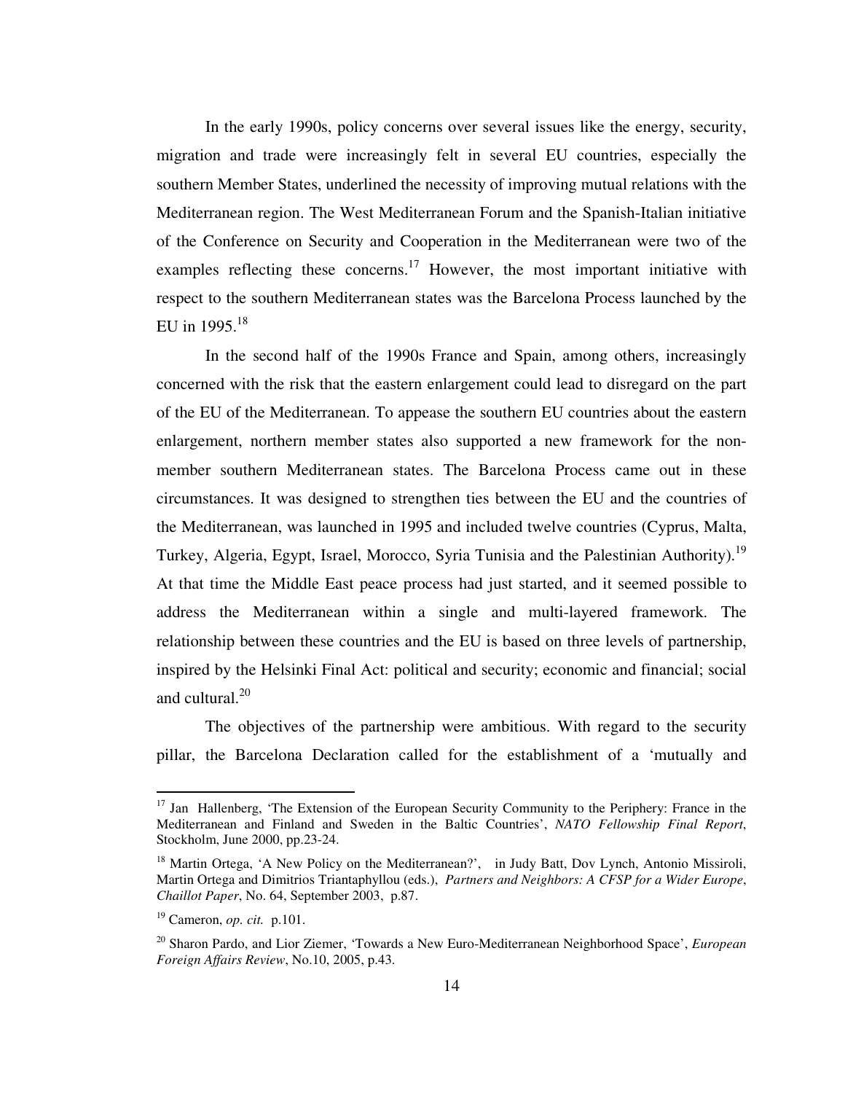In the early 1990s, policy concerns over several issues like the energy, security, migration and trade were increasingly felt in several EU countries, especially the southern Member States, underlined the necessity of improving mutual relations with the Mediterranean region. The West Mediterranean Forum and the Spanish-Italian initiative of the Conference on Security and Cooperation in the Mediterranean were two of the examples reflecting these concerns.<sup>17</sup> However, the most important initiative with respect to the southern Mediterranean states was the Barcelona Process launched by the EU in 1995. $^{18}$ 

 In the second half of the 1990s France and Spain, among others, increasingly concerned with the risk that the eastern enlargement could lead to disregard on the part of the EU of the Mediterranean. To appease the southern EU countries about the eastern enlargement, northern member states also supported a new framework for the nonmember southern Mediterranean states. The Barcelona Process came out in these circumstances. It was designed to strengthen ties between the EU and the countries of the Mediterranean, was launched in 1995 and included twelve countries (Cyprus, Malta, Turkey, Algeria, Egypt, Israel, Morocco, Syria Tunisia and the Palestinian Authority).<sup>19</sup> At that time the Middle East peace process had just started, and it seemed possible to address the Mediterranean within a single and multi-layered framework. The relationship between these countries and the EU is based on three levels of partnership, inspired by the Helsinki Final Act: political and security; economic and financial; social and cultural.<sup>20</sup>

 The objectives of the partnership were ambitious. With regard to the security pillar, the Barcelona Declaration called for the establishment of a 'mutually and

<sup>&</sup>lt;sup>17</sup> Jan Hallenberg, 'The Extension of the European Security Community to the Periphery: France in the Mediterranean and Finland and Sweden in the Baltic Countries', *NATO Fellowship Final Report*, Stockholm, June 2000, pp.23-24.

<sup>&</sup>lt;sup>18</sup> Martin Ortega, 'A New Policy on the Mediterranean?', in Judy Batt, Dov Lynch, Antonio Missiroli, Martin Ortega and Dimitrios Triantaphyllou (eds.), *Partners and Neighbors: A CFSP for a Wider Europe*, *Chaillot Paper*, No. 64, September 2003, p.87.

<sup>19</sup> Cameron, *op. cit.* p.101.

<sup>20</sup> Sharon Pardo, and Lior Ziemer, 'Towards a New Euro-Mediterranean Neighborhood Space', *European Foreign Affairs Review*, No.10, 2005, p.43.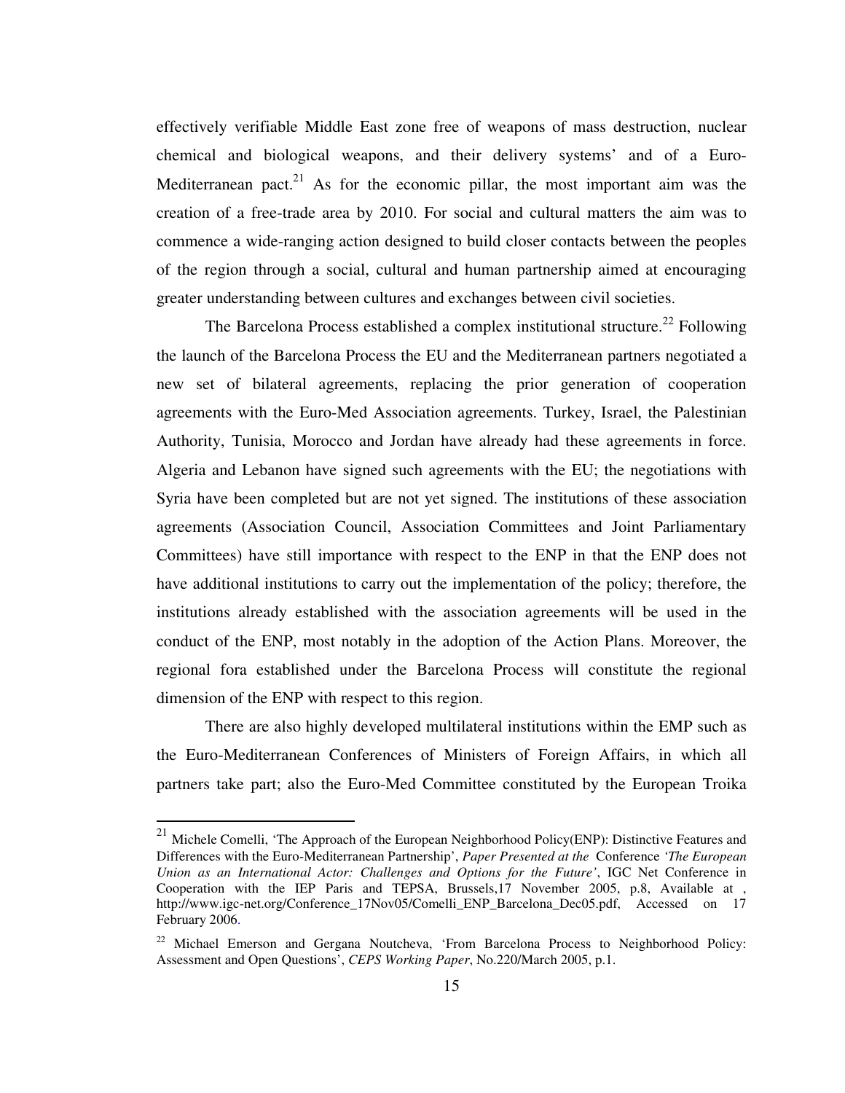effectively verifiable Middle East zone free of weapons of mass destruction, nuclear chemical and biological weapons, and their delivery systems' and of a Euro-Mediterranean pact.<sup>21</sup> As for the economic pillar, the most important aim was the creation of a free-trade area by 2010. For social and cultural matters the aim was to commence a wide-ranging action designed to build closer contacts between the peoples of the region through a social, cultural and human partnership aimed at encouraging greater understanding between cultures and exchanges between civil societies.

The Barcelona Process established a complex institutional structure.<sup>22</sup> Following the launch of the Barcelona Process the EU and the Mediterranean partners negotiated a new set of bilateral agreements, replacing the prior generation of cooperation agreements with the Euro-Med Association agreements. Turkey, Israel, the Palestinian Authority, Tunisia, Morocco and Jordan have already had these agreements in force. Algeria and Lebanon have signed such agreements with the EU; the negotiations with Syria have been completed but are not yet signed. The institutions of these association agreements (Association Council, Association Committees and Joint Parliamentary Committees) have still importance with respect to the ENP in that the ENP does not have additional institutions to carry out the implementation of the policy; therefore, the institutions already established with the association agreements will be used in the conduct of the ENP, most notably in the adoption of the Action Plans. Moreover, the regional fora established under the Barcelona Process will constitute the regional dimension of the ENP with respect to this region.

 There are also highly developed multilateral institutions within the EMP such as the Euro-Mediterranean Conferences of Ministers of Foreign Affairs, in which all partners take part; also the Euro-Med Committee constituted by the European Troika

<sup>&</sup>lt;sup>21</sup> Michele Comelli, 'The Approach of the European Neighborhood Policy(ENP): Distinctive Features and Differences with the Euro-Mediterranean Partnership', *Paper Presented at the* Conference *'The European Union as an International Actor: Challenges and Options for the Future'*, IGC Net Conference in Cooperation with the IEP Paris and TEPSA, Brussels,17 November 2005, p.8, Available at , http://www.igc-net.org/Conference\_17Nov05/Comelli\_ENP\_Barcelona\_Dec05.pdf, Accessed on 17 February 2006.

<sup>&</sup>lt;sup>22</sup> Michael Emerson and Gergana Noutcheva, 'From Barcelona Process to Neighborhood Policy: Assessment and Open Questions', *CEPS Working Paper*, No.220/March 2005, p.1.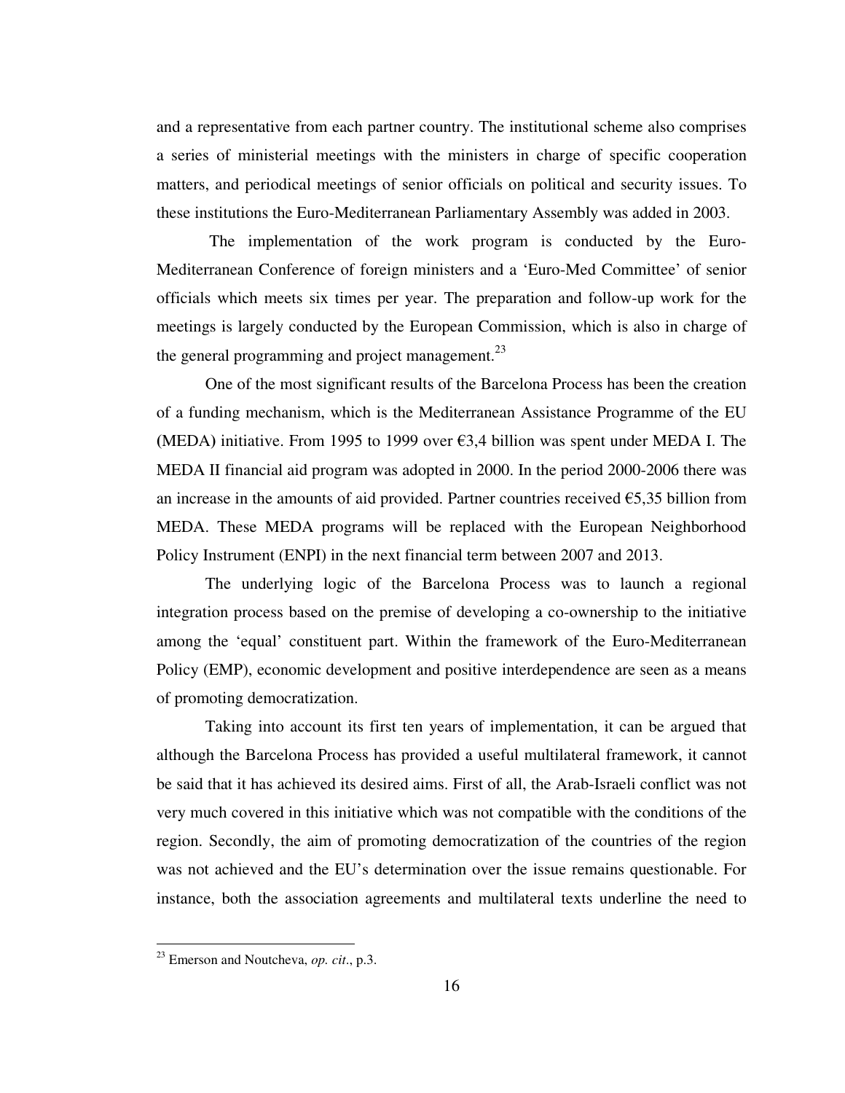and a representative from each partner country. The institutional scheme also comprises a series of ministerial meetings with the ministers in charge of specific cooperation matters, and periodical meetings of senior officials on political and security issues. To these institutions the Euro-Mediterranean Parliamentary Assembly was added in 2003.

 The implementation of the work program is conducted by the Euro-Mediterranean Conference of foreign ministers and a 'Euro-Med Committee' of senior officials which meets six times per year. The preparation and follow-up work for the meetings is largely conducted by the European Commission, which is also in charge of the general programming and project management. $^{23}$ 

 One of the most significant results of the Barcelona Process has been the creation of a funding mechanism, which is the Mediterranean Assistance Programme of the EU **(**MEDA**)** initiative. From 1995 to 1999 over €3,4 billion was spent under MEDA I. The MEDA II financial aid program was adopted in 2000. In the period 2000-2006 there was an increase in the amounts of aid provided. Partner countries received  $\epsilon$ 5,35 billion from MEDA. These MEDA programs will be replaced with the European Neighborhood Policy Instrument (ENPI) in the next financial term between 2007 and 2013.

 The underlying logic of the Barcelona Process was to launch a regional integration process based on the premise of developing a co-ownership to the initiative among the 'equal' constituent part. Within the framework of the Euro-Mediterranean Policy (EMP), economic development and positive interdependence are seen as a means of promoting democratization.

 Taking into account its first ten years of implementation, it can be argued that although the Barcelona Process has provided a useful multilateral framework, it cannot be said that it has achieved its desired aims. First of all, the Arab-Israeli conflict was not very much covered in this initiative which was not compatible with the conditions of the region. Secondly, the aim of promoting democratization of the countries of the region was not achieved and the EU's determination over the issue remains questionable. For instance, both the association agreements and multilateral texts underline the need to

<sup>23</sup> Emerson and Noutcheva, *op. cit*., p.3.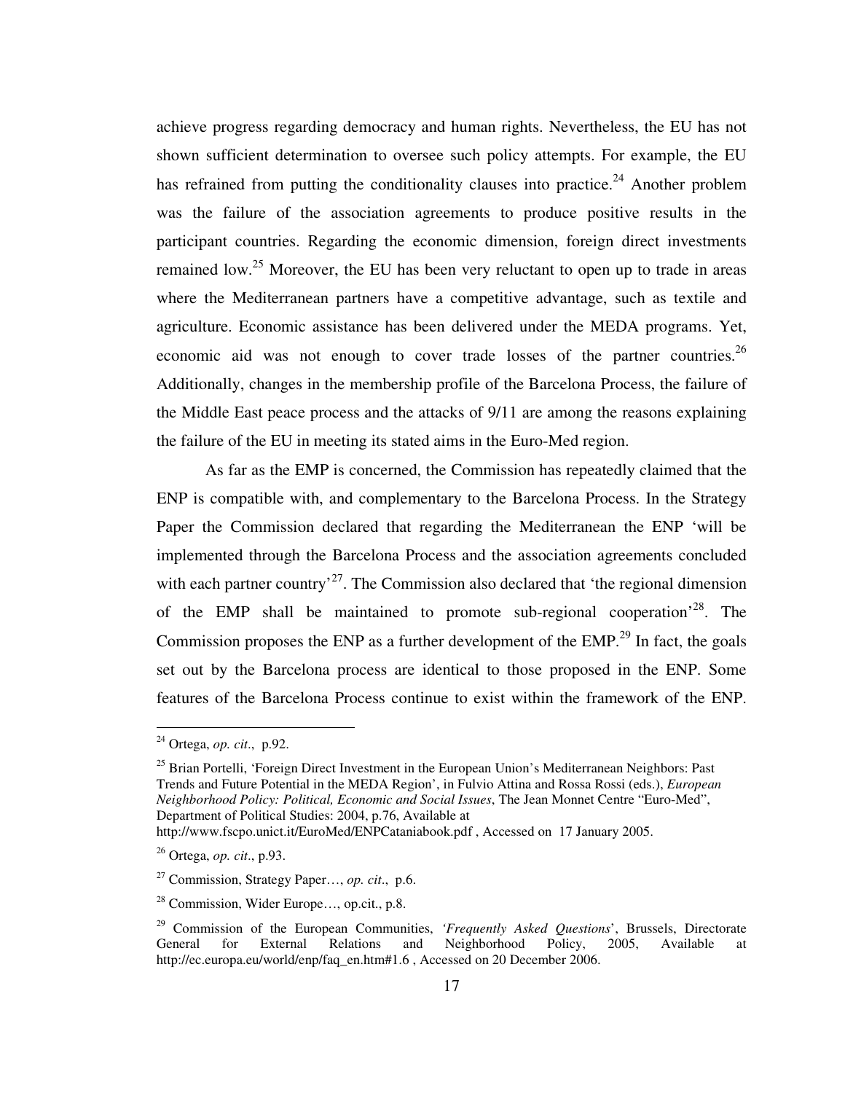achieve progress regarding democracy and human rights. Nevertheless, the EU has not shown sufficient determination to oversee such policy attempts. For example, the EU has refrained from putting the conditionality clauses into practice.<sup>24</sup> Another problem was the failure of the association agreements to produce positive results in the participant countries. Regarding the economic dimension, foreign direct investments remained low.<sup>25</sup> Moreover, the EU has been very reluctant to open up to trade in areas where the Mediterranean partners have a competitive advantage, such as textile and agriculture. Economic assistance has been delivered under the MEDA programs. Yet, economic aid was not enough to cover trade losses of the partner countries.<sup>26</sup> Additionally, changes in the membership profile of the Barcelona Process, the failure of the Middle East peace process and the attacks of 9/11 are among the reasons explaining the failure of the EU in meeting its stated aims in the Euro-Med region.

 As far as the EMP is concerned, the Commission has repeatedly claimed that the ENP is compatible with, and complementary to the Barcelona Process. In the Strategy Paper the Commission declared that regarding the Mediterranean the ENP 'will be implemented through the Barcelona Process and the association agreements concluded with each partner country<sup>27</sup>. The Commission also declared that 'the regional dimension of the EMP shall be maintained to promote sub-regional cooperation<sup> $28$ </sup>. The Commission proposes the ENP as a further development of the EMP.<sup>29</sup> In fact, the goals set out by the Barcelona process are identical to those proposed in the ENP. Some features of the Barcelona Process continue to exist within the framework of the ENP.

<sup>24</sup> Ortega, *op. cit*., p.92.

<sup>&</sup>lt;sup>25</sup> Brian Portelli, 'Foreign Direct Investment in the European Union's Mediterranean Neighbors: Past Trends and Future Potential in the MEDA Region', in Fulvio Attina and Rossa Rossi (eds.), *European Neighborhood Policy: Political, Economic and Social Issues*, The Jean Monnet Centre "Euro-Med", Department of Political Studies: 2004, p.76, Available at

http://www.fscpo.unict.it/EuroMed/ENPCataniabook.pdf , Accessed on 17 January 2005.

<sup>26</sup> Ortega, *op. cit*., p.93.

<sup>27</sup> Commission, Strategy Paper…, *op. cit*., p.6.

<sup>28</sup> Commission, Wider Europe…, op.cit., p.8.

<sup>&</sup>lt;sup>29</sup> Commission of the European Communities, *'Frequently Asked Questions*', Brussels, Directorate<br>General for External Relations and Neighborhood Policy. 2005. Available at General for External Relations and Neighborhood Policy, 2005, Available at http://ec.europa.eu/world/enp/faq\_en.htm#1.6 , Accessed on 20 December 2006.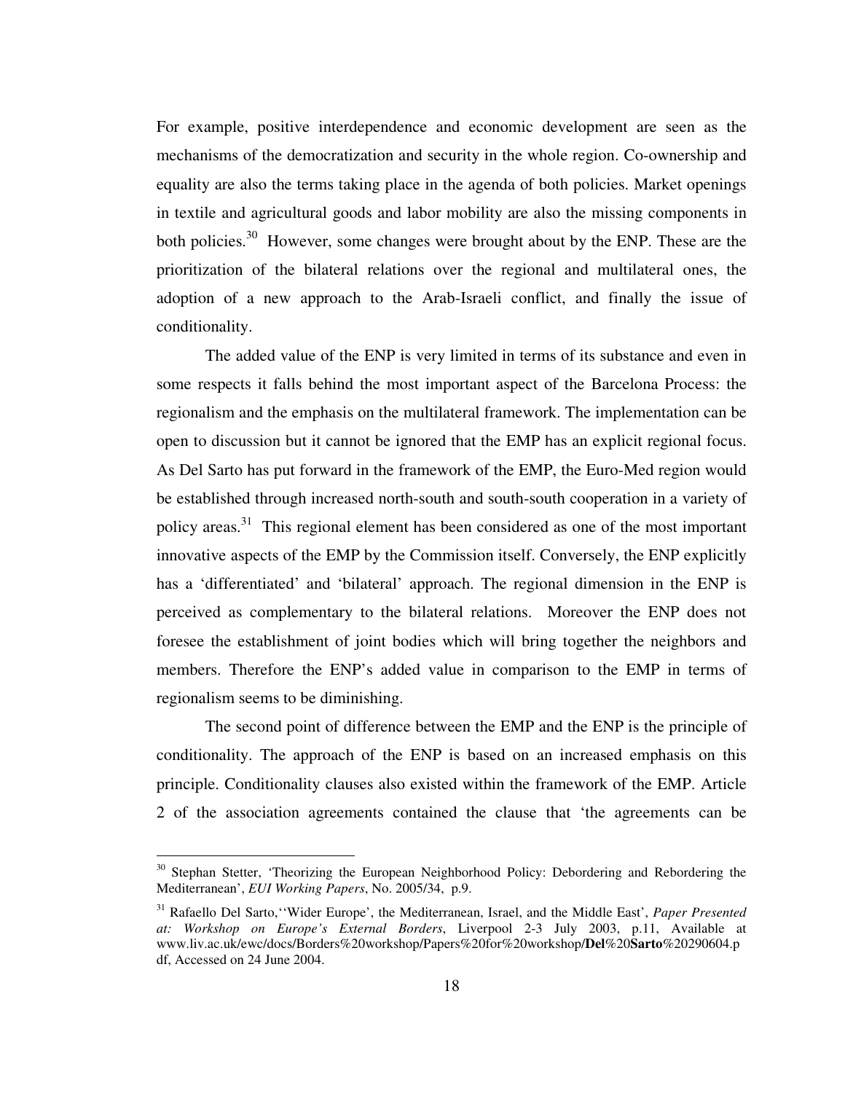For example, positive interdependence and economic development are seen as the mechanisms of the democratization and security in the whole region. Co-ownership and equality are also the terms taking place in the agenda of both policies. Market openings in textile and agricultural goods and labor mobility are also the missing components in both policies.<sup>30</sup> However, some changes were brought about by the ENP. These are the prioritization of the bilateral relations over the regional and multilateral ones, the adoption of a new approach to the Arab-Israeli conflict, and finally the issue of conditionality.

 The added value of the ENP is very limited in terms of its substance and even in some respects it falls behind the most important aspect of the Barcelona Process: the regionalism and the emphasis on the multilateral framework. The implementation can be open to discussion but it cannot be ignored that the EMP has an explicit regional focus. As Del Sarto has put forward in the framework of the EMP, the Euro-Med region would be established through increased north-south and south-south cooperation in a variety of policy areas.<sup>31</sup> This regional element has been considered as one of the most important innovative aspects of the EMP by the Commission itself. Conversely, the ENP explicitly has a 'differentiated' and 'bilateral' approach. The regional dimension in the ENP is perceived as complementary to the bilateral relations. Moreover the ENP does not foresee the establishment of joint bodies which will bring together the neighbors and members. Therefore the ENP's added value in comparison to the EMP in terms of regionalism seems to be diminishing.

 The second point of difference between the EMP and the ENP is the principle of conditionality. The approach of the ENP is based on an increased emphasis on this principle. Conditionality clauses also existed within the framework of the EMP. Article 2 of the association agreements contained the clause that 'the agreements can be

<sup>&</sup>lt;sup>30</sup> Stephan Stetter, 'Theorizing the European Neighborhood Policy: Debordering and Rebordering the Mediterranean', *EUI Working Papers*, No. 2005/34, p.9.

<sup>31</sup> Rafaello Del Sarto,''Wider Europe', the Mediterranean, Israel, and the Middle East', *Paper Presented at: Workshop on Europe's External Borders*, Liverpool 2-3 July 2003, p.11, Available at www.liv.ac.uk/ewc/docs/Borders%20workshop/Papers%20for%20workshop/**Del**%20**Sarto**%20290604.p df, Accessed on 24 June 2004.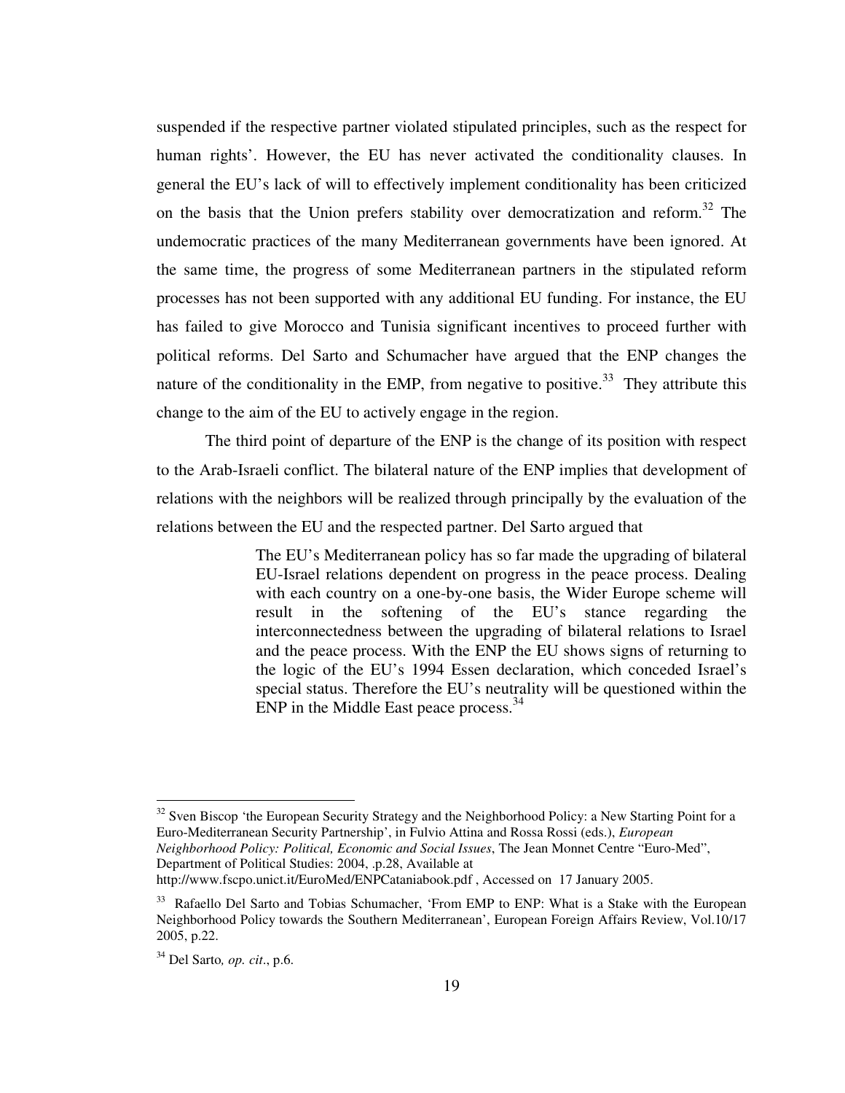suspended if the respective partner violated stipulated principles, such as the respect for human rights'. However, the EU has never activated the conditionality clauses. In general the EU's lack of will to effectively implement conditionality has been criticized on the basis that the Union prefers stability over democratization and reform.<sup>32</sup> The undemocratic practices of the many Mediterranean governments have been ignored. At the same time, the progress of some Mediterranean partners in the stipulated reform processes has not been supported with any additional EU funding. For instance, the EU has failed to give Morocco and Tunisia significant incentives to proceed further with political reforms. Del Sarto and Schumacher have argued that the ENP changes the nature of the conditionality in the EMP, from negative to positive.<sup>33</sup> They attribute this change to the aim of the EU to actively engage in the region.

 The third point of departure of the ENP is the change of its position with respect to the Arab-Israeli conflict. The bilateral nature of the ENP implies that development of relations with the neighbors will be realized through principally by the evaluation of the relations between the EU and the respected partner. Del Sarto argued that

> The EU's Mediterranean policy has so far made the upgrading of bilateral EU-Israel relations dependent on progress in the peace process. Dealing with each country on a one-by-one basis, the Wider Europe scheme will result in the softening of the EU's stance regarding the interconnectedness between the upgrading of bilateral relations to Israel and the peace process. With the ENP the EU shows signs of returning to the logic of the EU's 1994 Essen declaration, which conceded Israel's special status. Therefore the EU's neutrality will be questioned within the ENP in the Middle East peace process.<sup>34</sup>

<sup>&</sup>lt;sup>32</sup> Sven Biscop 'the European Security Strategy and the Neighborhood Policy: a New Starting Point for a Euro-Mediterranean Security Partnership', in Fulvio Attina and Rossa Rossi (eds.), *European Neighborhood Policy: Political, Economic and Social Issues*, The Jean Monnet Centre "Euro-Med", Department of Political Studies: 2004, .p.28, Available at

http://www.fscpo.unict.it/EuroMed/ENPCataniabook.pdf , Accessed on 17 January 2005.

<sup>&</sup>lt;sup>33</sup> Rafaello Del Sarto and Tobias Schumacher, 'From EMP to ENP: What is a Stake with the European Neighborhood Policy towards the Southern Mediterranean', European Foreign Affairs Review, Vol.10/17 2005, p.22.

<sup>34</sup> Del Sarto*, op. cit*., p.6.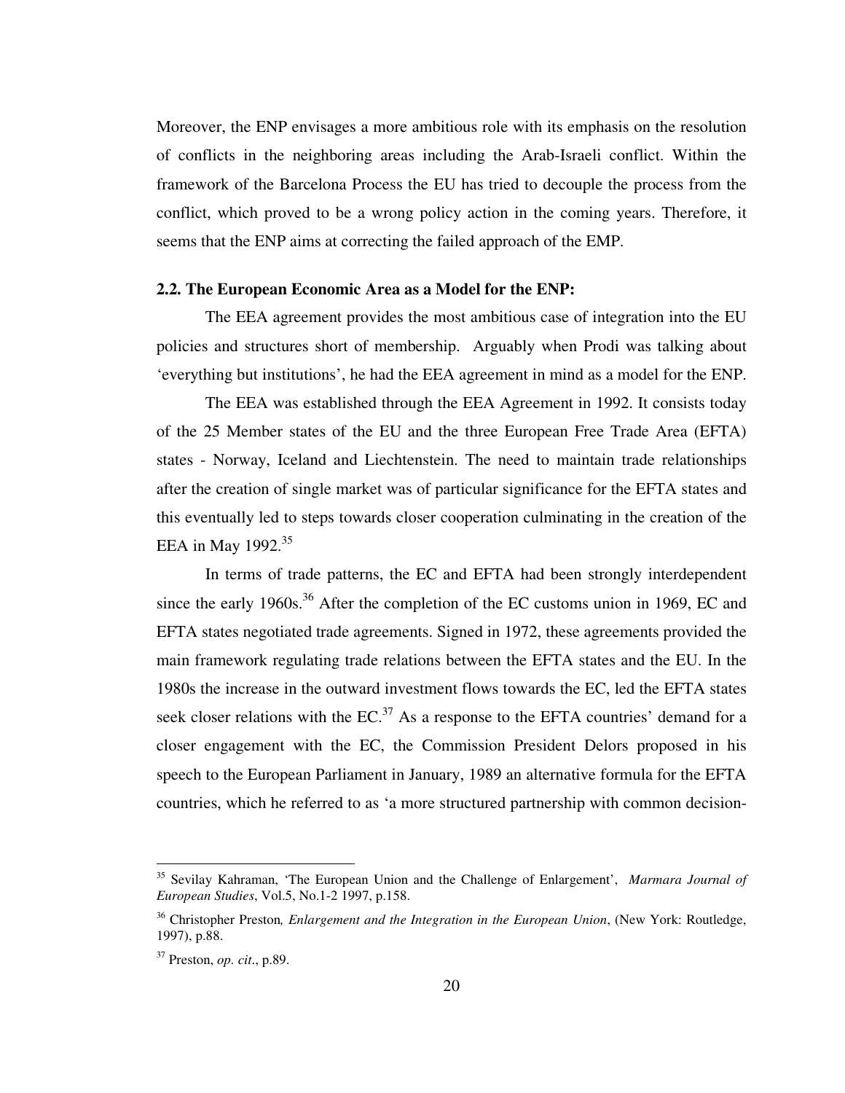Moreover, the ENP envisages a more ambitious role with its emphasis on the resolution of conflicts in the neighboring areas including the Arab-Israeli conflict. Within the framework of the Barcelona Process the EU has tried to decouple the process from the conflict, which proved to be a wrong policy action in the coming years. Therefore, it seems that the ENP aims at correcting the failed approach of the EMP.

#### **2.2. The European Economic Area as a Model for the ENP:**

The EEA agreement provides the most ambitious case of integration into the EU policies and structures short of membership. Arguably when Prodi was talking about 'everything but institutions', he had the EEA agreement in mind as a model for the ENP.

 The EEA was established through the EEA Agreement in 1992. It consists today of the 25 Member states of the EU and the three European Free Trade Area (EFTA) states - Norway, Iceland and Liechtenstein. The need to maintain trade relationships after the creation of single market was of particular significance for the EFTA states and this eventually led to steps towards closer cooperation culminating in the creation of the EEA in May  $1992.^{35}$ 

 In terms of trade patterns, the EC and EFTA had been strongly interdependent since the early 1960s.<sup>36</sup> After the completion of the EC customs union in 1969, EC and EFTA states negotiated trade agreements. Signed in 1972, these agreements provided the main framework regulating trade relations between the EFTA states and the EU. In the 1980s the increase in the outward investment flows towards the EC, led the EFTA states seek closer relations with the  $EC^{37}$ . As a response to the EFTA countries' demand for a closer engagement with the EC, the Commission President Delors proposed in his speech to the European Parliament in January, 1989 an alternative formula for the EFTA countries, which he referred to as 'a more structured partnership with common decision-

<sup>35</sup> Sevilay Kahraman, 'The European Union and the Challenge of Enlargement', *Marmara Journal of European Studies*, Vol.5, No.1-2 1997, p.158.

<sup>36</sup> Christopher Preston*, Enlargement and the Integration in the European Union*, (New York: Routledge, 1997), p.88.

<sup>37</sup> Preston, *op. cit*., p.89.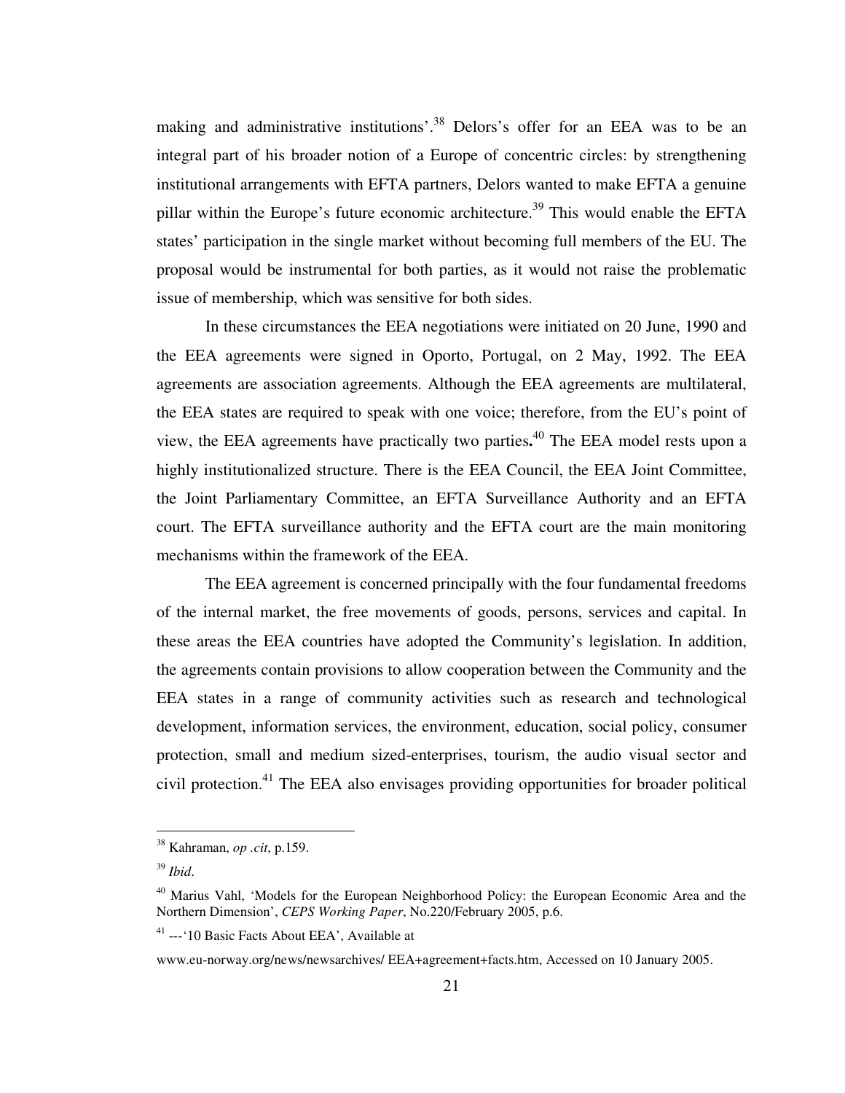making and administrative institutions'.<sup>38</sup> Delors's offer for an EEA was to be an integral part of his broader notion of a Europe of concentric circles: by strengthening institutional arrangements with EFTA partners, Delors wanted to make EFTA a genuine pillar within the Europe's future economic architecture.<sup>39</sup> This would enable the EFTA states' participation in the single market without becoming full members of the EU. The proposal would be instrumental for both parties, as it would not raise the problematic issue of membership, which was sensitive for both sides.

 In these circumstances the EEA negotiations were initiated on 20 June, 1990 and the EEA agreements were signed in Oporto, Portugal, on 2 May, 1992. The EEA agreements are association agreements. Although the EEA agreements are multilateral, the EEA states are required to speak with one voice; therefore, from the EU's point of view, the EEA agreements have practically two parties**.** <sup>40</sup> The EEA model rests upon a highly institutionalized structure. There is the EEA Council, the EEA Joint Committee, the Joint Parliamentary Committee, an EFTA Surveillance Authority and an EFTA court. The EFTA surveillance authority and the EFTA court are the main monitoring mechanisms within the framework of the EEA.

 The EEA agreement is concerned principally with the four fundamental freedoms of the internal market, the free movements of goods, persons, services and capital. In these areas the EEA countries have adopted the Community's legislation. In addition, the agreements contain provisions to allow cooperation between the Community and the EEA states in a range of community activities such as research and technological development, information services, the environment, education, social policy, consumer protection, small and medium sized-enterprises, tourism, the audio visual sector and civil protection.<sup>41</sup> The EEA also envisages providing opportunities for broader political

<sup>38</sup> Kahraman, *op .cit*, p.159.

<sup>39</sup> *Ibid*.

<sup>&</sup>lt;sup>40</sup> Marius Vahl, 'Models for the European Neighborhood Policy: the European Economic Area and the Northern Dimension', *CEPS Working Paper*, No.220/February 2005, p.6.

<sup>41</sup> ---'10 Basic Facts About EEA', Available at

www.eu-norway.org/news/newsarchives/ EEA+agreement+facts.htm, Accessed on 10 January 2005.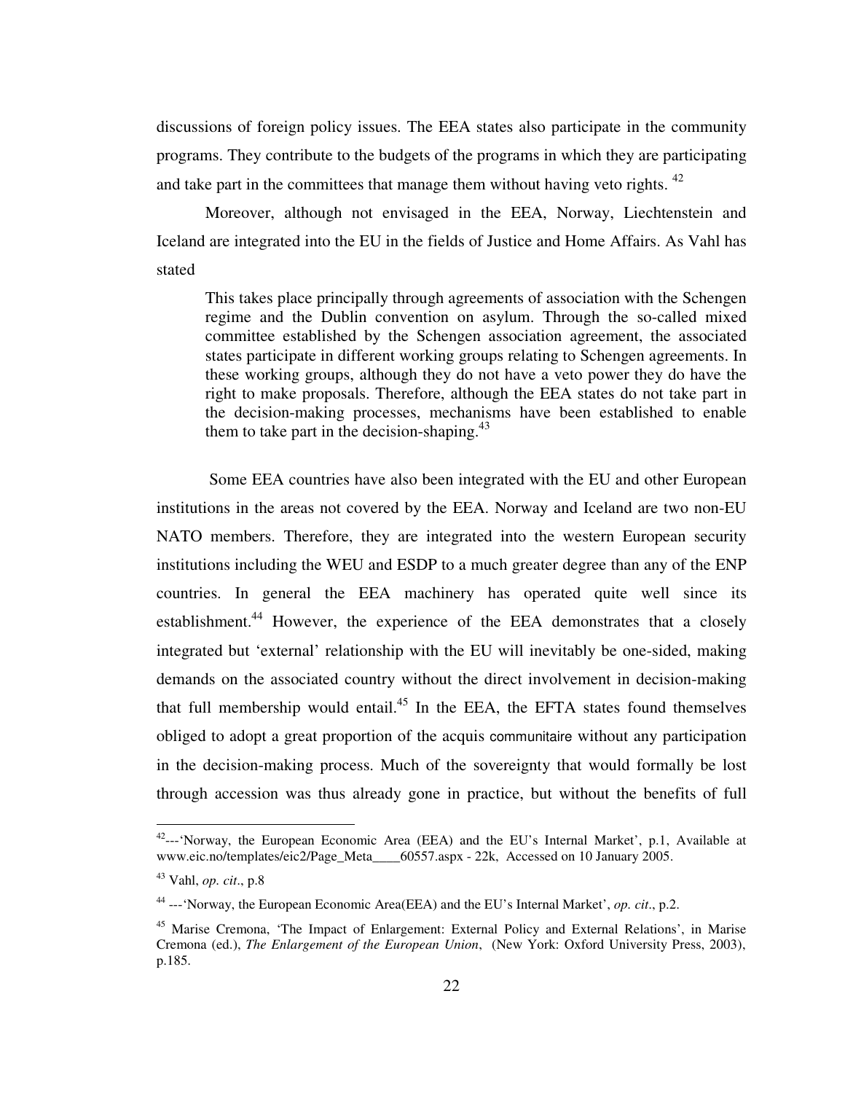discussions of foreign policy issues. The EEA states also participate in the community programs. They contribute to the budgets of the programs in which they are participating and take part in the committees that manage them without having veto rights.  $42$ 

 Moreover, although not envisaged in the EEA, Norway, Liechtenstein and Iceland are integrated into the EU in the fields of Justice and Home Affairs. As Vahl has stated

This takes place principally through agreements of association with the Schengen regime and the Dublin convention on asylum. Through the so-called mixed committee established by the Schengen association agreement, the associated states participate in different working groups relating to Schengen agreements. In these working groups, although they do not have a veto power they do have the right to make proposals. Therefore, although the EEA states do not take part in the decision-making processes, mechanisms have been established to enable them to take part in the decision-shaping. $43$ 

 Some EEA countries have also been integrated with the EU and other European institutions in the areas not covered by the EEA. Norway and Iceland are two non-EU NATO members. Therefore, they are integrated into the western European security institutions including the WEU and ESDP to a much greater degree than any of the ENP countries. In general the EEA machinery has operated quite well since its establishment.<sup>44</sup> However, the experience of the EEA demonstrates that a closely integrated but 'external' relationship with the EU will inevitably be one-sided, making demands on the associated country without the direct involvement in decision-making that full membership would entail. $45$  In the EEA, the EFTA states found themselves obliged to adopt a great proportion of the acquis communitaire without any participation in the decision-making process. Much of the sovereignty that would formally be lost through accession was thus already gone in practice, but without the benefits of full

<sup>&</sup>lt;sup>42</sup>--- 'Norway, the European Economic Area (EEA) and the EU's Internal Market', p.1, Available at www.eic.no/templates/eic2/Page\_Meta\_\_\_\_60557.aspx - 22k, Accessed on 10 January 2005.

<sup>43</sup> Vahl, *op. cit*., p.8

<sup>44</sup> ---'Norway, the European Economic Area(EEA) and the EU's Internal Market', *op. cit*., p.2.

<sup>45</sup> Marise Cremona, 'The Impact of Enlargement: External Policy and External Relations', in Marise Cremona (ed.), *The Enlargement of the European Union*, (New York: Oxford University Press, 2003), p.185.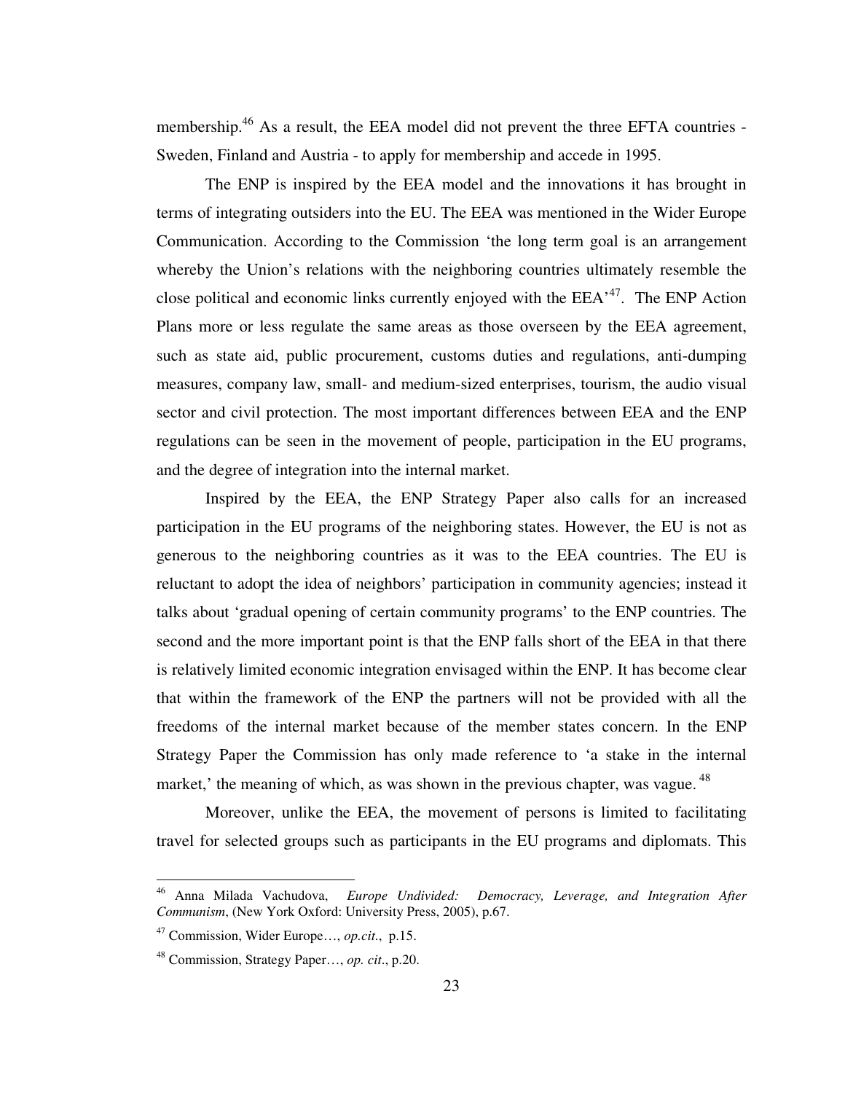membership.<sup>46</sup> As a result, the EEA model did not prevent the three EFTA countries -Sweden, Finland and Austria - to apply for membership and accede in 1995.

 The ENP is inspired by the EEA model and the innovations it has brought in terms of integrating outsiders into the EU. The EEA was mentioned in the Wider Europe Communication. According to the Commission 'the long term goal is an arrangement whereby the Union's relations with the neighboring countries ultimately resemble the close political and economic links currently enjoyed with the  $EEA<sup>47</sup>$ . The ENP Action Plans more or less regulate the same areas as those overseen by the EEA agreement, such as state aid, public procurement, customs duties and regulations, anti-dumping measures, company law, small- and medium-sized enterprises, tourism, the audio visual sector and civil protection. The most important differences between EEA and the ENP regulations can be seen in the movement of people, participation in the EU programs, and the degree of integration into the internal market.

 Inspired by the EEA, the ENP Strategy Paper also calls for an increased participation in the EU programs of the neighboring states. However, the EU is not as generous to the neighboring countries as it was to the EEA countries. The EU is reluctant to adopt the idea of neighbors' participation in community agencies; instead it talks about 'gradual opening of certain community programs' to the ENP countries. The second and the more important point is that the ENP falls short of the EEA in that there is relatively limited economic integration envisaged within the ENP. It has become clear that within the framework of the ENP the partners will not be provided with all the freedoms of the internal market because of the member states concern. In the ENP Strategy Paper the Commission has only made reference to 'a stake in the internal market,' the meaning of which, as was shown in the previous chapter, was vague.<sup>48</sup>

 Moreover, unlike the EEA, the movement of persons is limited to facilitating travel for selected groups such as participants in the EU programs and diplomats. This

<sup>46</sup> Anna Milada Vachudova, *Europe Undivided: Democracy, Leverage, and Integration After Communism*, (New York Oxford: University Press, 2005), p.67.

<sup>47</sup> Commission, Wider Europe…, *op.cit*., p.15.

<sup>48</sup> Commission, Strategy Paper…, *op. cit*., p.20.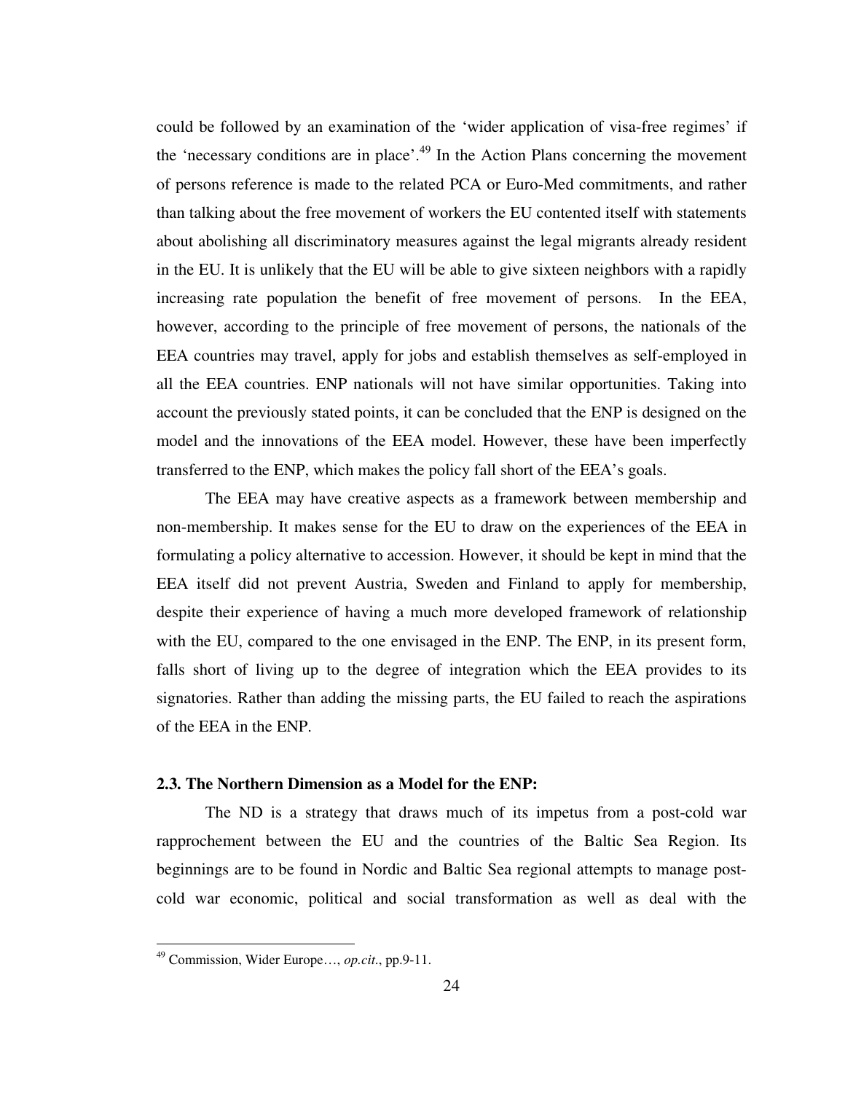could be followed by an examination of the 'wider application of visa-free regimes' if the 'necessary conditions are in place'.<sup>49</sup> In the Action Plans concerning the movement of persons reference is made to the related PCA or Euro-Med commitments, and rather than talking about the free movement of workers the EU contented itself with statements about abolishing all discriminatory measures against the legal migrants already resident in the EU. It is unlikely that the EU will be able to give sixteen neighbors with a rapidly increasing rate population the benefit of free movement of persons. In the EEA, however, according to the principle of free movement of persons, the nationals of the EEA countries may travel, apply for jobs and establish themselves as self-employed in all the EEA countries. ENP nationals will not have similar opportunities. Taking into account the previously stated points, it can be concluded that the ENP is designed on the model and the innovations of the EEA model. However, these have been imperfectly transferred to the ENP, which makes the policy fall short of the EEA's goals.

 The EEA may have creative aspects as a framework between membership and non-membership. It makes sense for the EU to draw on the experiences of the EEA in formulating a policy alternative to accession. However, it should be kept in mind that the EEA itself did not prevent Austria, Sweden and Finland to apply for membership, despite their experience of having a much more developed framework of relationship with the EU, compared to the one envisaged in the ENP. The ENP, in its present form, falls short of living up to the degree of integration which the EEA provides to its signatories. Rather than adding the missing parts, the EU failed to reach the aspirations of the EEA in the ENP.

#### **2.3. The Northern Dimension as a Model for the ENP:**

 The ND is a strategy that draws much of its impetus from a post-cold war rapprochement between the EU and the countries of the Baltic Sea Region. Its beginnings are to be found in Nordic and Baltic Sea regional attempts to manage postcold war economic, political and social transformation as well as deal with the

<sup>49</sup> Commission, Wider Europe…, *op.cit*., pp.9-11.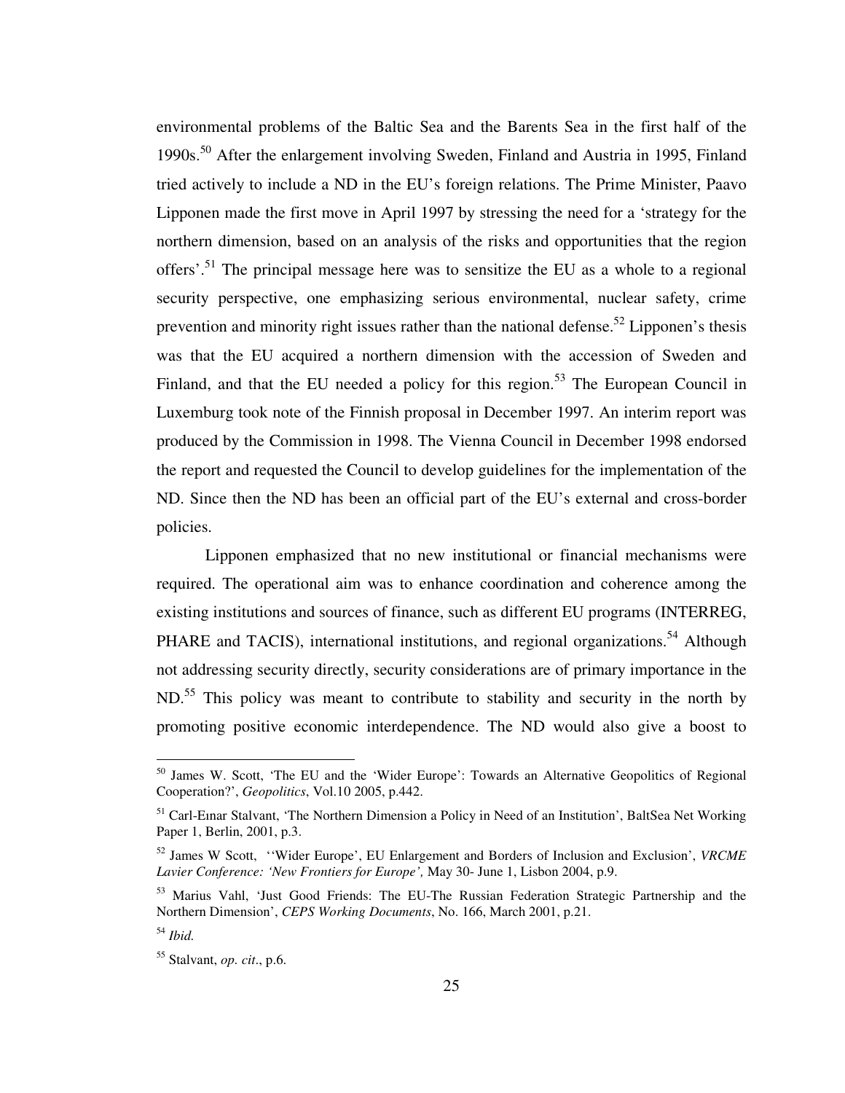environmental problems of the Baltic Sea and the Barents Sea in the first half of the 1990s.<sup>50</sup> After the enlargement involving Sweden, Finland and Austria in 1995, Finland tried actively to include a ND in the EU's foreign relations. The Prime Minister, Paavo Lipponen made the first move in April 1997 by stressing the need for a 'strategy for the northern dimension, based on an analysis of the risks and opportunities that the region offers'.<sup>51</sup> The principal message here was to sensitize the EU as a whole to a regional security perspective, one emphasizing serious environmental, nuclear safety, crime prevention and minority right issues rather than the national defense.<sup>52</sup> Lipponen's thesis was that the EU acquired a northern dimension with the accession of Sweden and Finland, and that the EU needed a policy for this region.<sup>53</sup> The European Council in Luxemburg took note of the Finnish proposal in December 1997. An interim report was produced by the Commission in 1998. The Vienna Council in December 1998 endorsed the report and requested the Council to develop guidelines for the implementation of the ND. Since then the ND has been an official part of the EU's external and cross-border policies.

 Lipponen emphasized that no new institutional or financial mechanisms were required. The operational aim was to enhance coordination and coherence among the existing institutions and sources of finance, such as different EU programs (INTERREG, PHARE and TACIS), international institutions, and regional organizations.<sup>54</sup> Although not addressing security directly, security considerations are of primary importance in the ND.<sup>55</sup> This policy was meant to contribute to stability and security in the north by promoting positive economic interdependence. The ND would also give a boost to

<sup>&</sup>lt;sup>50</sup> James W. Scott, 'The EU and the 'Wider Europe': Towards an Alternative Geopolitics of Regional Cooperation?', *Geopolitics*, Vol.10 2005, p.442.

<sup>&</sup>lt;sup>51</sup> Carl-Einar Stalvant, 'The Northern Dimension a Policy in Need of an Institution', BaltSea Net Working Paper 1, Berlin, 2001, p.3.

<sup>52</sup> James W Scott, ''Wider Europe', EU Enlargement and Borders of Inclusion and Exclusion', *VRCME Lavier Conference: 'New Frontiers for Europe',* May 30- June 1, Lisbon 2004, p.9.

<sup>&</sup>lt;sup>53</sup> Marius Vahl, 'Just Good Friends: The EU-The Russian Federation Strategic Partnership and the Northern Dimension', *CEPS Working Documents*, No. 166, March 2001, p.21.

<sup>54</sup> *Ibid.*

<sup>55</sup> Stalvant, *op. cit*., p.6.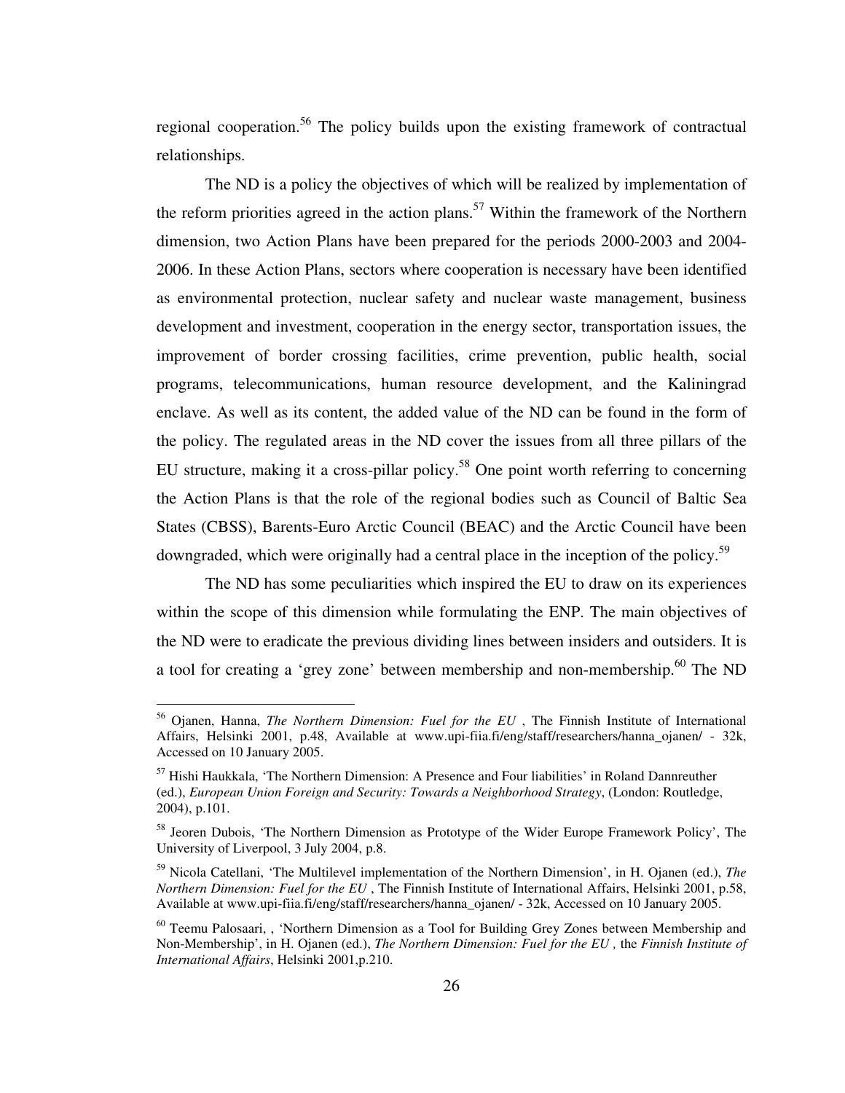regional cooperation.<sup>56</sup> The policy builds upon the existing framework of contractual relationships.

 The ND is a policy the objectives of which will be realized by implementation of the reform priorities agreed in the action plans.<sup>57</sup> Within the framework of the Northern dimension, two Action Plans have been prepared for the periods 2000-2003 and 2004- 2006. In these Action Plans, sectors where cooperation is necessary have been identified as environmental protection, nuclear safety and nuclear waste management, business development and investment, cooperation in the energy sector, transportation issues, the improvement of border crossing facilities, crime prevention, public health, social programs, telecommunications, human resource development, and the Kaliningrad enclave. As well as its content, the added value of the ND can be found in the form of the policy. The regulated areas in the ND cover the issues from all three pillars of the EU structure, making it a cross-pillar policy.<sup>58</sup> One point worth referring to concerning the Action Plans is that the role of the regional bodies such as Council of Baltic Sea States (CBSS), Barents-Euro Arctic Council (BEAC) and the Arctic Council have been downgraded, which were originally had a central place in the inception of the policy.<sup>59</sup>

 The ND has some peculiarities which inspired the EU to draw on its experiences within the scope of this dimension while formulating the ENP. The main objectives of the ND were to eradicate the previous dividing lines between insiders and outsiders. It is a tool for creating a 'grey zone' between membership and non-membership.<sup>60</sup> The ND

<sup>56</sup> Ojanen, Hanna, *The Northern Dimension: Fuel for the EU* , The Finnish Institute of International Affairs, Helsinki 2001, p.48, Available at www.upi-fiia.fi/eng/staff/researchers/hanna\_ojanen/ - 32k, Accessed on 10 January 2005.

<sup>&</sup>lt;sup>57</sup> Hishi Haukkala, 'The Northern Dimension: A Presence and Four liabilities' in Roland Dannreuther (ed.), *European Union Foreign and Security: Towards a Neighborhood Strategy*, (London: Routledge, 2004), p.101.

<sup>&</sup>lt;sup>58</sup> Jeoren Dubois, 'The Northern Dimension as Prototype of the Wider Europe Framework Policy', The University of Liverpool, 3 July 2004, p.8.

<sup>59</sup> Nicola Catellani, 'The Multilevel implementation of the Northern Dimension', in H. Ojanen (ed.), *The Northern Dimension: Fuel for the EU* , The Finnish Institute of International Affairs, Helsinki 2001, p.58, Available at www.upi-fiia.fi/eng/staff/researchers/hanna\_ojanen/ - 32k, Accessed on 10 January 2005.

<sup>&</sup>lt;sup>60</sup> Teemu Palosaari,, 'Northern Dimension as a Tool for Building Grey Zones between Membership and Non-Membership', in H. Ojanen (ed.), *The Northern Dimension: Fuel for the EU ,* the *Finnish Institute of International Affairs*, Helsinki 2001,p.210.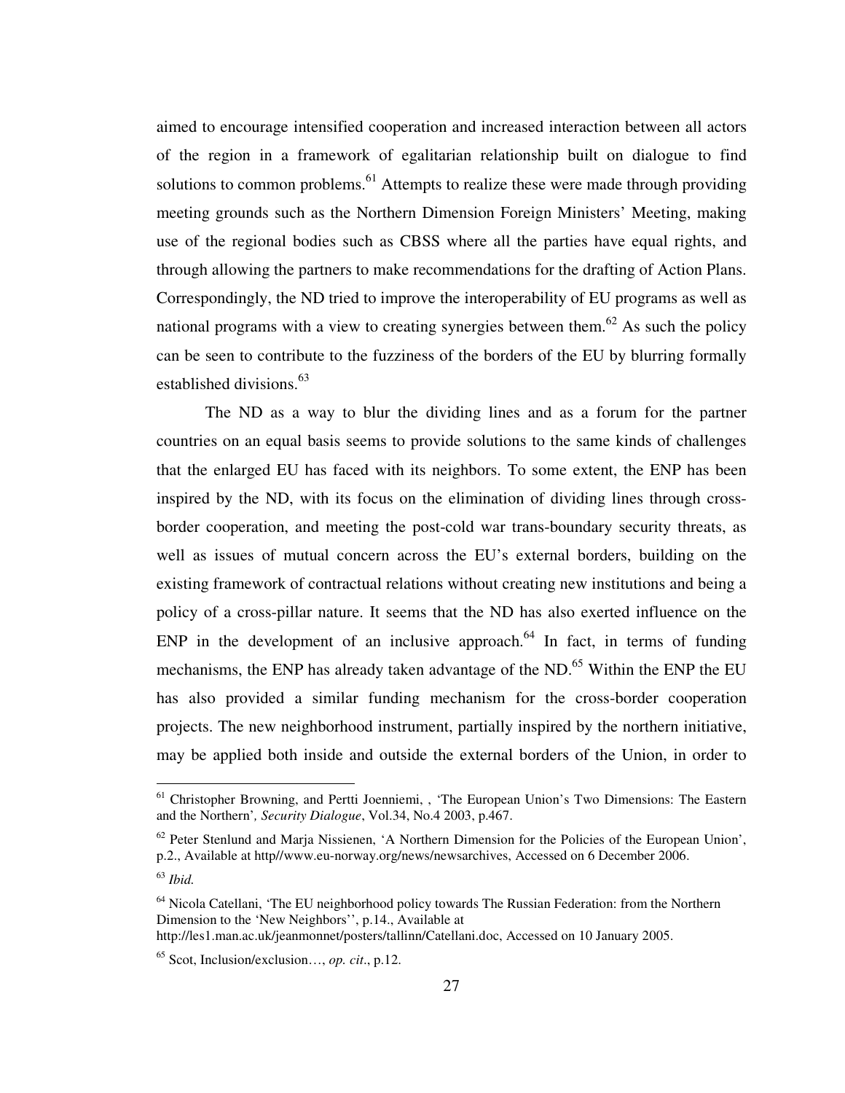aimed to encourage intensified cooperation and increased interaction between all actors of the region in a framework of egalitarian relationship built on dialogue to find solutions to common problems.<sup>61</sup> Attempts to realize these were made through providing meeting grounds such as the Northern Dimension Foreign Ministers' Meeting, making use of the regional bodies such as CBSS where all the parties have equal rights, and through allowing the partners to make recommendations for the drafting of Action Plans. Correspondingly, the ND tried to improve the interoperability of EU programs as well as national programs with a view to creating synergies between them.<sup>62</sup> As such the policy can be seen to contribute to the fuzziness of the borders of the EU by blurring formally established divisions.<sup>63</sup>

 The ND as a way to blur the dividing lines and as a forum for the partner countries on an equal basis seems to provide solutions to the same kinds of challenges that the enlarged EU has faced with its neighbors. To some extent, the ENP has been inspired by the ND, with its focus on the elimination of dividing lines through crossborder cooperation, and meeting the post-cold war trans-boundary security threats, as well as issues of mutual concern across the EU's external borders, building on the existing framework of contractual relations without creating new institutions and being a policy of a cross-pillar nature. It seems that the ND has also exerted influence on the ENP in the development of an inclusive approach.<sup>64</sup> In fact, in terms of funding mechanisms, the ENP has already taken advantage of the ND.<sup>65</sup> Within the ENP the EU has also provided a similar funding mechanism for the cross-border cooperation projects. The new neighborhood instrument, partially inspired by the northern initiative, may be applied both inside and outside the external borders of the Union, in order to

<sup>&</sup>lt;sup>61</sup> Christopher Browning, and Pertti Joenniemi, , 'The European Union's Two Dimensions: The Eastern and the Northern'*, Security Dialogue*, Vol.34, No.4 2003, p.467.

 $62$  Peter Stenlund and Marja Nissienen, 'A Northern Dimension for the Policies of the European Union', p.2., Available at http//www.eu-norway.org/news/newsarchives, Accessed on 6 December 2006.

<sup>63</sup> *Ibid.*

<sup>&</sup>lt;sup>64</sup> Nicola Catellani, 'The EU neighborhood policy towards The Russian Federation: from the Northern Dimension to the 'New Neighbors'', p.14., Available at http://les1.man.ac.uk/jeanmonnet/posters/tallinn/Catellani.doc, Accessed on 10 January 2005.

<sup>65</sup> Scot, Inclusion/exclusion…, *op. cit*., p.12.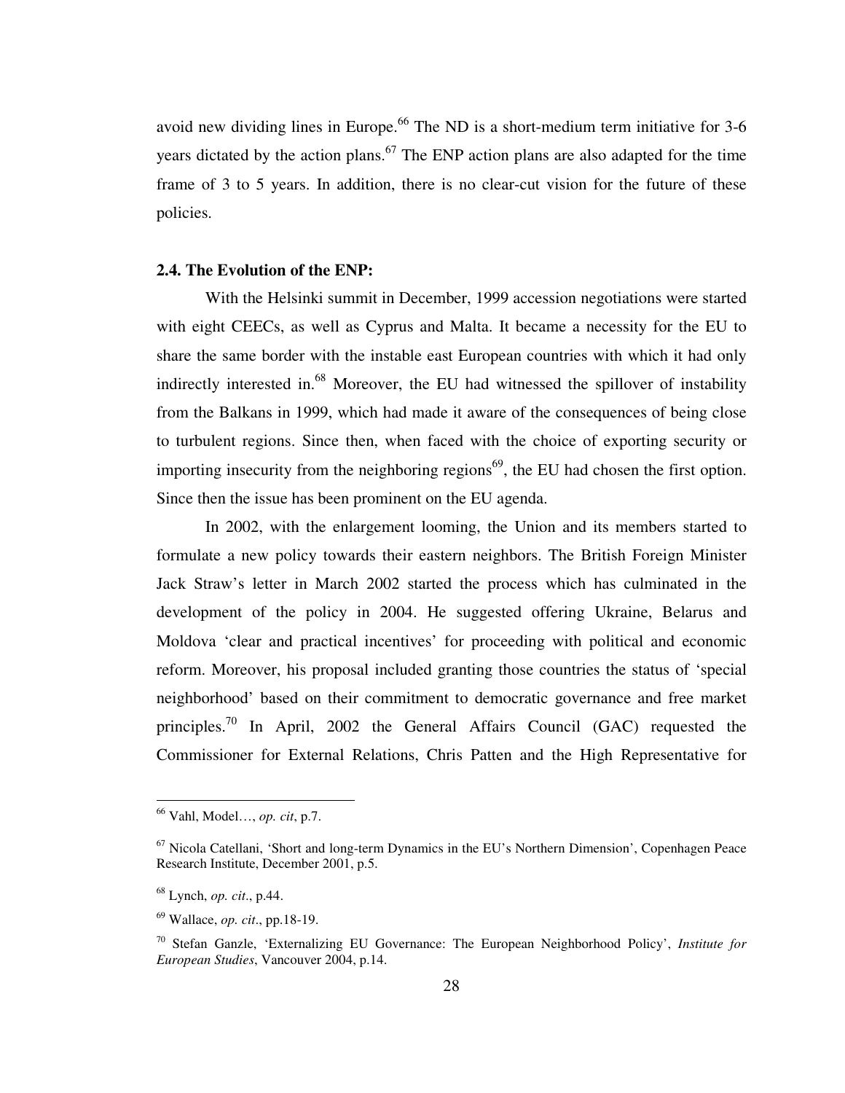avoid new dividing lines in Europe.<sup>66</sup> The ND is a short-medium term initiative for  $3-6$ years dictated by the action plans.<sup>67</sup> The ENP action plans are also adapted for the time frame of 3 to 5 years. In addition, there is no clear-cut vision for the future of these policies.

## **2.4. The Evolution of the ENP:**

With the Helsinki summit in December, 1999 accession negotiations were started with eight CEECs, as well as Cyprus and Malta. It became a necessity for the EU to share the same border with the instable east European countries with which it had only indirectly interested in.<sup>68</sup> Moreover, the EU had witnessed the spillover of instability from the Balkans in 1999, which had made it aware of the consequences of being close to turbulent regions. Since then, when faced with the choice of exporting security or importing insecurity from the neighboring regions<sup> $69$ </sup>, the EU had chosen the first option. Since then the issue has been prominent on the EU agenda.

In 2002, with the enlargement looming, the Union and its members started to formulate a new policy towards their eastern neighbors. The British Foreign Minister Jack Straw's letter in March 2002 started the process which has culminated in the development of the policy in 2004. He suggested offering Ukraine, Belarus and Moldova 'clear and practical incentives' for proceeding with political and economic reform. Moreover, his proposal included granting those countries the status of 'special neighborhood' based on their commitment to democratic governance and free market principles.<sup>70</sup> In April, 2002 the General Affairs Council (GAC) requested the Commissioner for External Relations, Chris Patten and the High Representative for

<sup>66</sup> Vahl, Model…, *op. cit*, p.7.

 $67$  Nicola Catellani, 'Short and long-term Dynamics in the EU's Northern Dimension', Copenhagen Peace Research Institute, December 2001, p.5.

<sup>68</sup> Lynch, *op. cit*., p.44.

<sup>69</sup> Wallace, *op. cit*., pp.18-19.

<sup>70</sup> Stefan Ganzle, 'Externalizing EU Governance: The European Neighborhood Policy', *Institute for European Studies*, Vancouver 2004, p.14.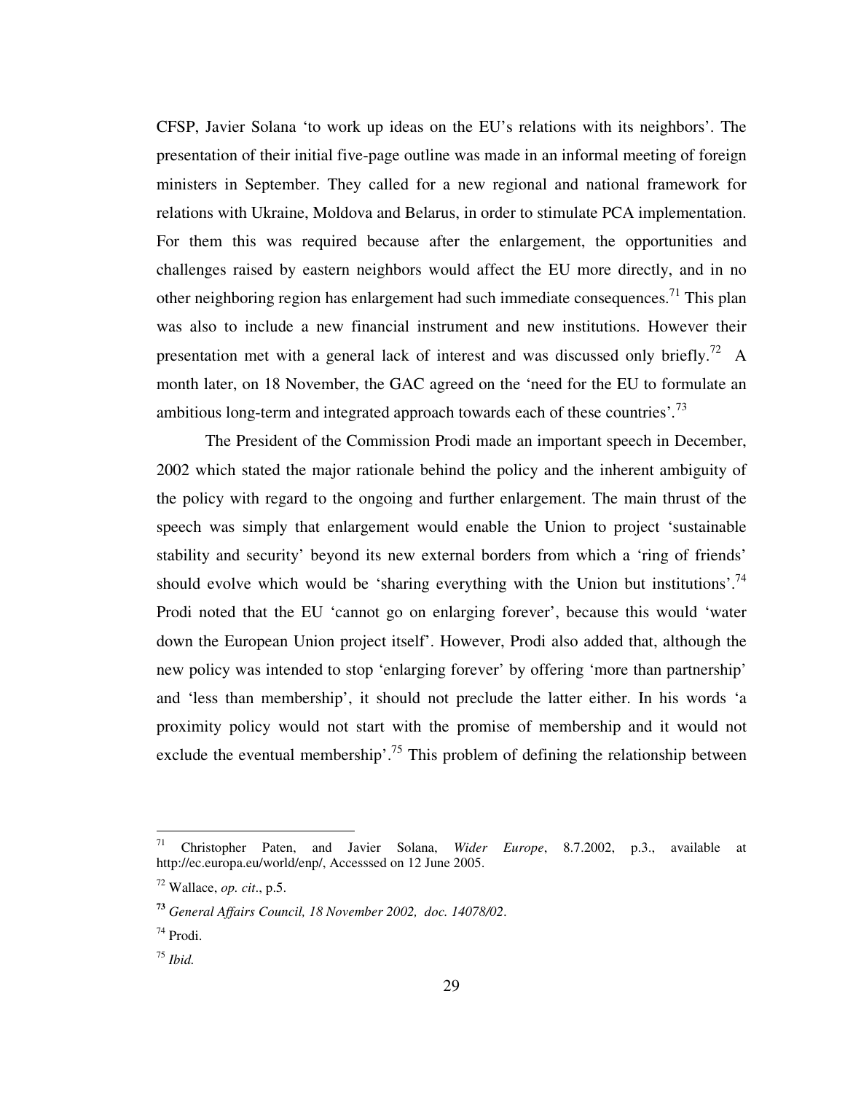CFSP, Javier Solana 'to work up ideas on the EU's relations with its neighbors'. The presentation of their initial five-page outline was made in an informal meeting of foreign ministers in September. They called for a new regional and national framework for relations with Ukraine, Moldova and Belarus, in order to stimulate PCA implementation. For them this was required because after the enlargement, the opportunities and challenges raised by eastern neighbors would affect the EU more directly, and in no other neighboring region has enlargement had such immediate consequences.<sup>71</sup> This plan was also to include a new financial instrument and new institutions. However their presentation met with a general lack of interest and was discussed only briefly.<sup>72</sup> A month later, on 18 November, the GAC agreed on the 'need for the EU to formulate an ambitious long-term and integrated approach towards each of these countries'*.* 73

The President of the Commission Prodi made an important speech in December, 2002 which stated the major rationale behind the policy and the inherent ambiguity of the policy with regard to the ongoing and further enlargement. The main thrust of the speech was simply that enlargement would enable the Union to project 'sustainable stability and security' beyond its new external borders from which a 'ring of friends' should evolve which would be 'sharing everything with the Union but institutions'.<sup>74</sup> Prodi noted that the EU 'cannot go on enlarging forever', because this would 'water down the European Union project itself'. However, Prodi also added that, although the new policy was intended to stop 'enlarging forever' by offering 'more than partnership' and 'less than membership', it should not preclude the latter either. In his words 'a proximity policy would not start with the promise of membership and it would not exclude the eventual membership'.<sup>75</sup> This problem of defining the relationship between

<sup>71</sup> Christopher Paten, and Javier Solana, *Wider Europe*, 8.7.2002, p.3., available at http://ec.europa.eu/world/enp/, Accesssed on 12 June 2005.

 $72$  Wallace, *op. cit.*, p.5.

**<sup>73</sup>** *General Affairs Council, 18 November 2002, doc. 14078/02*.

<sup>74</sup> Prodi.

<sup>75</sup> *Ibid.*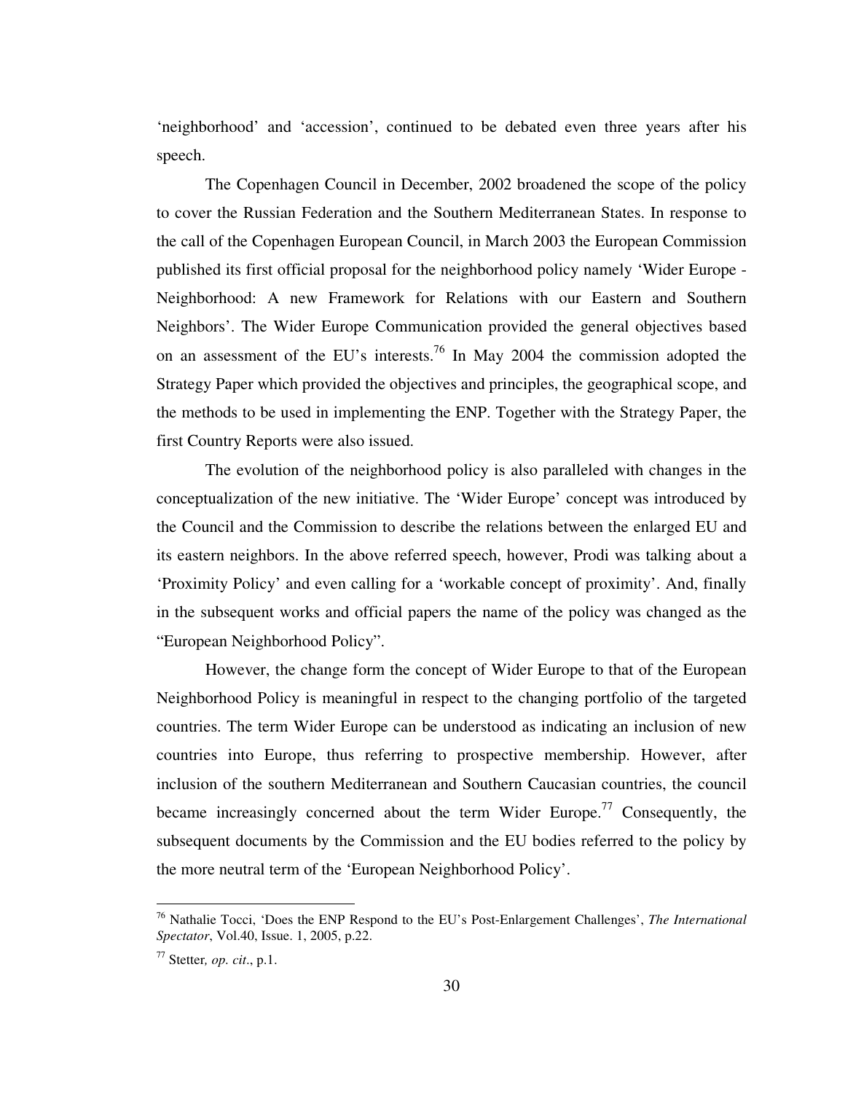'neighborhood' and 'accession', continued to be debated even three years after his speech.

The Copenhagen Council in December, 2002 broadened the scope of the policy to cover the Russian Federation and the Southern Mediterranean States. In response to the call of the Copenhagen European Council, in March 2003 the European Commission published its first official proposal for the neighborhood policy namely 'Wider Europe - Neighborhood: A new Framework for Relations with our Eastern and Southern Neighbors'. The Wider Europe Communication provided the general objectives based on an assessment of the EU's interests.<sup>76</sup> In May 2004 the commission adopted the Strategy Paper which provided the objectives and principles, the geographical scope, and the methods to be used in implementing the ENP. Together with the Strategy Paper, the first Country Reports were also issued.

 The evolution of the neighborhood policy is also paralleled with changes in the conceptualization of the new initiative. The 'Wider Europe' concept was introduced by the Council and the Commission to describe the relations between the enlarged EU and its eastern neighbors. In the above referred speech, however, Prodi was talking about a 'Proximity Policy' and even calling for a 'workable concept of proximity'. And, finally in the subsequent works and official papers the name of the policy was changed as the "European Neighborhood Policy".

 However, the change form the concept of Wider Europe to that of the European Neighborhood Policy is meaningful in respect to the changing portfolio of the targeted countries. The term Wider Europe can be understood as indicating an inclusion of new countries into Europe, thus referring to prospective membership. However, after inclusion of the southern Mediterranean and Southern Caucasian countries, the council became increasingly concerned about the term Wider Europe.<sup>77</sup> Consequently, the subsequent documents by the Commission and the EU bodies referred to the policy by the more neutral term of the 'European Neighborhood Policy'.

<sup>76</sup> Nathalie Tocci, 'Does the ENP Respond to the EU's Post-Enlargement Challenges', *The International Spectator*, Vol.40, Issue. 1, 2005, p.22.

<sup>77</sup> Stetter*, op. cit*., p.1.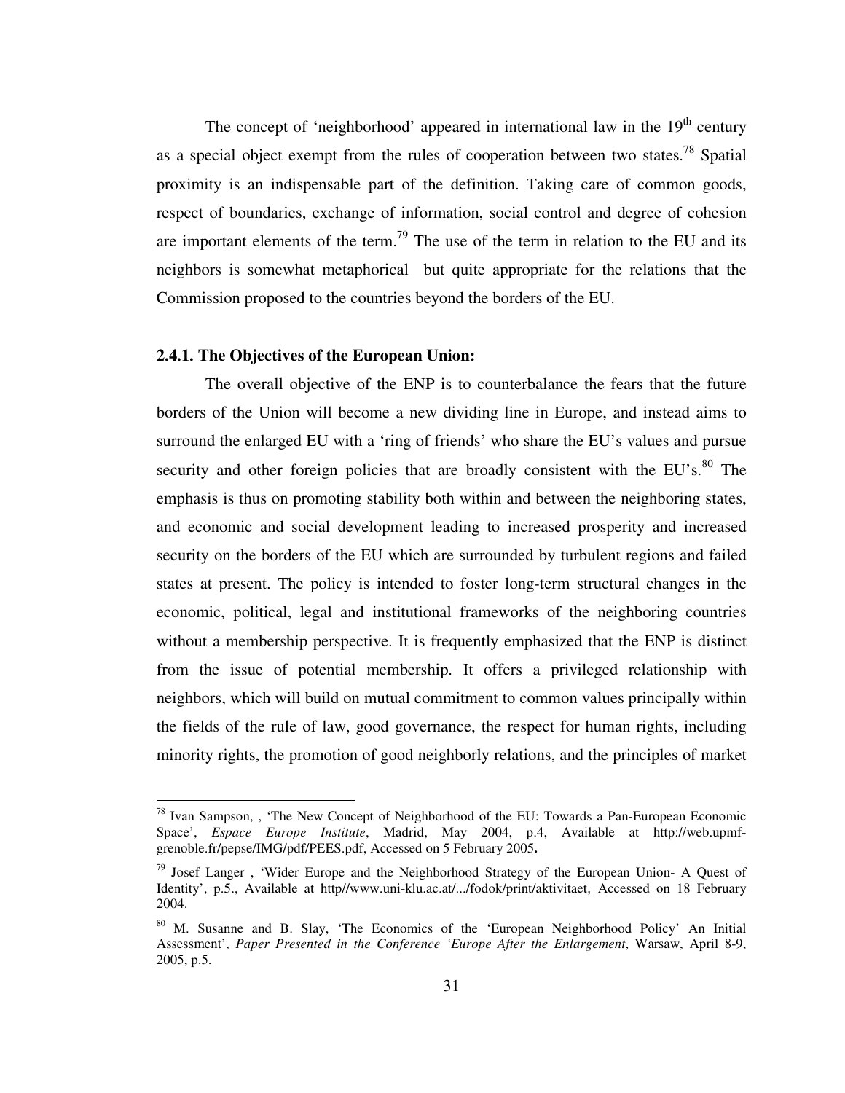The concept of 'neighborhood' appeared in international law in the  $19<sup>th</sup>$  century as a special object exempt from the rules of cooperation between two states.<sup>78</sup> Spatial proximity is an indispensable part of the definition. Taking care of common goods, respect of boundaries, exchange of information, social control and degree of cohesion are important elements of the term.<sup>79</sup> The use of the term in relation to the EU and its neighbors is somewhat metaphorical but quite appropriate for the relations that the Commission proposed to the countries beyond the borders of the EU.

# **2.4.1. The Objectives of the European Union:**

 $\overline{a}$ 

The overall objective of the ENP is to counterbalance the fears that the future borders of the Union will become a new dividing line in Europe, and instead aims to surround the enlarged EU with a 'ring of friends' who share the EU's values and pursue security and other foreign policies that are broadly consistent with the EU's. $80$  The emphasis is thus on promoting stability both within and between the neighboring states, and economic and social development leading to increased prosperity and increased security on the borders of the EU which are surrounded by turbulent regions and failed states at present. The policy is intended to foster long-term structural changes in the economic, political, legal and institutional frameworks of the neighboring countries without a membership perspective. It is frequently emphasized that the ENP is distinct from the issue of potential membership. It offers a privileged relationship with neighbors, which will build on mutual commitment to common values principally within the fields of the rule of law, good governance, the respect for human rights, including minority rights, the promotion of good neighborly relations, and the principles of market

<sup>&</sup>lt;sup>78</sup> Ivan Sampson, , 'The New Concept of Neighborhood of the EU: Towards a Pan-European Economic Space', *Espace Europe Institute*, Madrid, May 2004, p.4, Available at http://web.upmfgrenoble.fr/pepse/IMG/pdf/PEES.pdf, Accessed on 5 February 2005**.** 

<sup>&</sup>lt;sup>79</sup> Josef Langer, 'Wider Europe and the Neighborhood Strategy of the European Union- A Quest of Identity', p.5., Available at http//www.uni-klu.ac.at/.../fodok/print/aktivitaet, Accessed on 18 February 2004.

<sup>80</sup> M. Susanne and B. Slay, 'The Economics of the 'European Neighborhood Policy' An Initial Assessment', *Paper Presented in the Conference 'Europe After the Enlargement*, Warsaw, April 8-9, 2005, p.5.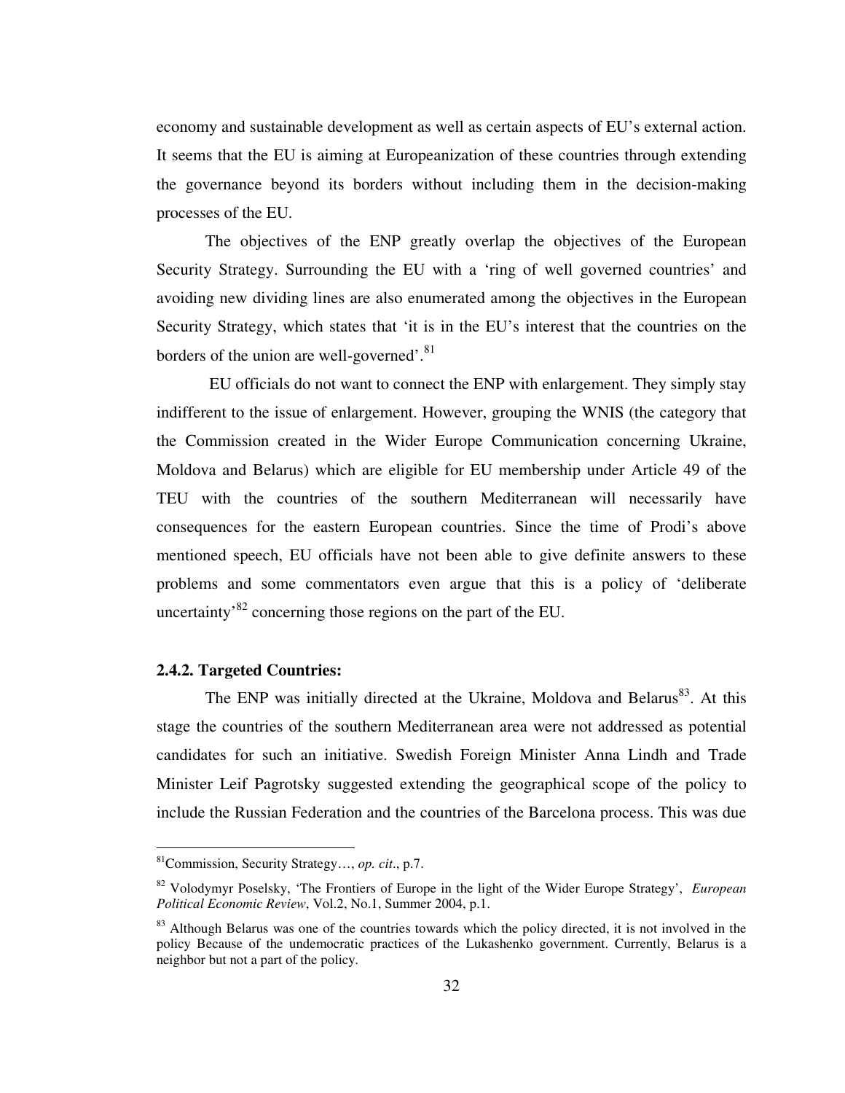economy and sustainable development as well as certain aspects of EU's external action. It seems that the EU is aiming at Europeanization of these countries through extending the governance beyond its borders without including them in the decision-making processes of the EU.

The objectives of the ENP greatly overlap the objectives of the European Security Strategy. Surrounding the EU with a 'ring of well governed countries' and avoiding new dividing lines are also enumerated among the objectives in the European Security Strategy, which states that 'it is in the EU's interest that the countries on the borders of the union are well-governed'.<sup>81</sup>

 EU officials do not want to connect the ENP with enlargement. They simply stay indifferent to the issue of enlargement. However, grouping the WNIS (the category that the Commission created in the Wider Europe Communication concerning Ukraine, Moldova and Belarus) which are eligible for EU membership under Article 49 of the TEU with the countries of the southern Mediterranean will necessarily have consequences for the eastern European countries. Since the time of Prodi's above mentioned speech, EU officials have not been able to give definite answers to these problems and some commentators even argue that this is a policy of 'deliberate uncertainty<sup>82</sup> concerning those regions on the part of the EU.

## **2.4.2. Targeted Countries:**

 $\overline{a}$ 

The ENP was initially directed at the Ukraine, Moldova and Belarus<sup>83</sup>. At this stage the countries of the southern Mediterranean area were not addressed as potential candidates for such an initiative. Swedish Foreign Minister Anna Lindh and Trade Minister Leif Pagrotsky suggested extending the geographical scope of the policy to include the Russian Federation and the countries of the Barcelona process. This was due

<sup>81</sup>Commission, Security Strategy…, *op. cit*., p.7.

<sup>82</sup> Volodymyr Poselsky, 'The Frontiers of Europe in the light of the Wider Europe Strategy', *European Political Economic Review*, Vol.2, No.1, Summer 2004, p.1.

<sup>&</sup>lt;sup>83</sup> Although Belarus was one of the countries towards which the policy directed, it is not involved in the policy Because of the undemocratic practices of the Lukashenko government. Currently, Belarus is a neighbor but not a part of the policy.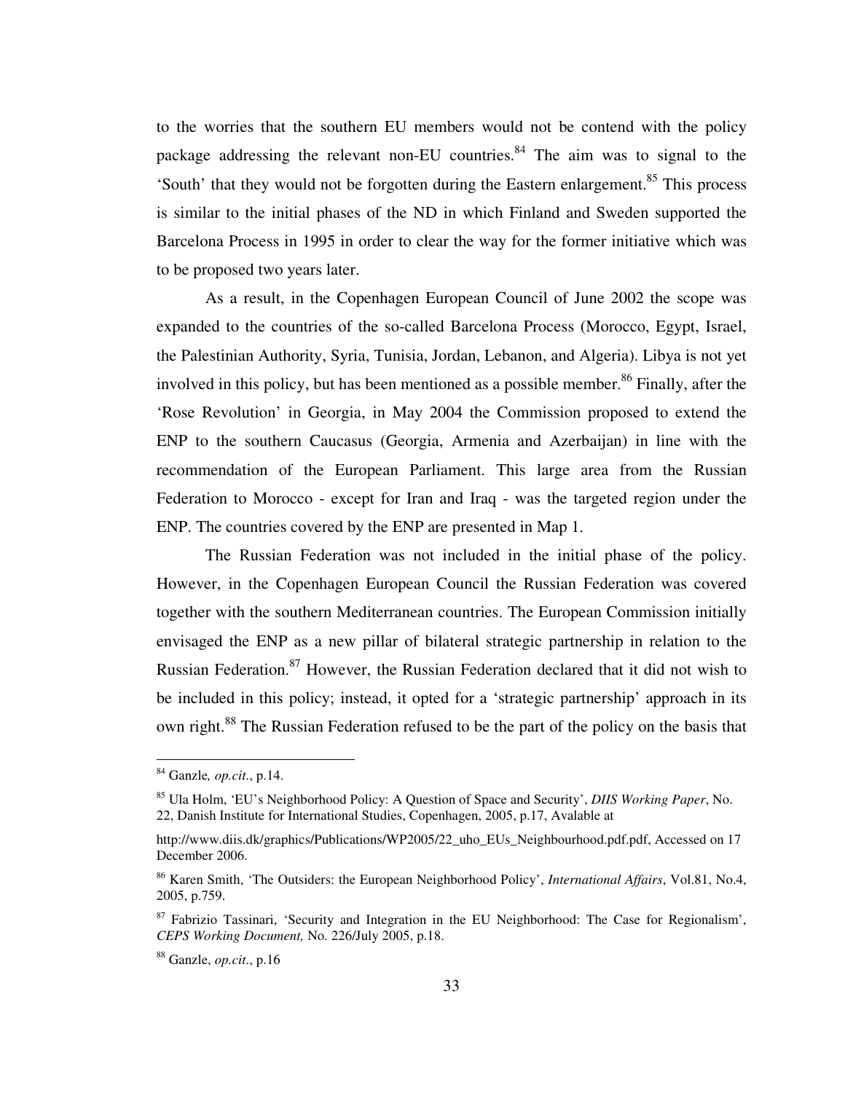to the worries that the southern EU members would not be contend with the policy package addressing the relevant non-EU countries.<sup>84</sup> The aim was to signal to the 'South' that they would not be forgotten during the Eastern enlargement.<sup>85</sup> This process is similar to the initial phases of the ND in which Finland and Sweden supported the Barcelona Process in 1995 in order to clear the way for the former initiative which was to be proposed two years later.

As a result, in the Copenhagen European Council of June 2002 the scope was expanded to the countries of the so-called Barcelona Process (Morocco, Egypt, Israel, the Palestinian Authority, Syria, Tunisia, Jordan, Lebanon, and Algeria). Libya is not yet involved in this policy, but has been mentioned as a possible member.<sup>86</sup> Finally, after the 'Rose Revolution' in Georgia, in May 2004 the Commission proposed to extend the ENP to the southern Caucasus (Georgia, Armenia and Azerbaijan) in line with the recommendation of the European Parliament. This large area from the Russian Federation to Morocco - except for Iran and Iraq - was the targeted region under the ENP. The countries covered by the ENP are presented in Map 1.

The Russian Federation was not included in the initial phase of the policy. However, in the Copenhagen European Council the Russian Federation was covered together with the southern Mediterranean countries. The European Commission initially envisaged the ENP as a new pillar of bilateral strategic partnership in relation to the Russian Federation.<sup>87</sup> However, the Russian Federation declared that it did not wish to be included in this policy; instead, it opted for a 'strategic partnership' approach in its own right.<sup>88</sup> The Russian Federation refused to be the part of the policy on the basis that

<sup>84</sup> Ganzle*, op.cit*., p.14.

<sup>85</sup> Ula Holm, 'EU's Neighborhood Policy: A Question of Space and Security', *DIIS Working Paper*, No. 22, Danish Institute for International Studies, Copenhagen, 2005, p.17, Avalable at

http://www.diis.dk/graphics/Publications/WP2005/22\_uho\_EUs\_Neighbourhood.pdf.pdf, Accessed on 17 December 2006.

<sup>86</sup> Karen Smith, 'The Outsiders: the European Neighborhood Policy', *International Affairs*, Vol.81, No.4, 2005, p.759.

 $87$  Fabrizio Tassinari, 'Security and Integration in the EU Neighborhood: The Case for Regionalism', *CEPS Working Document,* No. 226/July 2005, p.18.

<sup>88</sup> Ganzle, *op.cit*., p.16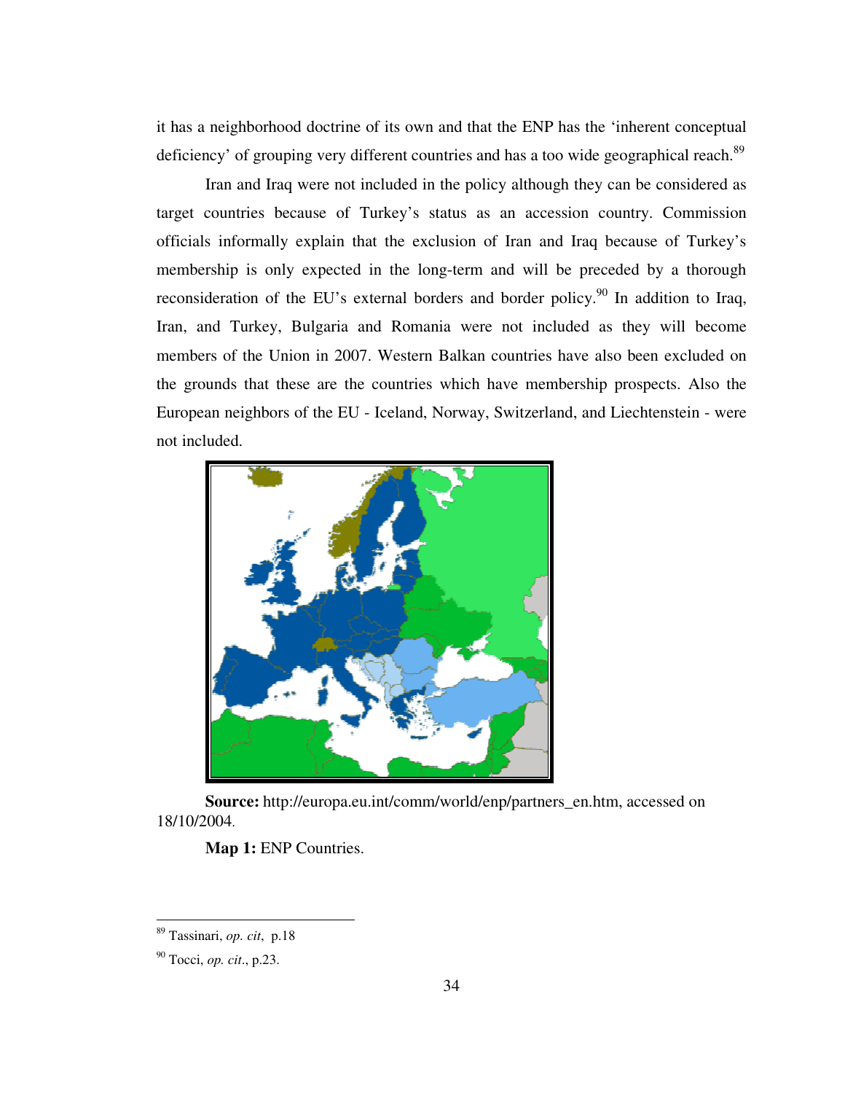it has a neighborhood doctrine of its own and that the ENP has the 'inherent conceptual deficiency' of grouping very different countries and has a too wide geographical reach.<sup>89</sup>

Iran and Iraq were not included in the policy although they can be considered as target countries because of Turkey's status as an accession country. Commission officials informally explain that the exclusion of Iran and Iraq because of Turkey's membership is only expected in the long-term and will be preceded by a thorough reconsideration of the EU's external borders and border policy.<sup>90</sup> In addition to Iraq, Iran, and Turkey, Bulgaria and Romania were not included as they will become members of the Union in 2007. Western Balkan countries have also been excluded on the grounds that these are the countries which have membership prospects. Also the European neighbors of the EU - Iceland, Norway, Switzerland, and Liechtenstein - were not included.



 **Source:** http://europa.eu.int/comm/world/enp/partners\_en.htm, accessed on 18/10/2004.

Map 1: ENP Countries.

<sup>89</sup> Tassinari, *op. cit*, p.18

<sup>90</sup> Tocci, *op. cit*., p.23.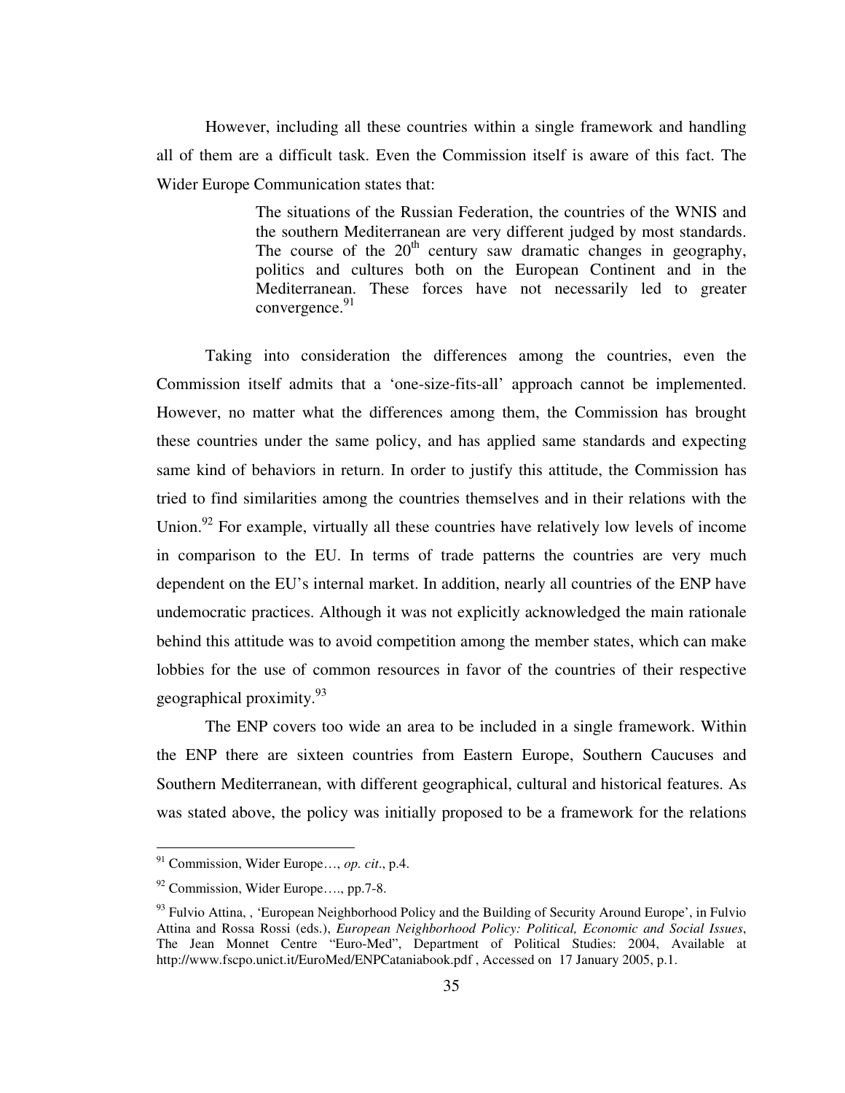However, including all these countries within a single framework and handling all of them are a difficult task. Even the Commission itself is aware of this fact. The Wider Europe Communication states that:

> The situations of the Russian Federation, the countries of the WNIS and the southern Mediterranean are very different judged by most standards. The course of the  $20<sup>th</sup>$  century saw dramatic changes in geography, politics and cultures both on the European Continent and in the Mediterranean. These forces have not necessarily led to greater convergence.<sup>91</sup>

Taking into consideration the differences among the countries, even the Commission itself admits that a 'one-size-fits-all' approach cannot be implemented. However, no matter what the differences among them, the Commission has brought these countries under the same policy, and has applied same standards and expecting same kind of behaviors in return. In order to justify this attitude, the Commission has tried to find similarities among the countries themselves and in their relations with the Union.<sup>92</sup> For example, virtually all these countries have relatively low levels of income in comparison to the EU. In terms of trade patterns the countries are very much dependent on the EU's internal market. In addition, nearly all countries of the ENP have undemocratic practices. Although it was not explicitly acknowledged the main rationale behind this attitude was to avoid competition among the member states, which can make lobbies for the use of common resources in favor of the countries of their respective geographical proximity.<sup>93</sup>

The ENP covers too wide an area to be included in a single framework. Within the ENP there are sixteen countries from Eastern Europe, Southern Caucuses and Southern Mediterranean, with different geographical, cultural and historical features. As was stated above, the policy was initially proposed to be a framework for the relations

<sup>91</sup> Commission, Wider Europe…, *op. cit*., p.4.

<sup>92</sup> Commission, Wider Europe…., pp.7-8.

 $93$  Fulvio Attina, , 'European Neighborhood Policy and the Building of Security Around Europe', in Fulvio Attina and Rossa Rossi (eds.), *European Neighborhood Policy: Political, Economic and Social Issues*, The Jean Monnet Centre "Euro-Med", Department of Political Studies: 2004, Available at http://www.fscpo.unict.it/EuroMed/ENPCataniabook.pdf , Accessed on 17 January 2005, p.1.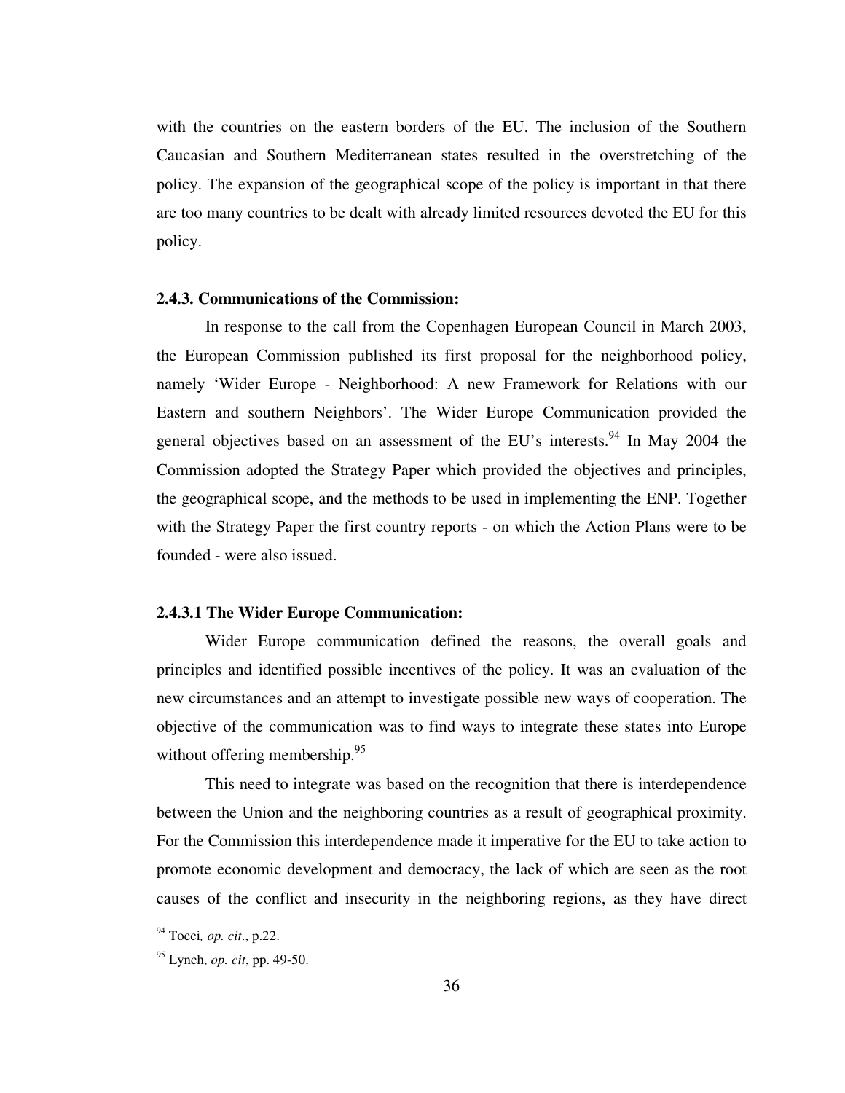with the countries on the eastern borders of the EU. The inclusion of the Southern Caucasian and Southern Mediterranean states resulted in the overstretching of the policy. The expansion of the geographical scope of the policy is important in that there are too many countries to be dealt with already limited resources devoted the EU for this policy.

## **2.4.3. Communications of the Commission:**

In response to the call from the Copenhagen European Council in March 2003, the European Commission published its first proposal for the neighborhood policy, namely 'Wider Europe - Neighborhood: A new Framework for Relations with our Eastern and southern Neighbors'. The Wider Europe Communication provided the general objectives based on an assessment of the EU's interests.<sup>94</sup> In May 2004 the Commission adopted the Strategy Paper which provided the objectives and principles, the geographical scope, and the methods to be used in implementing the ENP. Together with the Strategy Paper the first country reports - on which the Action Plans were to be founded - were also issued.

#### **2.4.3.1 The Wider Europe Communication:**

Wider Europe communication defined the reasons, the overall goals and principles and identified possible incentives of the policy. It was an evaluation of the new circumstances and an attempt to investigate possible new ways of cooperation. The objective of the communication was to find ways to integrate these states into Europe without offering membership.<sup>95</sup>

This need to integrate was based on the recognition that there is interdependence between the Union and the neighboring countries as a result of geographical proximity. For the Commission this interdependence made it imperative for the EU to take action to promote economic development and democracy, the lack of which are seen as the root causes of the conflict and insecurity in the neighboring regions, as they have direct

<sup>94</sup> Tocci*, op. cit*., p.22.

<sup>95</sup> Lynch, *op. cit*, pp. 49-50.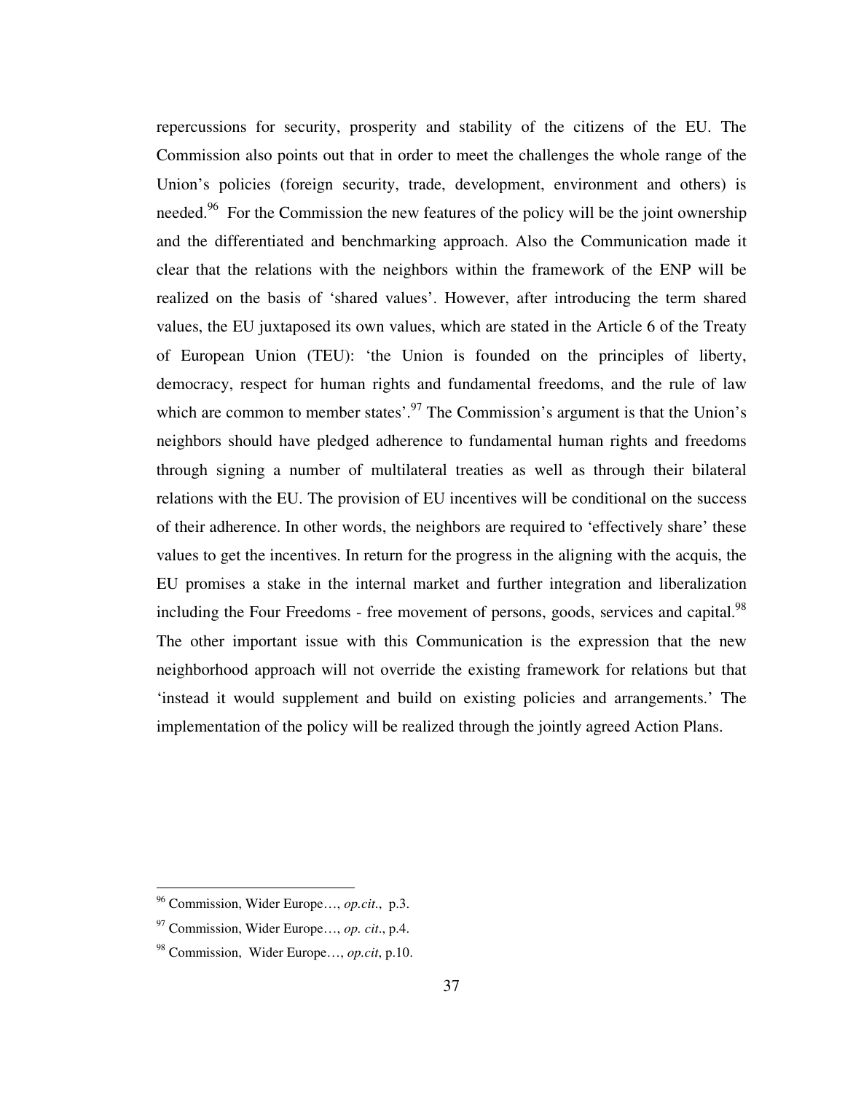repercussions for security, prosperity and stability of the citizens of the EU. The Commission also points out that in order to meet the challenges the whole range of the Union's policies (foreign security, trade, development, environment and others) is needed.<sup>96</sup> For the Commission the new features of the policy will be the joint ownership and the differentiated and benchmarking approach. Also the Communication made it clear that the relations with the neighbors within the framework of the ENP will be realized on the basis of 'shared values'. However, after introducing the term shared values, the EU juxtaposed its own values, which are stated in the Article 6 of the Treaty of European Union (TEU): 'the Union is founded on the principles of liberty, democracy, respect for human rights and fundamental freedoms, and the rule of law which are common to member states'.<sup>97</sup> The Commission's argument is that the Union's neighbors should have pledged adherence to fundamental human rights and freedoms through signing a number of multilateral treaties as well as through their bilateral relations with the EU. The provision of EU incentives will be conditional on the success of their adherence. In other words, the neighbors are required to 'effectively share' these values to get the incentives. In return for the progress in the aligning with the acquis, the EU promises a stake in the internal market and further integration and liberalization including the Four Freedoms - free movement of persons, goods, services and capital.<sup>98</sup> The other important issue with this Communication is the expression that the new neighborhood approach will not override the existing framework for relations but that 'instead it would supplement and build on existing policies and arrangements.' The implementation of the policy will be realized through the jointly agreed Action Plans.

<sup>96</sup> Commission, Wider Europe…, *op.cit*., p.3.

<sup>97</sup> Commission, Wider Europe…, *op. cit*., p.4.

<sup>98</sup> Commission, Wider Europe…, *op.cit*, p.10.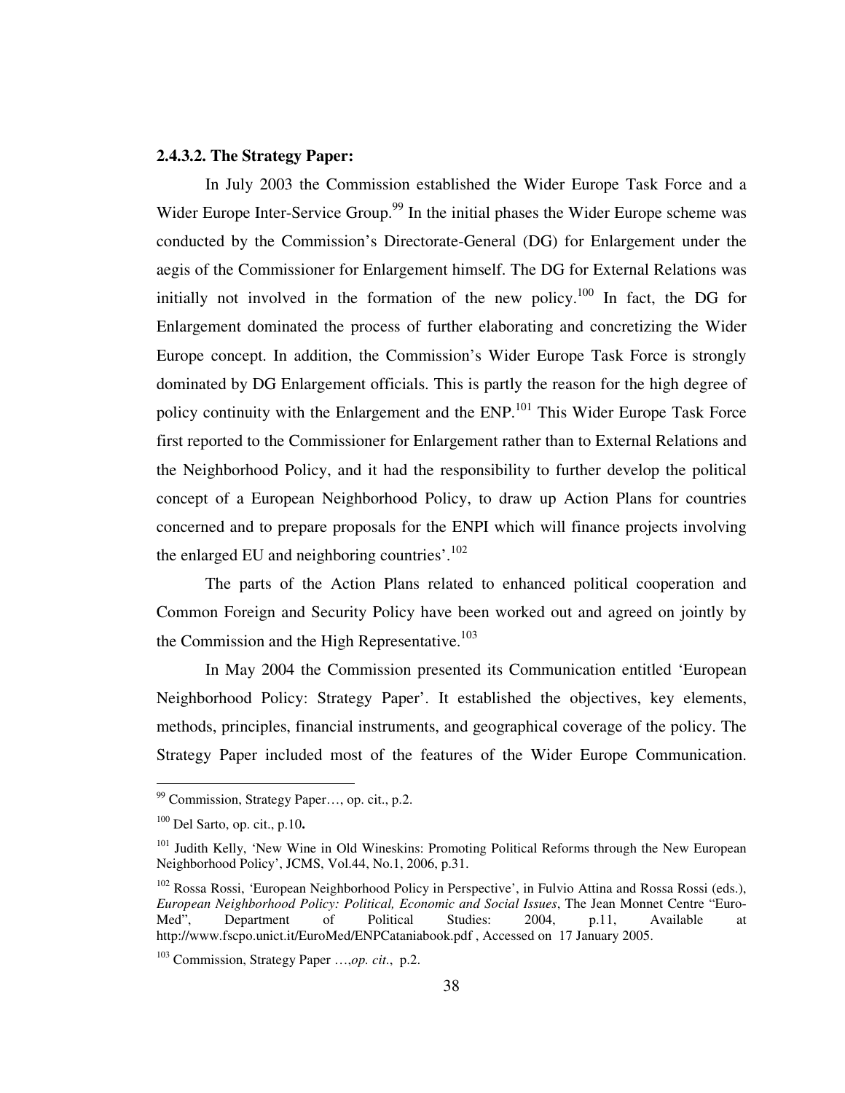# **2.4.3.2. The Strategy Paper:**

In July 2003 the Commission established the Wider Europe Task Force and a Wider Europe Inter-Service Group.<sup>99</sup> In the initial phases the Wider Europe scheme was conducted by the Commission's Directorate-General (DG) for Enlargement under the aegis of the Commissioner for Enlargement himself. The DG for External Relations was initially not involved in the formation of the new policy.<sup>100</sup> In fact, the DG for Enlargement dominated the process of further elaborating and concretizing the Wider Europe concept. In addition, the Commission's Wider Europe Task Force is strongly dominated by DG Enlargement officials. This is partly the reason for the high degree of policy continuity with the Enlargement and the ENP.<sup>101</sup> This Wider Europe Task Force first reported to the Commissioner for Enlargement rather than to External Relations and the Neighborhood Policy, and it had the responsibility to further develop the political concept of a European Neighborhood Policy, to draw up Action Plans for countries concerned and to prepare proposals for the ENPI which will finance projects involving the enlarged EU and neighboring countries'. $102$ 

The parts of the Action Plans related to enhanced political cooperation and Common Foreign and Security Policy have been worked out and agreed on jointly by the Commission and the High Representative.<sup>103</sup>

In May 2004 the Commission presented its Communication entitled 'European Neighborhood Policy: Strategy Paper'. It established the objectives, key elements, methods, principles, financial instruments, and geographical coverage of the policy. The Strategy Paper included most of the features of the Wider Europe Communication.

<sup>99</sup> Commission, Strategy Paper…, op. cit., p.2.

<sup>100</sup> Del Sarto, op. cit., p.10**.** 

<sup>&</sup>lt;sup>101</sup> Judith Kelly, 'New Wine in Old Wineskins: Promoting Political Reforms through the New European Neighborhood Policy', JCMS, Vol.44, No.1, 2006, p.31.

<sup>&</sup>lt;sup>102</sup> Rossa Rossi, 'European Neighborhood Policy in Perspective', in Fulvio Attina and Rossa Rossi (eds.), *European Neighborhood Policy: Political, Economic and Social Issues*, The Jean Monnet Centre "Euro-Med", Department of Political Studies: 2004, p.11, Available at http://www.fscpo.unict.it/EuroMed/ENPCataniabook.pdf , Accessed on 17 January 2005.

<sup>103</sup> Commission, Strategy Paper …,*op. cit*., p.2.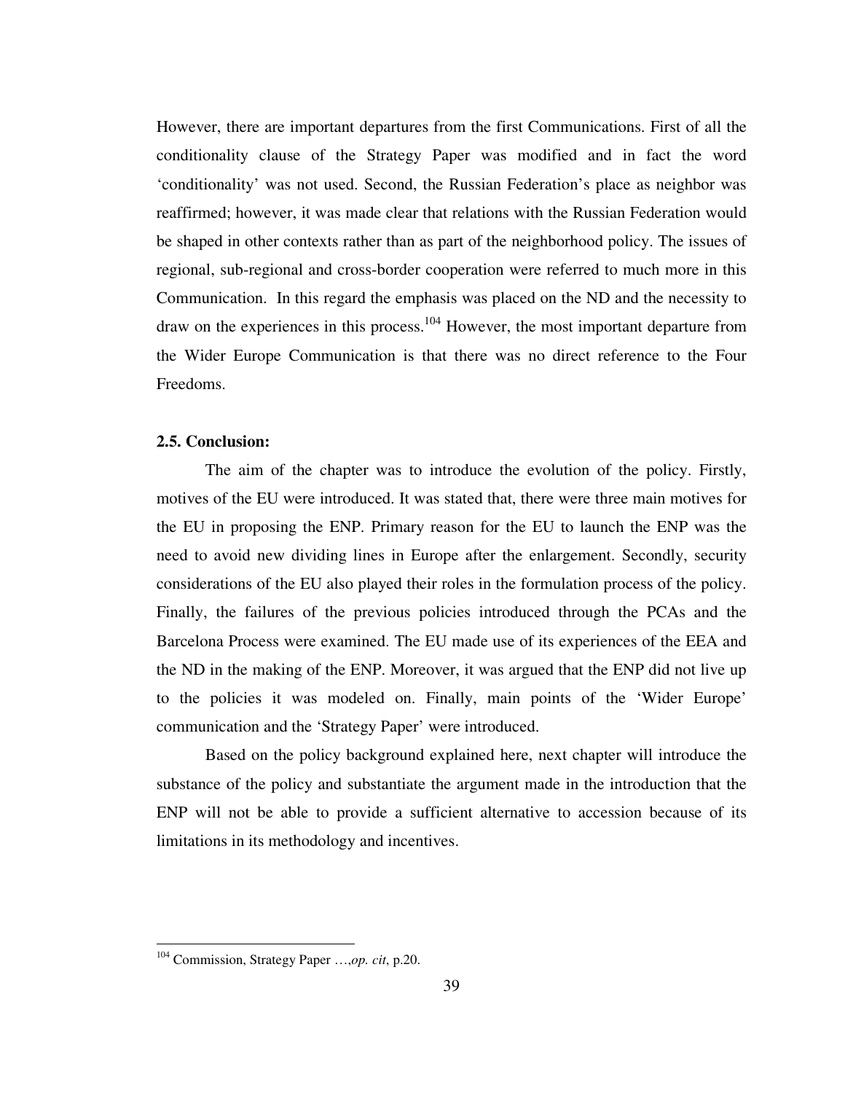However, there are important departures from the first Communications. First of all the conditionality clause of the Strategy Paper was modified and in fact the word 'conditionality' was not used. Second, the Russian Federation's place as neighbor was reaffirmed; however, it was made clear that relations with the Russian Federation would be shaped in other contexts rather than as part of the neighborhood policy. The issues of regional, sub-regional and cross-border cooperation were referred to much more in this Communication. In this regard the emphasis was placed on the ND and the necessity to draw on the experiences in this process.<sup>104</sup> However, the most important departure from the Wider Europe Communication is that there was no direct reference to the Four Freedoms.

# **2.5. Conclusion:**

The aim of the chapter was to introduce the evolution of the policy. Firstly, motives of the EU were introduced. It was stated that, there were three main motives for the EU in proposing the ENP. Primary reason for the EU to launch the ENP was the need to avoid new dividing lines in Europe after the enlargement. Secondly, security considerations of the EU also played their roles in the formulation process of the policy. Finally, the failures of the previous policies introduced through the PCAs and the Barcelona Process were examined. The EU made use of its experiences of the EEA and the ND in the making of the ENP. Moreover, it was argued that the ENP did not live up to the policies it was modeled on. Finally, main points of the 'Wider Europe' communication and the 'Strategy Paper' were introduced.

Based on the policy background explained here, next chapter will introduce the substance of the policy and substantiate the argument made in the introduction that the ENP will not be able to provide a sufficient alternative to accession because of its limitations in its methodology and incentives.

<sup>104</sup> Commission, Strategy Paper …,*op. cit*, p.20.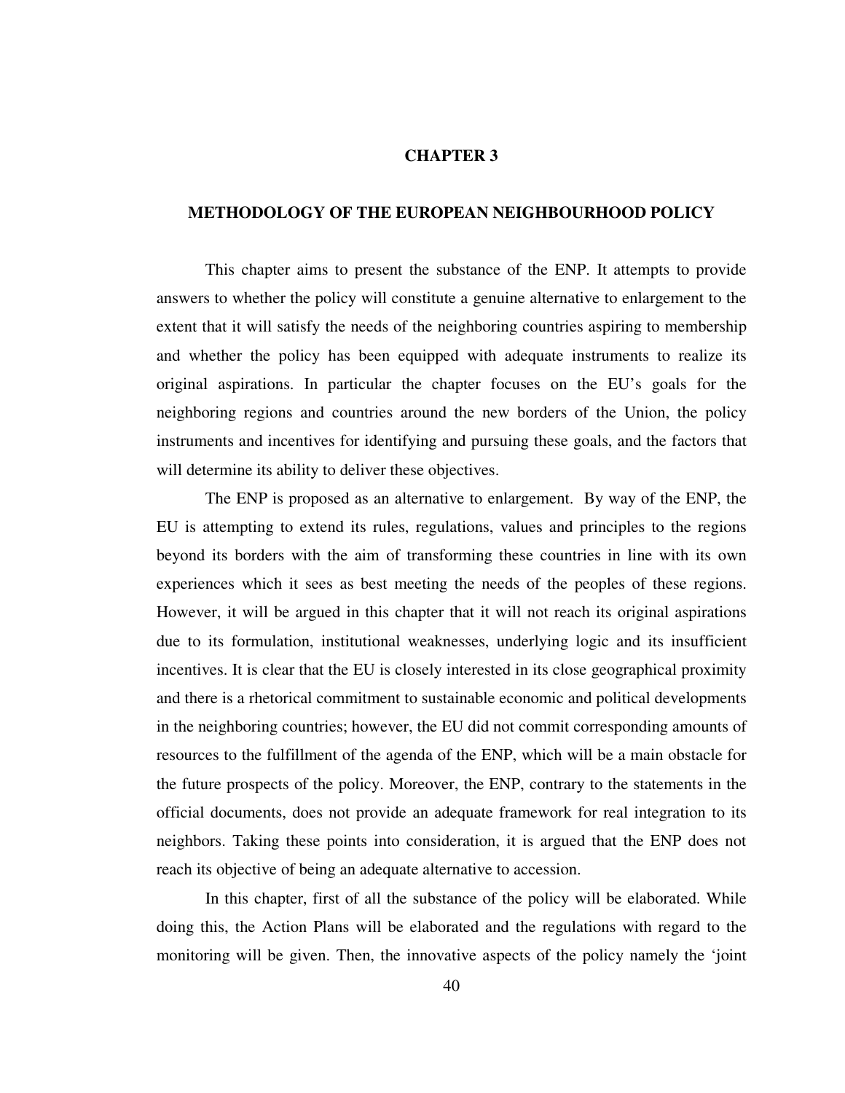## **CHAPTER 3**

# **METHODOLOGY OF THE EUROPEAN NEIGHBOURHOOD POLICY**

 This chapter aims to present the substance of the ENP. It attempts to provide answers to whether the policy will constitute a genuine alternative to enlargement to the extent that it will satisfy the needs of the neighboring countries aspiring to membership and whether the policy has been equipped with adequate instruments to realize its original aspirations. In particular the chapter focuses on the EU's goals for the neighboring regions and countries around the new borders of the Union, the policy instruments and incentives for identifying and pursuing these goals, and the factors that will determine its ability to deliver these objectives.

 The ENP is proposed as an alternative to enlargement. By way of the ENP, the EU is attempting to extend its rules, regulations, values and principles to the regions beyond its borders with the aim of transforming these countries in line with its own experiences which it sees as best meeting the needs of the peoples of these regions. However, it will be argued in this chapter that it will not reach its original aspirations due to its formulation, institutional weaknesses, underlying logic and its insufficient incentives. It is clear that the EU is closely interested in its close geographical proximity and there is a rhetorical commitment to sustainable economic and political developments in the neighboring countries; however, the EU did not commit corresponding amounts of resources to the fulfillment of the agenda of the ENP, which will be a main obstacle for the future prospects of the policy. Moreover, the ENP, contrary to the statements in the official documents, does not provide an adequate framework for real integration to its neighbors. Taking these points into consideration, it is argued that the ENP does not reach its objective of being an adequate alternative to accession.

 In this chapter, first of all the substance of the policy will be elaborated. While doing this, the Action Plans will be elaborated and the regulations with regard to the monitoring will be given. Then, the innovative aspects of the policy namely the 'joint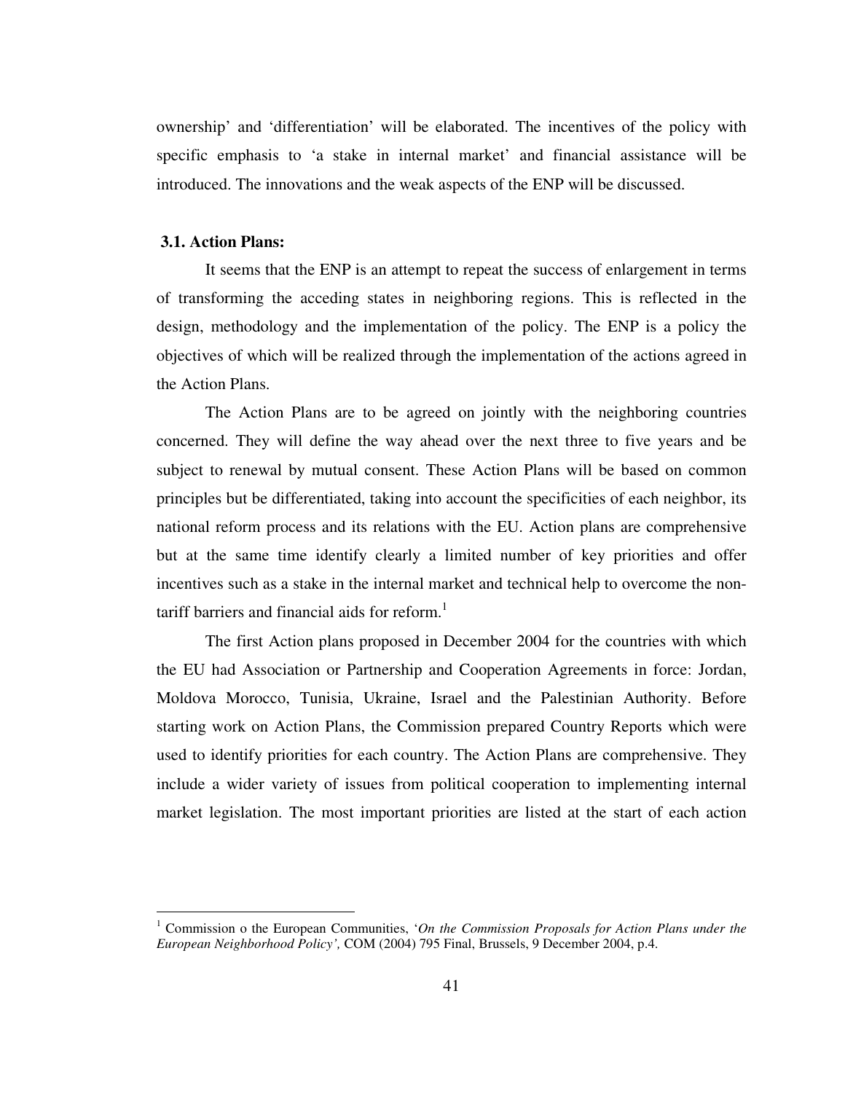ownership' and 'differentiation' will be elaborated. The incentives of the policy with specific emphasis to 'a stake in internal market' and financial assistance will be introduced. The innovations and the weak aspects of the ENP will be discussed.

# **3.1. Action Plans:**

 $\overline{a}$ 

It seems that the ENP is an attempt to repeat the success of enlargement in terms of transforming the acceding states in neighboring regions. This is reflected in the design, methodology and the implementation of the policy. The ENP is a policy the objectives of which will be realized through the implementation of the actions agreed in the Action Plans.

The Action Plans are to be agreed on jointly with the neighboring countries concerned. They will define the way ahead over the next three to five years and be subject to renewal by mutual consent. These Action Plans will be based on common principles but be differentiated, taking into account the specificities of each neighbor, its national reform process and its relations with the EU. Action plans are comprehensive but at the same time identify clearly a limited number of key priorities and offer incentives such as a stake in the internal market and technical help to overcome the nontariff barriers and financial aids for reform.<sup>1</sup>

The first Action plans proposed in December 2004 for the countries with which the EU had Association or Partnership and Cooperation Agreements in force: Jordan, Moldova Morocco, Tunisia, Ukraine, Israel and the Palestinian Authority. Before starting work on Action Plans, the Commission prepared Country Reports which were used to identify priorities for each country. The Action Plans are comprehensive. They include a wider variety of issues from political cooperation to implementing internal market legislation. The most important priorities are listed at the start of each action

<sup>&</sup>lt;sup>1</sup> Commission o the European Communities, 'On the Commission Proposals for Action Plans under the *European Neighborhood Policy',* COM (2004) 795 Final, Brussels, 9 December 2004, p.4.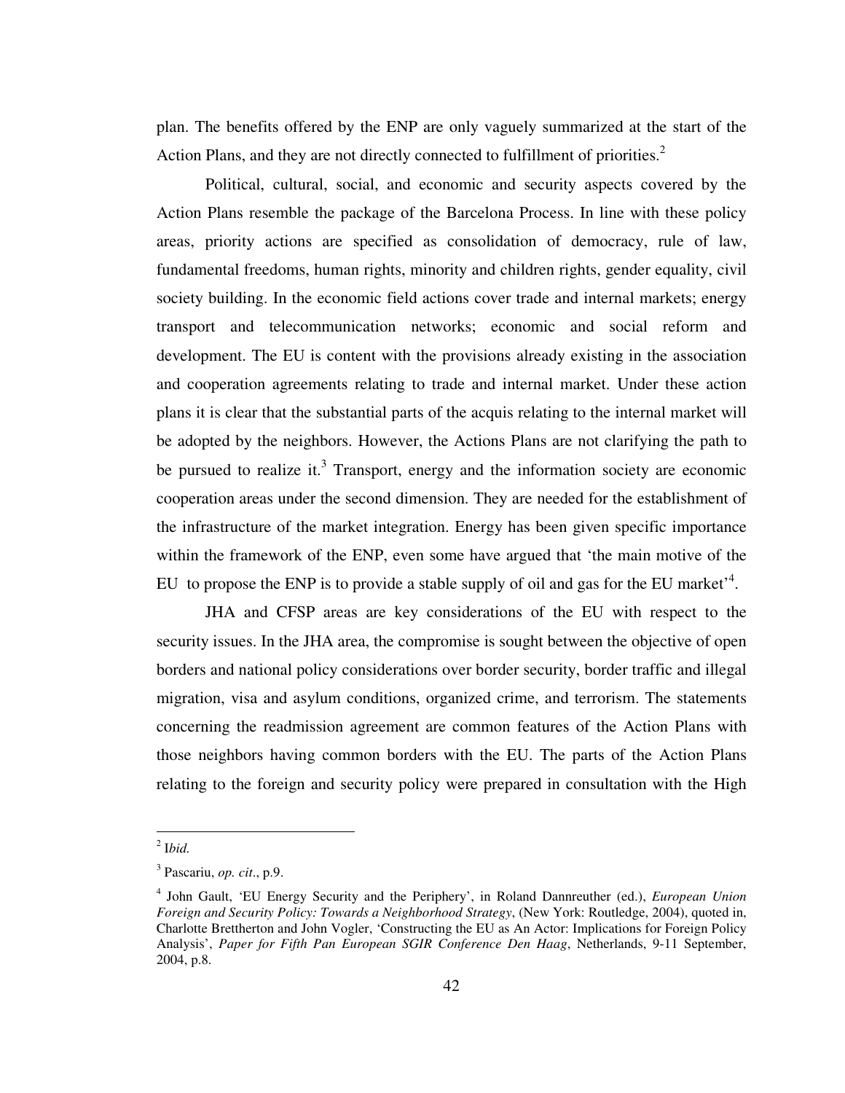plan. The benefits offered by the ENP are only vaguely summarized at the start of the Action Plans, and they are not directly connected to fulfillment of priorities. $2$ 

Political, cultural, social, and economic and security aspects covered by the Action Plans resemble the package of the Barcelona Process. In line with these policy areas, priority actions are specified as consolidation of democracy, rule of law, fundamental freedoms, human rights, minority and children rights, gender equality, civil society building. In the economic field actions cover trade and internal markets; energy transport and telecommunication networks; economic and social reform and development. The EU is content with the provisions already existing in the association and cooperation agreements relating to trade and internal market. Under these action plans it is clear that the substantial parts of the acquis relating to the internal market will be adopted by the neighbors. However, the Actions Plans are not clarifying the path to be pursued to realize it.<sup>3</sup> Transport, energy and the information society are economic cooperation areas under the second dimension. They are needed for the establishment of the infrastructure of the market integration. Energy has been given specific importance within the framework of the ENP, even some have argued that 'the main motive of the EU to propose the ENP is to provide a stable supply of oil and gas for the EU market<sup>34</sup>.

JHA and CFSP areas are key considerations of the EU with respect to the security issues. In the JHA area, the compromise is sought between the objective of open borders and national policy considerations over border security, border traffic and illegal migration, visa and asylum conditions, organized crime, and terrorism. The statements concerning the readmission agreement are common features of the Action Plans with those neighbors having common borders with the EU. The parts of the Action Plans relating to the foreign and security policy were prepared in consultation with the High

<sup>2</sup> I*bid.*

<sup>3</sup> Pascariu, *op. cit*., p.9.

<sup>4</sup> John Gault, 'EU Energy Security and the Periphery', in Roland Dannreuther (ed.), *European Union Foreign and Security Policy: Towards a Neighborhood Strategy*, (New York: Routledge, 2004), quoted in, Charlotte Brettherton and John Vogler, 'Constructing the EU as An Actor: Implications for Foreign Policy Analysis', *Paper for Fifth Pan European SGIR Conference Den Haag*, Netherlands, 9-11 September, 2004, p.8.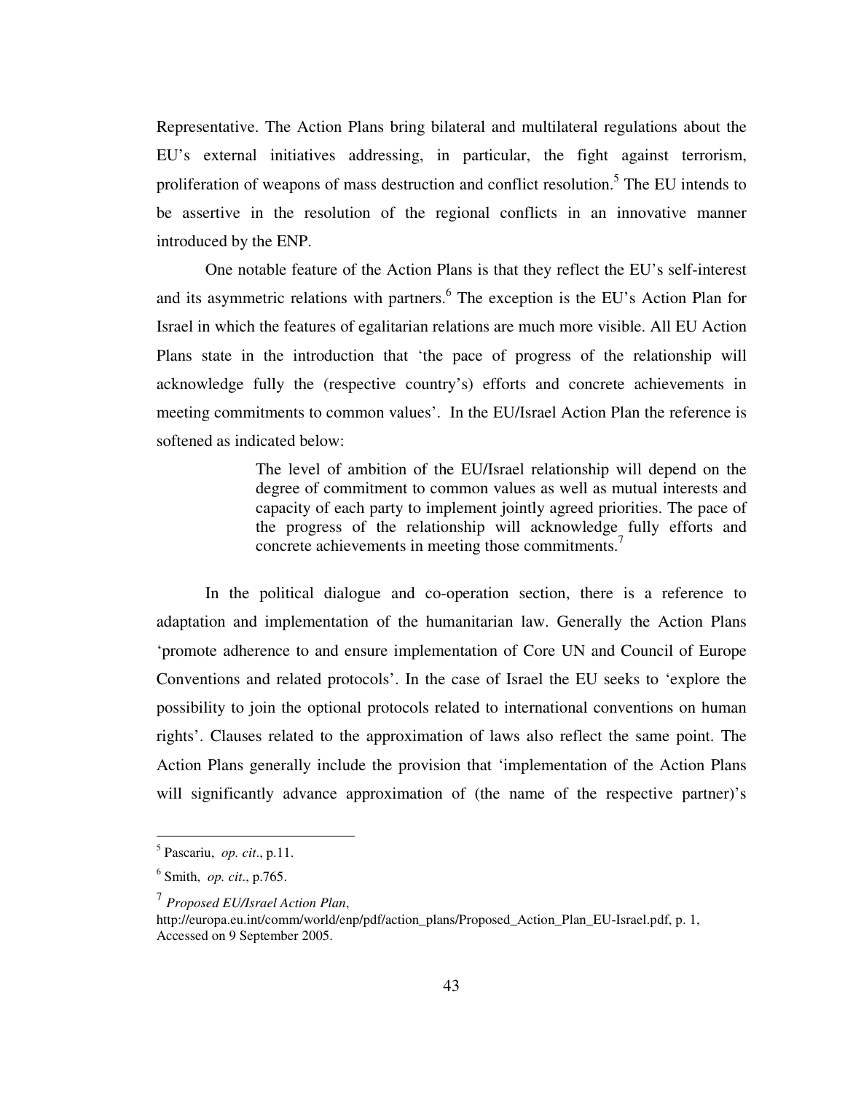Representative. The Action Plans bring bilateral and multilateral regulations about the EU's external initiatives addressing, in particular, the fight against terrorism, proliferation of weapons of mass destruction and conflict resolution.<sup>5</sup> The EU intends to be assertive in the resolution of the regional conflicts in an innovative manner introduced by the ENP.

One notable feature of the Action Plans is that they reflect the EU's self-interest and its asymmetric relations with partners.<sup>6</sup> The exception is the EU's Action Plan for Israel in which the features of egalitarian relations are much more visible. All EU Action Plans state in the introduction that 'the pace of progress of the relationship will acknowledge fully the (respective country's) efforts and concrete achievements in meeting commitments to common values'. In the EU/Israel Action Plan the reference is softened as indicated below:

> The level of ambition of the EU/Israel relationship will depend on the degree of commitment to common values as well as mutual interests and capacity of each party to implement jointly agreed priorities. The pace of the progress of the relationship will acknowledge fully efforts and concrete achievements in meeting those commitments.<sup>7</sup>

In the political dialogue and co-operation section, there is a reference to adaptation and implementation of the humanitarian law. Generally the Action Plans 'promote adherence to and ensure implementation of Core UN and Council of Europe Conventions and related protocols'. In the case of Israel the EU seeks to 'explore the possibility to join the optional protocols related to international conventions on human rights'. Clauses related to the approximation of laws also reflect the same point. The Action Plans generally include the provision that 'implementation of the Action Plans will significantly advance approximation of (the name of the respective partner)'s

<sup>5</sup> Pascariu, *op. cit*., p.11.

<sup>6</sup> Smith, *op. cit*., p.765.

<sup>7</sup> *Proposed EU/Israel Action Plan*,

http://europa.eu.int/comm/world/enp/pdf/action\_plans/Proposed\_Action\_Plan\_EU-Israel.pdf, p. 1, Accessed on 9 September 2005.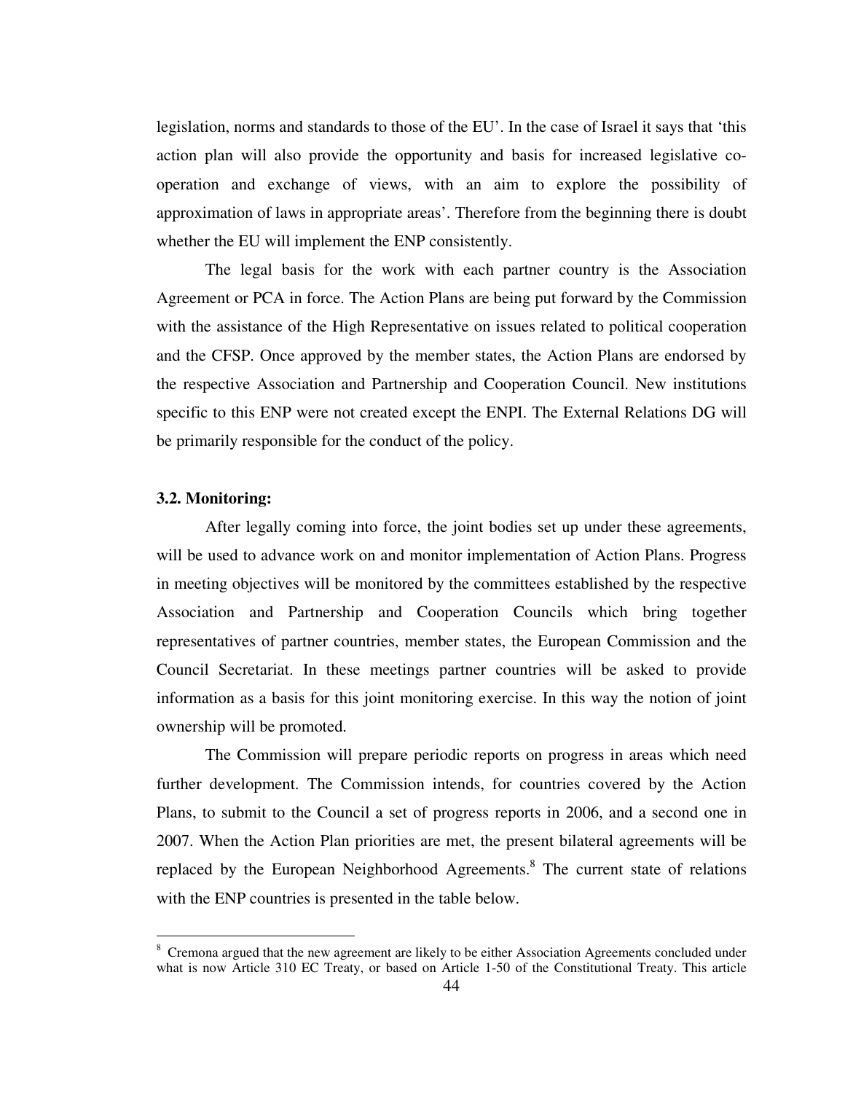legislation, norms and standards to those of the EU'. In the case of Israel it says that 'this action plan will also provide the opportunity and basis for increased legislative cooperation and exchange of views, with an aim to explore the possibility of approximation of laws in appropriate areas'. Therefore from the beginning there is doubt whether the EU will implement the ENP consistently.

The legal basis for the work with each partner country is the Association Agreement or PCA in force. The Action Plans are being put forward by the Commission with the assistance of the High Representative on issues related to political cooperation and the CFSP. Once approved by the member states, the Action Plans are endorsed by the respective Association and Partnership and Cooperation Council. New institutions specific to this ENP were not created except the ENPI. The External Relations DG will be primarily responsible for the conduct of the policy.

#### **3.2. Monitoring:**

 $\overline{a}$ 

After legally coming into force, the joint bodies set up under these agreements, will be used to advance work on and monitor implementation of Action Plans. Progress in meeting objectives will be monitored by the committees established by the respective Association and Partnership and Cooperation Councils which bring together representatives of partner countries, member states, the European Commission and the Council Secretariat. In these meetings partner countries will be asked to provide information as a basis for this joint monitoring exercise. In this way the notion of joint ownership will be promoted.

The Commission will prepare periodic reports on progress in areas which need further development. The Commission intends, for countries covered by the Action Plans, to submit to the Council a set of progress reports in 2006, and a second one in 2007. When the Action Plan priorities are met, the present bilateral agreements will be replaced by the European Neighborhood Agreements.<sup>8</sup> The current state of relations with the ENP countries is presented in the table below.

<sup>&</sup>lt;sup>8</sup> Cremona argued that the new agreement are likely to be either Association Agreements concluded under what is now Article 310 EC Treaty, or based on Article 1-50 of the Constitutional Treaty. This article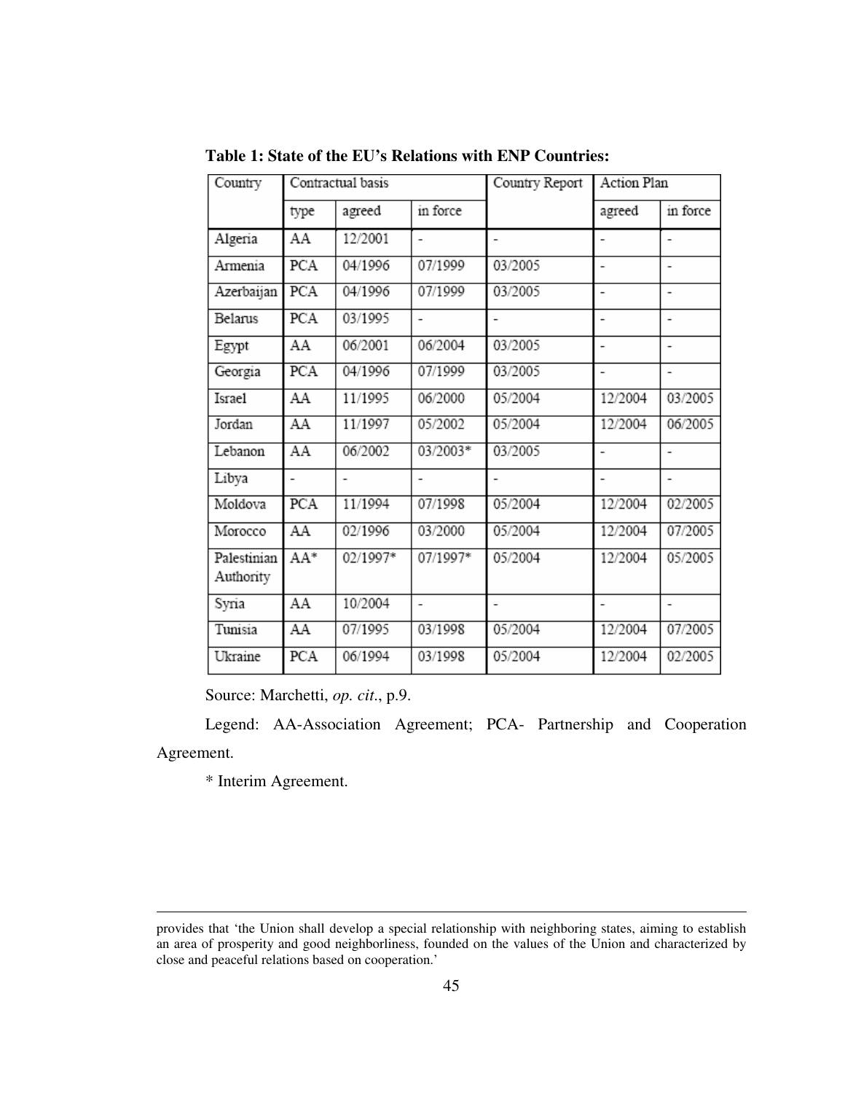| Country                  | Contractual basis        |          |                | Country Report           | <b>Action Plan</b> |                |
|--------------------------|--------------------------|----------|----------------|--------------------------|--------------------|----------------|
|                          | type                     | agreed   | in force       |                          | agreed             | in force       |
| Algeria                  | AA                       | 12/2001  |                |                          |                    |                |
| Armenia                  | PCA                      | 04/1996  | 07/1999        | 03/2005                  |                    |                |
| Azerbaijan               | PCA                      | 04/1996  | 07/1999        | 03/2005                  |                    |                |
| Belanus                  | PCA                      | 03/1995  |                |                          |                    |                |
| Egypt                    | AA                       | 06/2001  | 06/2004        | 03/2005                  |                    |                |
| Georgia                  | PCA                      | 04/1996  | 07/1999        | 03/2005                  |                    |                |
| Israel                   | AA                       | 11/1995  | 06/2000        | 05/2004                  | 12/2004            | 03/2005        |
| Jordan                   | AA                       | 11/1997  | 05/2002        | 05/2004                  | 12/2004            | 06/2005        |
| Lebanon                  | AA                       | 06/2002  | 03/2003*       | 03/2005                  |                    | $\overline{a}$ |
| Libya                    | $\overline{\phantom{0}}$ | ٠        |                |                          |                    |                |
| Moldova                  | PCA                      | 11/1994  | 07/1998        | 05/2004                  | 12/2004            | 02/2005        |
| Morocco                  | AA                       | 02/1996  | 03/2000        | 05/2004                  | 12/2004            | 07/2005        |
| Palestinian<br>Authority | AA*                      | 02/1997* | 07/1997*       | 05/2004                  | 12/2004            | 05/2005        |
| Syria                    | AA                       | 10/2004  | $\overline{a}$ | $\overline{\phantom{a}}$ |                    |                |
| Tunisia                  | AA                       | 07/1995  | 03/1998        | 05/2004                  | 12/2004            | 07/2005        |
| Ukraine                  | PCA                      | 06/1994  | 03/1998        | 05/2004                  | 12/2004            | 02/2005        |

**Table 1: State of the EU's Relations with ENP Countries:** 

Source: Marchetti, *op. cit*., p.9.

Legend: AA-Association Agreement; PCA- Partnership and Cooperation Agreement.

\* Interim Agreement.

provides that 'the Union shall develop a special relationship with neighboring states, aiming to establish an area of prosperity and good neighborliness, founded on the values of the Union and characterized by close and peaceful relations based on cooperation.'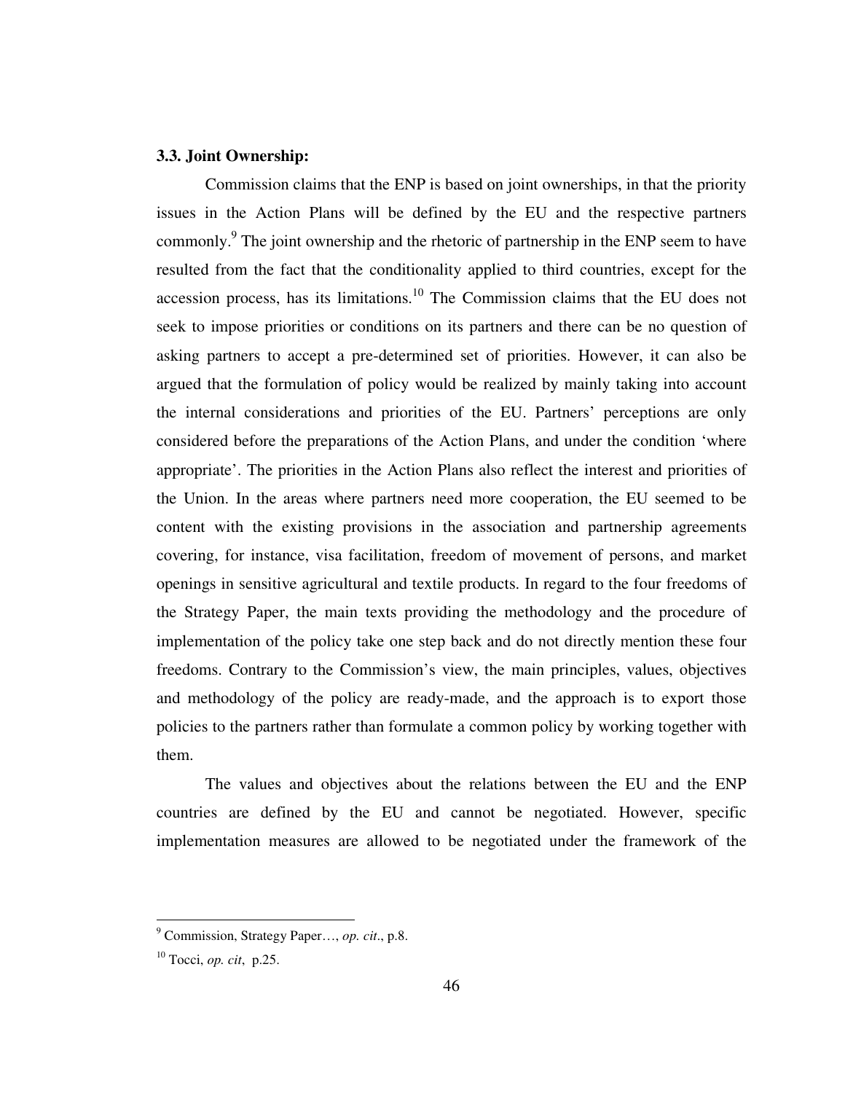# **3.3. Joint Ownership:**

Commission claims that the ENP is based on joint ownerships, in that the priority issues in the Action Plans will be defined by the EU and the respective partners commonly.<sup>9</sup> The joint ownership and the rhetoric of partnership in the ENP seem to have resulted from the fact that the conditionality applied to third countries, except for the accession process, has its limitations.<sup>10</sup> The Commission claims that the EU does not seek to impose priorities or conditions on its partners and there can be no question of asking partners to accept a pre-determined set of priorities. However, it can also be argued that the formulation of policy would be realized by mainly taking into account the internal considerations and priorities of the EU. Partners' perceptions are only considered before the preparations of the Action Plans, and under the condition 'where appropriate'. The priorities in the Action Plans also reflect the interest and priorities of the Union. In the areas where partners need more cooperation, the EU seemed to be content with the existing provisions in the association and partnership agreements covering, for instance, visa facilitation, freedom of movement of persons, and market openings in sensitive agricultural and textile products. In regard to the four freedoms of the Strategy Paper, the main texts providing the methodology and the procedure of implementation of the policy take one step back and do not directly mention these four freedoms. Contrary to the Commission's view, the main principles, values, objectives and methodology of the policy are ready-made, and the approach is to export those policies to the partners rather than formulate a common policy by working together with them.

The values and objectives about the relations between the EU and the ENP countries are defined by the EU and cannot be negotiated. However, specific implementation measures are allowed to be negotiated under the framework of the

 9 Commission, Strategy Paper…, *op. cit*., p.8.

<sup>10</sup> Tocci, *op. cit*, p.25.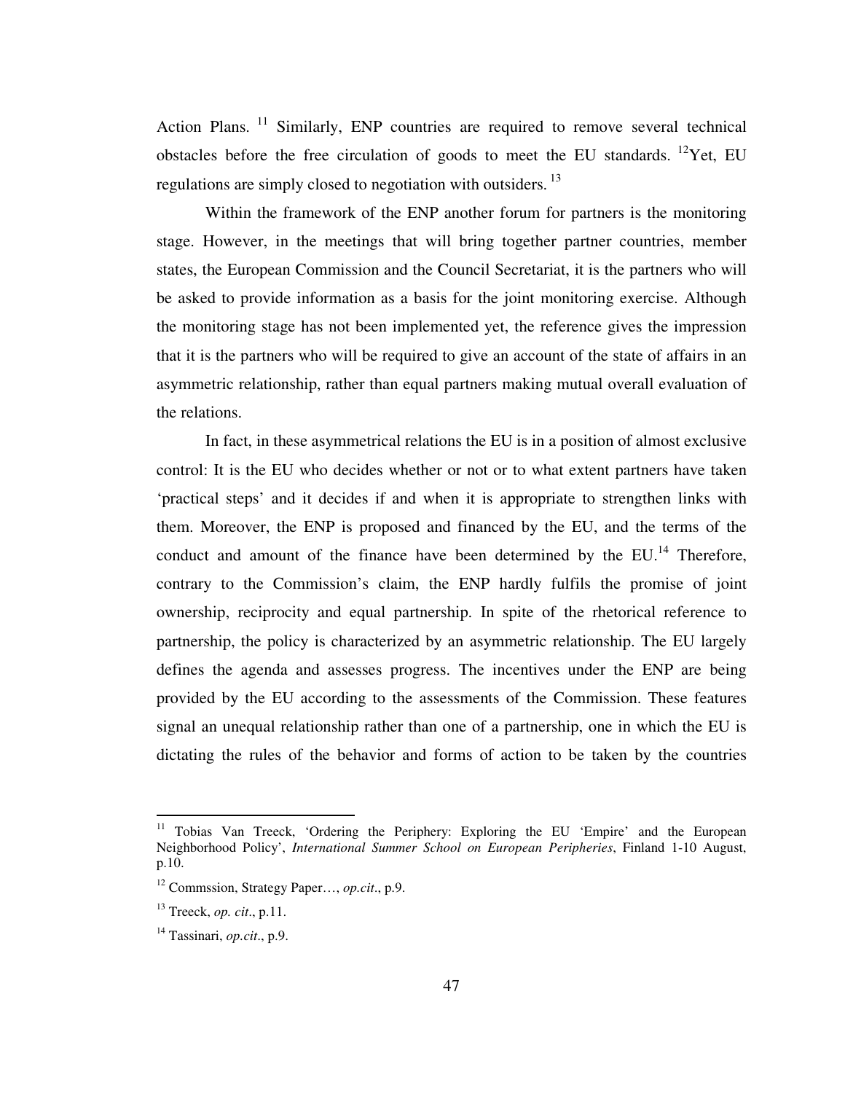Action Plans.<sup>11</sup> Similarly, ENP countries are required to remove several technical obstacles before the free circulation of goods to meet the EU standards. <sup>12</sup>Yet, EU regulations are simply closed to negotiation with outsiders.<sup>13</sup>

Within the framework of the ENP another forum for partners is the monitoring stage. However, in the meetings that will bring together partner countries, member states, the European Commission and the Council Secretariat, it is the partners who will be asked to provide information as a basis for the joint monitoring exercise. Although the monitoring stage has not been implemented yet, the reference gives the impression that it is the partners who will be required to give an account of the state of affairs in an asymmetric relationship, rather than equal partners making mutual overall evaluation of the relations.

In fact, in these asymmetrical relations the EU is in a position of almost exclusive control: It is the EU who decides whether or not or to what extent partners have taken 'practical steps' and it decides if and when it is appropriate to strengthen links with them. Moreover, the ENP is proposed and financed by the EU, and the terms of the conduct and amount of the finance have been determined by the  $EU<sup>14</sup>$ . Therefore, contrary to the Commission's claim, the ENP hardly fulfils the promise of joint ownership, reciprocity and equal partnership. In spite of the rhetorical reference to partnership, the policy is characterized by an asymmetric relationship. The EU largely defines the agenda and assesses progress. The incentives under the ENP are being provided by the EU according to the assessments of the Commission. These features signal an unequal relationship rather than one of a partnership, one in which the EU is dictating the rules of the behavior and forms of action to be taken by the countries

<sup>&</sup>lt;sup>11</sup> Tobias Van Treeck, 'Ordering the Periphery: Exploring the EU 'Empire' and the European Neighborhood Policy', *International Summer School on European Peripheries*, Finland 1-10 August, p.10.

<sup>12</sup> Commssion, Strategy Paper…, *op.cit*., p.9.

<sup>13</sup> Treeck, *op. cit*., p.11.

<sup>14</sup> Tassinari, *op.cit*., p.9.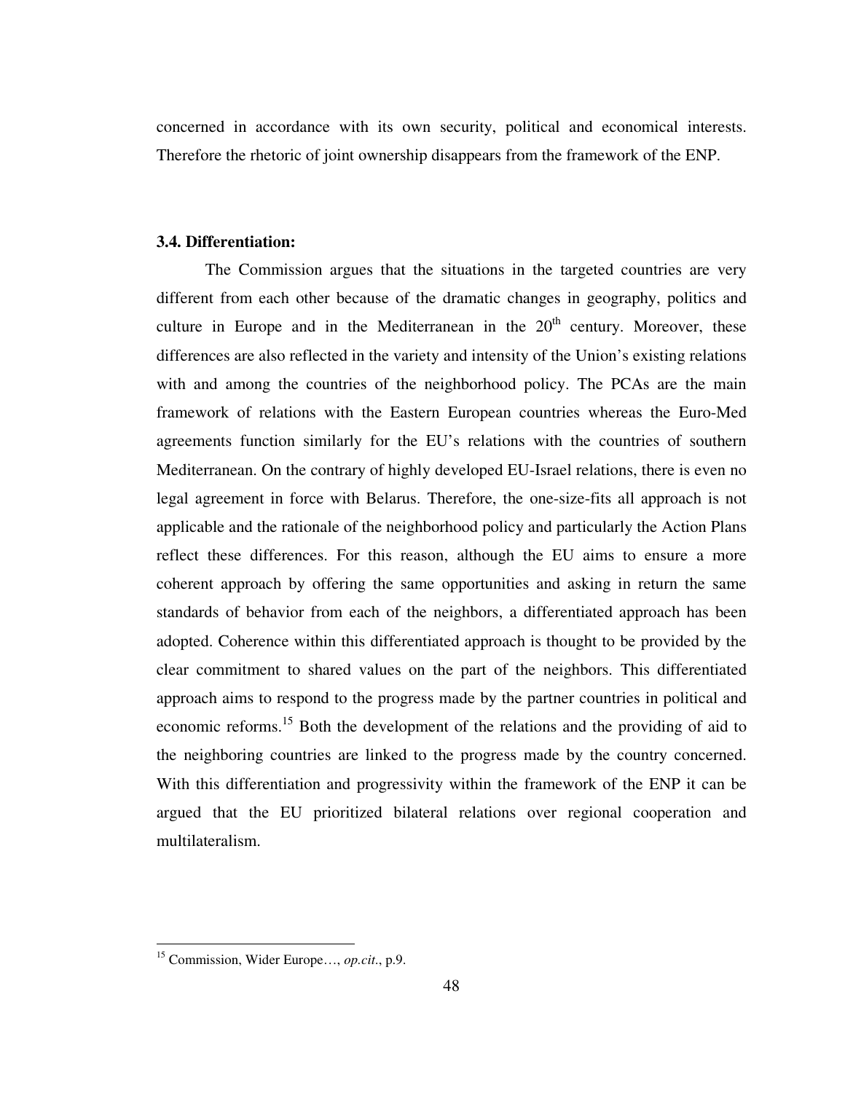concerned in accordance with its own security, political and economical interests. Therefore the rhetoric of joint ownership disappears from the framework of the ENP.

# **3.4. Differentiation:**

The Commission argues that the situations in the targeted countries are very different from each other because of the dramatic changes in geography, politics and culture in Europe and in the Mediterranean in the  $20<sup>th</sup>$  century. Moreover, these differences are also reflected in the variety and intensity of the Union's existing relations with and among the countries of the neighborhood policy. The PCAs are the main framework of relations with the Eastern European countries whereas the Euro-Med agreements function similarly for the EU's relations with the countries of southern Mediterranean. On the contrary of highly developed EU-Israel relations, there is even no legal agreement in force with Belarus. Therefore, the one-size-fits all approach is not applicable and the rationale of the neighborhood policy and particularly the Action Plans reflect these differences. For this reason, although the EU aims to ensure a more coherent approach by offering the same opportunities and asking in return the same standards of behavior from each of the neighbors, a differentiated approach has been adopted. Coherence within this differentiated approach is thought to be provided by the clear commitment to shared values on the part of the neighbors. This differentiated approach aims to respond to the progress made by the partner countries in political and economic reforms.<sup>15</sup> Both the development of the relations and the providing of aid to the neighboring countries are linked to the progress made by the country concerned. With this differentiation and progressivity within the framework of the ENP it can be argued that the EU prioritized bilateral relations over regional cooperation and multilateralism.

<sup>15</sup> Commission, Wider Europe…, *op.cit*., p.9.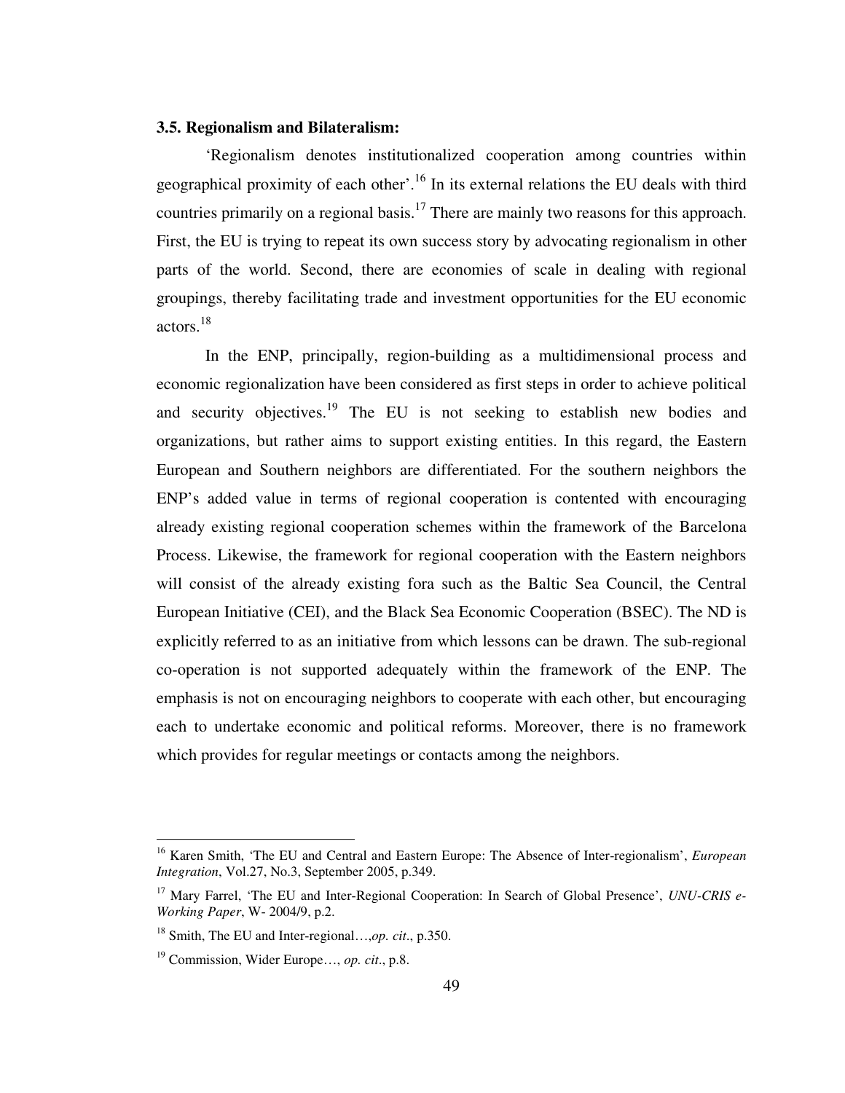### **3.5. Regionalism and Bilateralism:**

'Regionalism denotes institutionalized cooperation among countries within geographical proximity of each other'.<sup>16</sup> In its external relations the EU deals with third countries primarily on a regional basis.<sup>17</sup> There are mainly two reasons for this approach. First, the EU is trying to repeat its own success story by advocating regionalism in other parts of the world. Second, there are economies of scale in dealing with regional groupings, thereby facilitating trade and investment opportunities for the EU economic actors.<sup>18</sup>

In the ENP, principally, region-building as a multidimensional process and economic regionalization have been considered as first steps in order to achieve political and security objectives.<sup>19</sup> The EU is not seeking to establish new bodies and organizations, but rather aims to support existing entities. In this regard, the Eastern European and Southern neighbors are differentiated. For the southern neighbors the ENP's added value in terms of regional cooperation is contented with encouraging already existing regional cooperation schemes within the framework of the Barcelona Process. Likewise, the framework for regional cooperation with the Eastern neighbors will consist of the already existing fora such as the Baltic Sea Council, the Central European Initiative (CEI), and the Black Sea Economic Cooperation (BSEC). The ND is explicitly referred to as an initiative from which lessons can be drawn. The sub-regional co-operation is not supported adequately within the framework of the ENP. The emphasis is not on encouraging neighbors to cooperate with each other, but encouraging each to undertake economic and political reforms. Moreover, there is no framework which provides for regular meetings or contacts among the neighbors.

<sup>16</sup> Karen Smith, 'The EU and Central and Eastern Europe: The Absence of Inter-regionalism', *European Integration*, Vol.27, No.3, September 2005, p.349.

<sup>&</sup>lt;sup>17</sup> Mary Farrel, 'The EU and Inter-Regional Cooperation: In Search of Global Presence', *UNU-CRIS e-Working Paper*, W- 2004/9, p.2.

<sup>18</sup> Smith, The EU and Inter-regional…,*op. cit*., p.350.

<sup>19</sup> Commission, Wider Europe…, *op. cit*., p.8.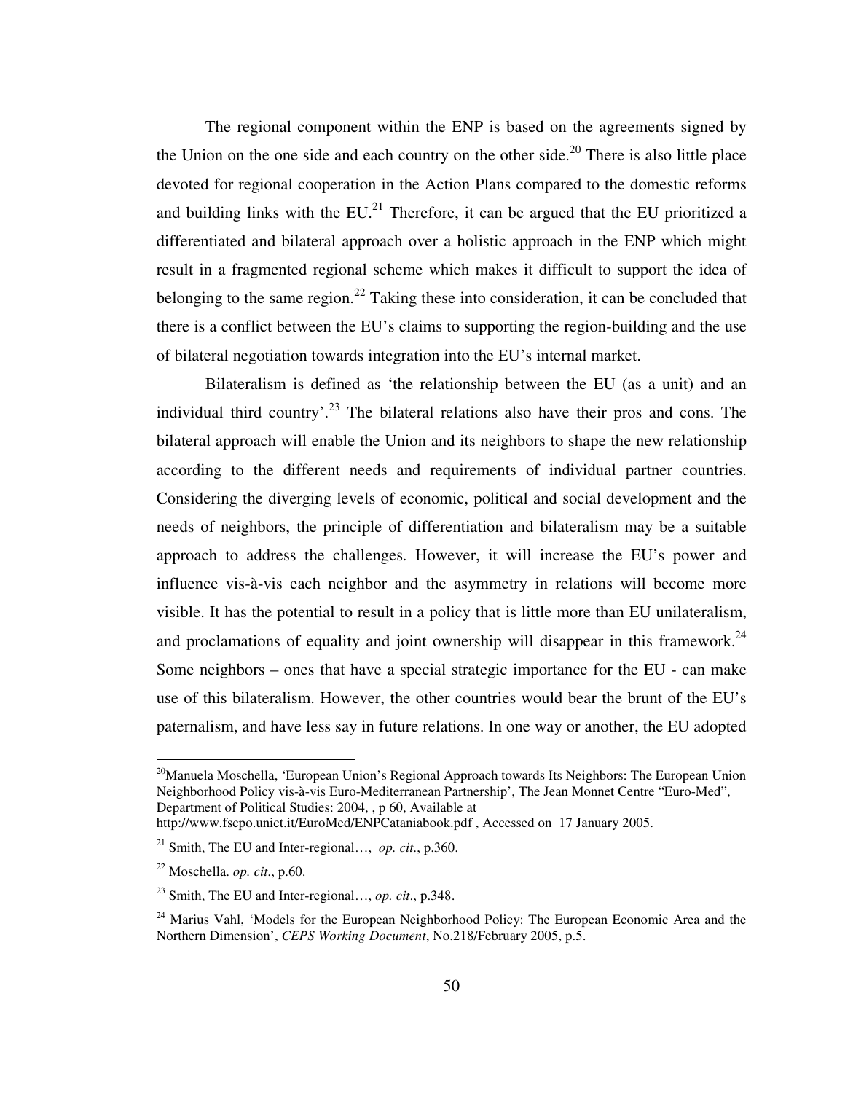The regional component within the ENP is based on the agreements signed by the Union on the one side and each country on the other side.<sup>20</sup> There is also little place devoted for regional cooperation in the Action Plans compared to the domestic reforms and building links with the  $EU^{21}$ . Therefore, it can be argued that the EU prioritized a differentiated and bilateral approach over a holistic approach in the ENP which might result in a fragmented regional scheme which makes it difficult to support the idea of belonging to the same region.<sup>22</sup> Taking these into consideration, it can be concluded that there is a conflict between the EU's claims to supporting the region-building and the use of bilateral negotiation towards integration into the EU's internal market.

Bilateralism is defined as 'the relationship between the EU (as a unit) and an individual third country'.<sup>23</sup> The bilateral relations also have their pros and cons. The bilateral approach will enable the Union and its neighbors to shape the new relationship according to the different needs and requirements of individual partner countries. Considering the diverging levels of economic, political and social development and the needs of neighbors, the principle of differentiation and bilateralism may be a suitable approach to address the challenges. However, it will increase the EU's power and influence vis-à-vis each neighbor and the asymmetry in relations will become more visible. It has the potential to result in a policy that is little more than EU unilateralism, and proclamations of equality and joint ownership will disappear in this framework.<sup>24</sup> Some neighbors – ones that have a special strategic importance for the EU - can make use of this bilateralism. However, the other countries would bear the brunt of the EU's paternalism, and have less say in future relations. In one way or another, the EU adopted

<sup>&</sup>lt;sup>20</sup>Manuela Moschella, 'European Union's Regional Approach towards Its Neighbors: The European Union Neighborhood Policy vis-à-vis Euro-Mediterranean Partnership', The Jean Monnet Centre "Euro-Med", Department of Political Studies: 2004, , p 60, Available at

http://www.fscpo.unict.it/EuroMed/ENPCataniabook.pdf , Accessed on 17 January 2005.

<sup>21</sup> Smith, The EU and Inter-regional…, *op. cit*., p.360.

<sup>22</sup> Moschella. *op. cit*., p.60.

<sup>23</sup> Smith, The EU and Inter-regional…, *op. cit*., p.348.

<sup>&</sup>lt;sup>24</sup> Marius Vahl, 'Models for the European Neighborhood Policy: The European Economic Area and the Northern Dimension', *CEPS Working Document*, No.218/February 2005, p.5.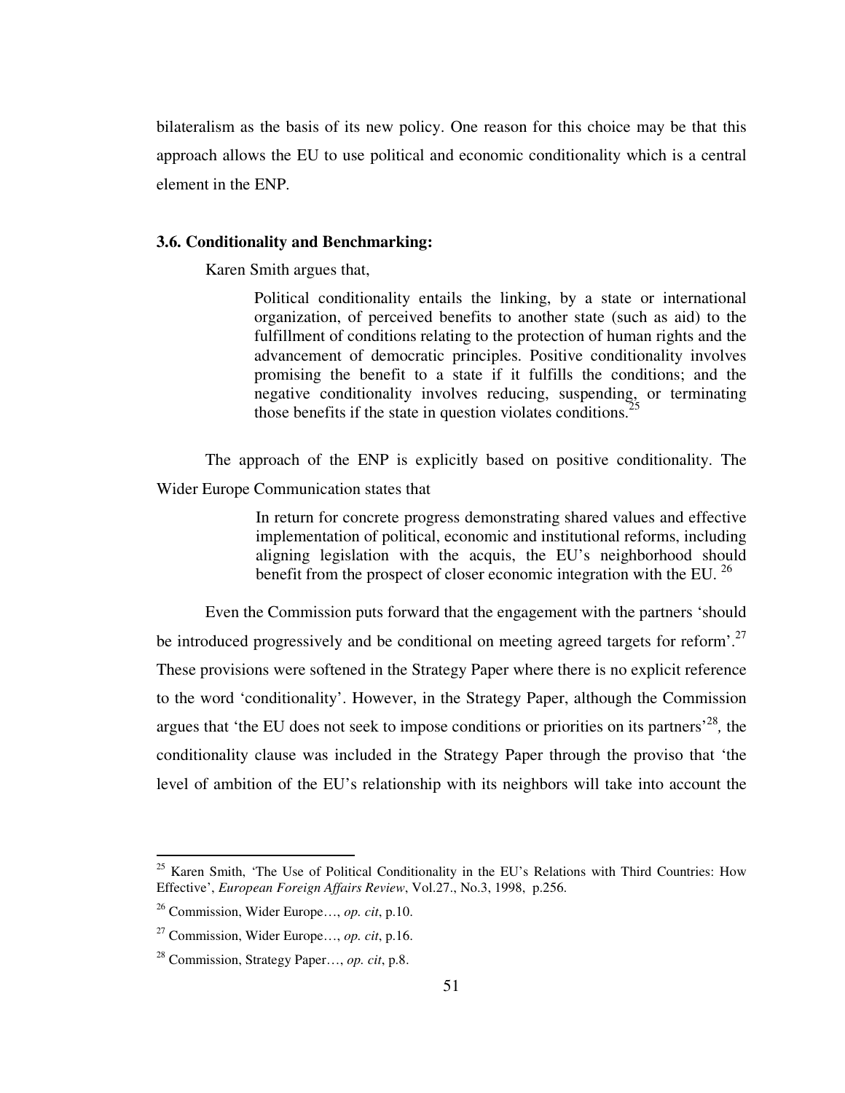bilateralism as the basis of its new policy. One reason for this choice may be that this approach allows the EU to use political and economic conditionality which is a central element in the ENP.

# **3.6. Conditionality and Benchmarking:**

Karen Smith argues that,

Political conditionality entails the linking, by a state or international organization, of perceived benefits to another state (such as aid) to the fulfillment of conditions relating to the protection of human rights and the advancement of democratic principles. Positive conditionality involves promising the benefit to a state if it fulfills the conditions; and the negative conditionality involves reducing, suspending, or terminating those benefits if the state in question violates conditions.<sup>2</sup>

 The approach of the ENP is explicitly based on positive conditionality. The Wider Europe Communication states that

> In return for concrete progress demonstrating shared values and effective implementation of political, economic and institutional reforms, including aligning legislation with the acquis, the EU's neighborhood should benefit from the prospect of closer economic integration with the EU.<sup>26</sup>

 Even the Commission puts forward that the engagement with the partners 'should be introduced progressively and be conditional on meeting agreed targets for reform<sup>'.27</sup> These provisions were softened in the Strategy Paper where there is no explicit reference to the word 'conditionality'. However, in the Strategy Paper, although the Commission argues that 'the EU does not seek to impose conditions or priorities on its partners<sup>'28</sup>, the conditionality clause was included in the Strategy Paper through the proviso that 'the level of ambition of the EU's relationship with its neighbors will take into account the

<sup>&</sup>lt;sup>25</sup> Karen Smith, 'The Use of Political Conditionality in the EU's Relations with Third Countries: How Effective', *European Foreign Affairs Review*, Vol.27., No.3, 1998, p.256.

<sup>26</sup> Commission, Wider Europe…, *op. cit*, p.10.

<sup>27</sup> Commission, Wider Europe…, *op. cit*, p.16.

<sup>28</sup> Commission, Strategy Paper…, *op. cit*, p.8.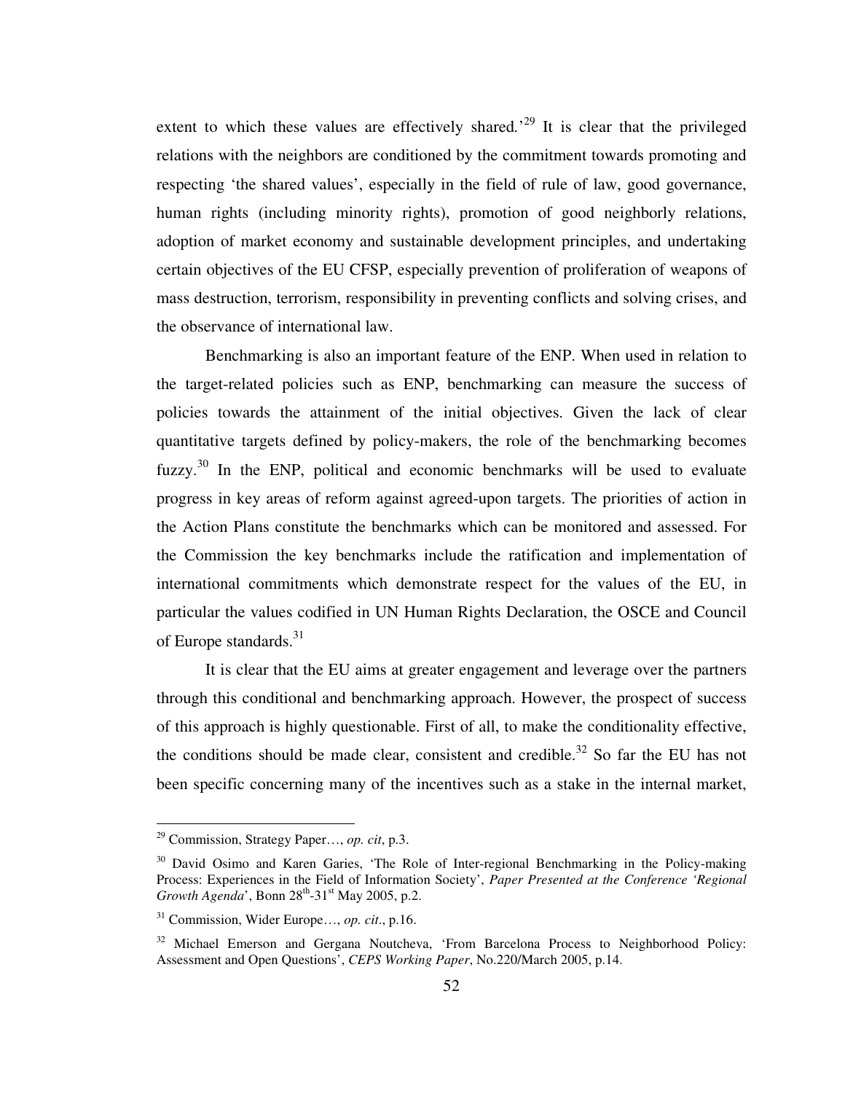extent to which these values are effectively shared.<sup>29</sup> It is clear that the privileged relations with the neighbors are conditioned by the commitment towards promoting and respecting 'the shared values', especially in the field of rule of law, good governance, human rights (including minority rights), promotion of good neighborly relations, adoption of market economy and sustainable development principles, and undertaking certain objectives of the EU CFSP, especially prevention of proliferation of weapons of mass destruction, terrorism, responsibility in preventing conflicts and solving crises, and the observance of international law.

Benchmarking is also an important feature of the ENP. When used in relation to the target-related policies such as ENP, benchmarking can measure the success of policies towards the attainment of the initial objectives. Given the lack of clear quantitative targets defined by policy-makers, the role of the benchmarking becomes fuzzy.<sup>30</sup> In the ENP, political and economic benchmarks will be used to evaluate progress in key areas of reform against agreed-upon targets. The priorities of action in the Action Plans constitute the benchmarks which can be monitored and assessed. For the Commission the key benchmarks include the ratification and implementation of international commitments which demonstrate respect for the values of the EU, in particular the values codified in UN Human Rights Declaration, the OSCE and Council of Europe standards. $31$ 

It is clear that the EU aims at greater engagement and leverage over the partners through this conditional and benchmarking approach. However, the prospect of success of this approach is highly questionable. First of all, to make the conditionality effective, the conditions should be made clear, consistent and credible.<sup>32</sup> So far the EU has not been specific concerning many of the incentives such as a stake in the internal market,

<sup>29</sup> Commission, Strategy Paper…, *op. cit*, p.3.

<sup>&</sup>lt;sup>30</sup> David Osimo and Karen Garies, 'The Role of Inter-regional Benchmarking in the Policy-making Process: Experiences in the Field of Information Society', *Paper Presented at the Conference 'Regional Growth Agenda*', Bonn 28<sup>th</sup>-31<sup>st</sup> May 2005, p.2.

<sup>31</sup> Commission, Wider Europe…, *op. cit*., p.16.

<sup>&</sup>lt;sup>32</sup> Michael Emerson and Gergana Noutcheva, 'From Barcelona Process to Neighborhood Policy: Assessment and Open Questions', *CEPS Working Paper*, No.220/March 2005, p.14.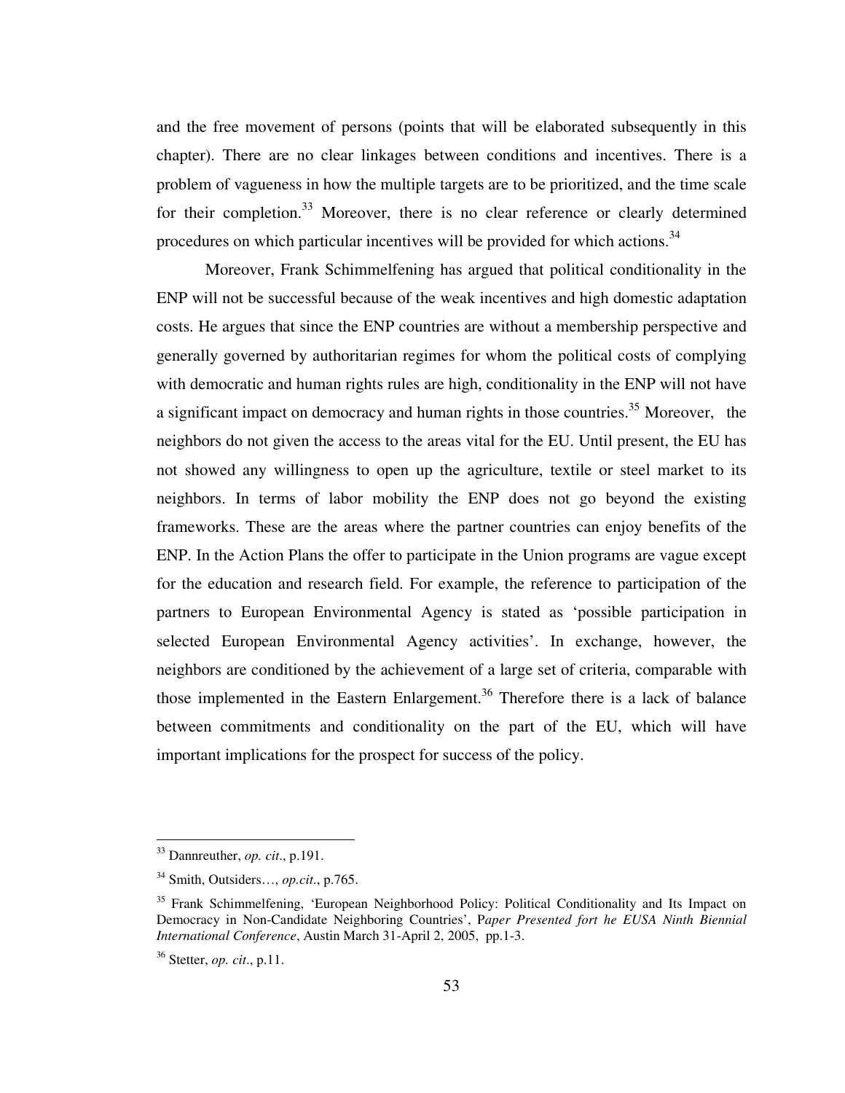and the free movement of persons (points that will be elaborated subsequently in this chapter). There are no clear linkages between conditions and incentives. There is a problem of vagueness in how the multiple targets are to be prioritized, and the time scale for their completion.<sup>33</sup> Moreover, there is no clear reference or clearly determined procedures on which particular incentives will be provided for which actions.<sup>34</sup>

Moreover, Frank Schimmelfening has argued that political conditionality in the ENP will not be successful because of the weak incentives and high domestic adaptation costs. He argues that since the ENP countries are without a membership perspective and generally governed by authoritarian regimes for whom the political costs of complying with democratic and human rights rules are high, conditionality in the ENP will not have a significant impact on democracy and human rights in those countries.<sup>35</sup> Moreover, the neighbors do not given the access to the areas vital for the EU. Until present, the EU has not showed any willingness to open up the agriculture, textile or steel market to its neighbors. In terms of labor mobility the ENP does not go beyond the existing frameworks. These are the areas where the partner countries can enjoy benefits of the ENP. In the Action Plans the offer to participate in the Union programs are vague except for the education and research field. For example, the reference to participation of the partners to European Environmental Agency is stated as 'possible participation in selected European Environmental Agency activities'. In exchange, however, the neighbors are conditioned by the achievement of a large set of criteria, comparable with those implemented in the Eastern Enlargement.<sup>36</sup> Therefore there is a lack of balance between commitments and conditionality on the part of the EU, which will have important implications for the prospect for success of the policy.

<sup>33</sup> Dannreuther, *op. cit*., p.191.

<sup>34</sup> Smith, Outsiders…, *op.cit*., p.765.

<sup>&</sup>lt;sup>35</sup> Frank Schimmelfening, 'European Neighborhood Policy: Political Conditionality and Its Impact on Democracy in Non-Candidate Neighboring Countries', P*aper Presented fort he EUSA Ninth Biennial International Conference*, Austin March 31-April 2, 2005, pp.1-3.

<sup>36</sup> Stetter, *op. cit*., p.11.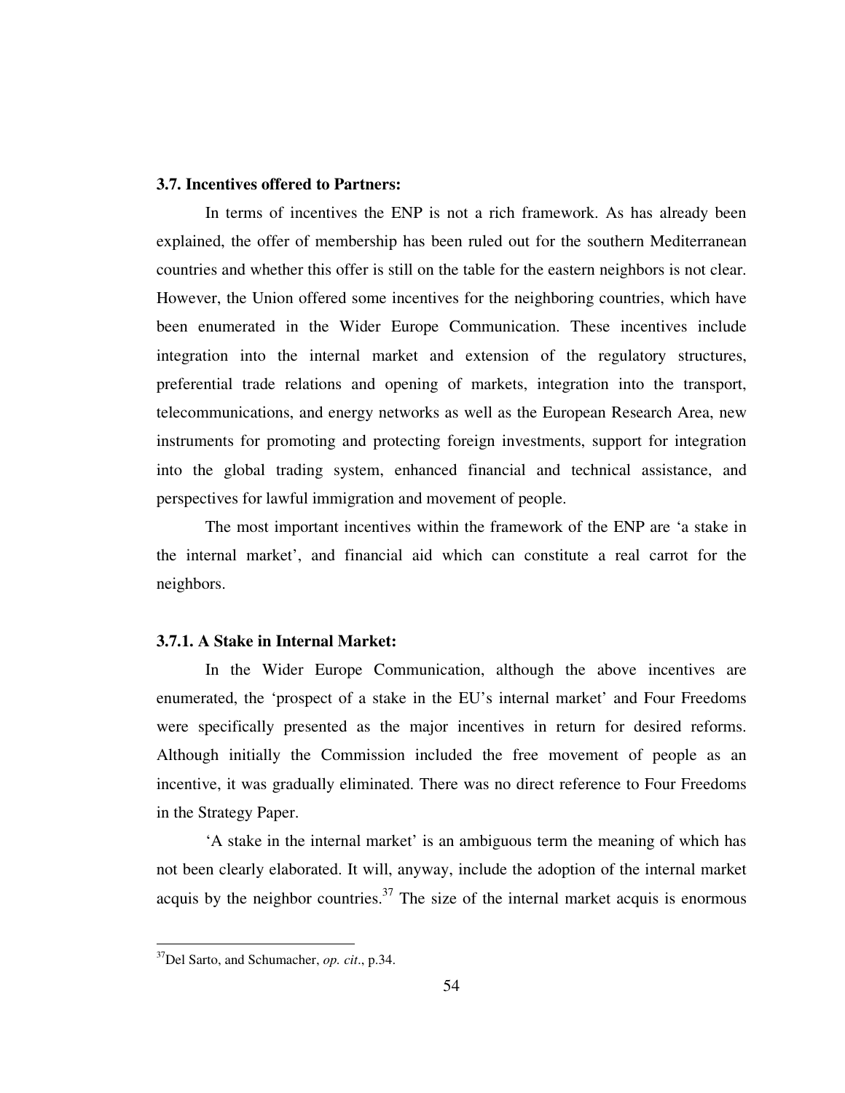# **3.7. Incentives offered to Partners:**

In terms of incentives the ENP is not a rich framework. As has already been explained, the offer of membership has been ruled out for the southern Mediterranean countries and whether this offer is still on the table for the eastern neighbors is not clear. However, the Union offered some incentives for the neighboring countries, which have been enumerated in the Wider Europe Communication. These incentives include integration into the internal market and extension of the regulatory structures, preferential trade relations and opening of markets, integration into the transport, telecommunications, and energy networks as well as the European Research Area, new instruments for promoting and protecting foreign investments, support for integration into the global trading system, enhanced financial and technical assistance, and perspectives for lawful immigration and movement of people.

The most important incentives within the framework of the ENP are 'a stake in the internal market', and financial aid which can constitute a real carrot for the neighbors.

# **3.7.1. A Stake in Internal Market:**

In the Wider Europe Communication, although the above incentives are enumerated, the 'prospect of a stake in the EU's internal market' and Four Freedoms were specifically presented as the major incentives in return for desired reforms. Although initially the Commission included the free movement of people as an incentive, it was gradually eliminated. There was no direct reference to Four Freedoms in the Strategy Paper.

'A stake in the internal market' is an ambiguous term the meaning of which has not been clearly elaborated. It will, anyway, include the adoption of the internal market acquis by the neighbor countries.<sup>37</sup> The size of the internal market acquis is enormous

<sup>37</sup>Del Sarto, and Schumacher, *op. cit*., p.34.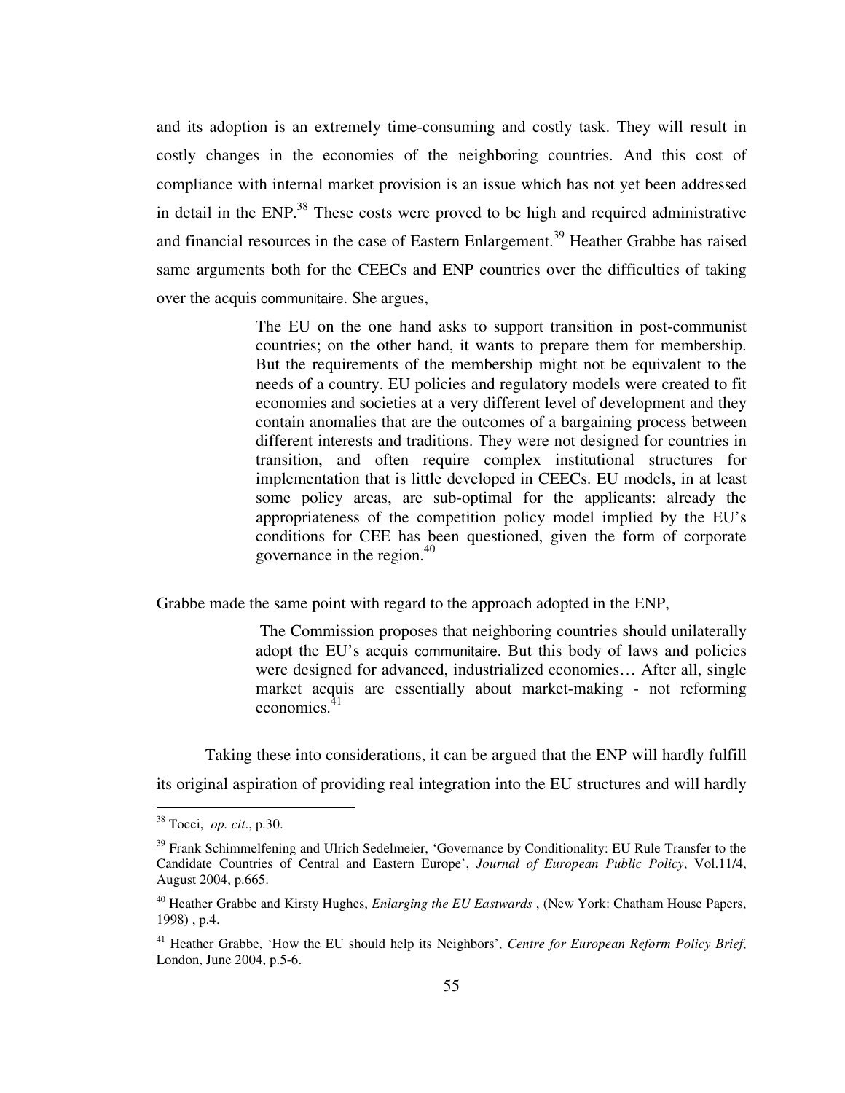and its adoption is an extremely time-consuming and costly task. They will result in costly changes in the economies of the neighboring countries. And this cost of compliance with internal market provision is an issue which has not yet been addressed in detail in the ENP.<sup>38</sup> These costs were proved to be high and required administrative and financial resources in the case of Eastern Enlargement.<sup>39</sup> Heather Grabbe has raised same arguments both for the CEECs and ENP countries over the difficulties of taking over the acquis communitaire. She argues,

> The EU on the one hand asks to support transition in post-communist countries; on the other hand, it wants to prepare them for membership. But the requirements of the membership might not be equivalent to the needs of a country. EU policies and regulatory models were created to fit economies and societies at a very different level of development and they contain anomalies that are the outcomes of a bargaining process between different interests and traditions. They were not designed for countries in transition, and often require complex institutional structures for implementation that is little developed in CEECs. EU models, in at least some policy areas, are sub-optimal for the applicants: already the appropriateness of the competition policy model implied by the EU's conditions for CEE has been questioned, given the form of corporate governance in the region. $40$

Grabbe made the same point with regard to the approach adopted in the ENP,

 The Commission proposes that neighboring countries should unilaterally adopt the EU's acquis communitaire. But this body of laws and policies were designed for advanced, industrialized economies… After all, single market acquis are essentially about market-making - not reforming economies.<sup>41</sup>

Taking these into considerations, it can be argued that the ENP will hardly fulfill its original aspiration of providing real integration into the EU structures and will hardly

<sup>38</sup> Tocci, *op. cit*., p.30.

<sup>&</sup>lt;sup>39</sup> Frank Schimmelfening and Ulrich Sedelmeier, 'Governance by Conditionality: EU Rule Transfer to the Candidate Countries of Central and Eastern Europe', *Journal of European Public Policy*, Vol.11/4, August 2004, p.665.

<sup>40</sup> Heather Grabbe and Kirsty Hughes, *Enlarging the EU Eastwards* , (New York: Chatham House Papers, 1998) , p.4.

<sup>&</sup>lt;sup>41</sup> Heather Grabbe, 'How the EU should help its Neighbors', *Centre for European Reform Policy Brief*, London, June 2004, p.5-6.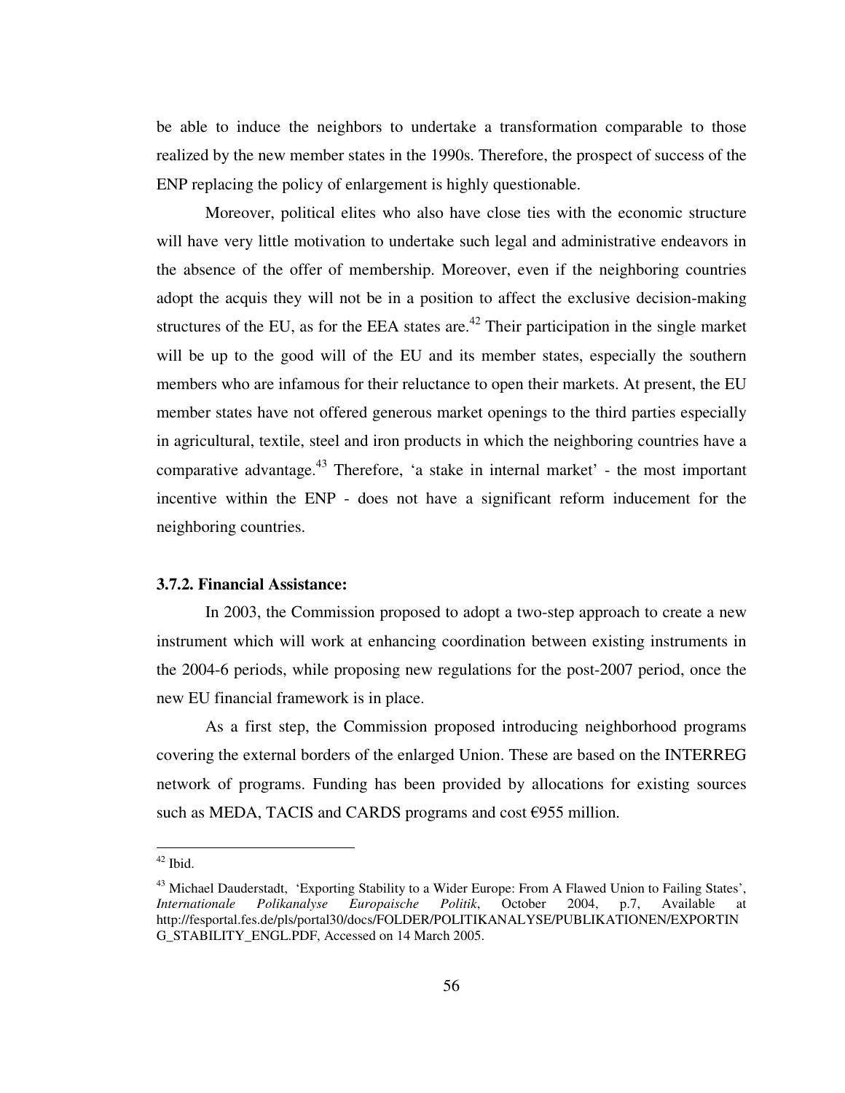be able to induce the neighbors to undertake a transformation comparable to those realized by the new member states in the 1990s. Therefore, the prospect of success of the ENP replacing the policy of enlargement is highly questionable.

Moreover, political elites who also have close ties with the economic structure will have very little motivation to undertake such legal and administrative endeavors in the absence of the offer of membership. Moreover, even if the neighboring countries adopt the acquis they will not be in a position to affect the exclusive decision-making structures of the EU, as for the EEA states are.<sup>42</sup> Their participation in the single market will be up to the good will of the EU and its member states, especially the southern members who are infamous for their reluctance to open their markets. At present, the EU member states have not offered generous market openings to the third parties especially in agricultural, textile, steel and iron products in which the neighboring countries have a comparative advantage.<sup>43</sup> Therefore, 'a stake in internal market' - the most important incentive within the ENP - does not have a significant reform inducement for the neighboring countries.

## **3.7.2. Financial Assistance:**

In 2003, the Commission proposed to adopt a two-step approach to create a new instrument which will work at enhancing coordination between existing instruments in the 2004-6 periods, while proposing new regulations for the post-2007 period, once the new EU financial framework is in place.

As a first step, the Commission proposed introducing neighborhood programs covering the external borders of the enlarged Union. These are based on the INTERREG network of programs. Funding has been provided by allocations for existing sources such as MEDA, TACIS and CARDS programs and cost  $\epsilon$ 955 million.

 $42$  Ibid.

<sup>&</sup>lt;sup>43</sup> Michael Dauderstadt, 'Exporting Stability to a Wider Europe: From A Flawed Union to Failing States', *Internationale Polikanalyse Europaische Politik*, October 2004, p.7, Available at *Internationale Polikanalyse Europaische Politik*, October 2004, p.7, Available at http://fesportal.fes.de/pls/portal30/docs/FOLDER/POLITIKANALYSE/PUBLIKATIONEN/EXPORTIN G\_STABILITY\_ENGL.PDF, Accessed on 14 March 2005.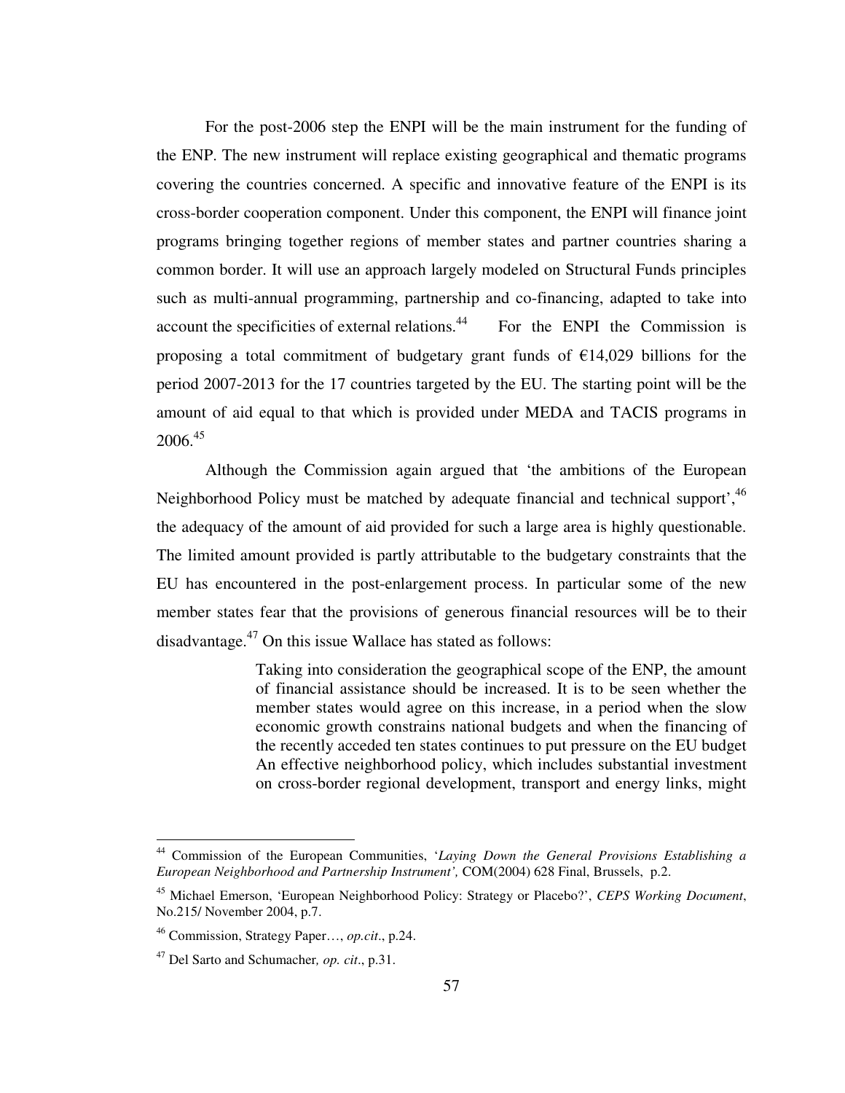For the post-2006 step the ENPI will be the main instrument for the funding of the ENP. The new instrument will replace existing geographical and thematic programs covering the countries concerned. A specific and innovative feature of the ENPI is its cross-border cooperation component. Under this component, the ENPI will finance joint programs bringing together regions of member states and partner countries sharing a common border. It will use an approach largely modeled on Structural Funds principles such as multi-annual programming, partnership and co-financing, adapted to take into account the specificities of external relations.<sup>44</sup> For the ENPI the Commission is proposing a total commitment of budgetary grant funds of  $\epsilon$ 14,029 billions for the period 2007-2013 for the 17 countries targeted by the EU. The starting point will be the amount of aid equal to that which is provided under MEDA and TACIS programs in  $2006.<sup>45</sup>$ 

Although the Commission again argued that 'the ambitions of the European Neighborhood Policy must be matched by adequate financial and technical support',<sup>46</sup> the adequacy of the amount of aid provided for such a large area is highly questionable. The limited amount provided is partly attributable to the budgetary constraints that the EU has encountered in the post-enlargement process. In particular some of the new member states fear that the provisions of generous financial resources will be to their disadvantage.<sup>47</sup> On this issue Wallace has stated as follows:

> Taking into consideration the geographical scope of the ENP, the amount of financial assistance should be increased. It is to be seen whether the member states would agree on this increase, in a period when the slow economic growth constrains national budgets and when the financing of the recently acceded ten states continues to put pressure on the EU budget An effective neighborhood policy, which includes substantial investment on cross-border regional development, transport and energy links, might

<sup>44</sup> Commission of the European Communities, '*Laying Down the General Provisions Establishing a European Neighborhood and Partnership Instrument',* COM(2004) 628 Final, Brussels, p.2.

<sup>45</sup> Michael Emerson, 'European Neighborhood Policy: Strategy or Placebo?', *CEPS Working Document*, No.215/ November 2004, p.7.

<sup>46</sup> Commission, Strategy Paper…, *op.cit*., p.24.

<sup>47</sup> Del Sarto and Schumacher*, op. cit*., p.31.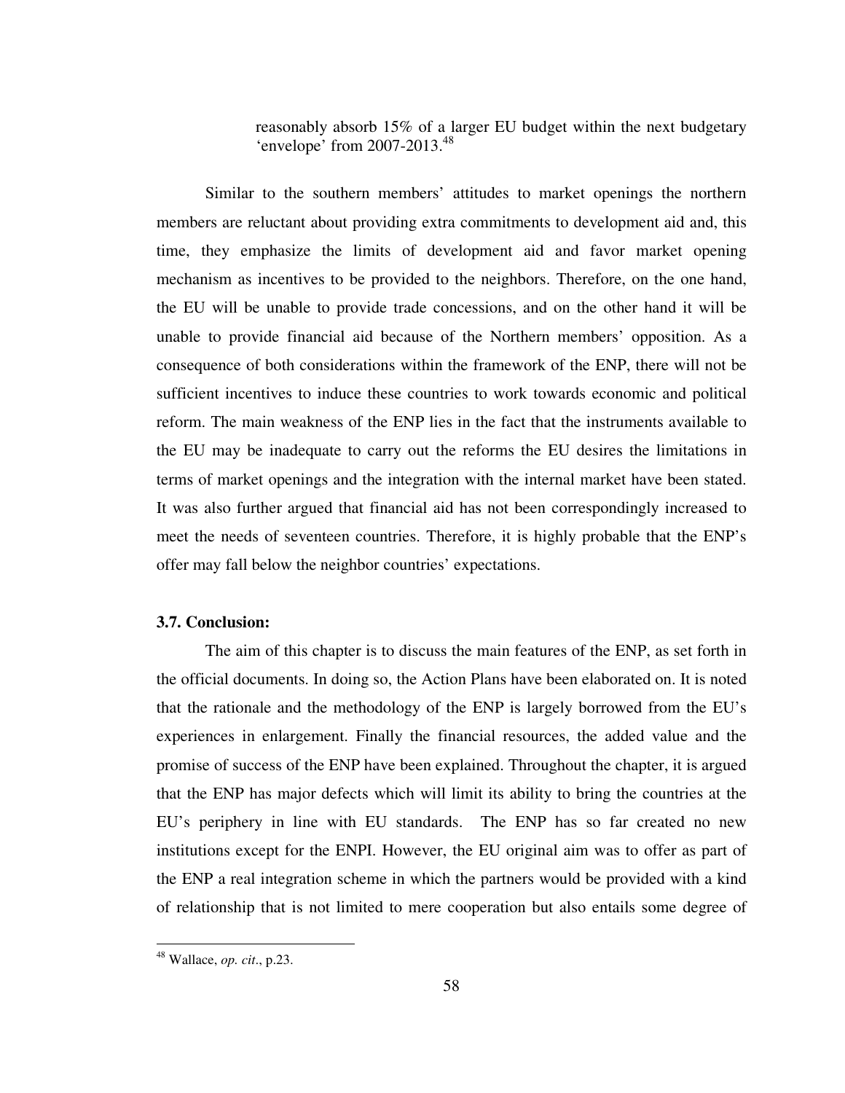reasonably absorb 15% of a larger EU budget within the next budgetary 'envelope' from 2007-2013.<sup>48</sup>

Similar to the southern members' attitudes to market openings the northern members are reluctant about providing extra commitments to development aid and, this time, they emphasize the limits of development aid and favor market opening mechanism as incentives to be provided to the neighbors. Therefore, on the one hand, the EU will be unable to provide trade concessions, and on the other hand it will be unable to provide financial aid because of the Northern members' opposition. As a consequence of both considerations within the framework of the ENP, there will not be sufficient incentives to induce these countries to work towards economic and political reform. The main weakness of the ENP lies in the fact that the instruments available to the EU may be inadequate to carry out the reforms the EU desires the limitations in terms of market openings and the integration with the internal market have been stated. It was also further argued that financial aid has not been correspondingly increased to meet the needs of seventeen countries. Therefore, it is highly probable that the ENP's offer may fall below the neighbor countries' expectations.

# **3.7. Conclusion:**

The aim of this chapter is to discuss the main features of the ENP, as set forth in the official documents. In doing so, the Action Plans have been elaborated on. It is noted that the rationale and the methodology of the ENP is largely borrowed from the EU's experiences in enlargement. Finally the financial resources, the added value and the promise of success of the ENP have been explained. Throughout the chapter, it is argued that the ENP has major defects which will limit its ability to bring the countries at the EU's periphery in line with EU standards. The ENP has so far created no new institutions except for the ENPI. However, the EU original aim was to offer as part of the ENP a real integration scheme in which the partners would be provided with a kind of relationship that is not limited to mere cooperation but also entails some degree of

<sup>48</sup> Wallace, *op. cit*., p.23.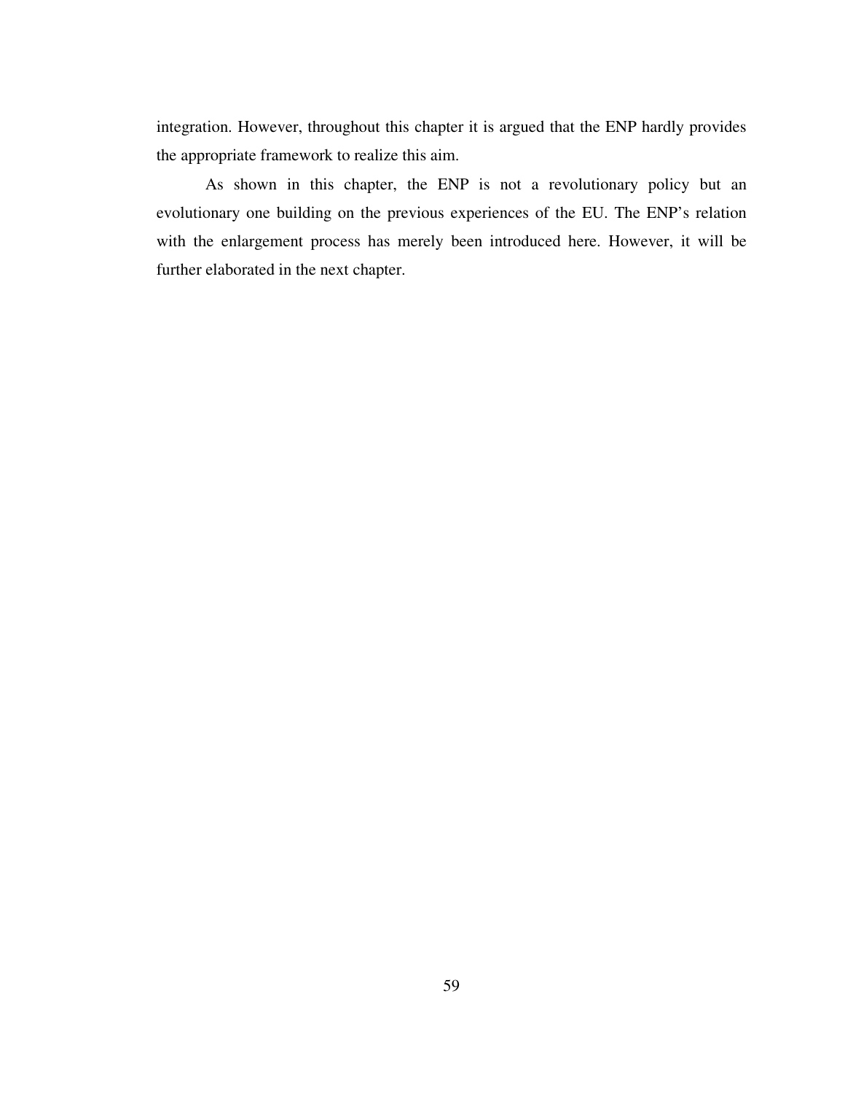integration. However, throughout this chapter it is argued that the ENP hardly provides the appropriate framework to realize this aim.

As shown in this chapter, the ENP is not a revolutionary policy but an evolutionary one building on the previous experiences of the EU. The ENP's relation with the enlargement process has merely been introduced here. However, it will be further elaborated in the next chapter.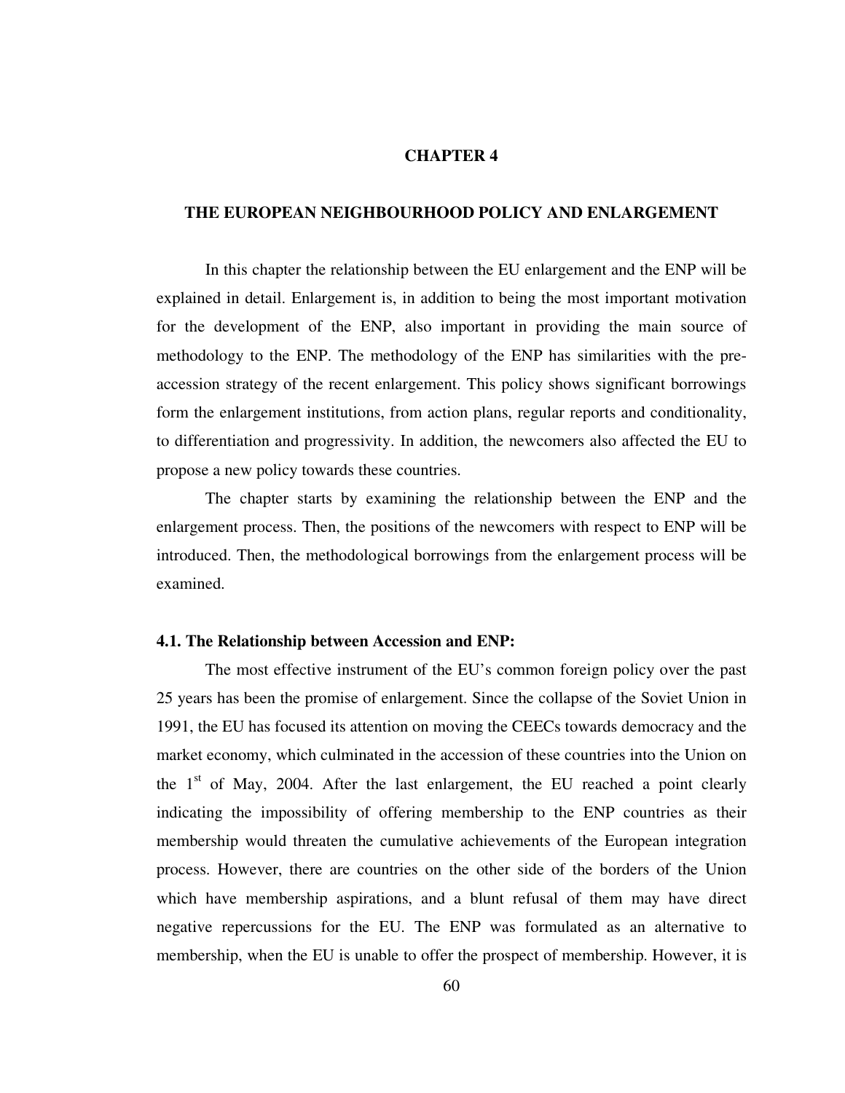# **CHAPTER 4**

# **THE EUROPEAN NEIGHBOURHOOD POLICY AND ENLARGEMENT**

 In this chapter the relationship between the EU enlargement and the ENP will be explained in detail. Enlargement is, in addition to being the most important motivation for the development of the ENP, also important in providing the main source of methodology to the ENP. The methodology of the ENP has similarities with the preaccession strategy of the recent enlargement. This policy shows significant borrowings form the enlargement institutions, from action plans, regular reports and conditionality, to differentiation and progressivity. In addition, the newcomers also affected the EU to propose a new policy towards these countries.

 The chapter starts by examining the relationship between the ENP and the enlargement process. Then, the positions of the newcomers with respect to ENP will be introduced. Then, the methodological borrowings from the enlargement process will be examined.

#### **4.1. The Relationship between Accession and ENP:**

 The most effective instrument of the EU's common foreign policy over the past 25 years has been the promise of enlargement. Since the collapse of the Soviet Union in 1991, the EU has focused its attention on moving the CEECs towards democracy and the market economy, which culminated in the accession of these countries into the Union on the  $1<sup>st</sup>$  of May, 2004. After the last enlargement, the EU reached a point clearly indicating the impossibility of offering membership to the ENP countries as their membership would threaten the cumulative achievements of the European integration process. However, there are countries on the other side of the borders of the Union which have membership aspirations, and a blunt refusal of them may have direct negative repercussions for the EU. The ENP was formulated as an alternative to membership, when the EU is unable to offer the prospect of membership. However, it is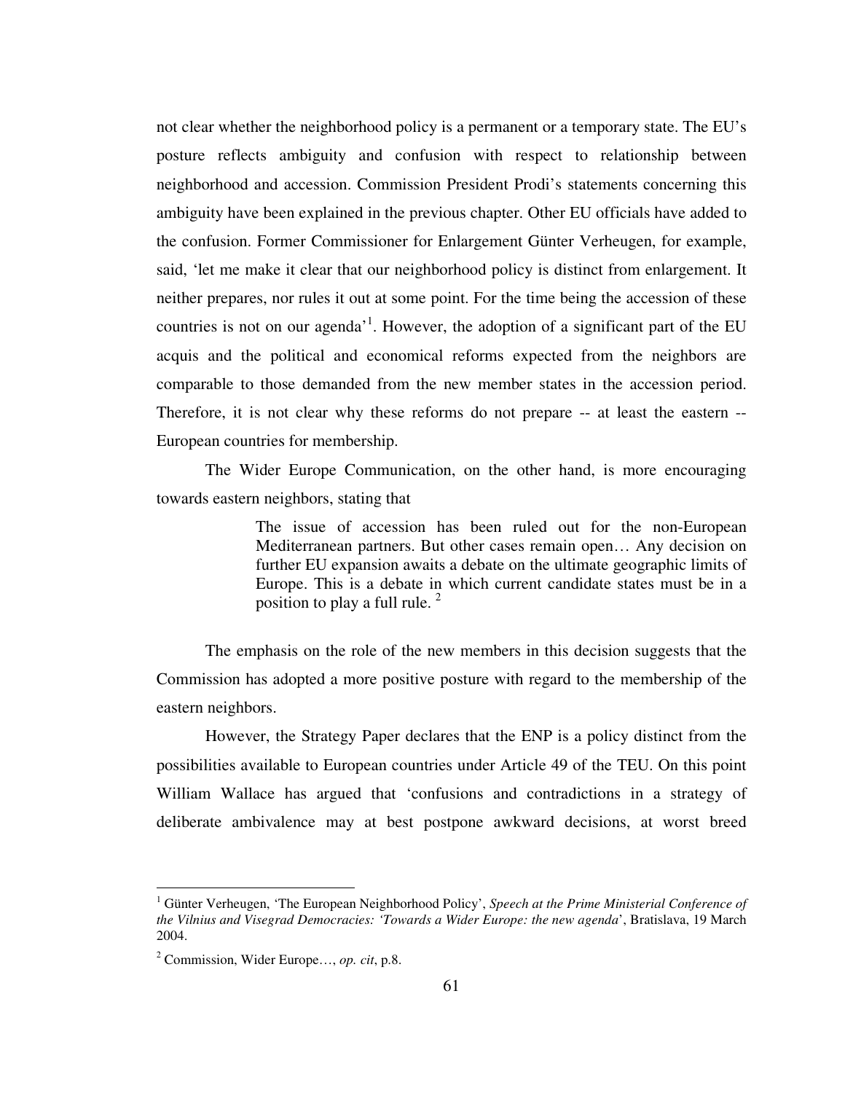not clear whether the neighborhood policy is a permanent or a temporary state. The EU's posture reflects ambiguity and confusion with respect to relationship between neighborhood and accession. Commission President Prodi's statements concerning this ambiguity have been explained in the previous chapter. Other EU officials have added to the confusion. Former Commissioner for Enlargement Günter Verheugen, for example, said, 'let me make it clear that our neighborhood policy is distinct from enlargement. It neither prepares, nor rules it out at some point. For the time being the accession of these countries is not on our agenda<sup> $1$ </sup>. However, the adoption of a significant part of the EU acquis and the political and economical reforms expected from the neighbors are comparable to those demanded from the new member states in the accession period. Therefore, it is not clear why these reforms do not prepare -- at least the eastern -- European countries for membership.

 The Wider Europe Communication, on the other hand, is more encouraging towards eastern neighbors, stating that

> The issue of accession has been ruled out for the non-European Mediterranean partners. But other cases remain open… Any decision on further EU expansion awaits a debate on the ultimate geographic limits of Europe. This is a debate in which current candidate states must be in a position to play a full rule.  $2^2$

 The emphasis on the role of the new members in this decision suggests that the Commission has adopted a more positive posture with regard to the membership of the eastern neighbors.

 However, the Strategy Paper declares that the ENP is a policy distinct from the possibilities available to European countries under Article 49 of the TEU. On this point William Wallace has argued that 'confusions and contradictions in a strategy of deliberate ambivalence may at best postpone awkward decisions, at worst breed

<sup>1</sup> Günter Verheugen, 'The European Neighborhood Policy', *Speech at the Prime Ministerial Conference of the Vilnius and Visegrad Democracies: 'Towards a Wider Europe: the new agenda*', Bratislava, 19 March 2004.

<sup>2</sup> Commission, Wider Europe…, *op. cit*, p.8.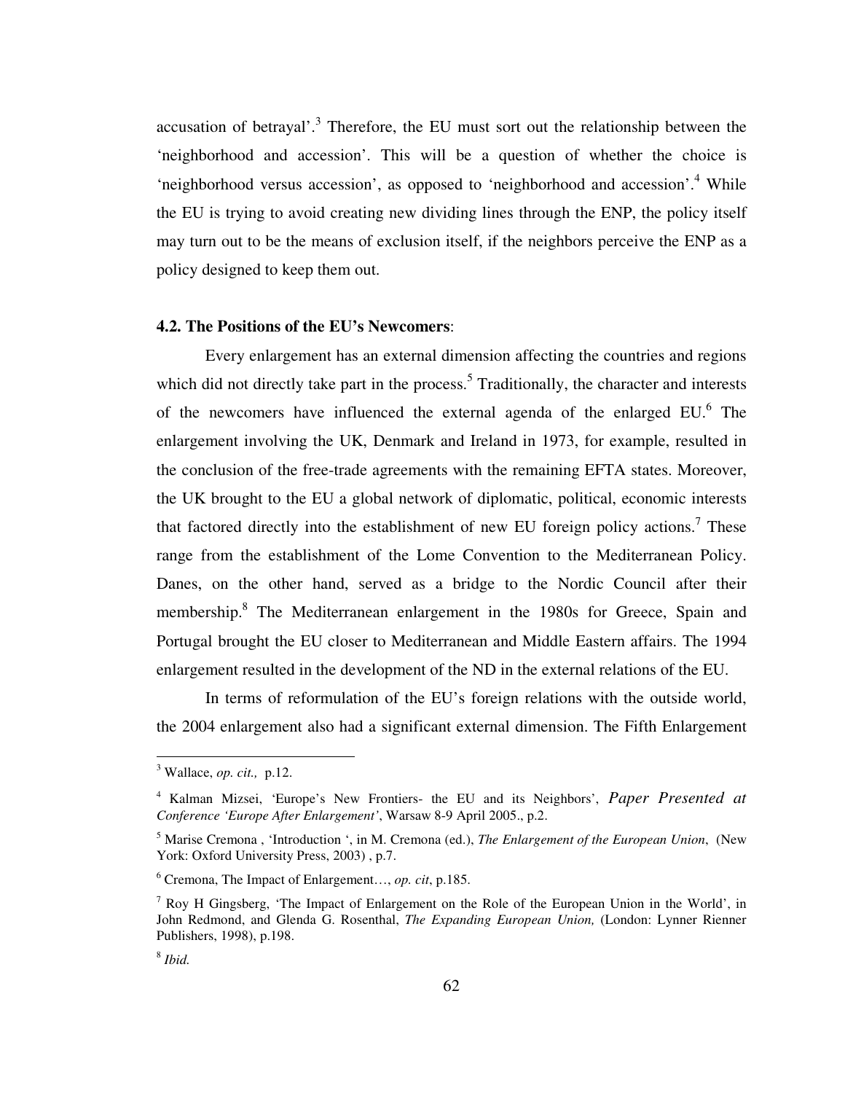accusation of betrayal'.<sup>3</sup> Therefore, the EU must sort out the relationship between the 'neighborhood and accession'. This will be a question of whether the choice is 'neighborhood versus accession', as opposed to 'neighborhood and accession'.<sup>4</sup> While the EU is trying to avoid creating new dividing lines through the ENP, the policy itself may turn out to be the means of exclusion itself, if the neighbors perceive the ENP as a policy designed to keep them out.

# **4.2. The Positions of the EU's Newcomers**:

 Every enlargement has an external dimension affecting the countries and regions which did not directly take part in the process.<sup>5</sup> Traditionally, the character and interests of the newcomers have influenced the external agenda of the enlarged EU.<sup>6</sup> The enlargement involving the UK, Denmark and Ireland in 1973, for example, resulted in the conclusion of the free-trade agreements with the remaining EFTA states. Moreover, the UK brought to the EU a global network of diplomatic, political, economic interests that factored directly into the establishment of new EU foreign policy actions.<sup>7</sup> These range from the establishment of the Lome Convention to the Mediterranean Policy. Danes, on the other hand, served as a bridge to the Nordic Council after their membership.<sup>8</sup> The Mediterranean enlargement in the 1980s for Greece, Spain and Portugal brought the EU closer to Mediterranean and Middle Eastern affairs. The 1994 enlargement resulted in the development of the ND in the external relations of the EU.

 In terms of reformulation of the EU's foreign relations with the outside world, the 2004 enlargement also had a significant external dimension. The Fifth Enlargement

<sup>3</sup> Wallace, *op. cit.,* p.12.

<sup>4</sup> Kalman Mizsei, 'Europe's New Frontiers- the EU and its Neighbors', *Paper Presented at Conference 'Europe After Enlargement'*, Warsaw 8-9 April 2005., p.2.

<sup>5</sup> Marise Cremona , 'Introduction ', in M. Cremona (ed.), *The Enlargement of the European Union*, (New York: Oxford University Press, 2003) , p.7.

<sup>6</sup> Cremona, The Impact of Enlargement…, *op. cit*, p.185.

 $<sup>7</sup>$  Roy H Gingsberg, 'The Impact of Enlargement on the Role of the European Union in the World', in</sup> John Redmond, and Glenda G. Rosenthal, *The Expanding European Union,* (London: Lynner Rienner Publishers, 1998), p.198.

<sup>8</sup> *Ibid.*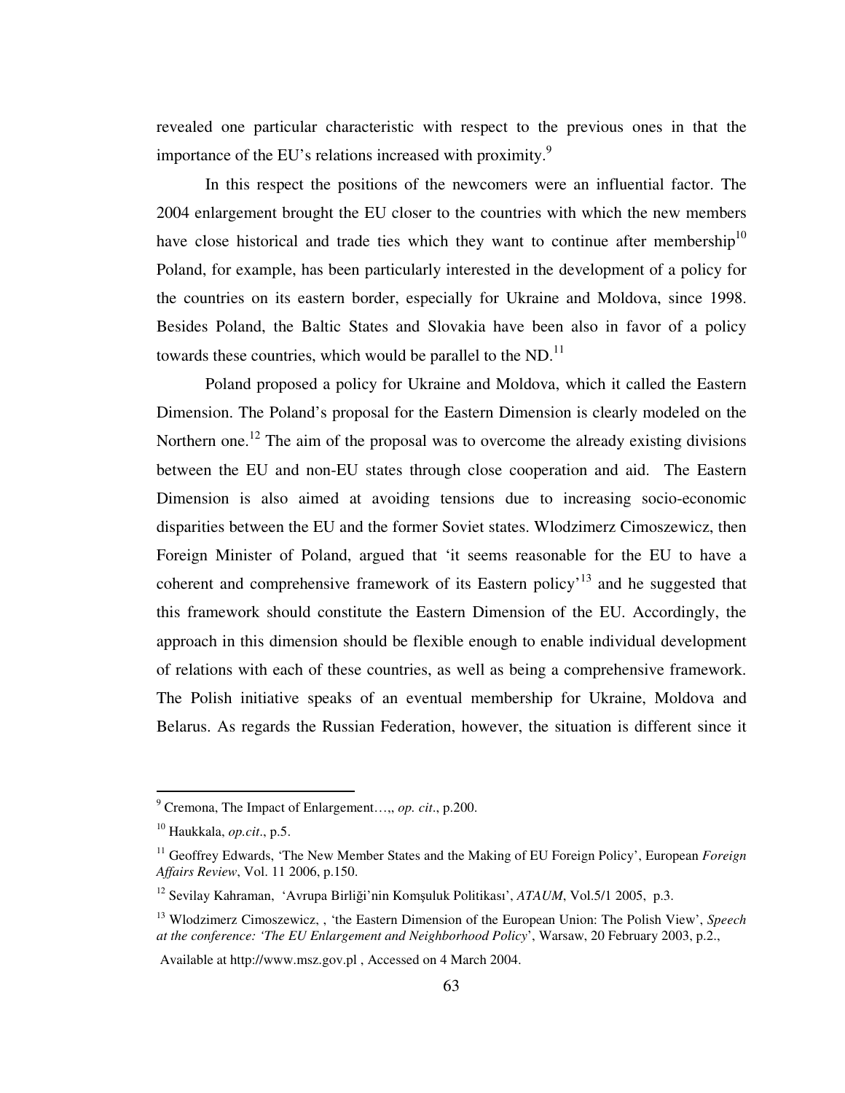revealed one particular characteristic with respect to the previous ones in that the importance of the EU's relations increased with proximity.<sup>9</sup>

 In this respect the positions of the newcomers were an influential factor. The 2004 enlargement brought the EU closer to the countries with which the new members have close historical and trade ties which they want to continue after membership $10$ Poland, for example, has been particularly interested in the development of a policy for the countries on its eastern border, especially for Ukraine and Moldova, since 1998. Besides Poland, the Baltic States and Slovakia have been also in favor of a policy towards these countries, which would be parallel to the ND. $^{11}$ 

 Poland proposed a policy for Ukraine and Moldova, which it called the Eastern Dimension. The Poland's proposal for the Eastern Dimension is clearly modeled on the Northern one.<sup>12</sup> The aim of the proposal was to overcome the already existing divisions between the EU and non-EU states through close cooperation and aid. The Eastern Dimension is also aimed at avoiding tensions due to increasing socio-economic disparities between the EU and the former Soviet states. Wlodzimerz Cimoszewicz, then Foreign Minister of Poland, argued that 'it seems reasonable for the EU to have a coherent and comprehensive framework of its Eastern policy'<sup>13</sup> and he suggested that this framework should constitute the Eastern Dimension of the EU. Accordingly, the approach in this dimension should be flexible enough to enable individual development of relations with each of these countries, as well as being a comprehensive framework. The Polish initiative speaks of an eventual membership for Ukraine, Moldova and Belarus. As regards the Russian Federation, however, the situation is different since it

 9 Cremona, The Impact of Enlargement…,, *op. cit*., p.200.

<sup>10</sup> Haukkala, *op.cit*., p.5.

<sup>11</sup> Geoffrey Edwards, 'The New Member States and the Making of EU Foreign Policy', European *Foreign Affairs Review*, Vol. 11 2006, p.150.

<sup>12</sup> Sevilay Kahraman, 'Avrupa Birliği'nin Komşuluk Politikası', *ATAUM*, Vol.5/1 2005, p.3.

<sup>13</sup> Wlodzimerz Cimoszewicz, , 'the Eastern Dimension of the European Union: The Polish View', *Speech at the conference: 'The EU Enlargement and Neighborhood Policy*', Warsaw, 20 February 2003, p.2.,

Available at http://www.msz.gov.pl , Accessed on 4 March 2004.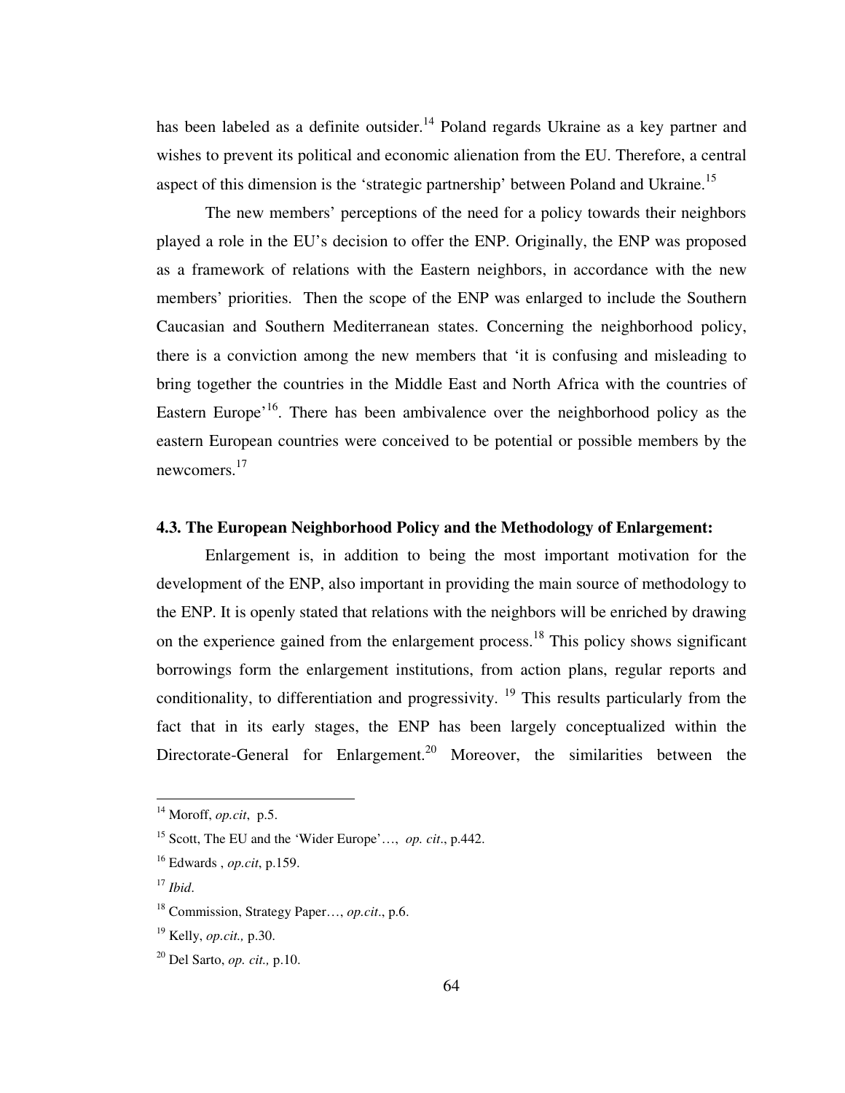has been labeled as a definite outsider.<sup>14</sup> Poland regards Ukraine as a key partner and wishes to prevent its political and economic alienation from the EU. Therefore, a central aspect of this dimension is the 'strategic partnership' between Poland and Ukraine.<sup>15</sup>

 The new members' perceptions of the need for a policy towards their neighbors played a role in the EU's decision to offer the ENP. Originally, the ENP was proposed as a framework of relations with the Eastern neighbors, in accordance with the new members' priorities. Then the scope of the ENP was enlarged to include the Southern Caucasian and Southern Mediterranean states. Concerning the neighborhood policy, there is a conviction among the new members that 'it is confusing and misleading to bring together the countries in the Middle East and North Africa with the countries of Eastern Europe<sup>'16</sup>. There has been ambivalence over the neighborhood policy as the eastern European countries were conceived to be potential or possible members by the newcomers.<sup>17</sup>

# **4.3. The European Neighborhood Policy and the Methodology of Enlargement:**

 Enlargement is, in addition to being the most important motivation for the development of the ENP, also important in providing the main source of methodology to the ENP. It is openly stated that relations with the neighbors will be enriched by drawing on the experience gained from the enlargement process.<sup>18</sup> This policy shows significant borrowings form the enlargement institutions, from action plans, regular reports and conditionality, to differentiation and progressivity.  $19$  This results particularly from the fact that in its early stages, the ENP has been largely conceptualized within the Directorate-General for Enlargement.<sup>20</sup> Moreover, the similarities between the

<sup>14</sup> Moroff, *op.cit*, p.5.

<sup>15</sup> Scott, The EU and the 'Wider Europe'…, *op. cit*., p.442.

<sup>16</sup> Edwards , *op.cit*, p.159.

<sup>17</sup> *Ibid*.

<sup>18</sup> Commission, Strategy Paper…, *op.cit*., p.6.

<sup>19</sup> Kelly, *op.cit.,* p.30.

<sup>20</sup> Del Sarto, *op. cit.,* p.10.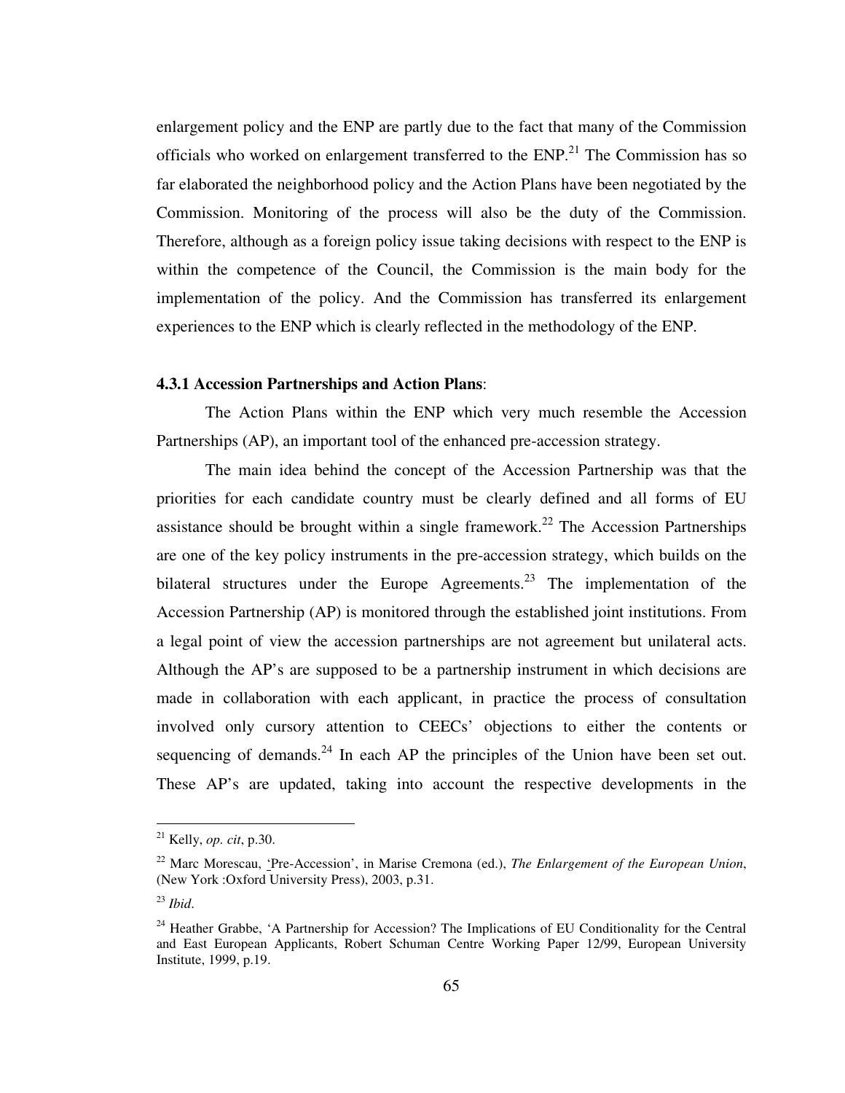enlargement policy and the ENP are partly due to the fact that many of the Commission officials who worked on enlargement transferred to the  $ENP<sup>21</sup>$ . The Commission has so far elaborated the neighborhood policy and the Action Plans have been negotiated by the Commission. Monitoring of the process will also be the duty of the Commission. Therefore, although as a foreign policy issue taking decisions with respect to the ENP is within the competence of the Council, the Commission is the main body for the implementation of the policy. And the Commission has transferred its enlargement experiences to the ENP which is clearly reflected in the methodology of the ENP.

# **4.3.1 Accession Partnerships and Action Plans**:

 The Action Plans within the ENP which very much resemble the Accession Partnerships (AP), an important tool of the enhanced pre-accession strategy.

 The main idea behind the concept of the Accession Partnership was that the priorities for each candidate country must be clearly defined and all forms of EU assistance should be brought within a single framework.<sup>22</sup> The Accession Partnerships are one of the key policy instruments in the pre-accession strategy, which builds on the bilateral structures under the Europe Agreements.<sup>23</sup> The implementation of the Accession Partnership (AP) is monitored through the established joint institutions. From a legal point of view the accession partnerships are not agreement but unilateral acts. Although the AP's are supposed to be a partnership instrument in which decisions are made in collaboration with each applicant, in practice the process of consultation involved only cursory attention to CEECs' objections to either the contents or sequencing of demands.<sup>24</sup> In each AP the principles of the Union have been set out. These AP's are updated, taking into account the respective developments in the

<sup>21</sup> Kelly, *op. cit*, p.30.

<sup>22</sup> Marc Morescau, 'Pre-Accession', in Marise Cremona (ed.), *The Enlargement of the European Union*, (New York :Oxford University Press), 2003, p.31.

<sup>23</sup> *Ibid*.

<sup>&</sup>lt;sup>24</sup> Heather Grabbe, 'A Partnership for Accession? The Implications of EU Conditionality for the Central and East European Applicants, Robert Schuman Centre Working Paper 12/99, European University Institute, 1999, p.19.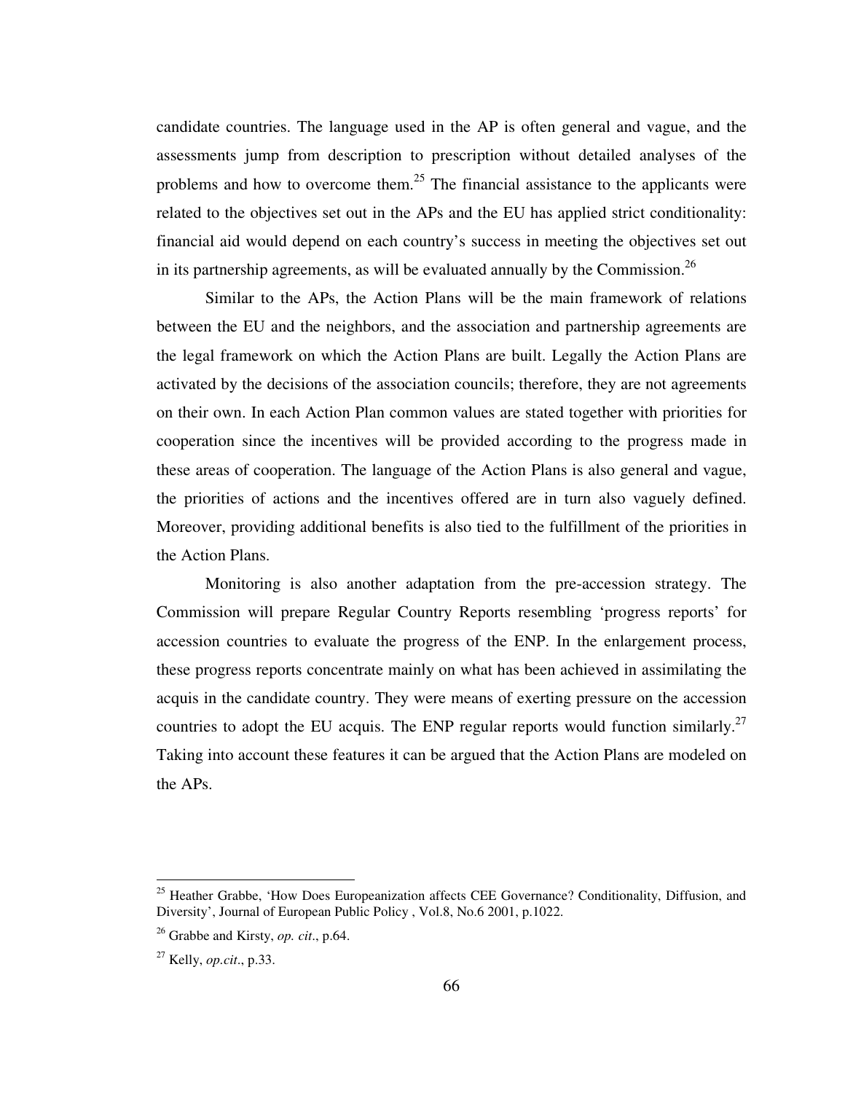candidate countries. The language used in the AP is often general and vague, and the assessments jump from description to prescription without detailed analyses of the problems and how to overcome them.<sup>25</sup> The financial assistance to the applicants were related to the objectives set out in the APs and the EU has applied strict conditionality: financial aid would depend on each country's success in meeting the objectives set out in its partnership agreements, as will be evaluated annually by the Commission.<sup>26</sup>

 Similar to the APs, the Action Plans will be the main framework of relations between the EU and the neighbors, and the association and partnership agreements are the legal framework on which the Action Plans are built. Legally the Action Plans are activated by the decisions of the association councils; therefore, they are not agreements on their own. In each Action Plan common values are stated together with priorities for cooperation since the incentives will be provided according to the progress made in these areas of cooperation. The language of the Action Plans is also general and vague, the priorities of actions and the incentives offered are in turn also vaguely defined. Moreover, providing additional benefits is also tied to the fulfillment of the priorities in the Action Plans.

 Monitoring is also another adaptation from the pre-accession strategy. The Commission will prepare Regular Country Reports resembling 'progress reports' for accession countries to evaluate the progress of the ENP. In the enlargement process, these progress reports concentrate mainly on what has been achieved in assimilating the acquis in the candidate country. They were means of exerting pressure on the accession countries to adopt the EU acquis. The ENP regular reports would function similarly.<sup>27</sup> Taking into account these features it can be argued that the Action Plans are modeled on the APs.

<sup>&</sup>lt;sup>25</sup> Heather Grabbe, 'How Does Europeanization affects CEE Governance? Conditionality, Diffusion, and Diversity', Journal of European Public Policy , Vol.8, No.6 2001, p.1022.

<sup>26</sup> Grabbe and Kirsty, *op. cit*., p.64.

<sup>27</sup> Kelly, *op.cit*., p.33.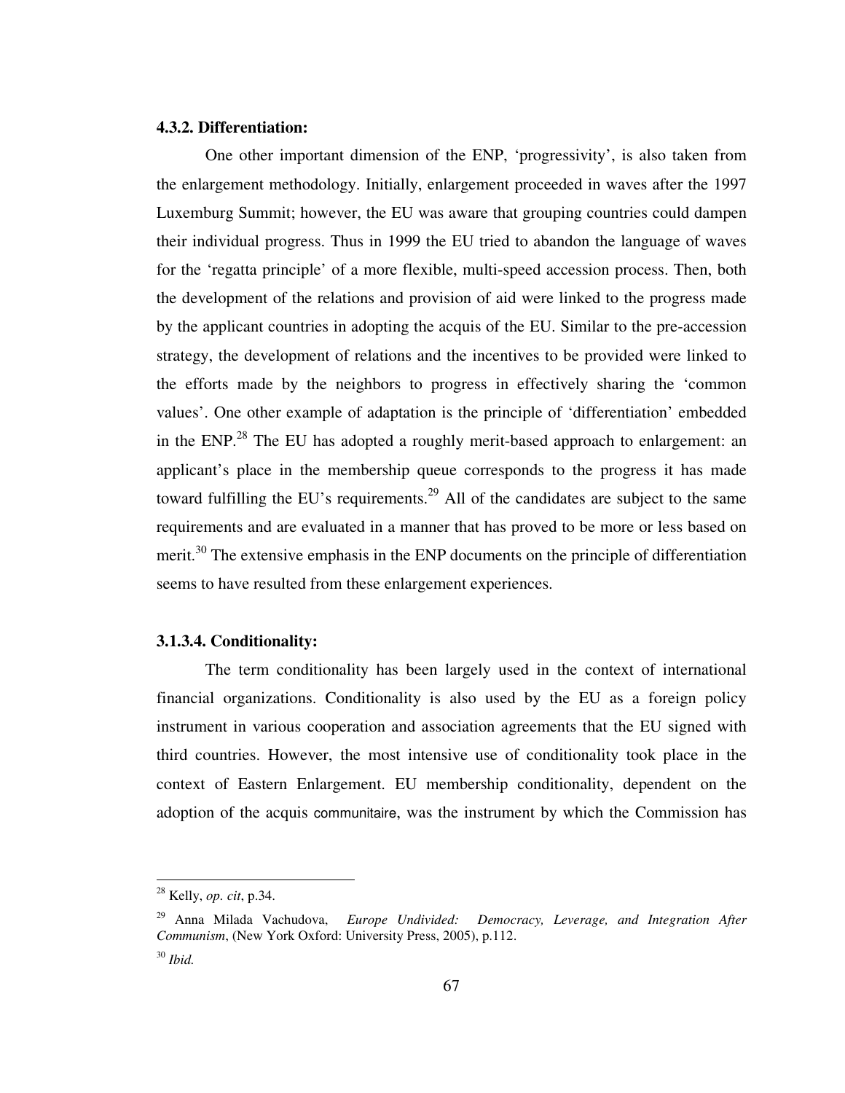# **4.3.2. Differentiation:**

One other important dimension of the ENP, 'progressivity', is also taken from the enlargement methodology. Initially, enlargement proceeded in waves after the 1997 Luxemburg Summit; however, the EU was aware that grouping countries could dampen their individual progress. Thus in 1999 the EU tried to abandon the language of waves for the 'regatta principle' of a more flexible, multi-speed accession process. Then, both the development of the relations and provision of aid were linked to the progress made by the applicant countries in adopting the acquis of the EU. Similar to the pre-accession strategy, the development of relations and the incentives to be provided were linked to the efforts made by the neighbors to progress in effectively sharing the 'common values'. One other example of adaptation is the principle of 'differentiation' embedded in the ENP.<sup>28</sup> The EU has adopted a roughly merit-based approach to enlargement: an applicant's place in the membership queue corresponds to the progress it has made toward fulfilling the EU's requirements.<sup>29</sup> All of the candidates are subject to the same requirements and are evaluated in a manner that has proved to be more or less based on merit.<sup>30</sup> The extensive emphasis in the ENP documents on the principle of differentiation seems to have resulted from these enlargement experiences.

# **3.1.3.4. Conditionality:**

The term conditionality has been largely used in the context of international financial organizations. Conditionality is also used by the EU as a foreign policy instrument in various cooperation and association agreements that the EU signed with third countries. However, the most intensive use of conditionality took place in the context of Eastern Enlargement. EU membership conditionality, dependent on the adoption of the acquis communitaire, was the instrument by which the Commission has

 $\overline{a}$ 

67

<sup>28</sup> Kelly, *op. cit*, p.34.

<sup>29</sup> Anna Milada Vachudova, *Europe Undivided: Democracy, Leverage, and Integration After Communism*, (New York Oxford: University Press, 2005), p.112. <sup>30</sup> *Ibid.*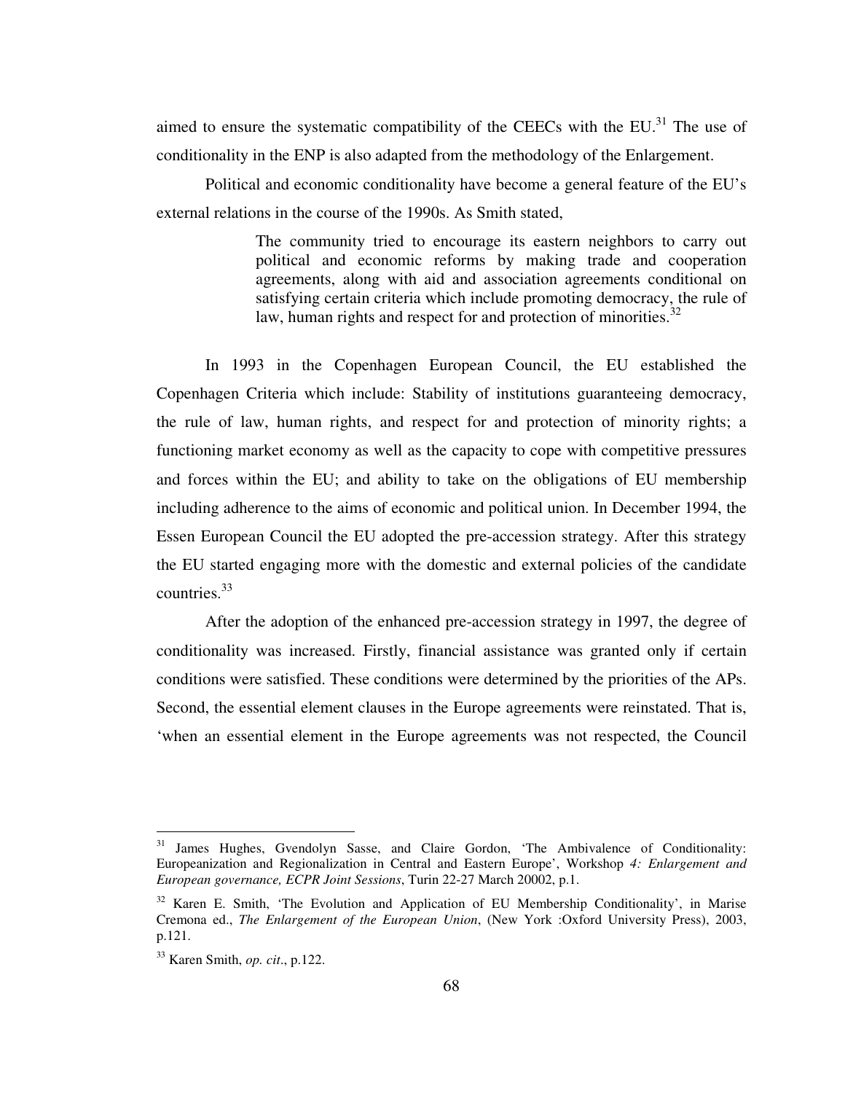aimed to ensure the systematic compatibility of the CEECs with the EU. $^{31}$  The use of conditionality in the ENP is also adapted from the methodology of the Enlargement.

 Political and economic conditionality have become a general feature of the EU's external relations in the course of the 1990s. As Smith stated,

> The community tried to encourage its eastern neighbors to carry out political and economic reforms by making trade and cooperation agreements, along with aid and association agreements conditional on satisfying certain criteria which include promoting democracy, the rule of law, human rights and respect for and protection of minorities. $32$

In 1993 in the Copenhagen European Council, the EU established the Copenhagen Criteria which include: Stability of institutions guaranteeing democracy, the rule of law, human rights, and respect for and protection of minority rights; a functioning market economy as well as the capacity to cope with competitive pressures and forces within the EU; and ability to take on the obligations of EU membership including adherence to the aims of economic and political union. In December 1994, the Essen European Council the EU adopted the pre-accession strategy. After this strategy the EU started engaging more with the domestic and external policies of the candidate countries.<sup>33</sup>

 After the adoption of the enhanced pre-accession strategy in 1997, the degree of conditionality was increased. Firstly, financial assistance was granted only if certain conditions were satisfied. These conditions were determined by the priorities of the APs. Second, the essential element clauses in the Europe agreements were reinstated. That is, 'when an essential element in the Europe agreements was not respected, the Council

<sup>&</sup>lt;sup>31</sup> James Hughes, Gvendolyn Sasse, and Claire Gordon, 'The Ambivalence of Conditionality: Europeanization and Regionalization in Central and Eastern Europe', Workshop *4: Enlargement and European governance, ECPR Joint Sessions*, Turin 22-27 March 20002, p.1.

<sup>&</sup>lt;sup>32</sup> Karen E. Smith, 'The Evolution and Application of EU Membership Conditionality', in Marise Cremona ed., *The Enlargement of the European Union*, (New York :Oxford University Press), 2003, p.121.

<sup>33</sup> Karen Smith, *op. cit*., p.122.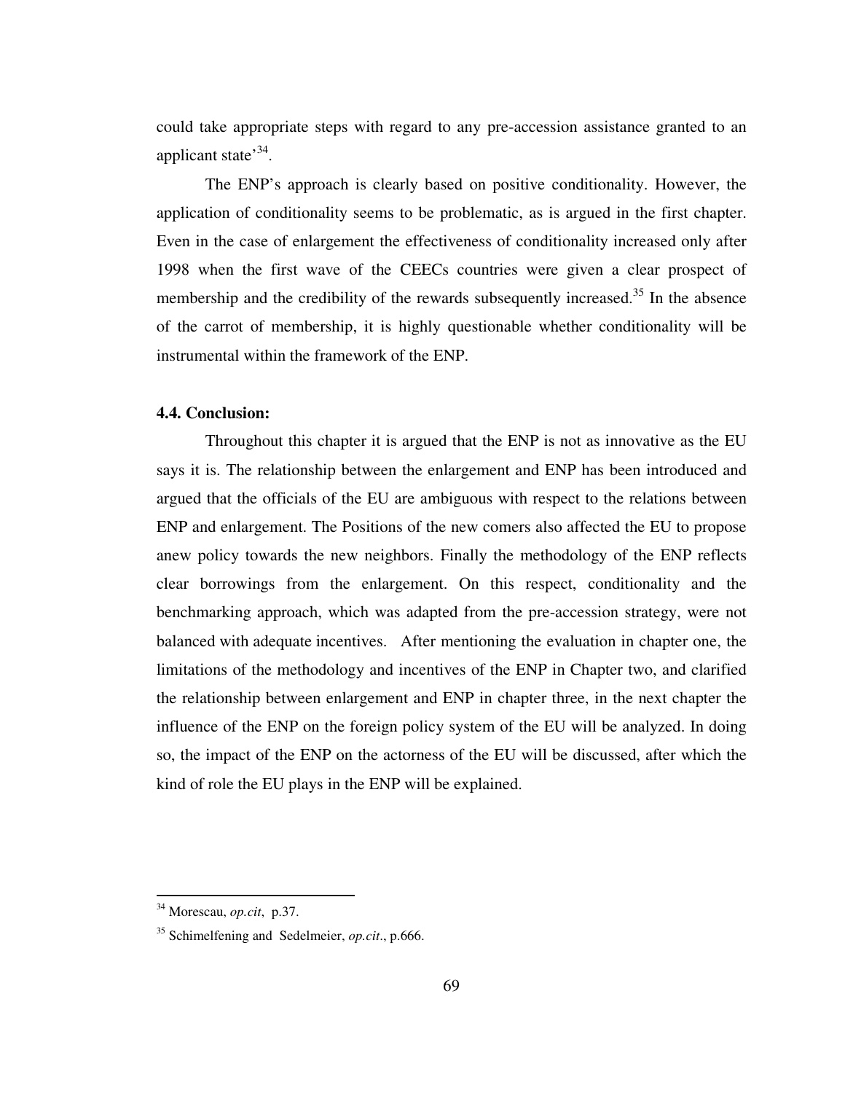could take appropriate steps with regard to any pre-accession assistance granted to an applicant state<sup>34</sup>.

The ENP's approach is clearly based on positive conditionality. However, the application of conditionality seems to be problematic, as is argued in the first chapter. Even in the case of enlargement the effectiveness of conditionality increased only after 1998 when the first wave of the CEECs countries were given a clear prospect of membership and the credibility of the rewards subsequently increased.<sup>35</sup> In the absence of the carrot of membership, it is highly questionable whether conditionality will be instrumental within the framework of the ENP.

# **4.4. Conclusion:**

Throughout this chapter it is argued that the ENP is not as innovative as the EU says it is. The relationship between the enlargement and ENP has been introduced and argued that the officials of the EU are ambiguous with respect to the relations between ENP and enlargement. The Positions of the new comers also affected the EU to propose anew policy towards the new neighbors. Finally the methodology of the ENP reflects clear borrowings from the enlargement. On this respect, conditionality and the benchmarking approach, which was adapted from the pre-accession strategy, were not balanced with adequate incentives. After mentioning the evaluation in chapter one, the limitations of the methodology and incentives of the ENP in Chapter two, and clarified the relationship between enlargement and ENP in chapter three, in the next chapter the influence of the ENP on the foreign policy system of the EU will be analyzed. In doing so, the impact of the ENP on the actorness of the EU will be discussed, after which the kind of role the EU plays in the ENP will be explained.

<sup>34</sup> Morescau, *op.cit*, p.37.

<sup>35</sup> Schimelfening and Sedelmeier, *op.cit*., p.666.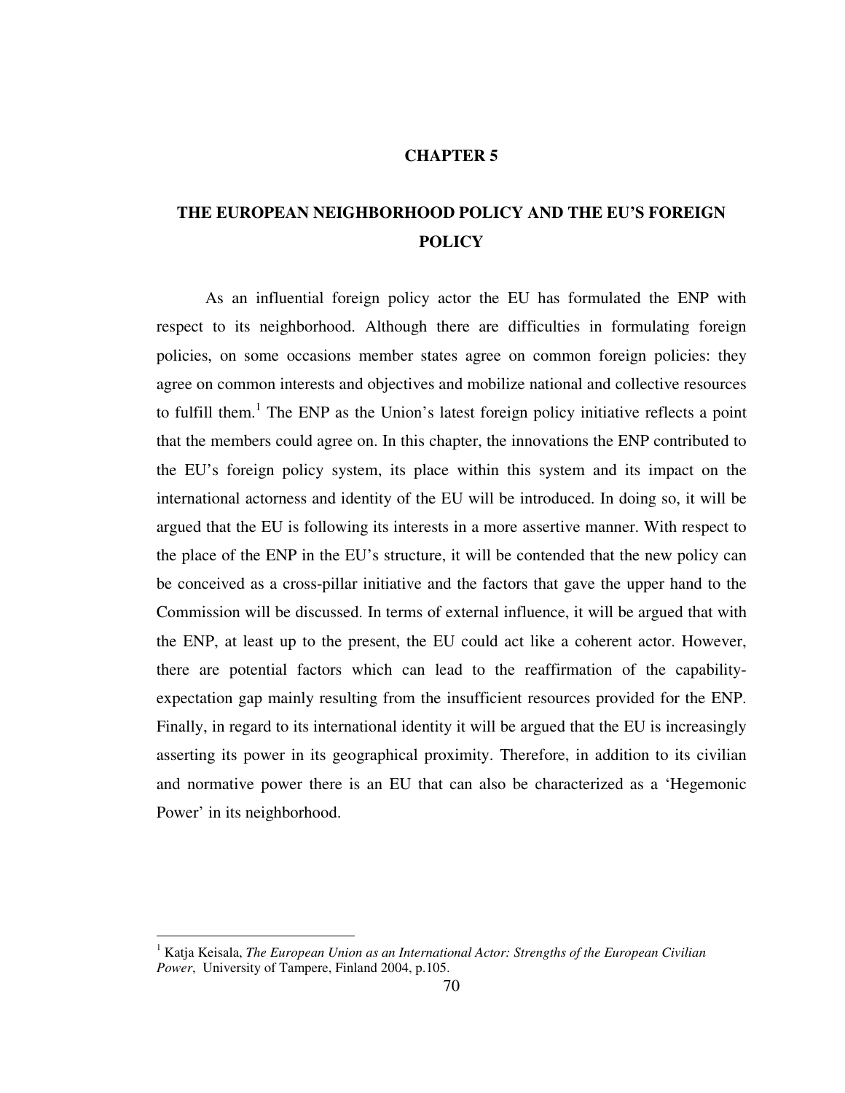## **CHAPTER 5**

# **THE EUROPEAN NEIGHBORHOOD POLICY AND THE EU'S FOREIGN POLICY**

 As an influential foreign policy actor the EU has formulated the ENP with respect to its neighborhood. Although there are difficulties in formulating foreign policies, on some occasions member states agree on common foreign policies: they agree on common interests and objectives and mobilize national and collective resources to fulfill them.<sup>1</sup> The ENP as the Union's latest foreign policy initiative reflects a point that the members could agree on. In this chapter, the innovations the ENP contributed to the EU's foreign policy system, its place within this system and its impact on the international actorness and identity of the EU will be introduced. In doing so, it will be argued that the EU is following its interests in a more assertive manner. With respect to the place of the ENP in the EU's structure, it will be contended that the new policy can be conceived as a cross-pillar initiative and the factors that gave the upper hand to the Commission will be discussed. In terms of external influence, it will be argued that with the ENP, at least up to the present, the EU could act like a coherent actor. However, there are potential factors which can lead to the reaffirmation of the capabilityexpectation gap mainly resulting from the insufficient resources provided for the ENP. Finally, in regard to its international identity it will be argued that the EU is increasingly asserting its power in its geographical proximity. Therefore, in addition to its civilian and normative power there is an EU that can also be characterized as a 'Hegemonic Power' in its neighborhood.

<sup>&</sup>lt;sup>1</sup> Katja Keisala, *The European Union as an International Actor: Strengths of the European Civilian Power*, University of Tampere, Finland 2004, p.105.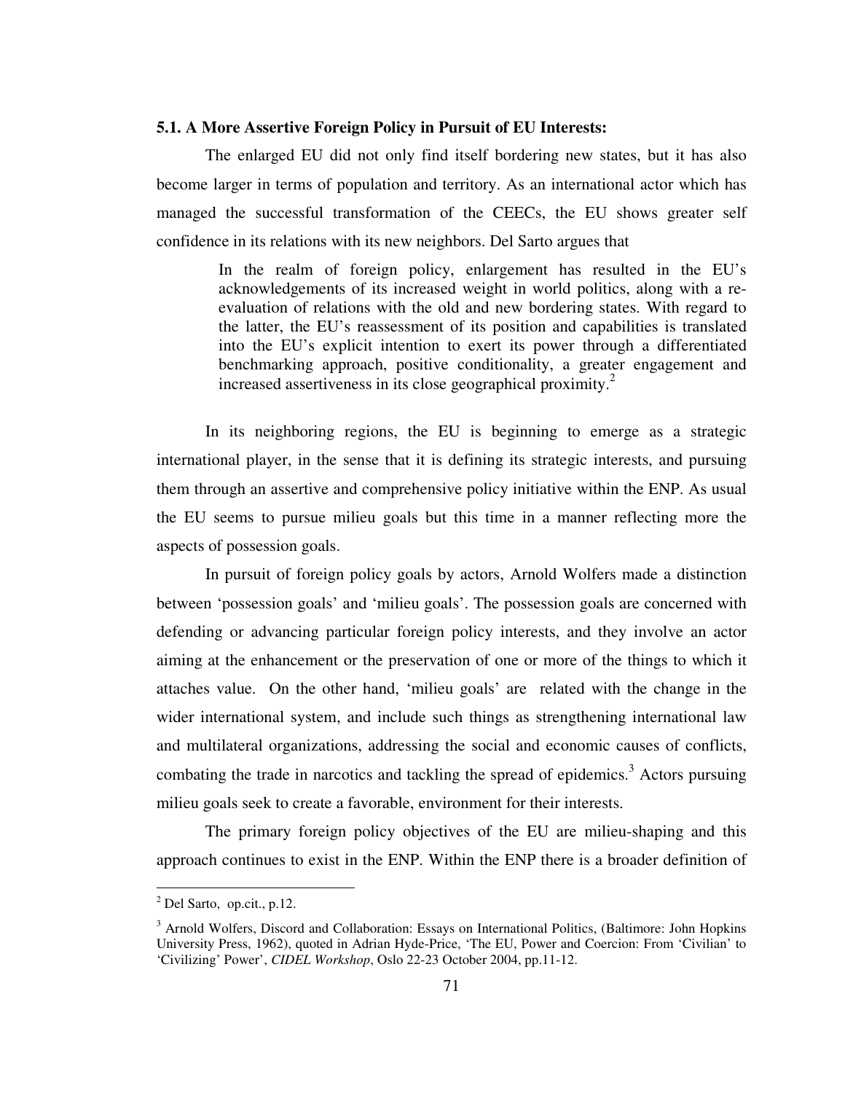## **5.1. A More Assertive Foreign Policy in Pursuit of EU Interests:**

 The enlarged EU did not only find itself bordering new states, but it has also become larger in terms of population and territory. As an international actor which has managed the successful transformation of the CEECs, the EU shows greater self confidence in its relations with its new neighbors. Del Sarto argues that

> In the realm of foreign policy, enlargement has resulted in the EU's acknowledgements of its increased weight in world politics, along with a reevaluation of relations with the old and new bordering states. With regard to the latter, the EU's reassessment of its position and capabilities is translated into the EU's explicit intention to exert its power through a differentiated benchmarking approach, positive conditionality, a greater engagement and increased assertiveness in its close geographical proximity.<sup>2</sup>

 In its neighboring regions, the EU is beginning to emerge as a strategic international player, in the sense that it is defining its strategic interests, and pursuing them through an assertive and comprehensive policy initiative within the ENP. As usual the EU seems to pursue milieu goals but this time in a manner reflecting more the aspects of possession goals.

 In pursuit of foreign policy goals by actors, Arnold Wolfers made a distinction between 'possession goals' and 'milieu goals'. The possession goals are concerned with defending or advancing particular foreign policy interests, and they involve an actor aiming at the enhancement or the preservation of one or more of the things to which it attaches value. On the other hand, 'milieu goals' are related with the change in the wider international system, and include such things as strengthening international law and multilateral organizations, addressing the social and economic causes of conflicts, combating the trade in narcotics and tackling the spread of epidemics.<sup>3</sup> Actors pursuing milieu goals seek to create a favorable, environment for their interests.

 The primary foreign policy objectives of the EU are milieu-shaping and this approach continues to exist in the ENP. Within the ENP there is a broader definition of

 $<sup>2</sup>$  Del Sarto, op.cit., p.12.</sup>

<sup>&</sup>lt;sup>3</sup> Arnold Wolfers, Discord and Collaboration: Essays on International Politics, (Baltimore: John Hopkins University Press, 1962), quoted in Adrian Hyde-Price, 'The EU, Power and Coercion: From 'Civilian' to 'Civilizing' Power', *CIDEL Workshop*, Oslo 22-23 October 2004, pp.11-12.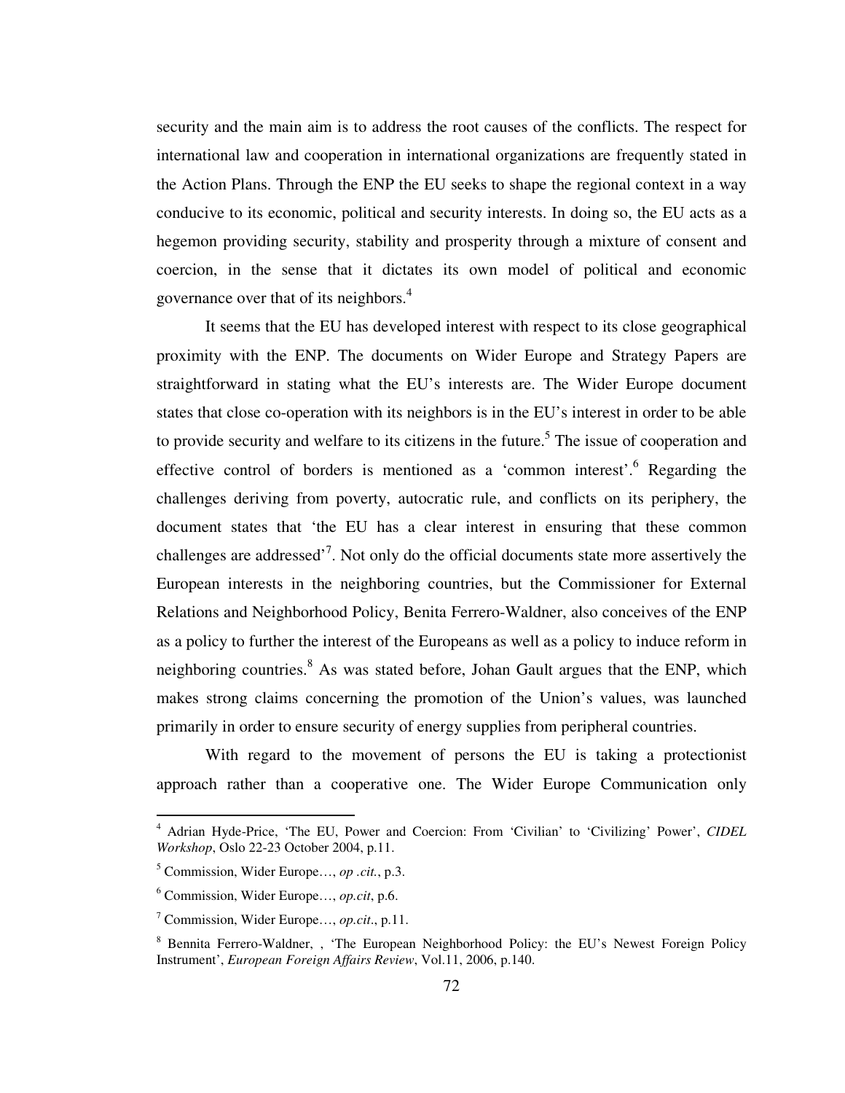security and the main aim is to address the root causes of the conflicts. The respect for international law and cooperation in international organizations are frequently stated in the Action Plans. Through the ENP the EU seeks to shape the regional context in a way conducive to its economic, political and security interests. In doing so, the EU acts as a hegemon providing security, stability and prosperity through a mixture of consent and coercion, in the sense that it dictates its own model of political and economic governance over that of its neighbors.<sup>4</sup>

 It seems that the EU has developed interest with respect to its close geographical proximity with the ENP. The documents on Wider Europe and Strategy Papers are straightforward in stating what the EU's interests are. The Wider Europe document states that close co-operation with its neighbors is in the EU's interest in order to be able to provide security and welfare to its citizens in the future.<sup>5</sup> The issue of cooperation and effective control of borders is mentioned as a 'common interest'.<sup>6</sup> Regarding the challenges deriving from poverty, autocratic rule, and conflicts on its periphery, the document states that 'the EU has a clear interest in ensuring that these common challenges are addressed<sup> $,7$ </sup>. Not only do the official documents state more assertively the European interests in the neighboring countries, but the Commissioner for External Relations and Neighborhood Policy, Benita Ferrero-Waldner, also conceives of the ENP as a policy to further the interest of the Europeans as well as a policy to induce reform in neighboring countries.<sup>8</sup> As was stated before, Johan Gault argues that the ENP, which makes strong claims concerning the promotion of the Union's values, was launched primarily in order to ensure security of energy supplies from peripheral countries.

 With regard to the movement of persons the EU is taking a protectionist approach rather than a cooperative one. The Wider Europe Communication only

 4 Adrian Hyde-Price, 'The EU, Power and Coercion: From 'Civilian' to 'Civilizing' Power', *CIDEL Workshop*, Oslo 22-23 October 2004, p.11.

<sup>5</sup> Commission, Wider Europe…, *op .cit.*, p.3.

<sup>6</sup> Commission, Wider Europe…, *op.cit*, p.6.

<sup>7</sup> Commission, Wider Europe…, *op.cit*., p.11.

<sup>&</sup>lt;sup>8</sup> Bennita Ferrero-Waldner, , 'The European Neighborhood Policy: the EU's Newest Foreign Policy Instrument', *European Foreign Affairs Review*, Vol.11, 2006, p.140.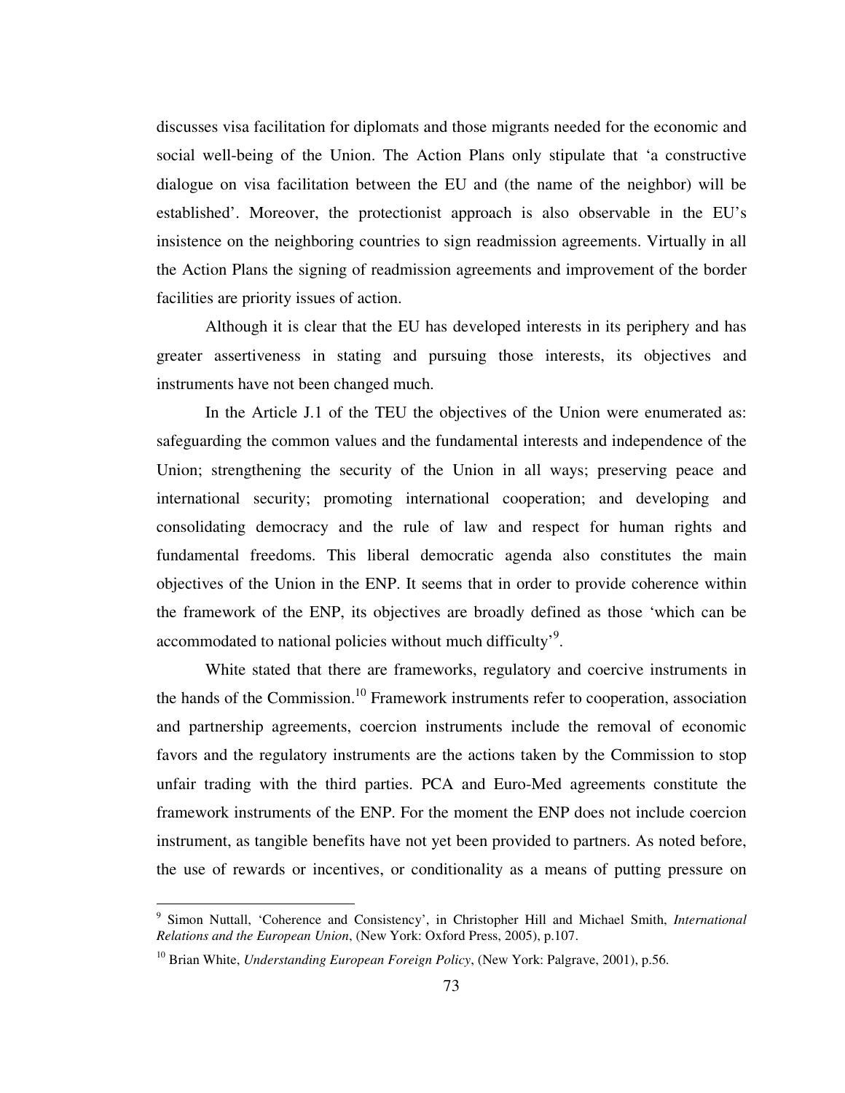discusses visa facilitation for diplomats and those migrants needed for the economic and social well-being of the Union. The Action Plans only stipulate that 'a constructive dialogue on visa facilitation between the EU and (the name of the neighbor) will be established'. Moreover, the protectionist approach is also observable in the EU's insistence on the neighboring countries to sign readmission agreements. Virtually in all the Action Plans the signing of readmission agreements and improvement of the border facilities are priority issues of action.

 Although it is clear that the EU has developed interests in its periphery and has greater assertiveness in stating and pursuing those interests, its objectives and instruments have not been changed much.

 In the Article J.1 of the TEU the objectives of the Union were enumerated as: safeguarding the common values and the fundamental interests and independence of the Union; strengthening the security of the Union in all ways; preserving peace and international security; promoting international cooperation; and developing and consolidating democracy and the rule of law and respect for human rights and fundamental freedoms. This liberal democratic agenda also constitutes the main objectives of the Union in the ENP. It seems that in order to provide coherence within the framework of the ENP, its objectives are broadly defined as those 'which can be accommodated to national policies without much difficulty<sup>'9</sup>.

 White stated that there are frameworks, regulatory and coercive instruments in the hands of the Commission.<sup>10</sup> Framework instruments refer to cooperation, association and partnership agreements, coercion instruments include the removal of economic favors and the regulatory instruments are the actions taken by the Commission to stop unfair trading with the third parties. PCA and Euro-Med agreements constitute the framework instruments of the ENP. For the moment the ENP does not include coercion instrument, as tangible benefits have not yet been provided to partners. As noted before, the use of rewards or incentives, or conditionality as a means of putting pressure on

<sup>9</sup> Simon Nuttall, 'Coherence and Consistency', in Christopher Hill and Michael Smith, *International Relations and the European Union*, (New York: Oxford Press, 2005), p.107.

<sup>&</sup>lt;sup>10</sup> Brian White, *Understanding European Foreign Policy*, (New York: Palgrave, 2001), p.56.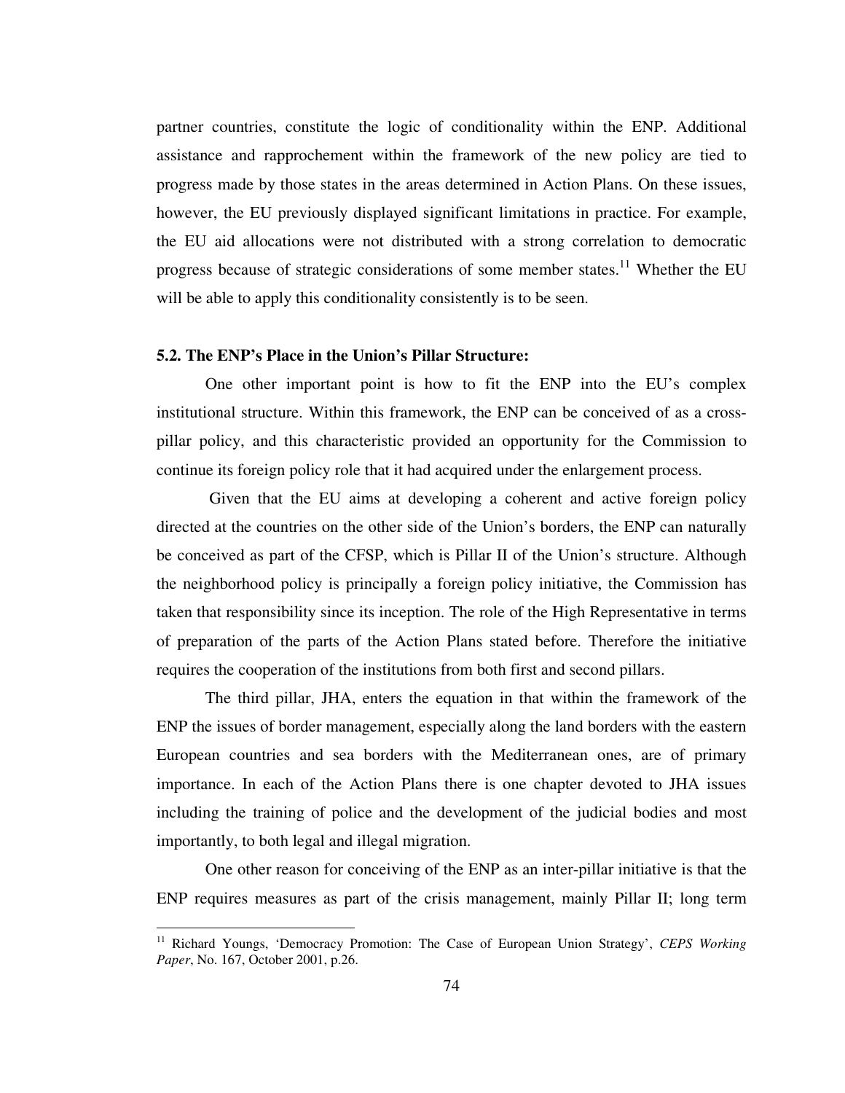partner countries, constitute the logic of conditionality within the ENP. Additional assistance and rapprochement within the framework of the new policy are tied to progress made by those states in the areas determined in Action Plans. On these issues, however, the EU previously displayed significant limitations in practice. For example, the EU aid allocations were not distributed with a strong correlation to democratic progress because of strategic considerations of some member states.<sup>11</sup> Whether the EU will be able to apply this conditionality consistently is to be seen.

# **5.2. The ENP's Place in the Union's Pillar Structure:**

 $\overline{a}$ 

One other important point is how to fit the ENP into the EU's complex institutional structure. Within this framework, the ENP can be conceived of as a crosspillar policy, and this characteristic provided an opportunity for the Commission to continue its foreign policy role that it had acquired under the enlargement process.

 Given that the EU aims at developing a coherent and active foreign policy directed at the countries on the other side of the Union's borders, the ENP can naturally be conceived as part of the CFSP, which is Pillar II of the Union's structure. Although the neighborhood policy is principally a foreign policy initiative, the Commission has taken that responsibility since its inception. The role of the High Representative in terms of preparation of the parts of the Action Plans stated before. Therefore the initiative requires the cooperation of the institutions from both first and second pillars.

 The third pillar, JHA, enters the equation in that within the framework of the ENP the issues of border management, especially along the land borders with the eastern European countries and sea borders with the Mediterranean ones, are of primary importance. In each of the Action Plans there is one chapter devoted to JHA issues including the training of police and the development of the judicial bodies and most importantly, to both legal and illegal migration.

 One other reason for conceiving of the ENP as an inter-pillar initiative is that the ENP requires measures as part of the crisis management, mainly Pillar II; long term

<sup>&</sup>lt;sup>11</sup> Richard Youngs, 'Democracy Promotion: The Case of European Union Strategy', *CEPS Working Paper*, No. 167, October 2001, p.26.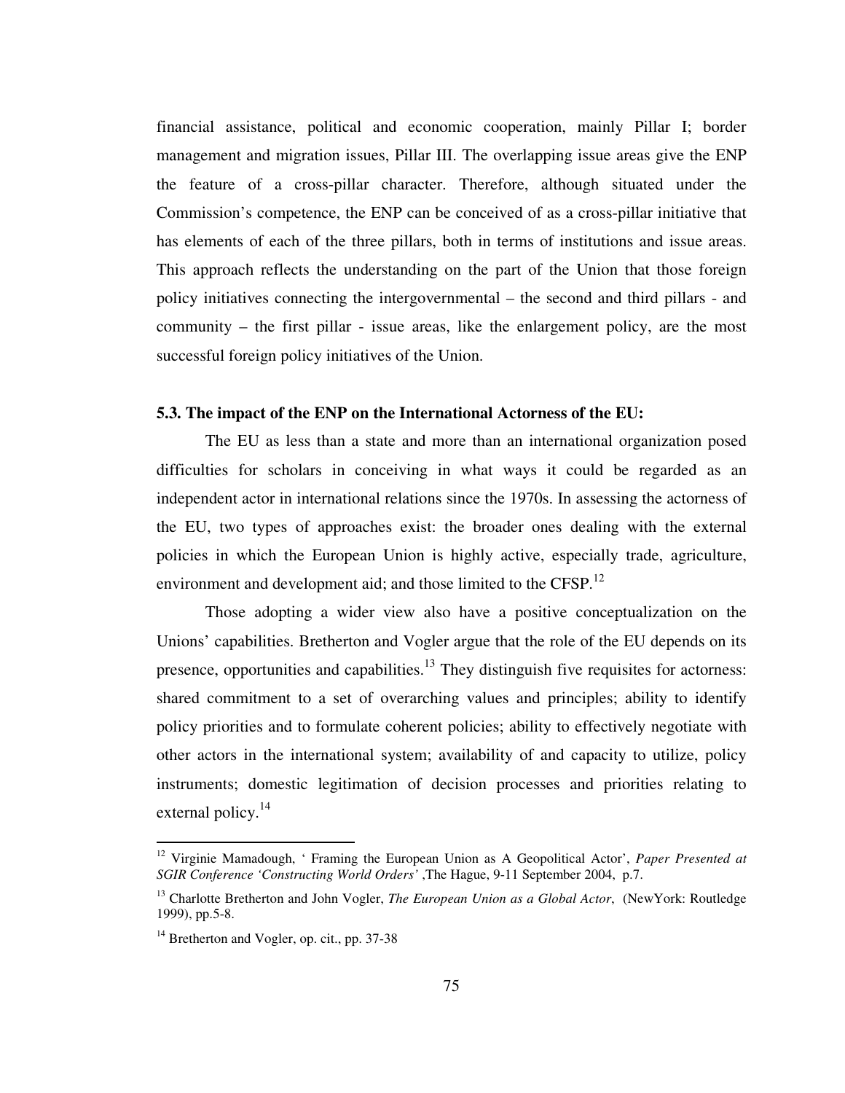financial assistance, political and economic cooperation, mainly Pillar I; border management and migration issues, Pillar III. The overlapping issue areas give the ENP the feature of a cross-pillar character. Therefore, although situated under the Commission's competence, the ENP can be conceived of as a cross-pillar initiative that has elements of each of the three pillars, both in terms of institutions and issue areas. This approach reflects the understanding on the part of the Union that those foreign policy initiatives connecting the intergovernmental – the second and third pillars - and community – the first pillar - issue areas, like the enlargement policy, are the most successful foreign policy initiatives of the Union.

# **5.3. The impact of the ENP on the International Actorness of the EU:**

The EU as less than a state and more than an international organization posed difficulties for scholars in conceiving in what ways it could be regarded as an independent actor in international relations since the 1970s. In assessing the actorness of the EU, two types of approaches exist: the broader ones dealing with the external policies in which the European Union is highly active, especially trade, agriculture, environment and development aid; and those limited to the CFSP.<sup>12</sup>

 Those adopting a wider view also have a positive conceptualization on the Unions' capabilities. Bretherton and Vogler argue that the role of the EU depends on its presence, opportunities and capabilities.<sup>13</sup> They distinguish five requisites for actorness: shared commitment to a set of overarching values and principles; ability to identify policy priorities and to formulate coherent policies; ability to effectively negotiate with other actors in the international system; availability of and capacity to utilize, policy instruments; domestic legitimation of decision processes and priorities relating to external policy. $^{14}$ 

<sup>12</sup> Virginie Mamadough, ' Framing the European Union as A Geopolitical Actor', *Paper Presented at SGIR Conference 'Constructing World Orders'* ,The Hague, 9-11 September 2004, p.7.

<sup>13</sup> Charlotte Bretherton and John Vogler, *The European Union as a Global Actor*, (NewYork: Routledge 1999), pp.5-8.

<sup>&</sup>lt;sup>14</sup> Bretherton and Vogler, op. cit., pp. 37-38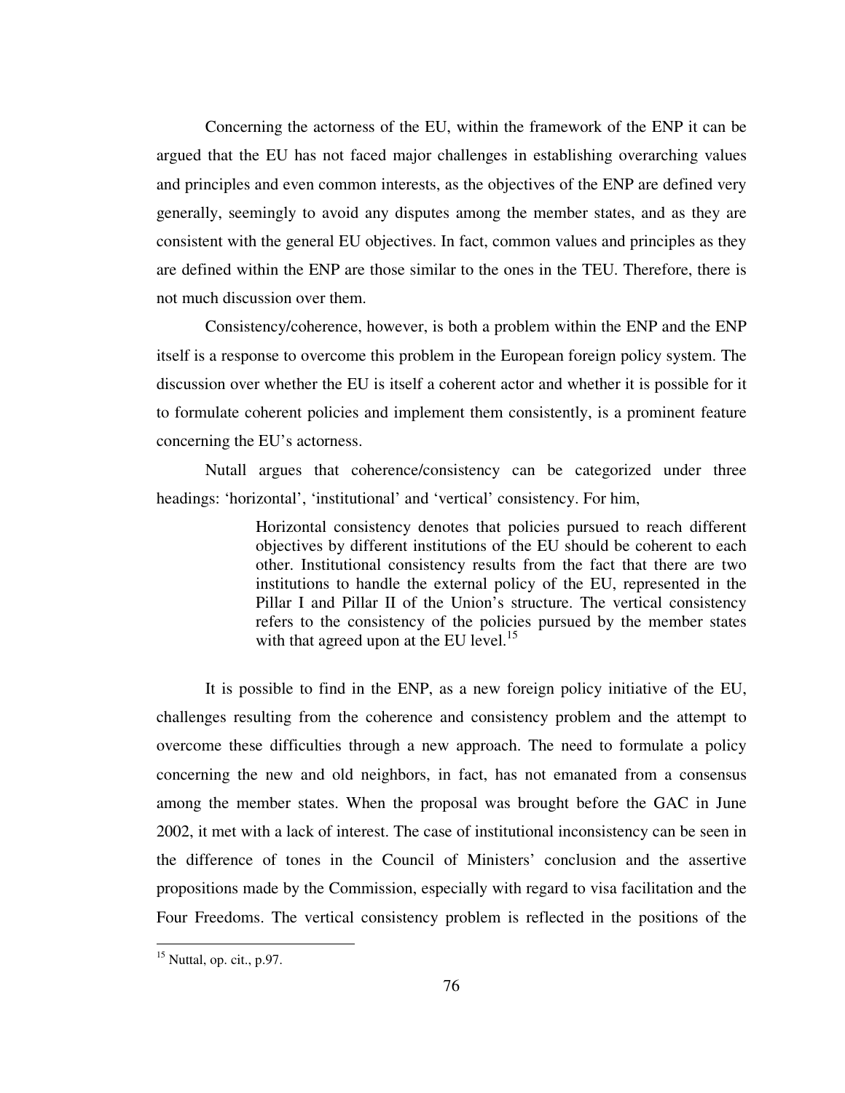Concerning the actorness of the EU, within the framework of the ENP it can be argued that the EU has not faced major challenges in establishing overarching values and principles and even common interests, as the objectives of the ENP are defined very generally, seemingly to avoid any disputes among the member states, and as they are consistent with the general EU objectives. In fact, common values and principles as they are defined within the ENP are those similar to the ones in the TEU. Therefore, there is not much discussion over them.

 Consistency/coherence, however, is both a problem within the ENP and the ENP itself is a response to overcome this problem in the European foreign policy system. The discussion over whether the EU is itself a coherent actor and whether it is possible for it to formulate coherent policies and implement them consistently, is a prominent feature concerning the EU's actorness.

 Nutall argues that coherence/consistency can be categorized under three headings: 'horizontal', 'institutional' and 'vertical' consistency. For him,

> Horizontal consistency denotes that policies pursued to reach different objectives by different institutions of the EU should be coherent to each other. Institutional consistency results from the fact that there are two institutions to handle the external policy of the EU, represented in the Pillar I and Pillar II of the Union's structure. The vertical consistency refers to the consistency of the policies pursued by the member states with that agreed upon at the EU level.<sup>15</sup>

 It is possible to find in the ENP, as a new foreign policy initiative of the EU, challenges resulting from the coherence and consistency problem and the attempt to overcome these difficulties through a new approach. The need to formulate a policy concerning the new and old neighbors, in fact, has not emanated from a consensus among the member states. When the proposal was brought before the GAC in June 2002, it met with a lack of interest. The case of institutional inconsistency can be seen in the difference of tones in the Council of Ministers' conclusion and the assertive propositions made by the Commission, especially with regard to visa facilitation and the Four Freedoms. The vertical consistency problem is reflected in the positions of the

 $15$  Nuttal, op. cit., p.97.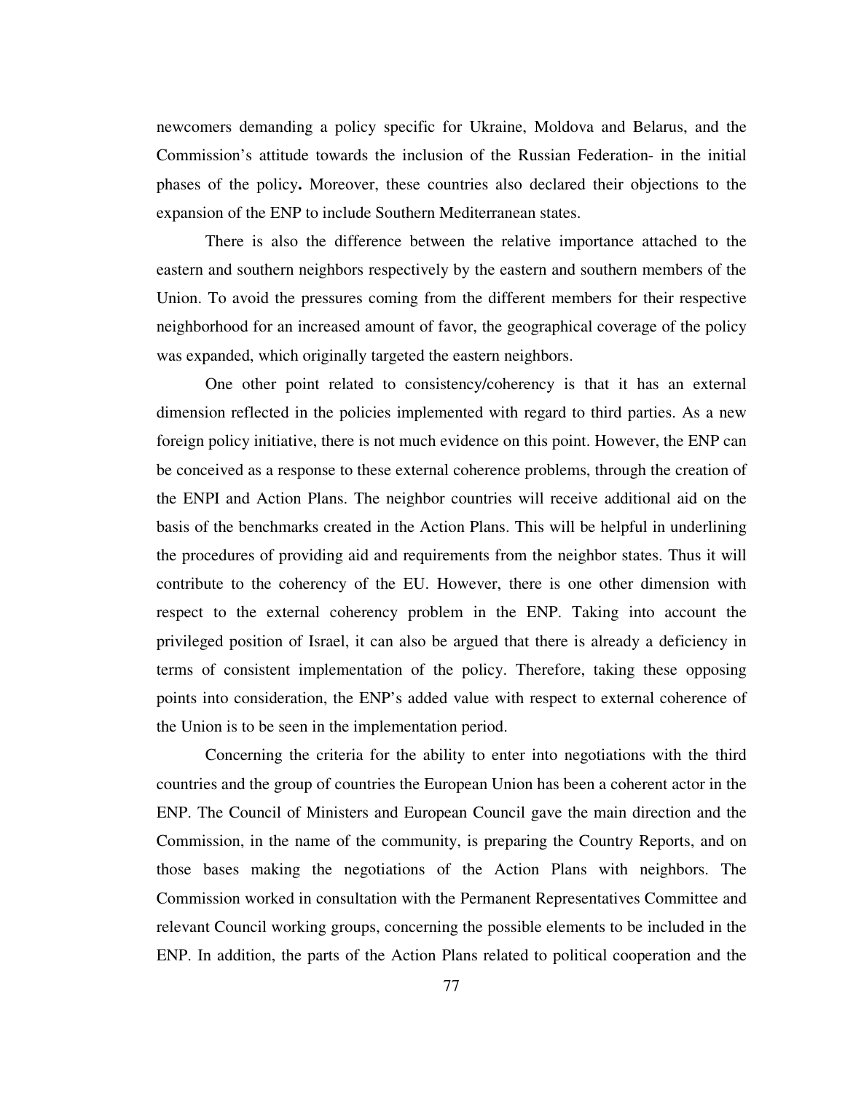newcomers demanding a policy specific for Ukraine, Moldova and Belarus, and the Commission's attitude towards the inclusion of the Russian Federation- in the initial phases of the policy**.** Moreover, these countries also declared their objections to the expansion of the ENP to include Southern Mediterranean states.

 There is also the difference between the relative importance attached to the eastern and southern neighbors respectively by the eastern and southern members of the Union. To avoid the pressures coming from the different members for their respective neighborhood for an increased amount of favor, the geographical coverage of the policy was expanded, which originally targeted the eastern neighbors.

 One other point related to consistency/coherency is that it has an external dimension reflected in the policies implemented with regard to third parties. As a new foreign policy initiative, there is not much evidence on this point. However, the ENP can be conceived as a response to these external coherence problems, through the creation of the ENPI and Action Plans. The neighbor countries will receive additional aid on the basis of the benchmarks created in the Action Plans. This will be helpful in underlining the procedures of providing aid and requirements from the neighbor states. Thus it will contribute to the coherency of the EU. However, there is one other dimension with respect to the external coherency problem in the ENP. Taking into account the privileged position of Israel, it can also be argued that there is already a deficiency in terms of consistent implementation of the policy. Therefore, taking these opposing points into consideration, the ENP's added value with respect to external coherence of the Union is to be seen in the implementation period.

 Concerning the criteria for the ability to enter into negotiations with the third countries and the group of countries the European Union has been a coherent actor in the ENP. The Council of Ministers and European Council gave the main direction and the Commission, in the name of the community, is preparing the Country Reports, and on those bases making the negotiations of the Action Plans with neighbors. The Commission worked in consultation with the Permanent Representatives Committee and relevant Council working groups, concerning the possible elements to be included in the ENP. In addition, the parts of the Action Plans related to political cooperation and the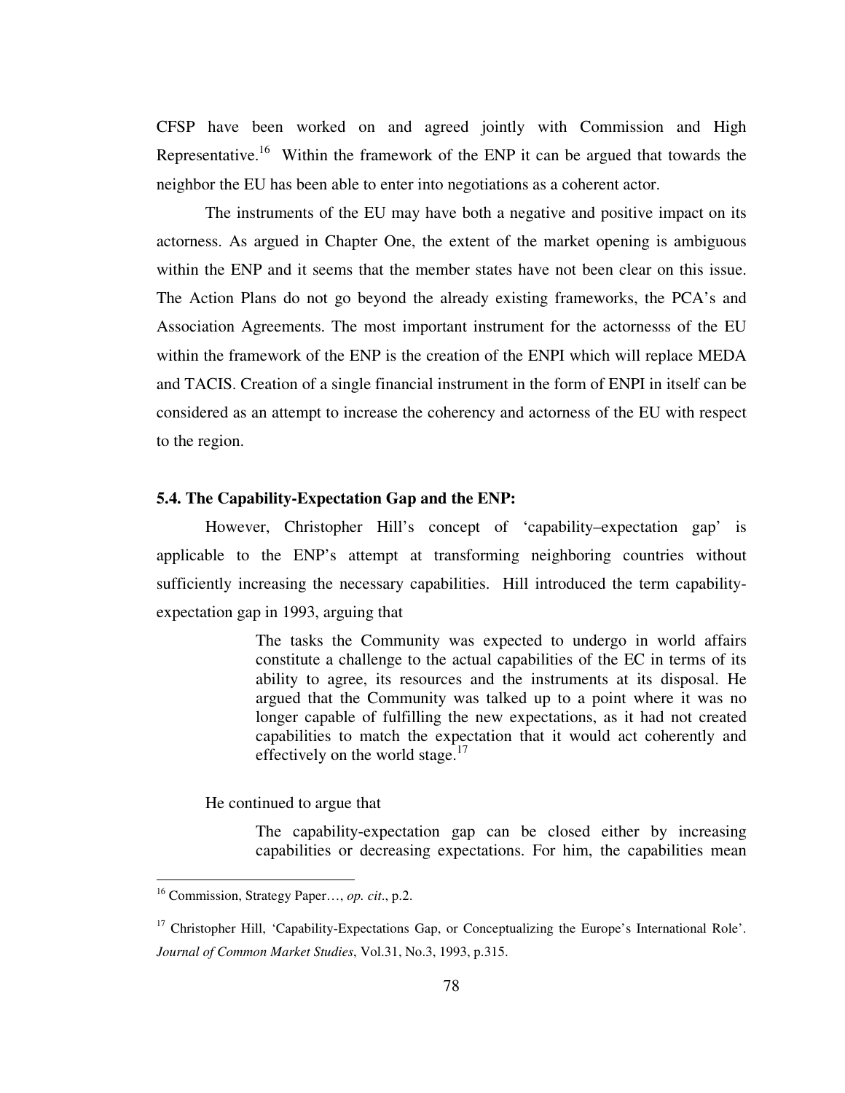CFSP have been worked on and agreed jointly with Commission and High Representative.<sup>16</sup> Within the framework of the ENP it can be argued that towards the neighbor the EU has been able to enter into negotiations as a coherent actor.

 The instruments of the EU may have both a negative and positive impact on its actorness. As argued in Chapter One, the extent of the market opening is ambiguous within the ENP and it seems that the member states have not been clear on this issue. The Action Plans do not go beyond the already existing frameworks, the PCA's and Association Agreements. The most important instrument for the actornesss of the EU within the framework of the ENP is the creation of the ENPI which will replace MEDA and TACIS. Creation of a single financial instrument in the form of ENPI in itself can be considered as an attempt to increase the coherency and actorness of the EU with respect to the region.

#### **5.4. The Capability-Expectation Gap and the ENP:**

 However, Christopher Hill's concept of 'capability–expectation gap' is applicable to the ENP's attempt at transforming neighboring countries without sufficiently increasing the necessary capabilities. Hill introduced the term capabilityexpectation gap in 1993, arguing that

> The tasks the Community was expected to undergo in world affairs constitute a challenge to the actual capabilities of the EC in terms of its ability to agree, its resources and the instruments at its disposal. He argued that the Community was talked up to a point where it was no longer capable of fulfilling the new expectations, as it had not created capabilities to match the expectation that it would act coherently and effectively on the world stage. $17$

He continued to argue that

The capability-expectation gap can be closed either by increasing capabilities or decreasing expectations. For him, the capabilities mean

<sup>16</sup> Commission, Strategy Paper…, *op. cit*., p.2.

<sup>&</sup>lt;sup>17</sup> Christopher Hill, 'Capability-Expectations Gap, or Conceptualizing the Europe's International Role'. *Journal of Common Market Studies*, Vol.31, No.3, 1993, p.315.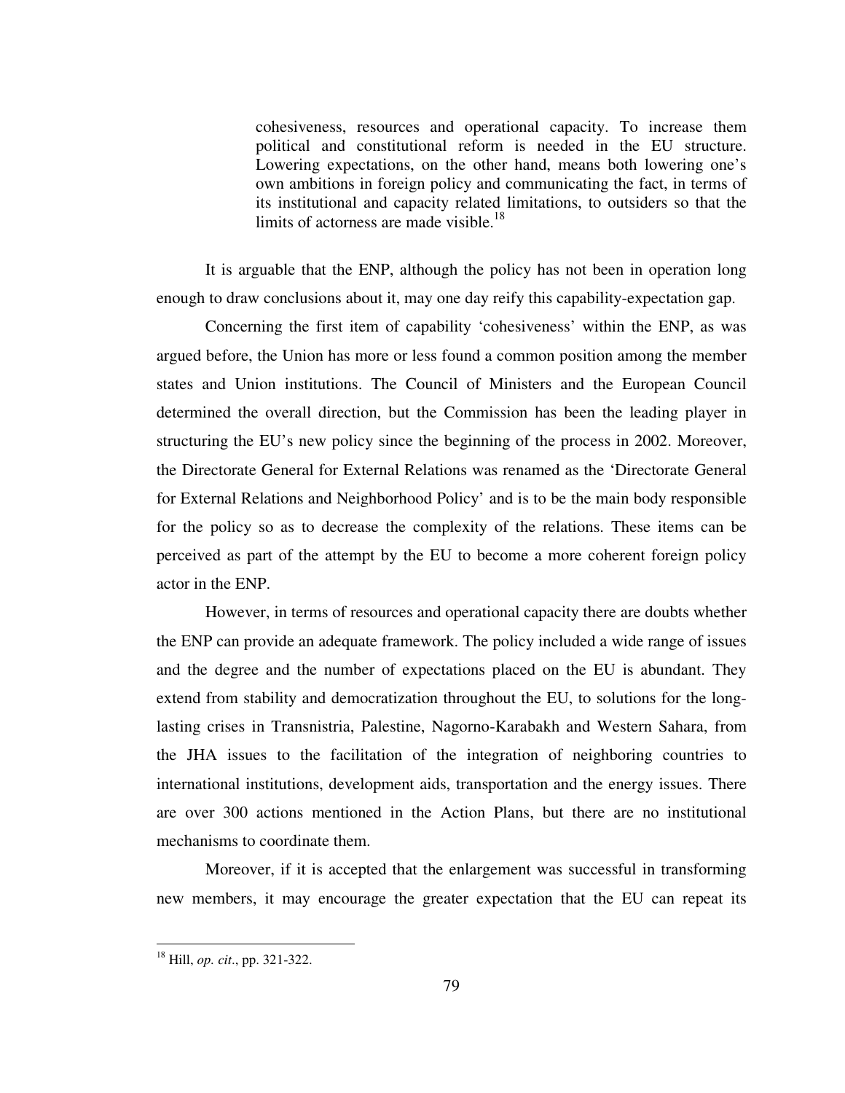cohesiveness, resources and operational capacity. To increase them political and constitutional reform is needed in the EU structure. Lowering expectations, on the other hand, means both lowering one's own ambitions in foreign policy and communicating the fact, in terms of its institutional and capacity related limitations, to outsiders so that the limits of actorness are made visible.<sup>18</sup>

It is arguable that the ENP, although the policy has not been in operation long enough to draw conclusions about it, may one day reify this capability-expectation gap.

 Concerning the first item of capability 'cohesiveness' within the ENP, as was argued before, the Union has more or less found a common position among the member states and Union institutions. The Council of Ministers and the European Council determined the overall direction, but the Commission has been the leading player in structuring the EU's new policy since the beginning of the process in 2002. Moreover, the Directorate General for External Relations was renamed as the 'Directorate General for External Relations and Neighborhood Policy' and is to be the main body responsible for the policy so as to decrease the complexity of the relations. These items can be perceived as part of the attempt by the EU to become a more coherent foreign policy actor in the ENP.

 However, in terms of resources and operational capacity there are doubts whether the ENP can provide an adequate framework. The policy included a wide range of issues and the degree and the number of expectations placed on the EU is abundant. They extend from stability and democratization throughout the EU, to solutions for the longlasting crises in Transnistria, Palestine, Nagorno-Karabakh and Western Sahara, from the JHA issues to the facilitation of the integration of neighboring countries to international institutions, development aids, transportation and the energy issues. There are over 300 actions mentioned in the Action Plans, but there are no institutional mechanisms to coordinate them.

 Moreover, if it is accepted that the enlargement was successful in transforming new members, it may encourage the greater expectation that the EU can repeat its

<sup>18</sup> Hill, *op. cit*., pp. 321-322.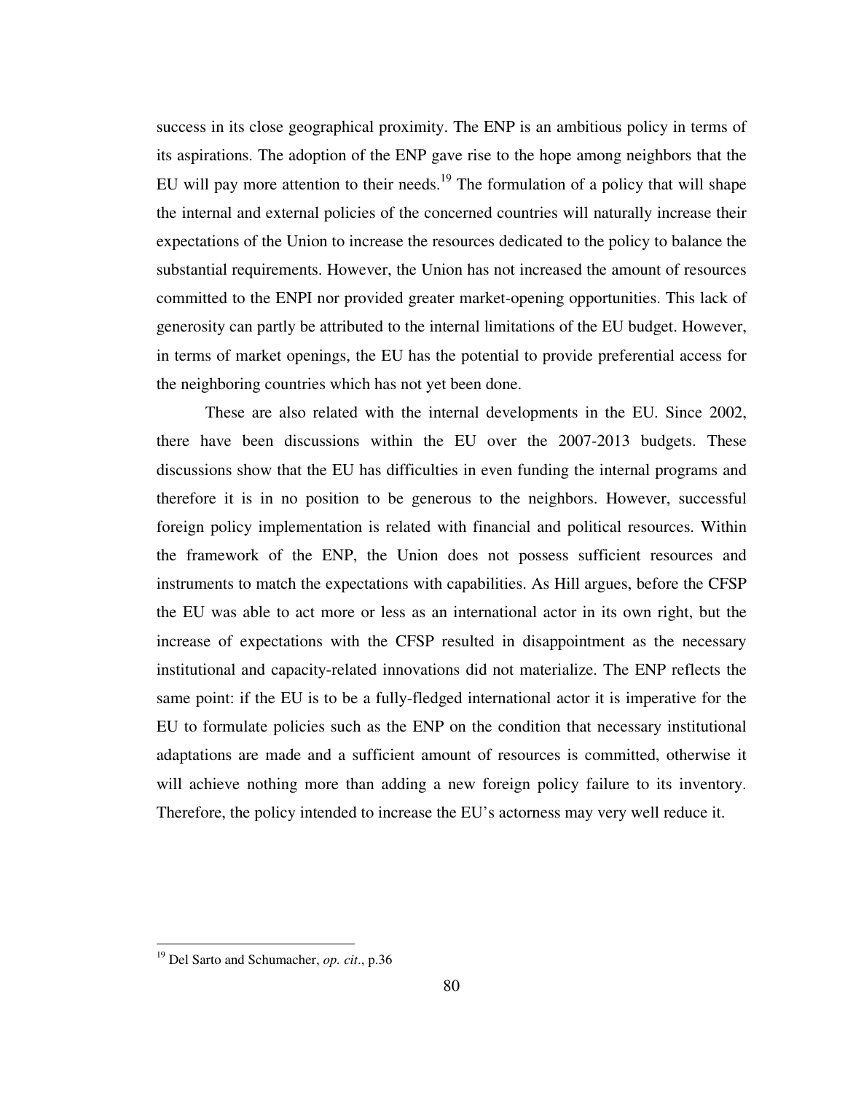success in its close geographical proximity. The ENP is an ambitious policy in terms of its aspirations. The adoption of the ENP gave rise to the hope among neighbors that the EU will pay more attention to their needs.<sup>19</sup> The formulation of a policy that will shape the internal and external policies of the concerned countries will naturally increase their expectations of the Union to increase the resources dedicated to the policy to balance the substantial requirements. However, the Union has not increased the amount of resources committed to the ENPI nor provided greater market-opening opportunities. This lack of generosity can partly be attributed to the internal limitations of the EU budget. However, in terms of market openings, the EU has the potential to provide preferential access for the neighboring countries which has not yet been done.

 These are also related with the internal developments in the EU. Since 2002, there have been discussions within the EU over the 2007-2013 budgets. These discussions show that the EU has difficulties in even funding the internal programs and therefore it is in no position to be generous to the neighbors. However, successful foreign policy implementation is related with financial and political resources. Within the framework of the ENP, the Union does not possess sufficient resources and instruments to match the expectations with capabilities. As Hill argues, before the CFSP the EU was able to act more or less as an international actor in its own right, but the increase of expectations with the CFSP resulted in disappointment as the necessary institutional and capacity-related innovations did not materialize. The ENP reflects the same point: if the EU is to be a fully-fledged international actor it is imperative for the EU to formulate policies such as the ENP on the condition that necessary institutional adaptations are made and a sufficient amount of resources is committed, otherwise it will achieve nothing more than adding a new foreign policy failure to its inventory. Therefore, the policy intended to increase the EU's actorness may very well reduce it.

<sup>19</sup> Del Sarto and Schumacher, *op. cit*., p.36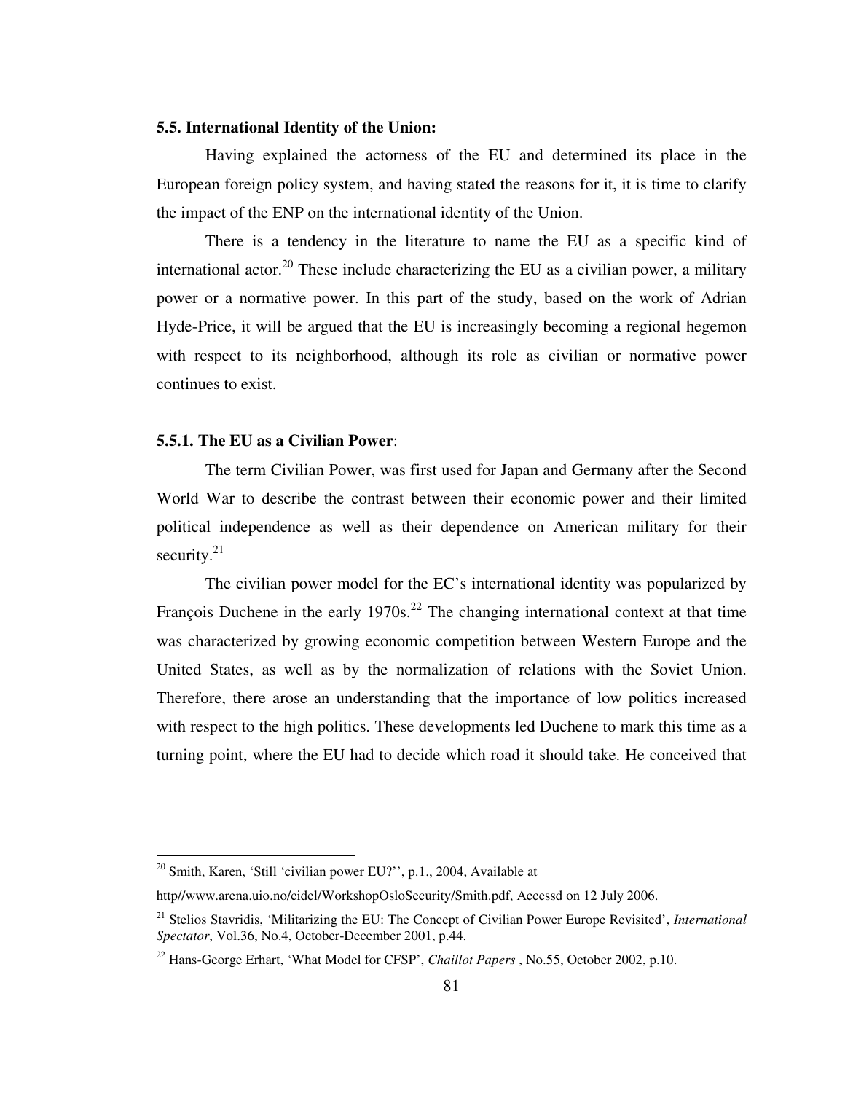# **5.5. International Identity of the Union:**

Having explained the actorness of the EU and determined its place in the European foreign policy system, and having stated the reasons for it, it is time to clarify the impact of the ENP on the international identity of the Union.

 There is a tendency in the literature to name the EU as a specific kind of international actor.<sup>20</sup> These include characterizing the EU as a civilian power, a military power or a normative power. In this part of the study, based on the work of Adrian Hyde-Price, it will be argued that the EU is increasingly becoming a regional hegemon with respect to its neighborhood, although its role as civilian or normative power continues to exist.

# **5.5.1. The EU as a Civilian Power**:

 The term Civilian Power, was first used for Japan and Germany after the Second World War to describe the contrast between their economic power and their limited political independence as well as their dependence on American military for their security. $21$ 

The civilian power model for the EC's international identity was popularized by François Duchene in the early  $1970s<sup>22</sup>$ . The changing international context at that time was characterized by growing economic competition between Western Europe and the United States, as well as by the normalization of relations with the Soviet Union. Therefore, there arose an understanding that the importance of low politics increased with respect to the high politics. These developments led Duchene to mark this time as a turning point, where the EU had to decide which road it should take. He conceived that

<sup>&</sup>lt;sup>20</sup> Smith, Karen, 'Still 'civilian power EU?'', p.1., 2004, Available at

http//www.arena.uio.no/cidel/WorkshopOsloSecurity/Smith.pdf, Accessd on 12 July 2006.

<sup>21</sup> Stelios Stavridis, 'Militarizing the EU: The Concept of Civilian Power Europe Revisited', *International Spectator*, Vol.36, No.4, October-December 2001, p.44.

<sup>22</sup> Hans-George Erhart, 'What Model for CFSP', *Chaillot Papers* , No.55, October 2002, p.10.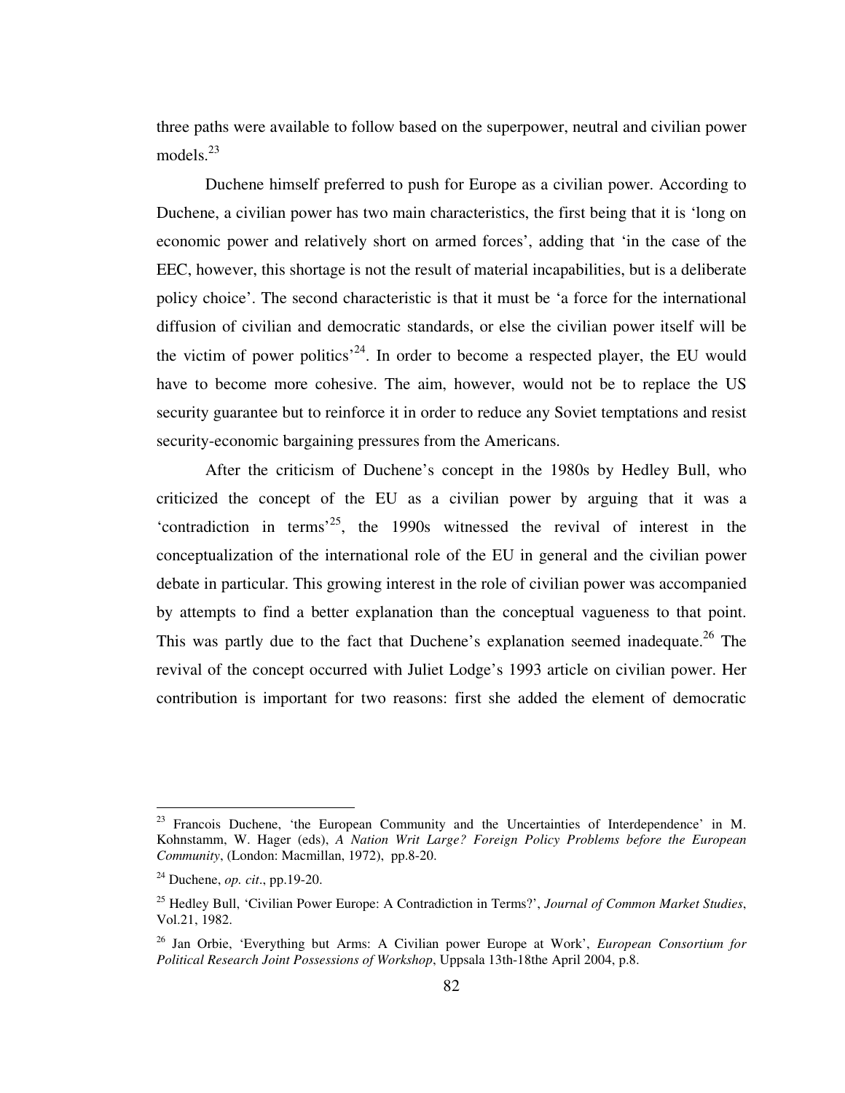three paths were available to follow based on the superpower, neutral and civilian power models. $^{23}$ 

 Duchene himself preferred to push for Europe as a civilian power. According to Duchene, a civilian power has two main characteristics, the first being that it is 'long on economic power and relatively short on armed forces', adding that 'in the case of the EEC, however, this shortage is not the result of material incapabilities, but is a deliberate policy choice'. The second characteristic is that it must be 'a force for the international diffusion of civilian and democratic standards, or else the civilian power itself will be the victim of power politics<sup> $24$ </sup>. In order to become a respected player, the EU would have to become more cohesive. The aim, however, would not be to replace the US security guarantee but to reinforce it in order to reduce any Soviet temptations and resist security-economic bargaining pressures from the Americans.

After the criticism of Duchene's concept in the 1980s by Hedley Bull, who criticized the concept of the EU as a civilian power by arguing that it was a 'contradiction in terms<sup> $25$ </sup>, the 1990s witnessed the revival of interest in the conceptualization of the international role of the EU in general and the civilian power debate in particular. This growing interest in the role of civilian power was accompanied by attempts to find a better explanation than the conceptual vagueness to that point. This was partly due to the fact that Duchene's explanation seemed inadequate.<sup>26</sup> The revival of the concept occurred with Juliet Lodge's 1993 article on civilian power. Her contribution is important for two reasons: first she added the element of democratic

 $23$  Francois Duchene, 'the European Community and the Uncertainties of Interdependence' in M. Kohnstamm, W. Hager (eds), *A Nation Writ Large? Foreign Policy Problems before the European Community*, (London: Macmillan, 1972), pp.8-20.

<sup>24</sup> Duchene, *op. cit*., pp.19-20.

<sup>25</sup> Hedley Bull, 'Civilian Power Europe: A Contradiction in Terms?', *Journal of Common Market Studies*, Vol.21, 1982.

<sup>26</sup> Jan Orbie, 'Everything but Arms: A Civilian power Europe at Work', *European Consortium for Political Research Joint Possessions of Workshop*, Uppsala 13th-18the April 2004, p.8.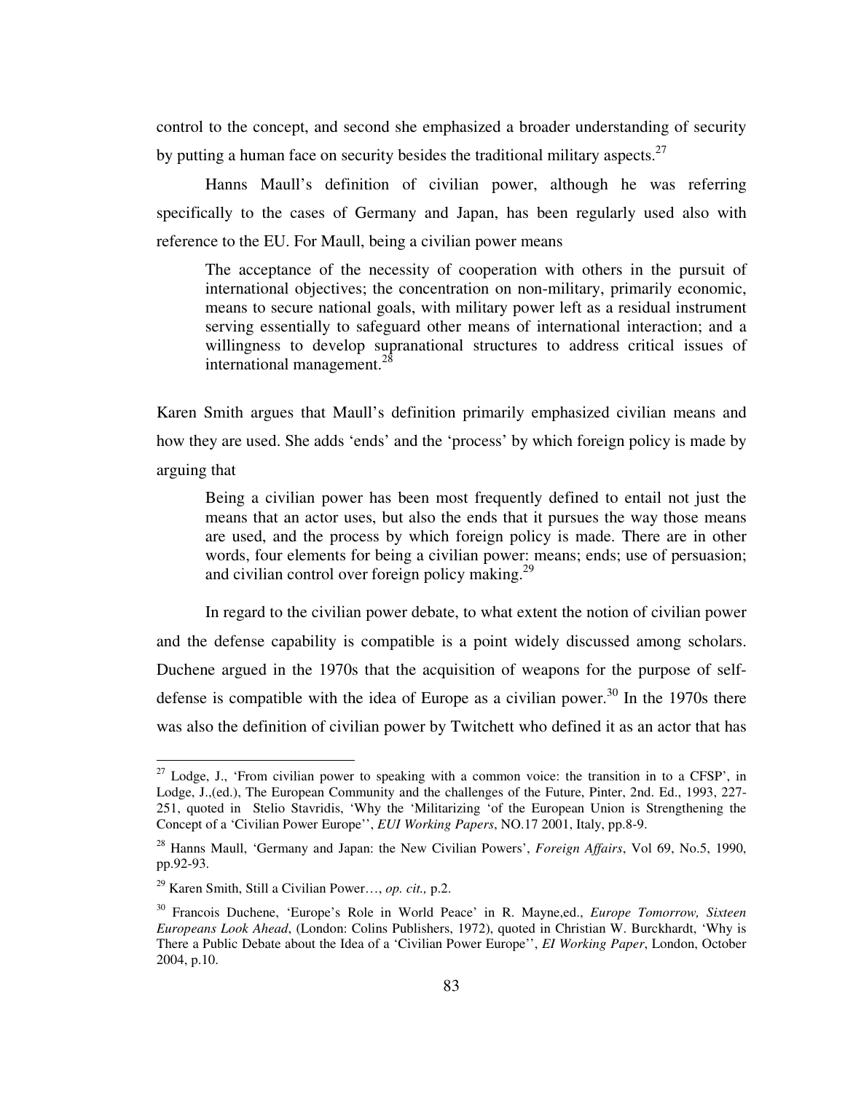control to the concept, and second she emphasized a broader understanding of security by putting a human face on security besides the traditional military aspects.<sup>27</sup>

Hanns Maull's definition of civilian power, although he was referring specifically to the cases of Germany and Japan, has been regularly used also with reference to the EU. For Maull, being a civilian power means

The acceptance of the necessity of cooperation with others in the pursuit of international objectives; the concentration on non-military, primarily economic, means to secure national goals, with military power left as a residual instrument serving essentially to safeguard other means of international interaction; and a willingness to develop supranational structures to address critical issues of international management.<sup>28</sup>

Karen Smith argues that Maull's definition primarily emphasized civilian means and how they are used. She adds 'ends' and the 'process' by which foreign policy is made by arguing that

Being a civilian power has been most frequently defined to entail not just the means that an actor uses, but also the ends that it pursues the way those means are used, and the process by which foreign policy is made. There are in other words, four elements for being a civilian power: means; ends; use of persuasion; and civilian control over foreign policy making. $29$ 

In regard to the civilian power debate, to what extent the notion of civilian power and the defense capability is compatible is a point widely discussed among scholars. Duchene argued in the 1970s that the acquisition of weapons for the purpose of selfdefense is compatible with the idea of Europe as a civilian power.<sup>30</sup> In the 1970s there was also the definition of civilian power by Twitchett who defined it as an actor that has

 $27$  Lodge, J., 'From civilian power to speaking with a common voice: the transition in to a CFSP', in Lodge, J.,(ed.), The European Community and the challenges of the Future, Pinter, 2nd. Ed., 1993, 227- 251, quoted in Stelio Stavridis, 'Why the 'Militarizing 'of the European Union is Strengthening the Concept of a 'Civilian Power Europe'', *EUI Working Papers*, NO.17 2001, Italy, pp.8-9.

<sup>28</sup> Hanns Maull, 'Germany and Japan: the New Civilian Powers', *Foreign Affairs*, Vol 69, No.5, 1990, pp.92-93.

<sup>29</sup> Karen Smith, Still a Civilian Power…, *op. cit.,* p.2.

<sup>30</sup> Francois Duchene, 'Europe's Role in World Peace' in R. Mayne,ed., *Europe Tomorrow, Sixteen Europeans Look Ahead*, (London: Colins Publishers, 1972), quoted in Christian W. Burckhardt, 'Why is There a Public Debate about the Idea of a 'Civilian Power Europe'', *EI Working Paper*, London, October 2004, p.10.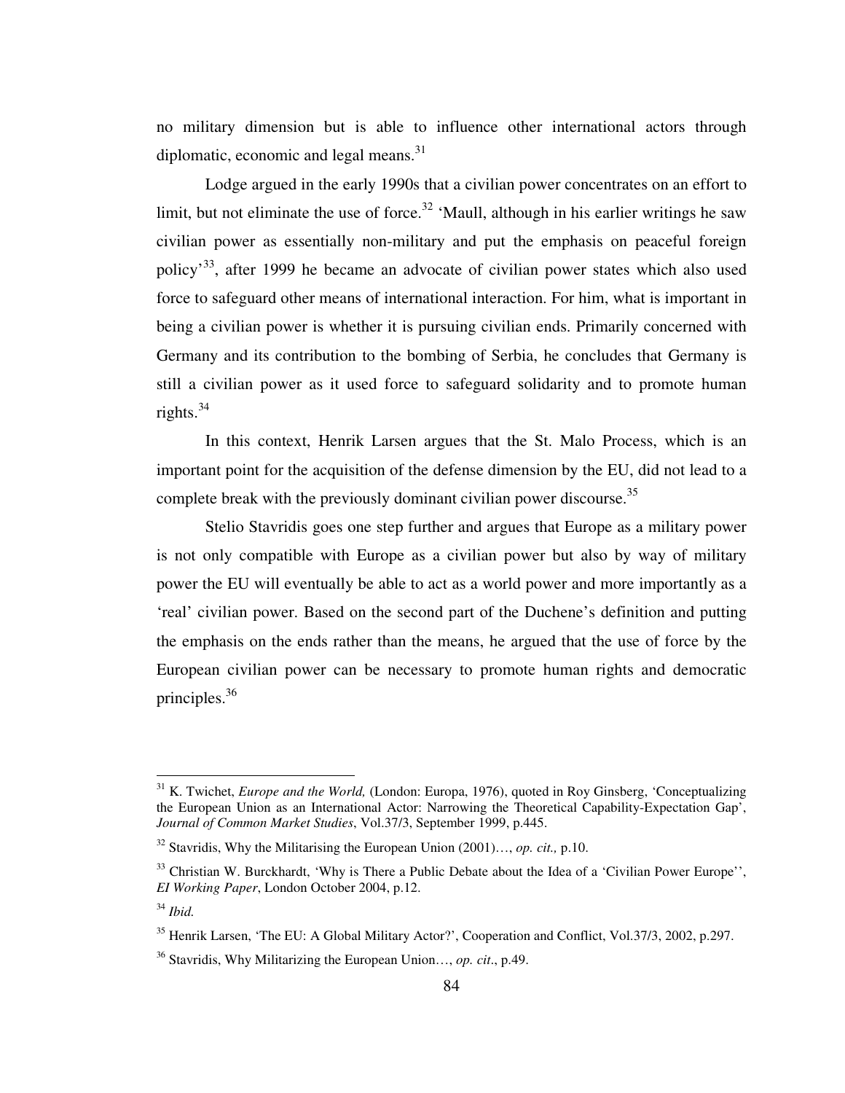no military dimension but is able to influence other international actors through diplomatic, economic and legal means. $31$ 

Lodge argued in the early 1990s that a civilian power concentrates on an effort to limit, but not eliminate the use of force.<sup>32</sup> 'Maull, although in his earlier writings he saw civilian power as essentially non-military and put the emphasis on peaceful foreign policy'<sup>33</sup>, after 1999 he became an advocate of civilian power states which also used force to safeguard other means of international interaction. For him, what is important in being a civilian power is whether it is pursuing civilian ends. Primarily concerned with Germany and its contribution to the bombing of Serbia, he concludes that Germany is still a civilian power as it used force to safeguard solidarity and to promote human rights. $34$ 

In this context, Henrik Larsen argues that the St. Malo Process, which is an important point for the acquisition of the defense dimension by the EU, did not lead to a complete break with the previously dominant civilian power discourse.<sup>35</sup>

Stelio Stavridis goes one step further and argues that Europe as a military power is not only compatible with Europe as a civilian power but also by way of military power the EU will eventually be able to act as a world power and more importantly as a 'real' civilian power. Based on the second part of the Duchene's definition and putting the emphasis on the ends rather than the means, he argued that the use of force by the European civilian power can be necessary to promote human rights and democratic principles.<sup>36</sup>

<sup>&</sup>lt;sup>31</sup> K. Twichet, *Europe and the World*, (London: Europa, 1976), quoted in Roy Ginsberg, 'Conceptualizing the European Union as an International Actor: Narrowing the Theoretical Capability-Expectation Gap', *Journal of Common Market Studies*, Vol.37/3, September 1999, p.445.

<sup>32</sup> Stavridis, Why the Militarising the European Union (2001)…, *op. cit.,* p.10.

 $33$  Christian W. Burckhardt, 'Why is There a Public Debate about the Idea of a 'Civilian Power Europe'', *EI Working Paper*, London October 2004, p.12.

<sup>34</sup> *Ibid.*

<sup>&</sup>lt;sup>35</sup> Henrik Larsen, 'The EU: A Global Military Actor?', Cooperation and Conflict, Vol. 37/3, 2002, p. 297.

<sup>36</sup> Stavridis, Why Militarizing the European Union…, *op. cit*., p.49.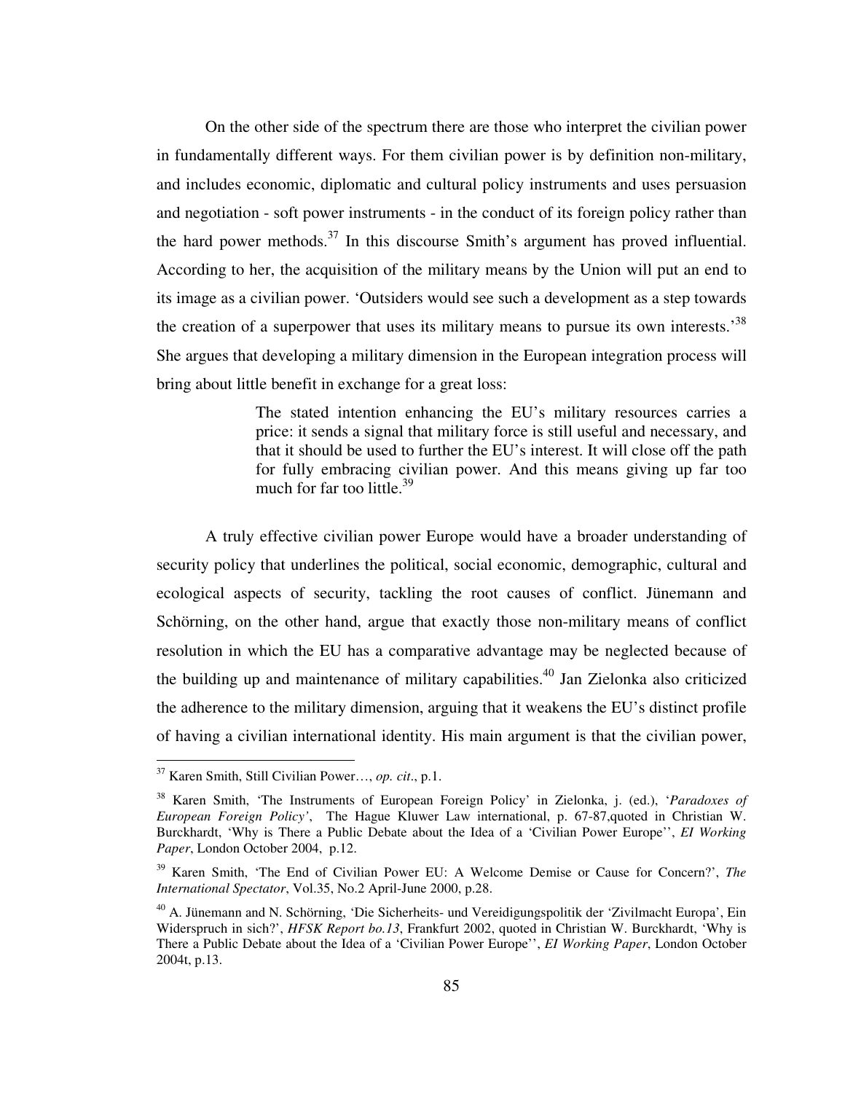On the other side of the spectrum there are those who interpret the civilian power in fundamentally different ways. For them civilian power is by definition non-military, and includes economic, diplomatic and cultural policy instruments and uses persuasion and negotiation - soft power instruments - in the conduct of its foreign policy rather than the hard power methods.<sup>37</sup> In this discourse Smith's argument has proved influential. According to her, the acquisition of the military means by the Union will put an end to its image as a civilian power. 'Outsiders would see such a development as a step towards the creation of a superpower that uses its military means to pursue its own interests.<sup>38</sup> She argues that developing a military dimension in the European integration process will bring about little benefit in exchange for a great loss:

> The stated intention enhancing the EU's military resources carries a price: it sends a signal that military force is still useful and necessary, and that it should be used to further the EU's interest. It will close off the path for fully embracing civilian power. And this means giving up far too much for far too little.<sup>39</sup>

A truly effective civilian power Europe would have a broader understanding of security policy that underlines the political, social economic, demographic, cultural and ecological aspects of security, tackling the root causes of conflict. Jünemann and Schörning, on the other hand, argue that exactly those non-military means of conflict resolution in which the EU has a comparative advantage may be neglected because of the building up and maintenance of military capabilities.<sup>40</sup> Jan Zielonka also criticized the adherence to the military dimension, arguing that it weakens the EU's distinct profile of having a civilian international identity. His main argument is that the civilian power,

<sup>37</sup> Karen Smith, Still Civilian Power…, *op. cit*., p.1.

<sup>38</sup> Karen Smith, 'The Instruments of European Foreign Policy' in Zielonka, j. (ed.), '*Paradoxes of European Foreign Policy'*, The Hague Kluwer Law international, p. 67-87,quoted in Christian W. Burckhardt, 'Why is There a Public Debate about the Idea of a 'Civilian Power Europe'', *EI Working Paper*, London October 2004, p.12.

<sup>39</sup> Karen Smith, 'The End of Civilian Power EU: A Welcome Demise or Cause for Concern?', *The International Spectator*, Vol.35, No.2 April-June 2000, p.28.

<sup>40</sup> A. Jünemann and N. Schörning, 'Die Sicherheits- und Vereidigungspolitik der 'Zivilmacht Europa', Ein Widerspruch in sich?', *HFSK Report bo.13*, Frankfurt 2002, quoted in Christian W. Burckhardt, 'Why is There a Public Debate about the Idea of a 'Civilian Power Europe'', *EI Working Paper*, London October 2004t, p.13.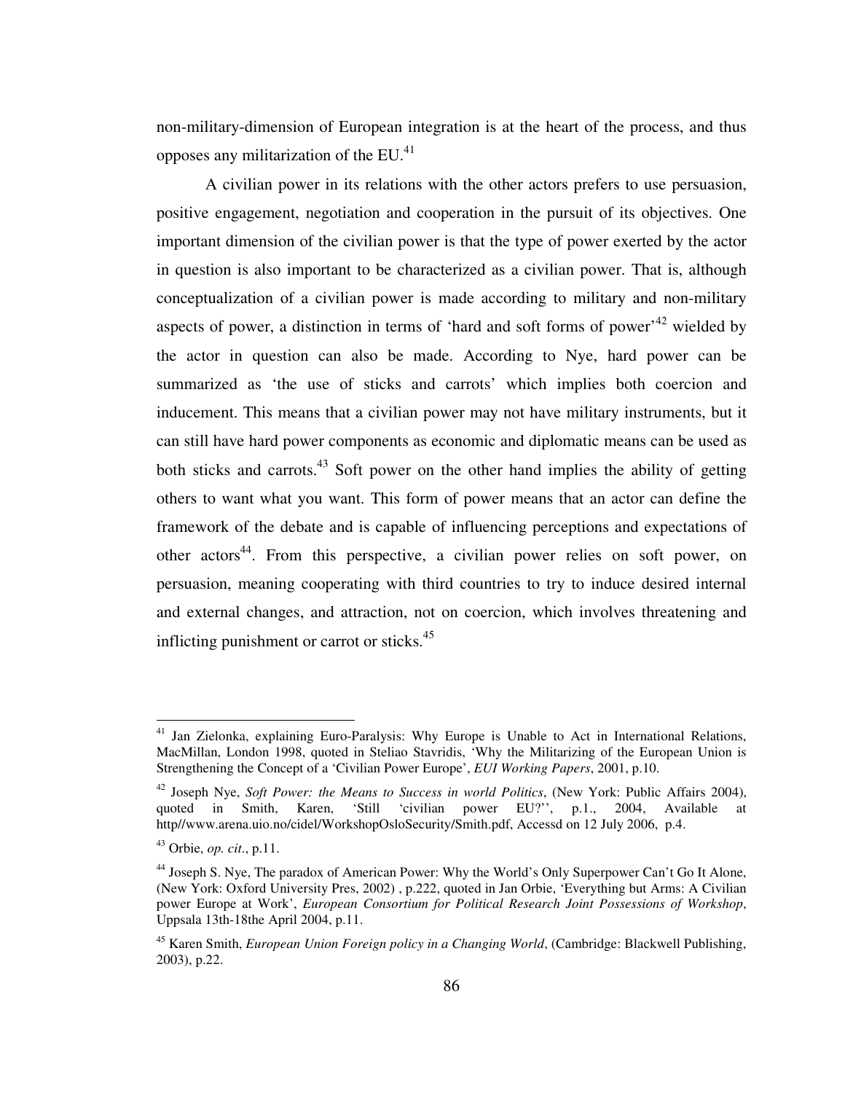non-military-dimension of European integration is at the heart of the process, and thus opposes any militarization of the  $EU^{41}$ .

A civilian power in its relations with the other actors prefers to use persuasion, positive engagement, negotiation and cooperation in the pursuit of its objectives. One important dimension of the civilian power is that the type of power exerted by the actor in question is also important to be characterized as a civilian power. That is, although conceptualization of a civilian power is made according to military and non-military aspects of power, a distinction in terms of 'hard and soft forms of power'<sup>42</sup> wielded by the actor in question can also be made. According to Nye, hard power can be summarized as 'the use of sticks and carrots' which implies both coercion and inducement. This means that a civilian power may not have military instruments, but it can still have hard power components as economic and diplomatic means can be used as both sticks and carrots. $43$  Soft power on the other hand implies the ability of getting others to want what you want. This form of power means that an actor can define the framework of the debate and is capable of influencing perceptions and expectations of other actors<sup>44</sup>. From this perspective, a civilian power relies on soft power, on persuasion, meaning cooperating with third countries to try to induce desired internal and external changes, and attraction, not on coercion, which involves threatening and inflicting punishment or carrot or sticks.<sup>45</sup>

<sup>&</sup>lt;sup>41</sup> Jan Zielonka, explaining Euro-Paralysis: Why Europe is Unable to Act in International Relations, MacMillan, London 1998, quoted in Steliao Stavridis, 'Why the Militarizing of the European Union is Strengthening the Concept of a 'Civilian Power Europe', *EUI Working Papers*, 2001, p.10.

<sup>42</sup> Joseph Nye, *Soft Power: the Means to Success in world Politics*, (New York: Public Affairs 2004), quoted in Smith, Karen, 'Still 'civilian power EU?'', p.1., 2004, Available at http//www.arena.uio.no/cidel/WorkshopOsloSecurity/Smith.pdf, Accessd on 12 July 2006, p.4.

<sup>43</sup> Orbie, *op. cit*., p.11.

<sup>&</sup>lt;sup>44</sup> Joseph S. Nye, The paradox of American Power: Why the World's Only Superpower Can't Go It Alone, (New York: Oxford University Pres, 2002) , p.222, quoted in Jan Orbie, 'Everything but Arms: A Civilian power Europe at Work', *European Consortium for Political Research Joint Possessions of Workshop*, Uppsala 13th-18the April 2004, p.11.

<sup>45</sup> Karen Smith, *European Union Foreign policy in a Changing World*, (Cambridge: Blackwell Publishing, 2003), p.22.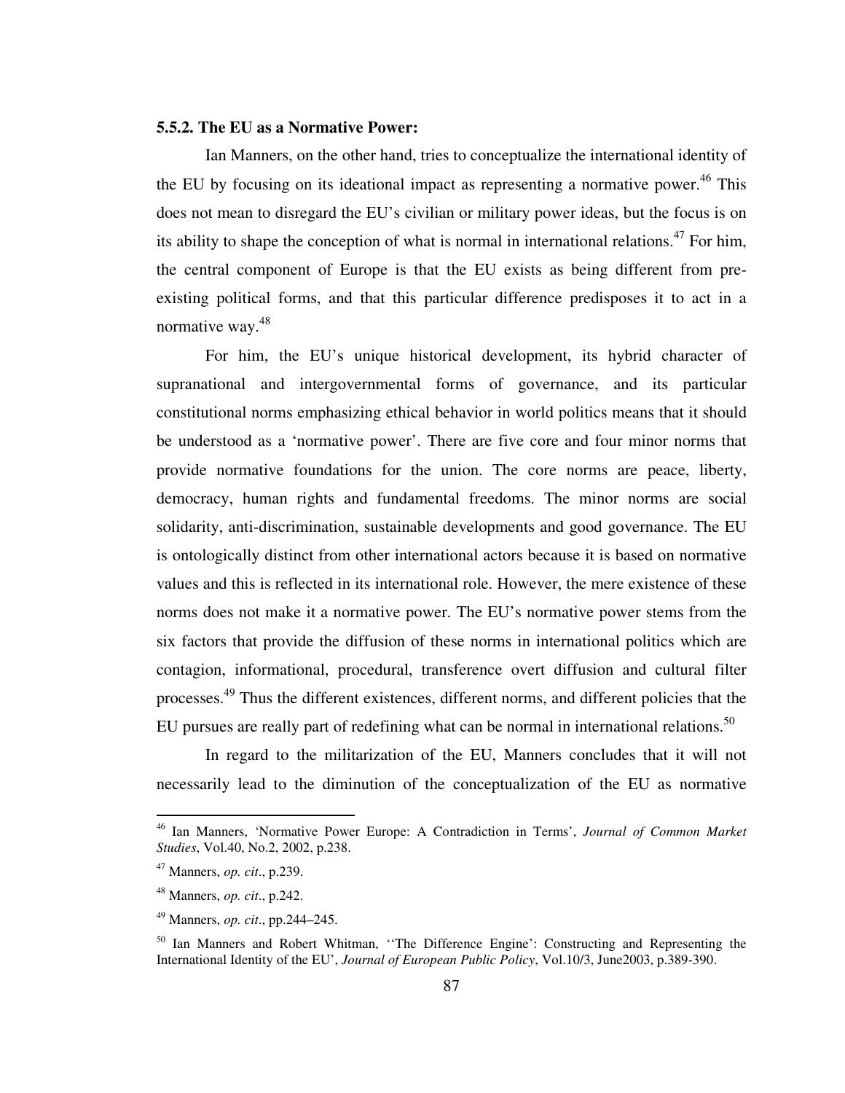## **5.5.2. The EU as a Normative Power:**

Ian Manners, on the other hand, tries to conceptualize the international identity of the EU by focusing on its ideational impact as representing a normative power.<sup>46</sup> This does not mean to disregard the EU's civilian or military power ideas, but the focus is on its ability to shape the conception of what is normal in international relations.<sup>47</sup> For him, the central component of Europe is that the EU exists as being different from preexisting political forms, and that this particular difference predisposes it to act in a normative way.<sup>48</sup>

For him, the EU's unique historical development, its hybrid character of supranational and intergovernmental forms of governance, and its particular constitutional norms emphasizing ethical behavior in world politics means that it should be understood as a 'normative power'. There are five core and four minor norms that provide normative foundations for the union. The core norms are peace, liberty, democracy, human rights and fundamental freedoms. The minor norms are social solidarity, anti-discrimination, sustainable developments and good governance. The EU is ontologically distinct from other international actors because it is based on normative values and this is reflected in its international role. However, the mere existence of these norms does not make it a normative power. The EU's normative power stems from the six factors that provide the diffusion of these norms in international politics which are contagion, informational, procedural, transference overt diffusion and cultural filter processes.<sup>49</sup> Thus the different existences, different norms, and different policies that the EU pursues are really part of redefining what can be normal in international relations.<sup>50</sup>

In regard to the militarization of the EU, Manners concludes that it will not necessarily lead to the diminution of the conceptualization of the EU as normative

<sup>46</sup> Ian Manners, 'Normative Power Europe: A Contradiction in Terms', *Journal of Common Market Studies*, Vol.40, No.2, 2002, p.238.

<sup>47</sup> Manners, *op. cit*., p.239.

<sup>48</sup> Manners, *op. cit*., p.242.

<sup>49</sup> Manners, *op. cit*., pp.244–245.

<sup>&</sup>lt;sup>50</sup> Ian Manners and Robert Whitman, "The Difference Engine': Constructing and Representing the International Identity of the EU', *Journal of European Public Policy*, Vol.10/3, June2003, p.389-390.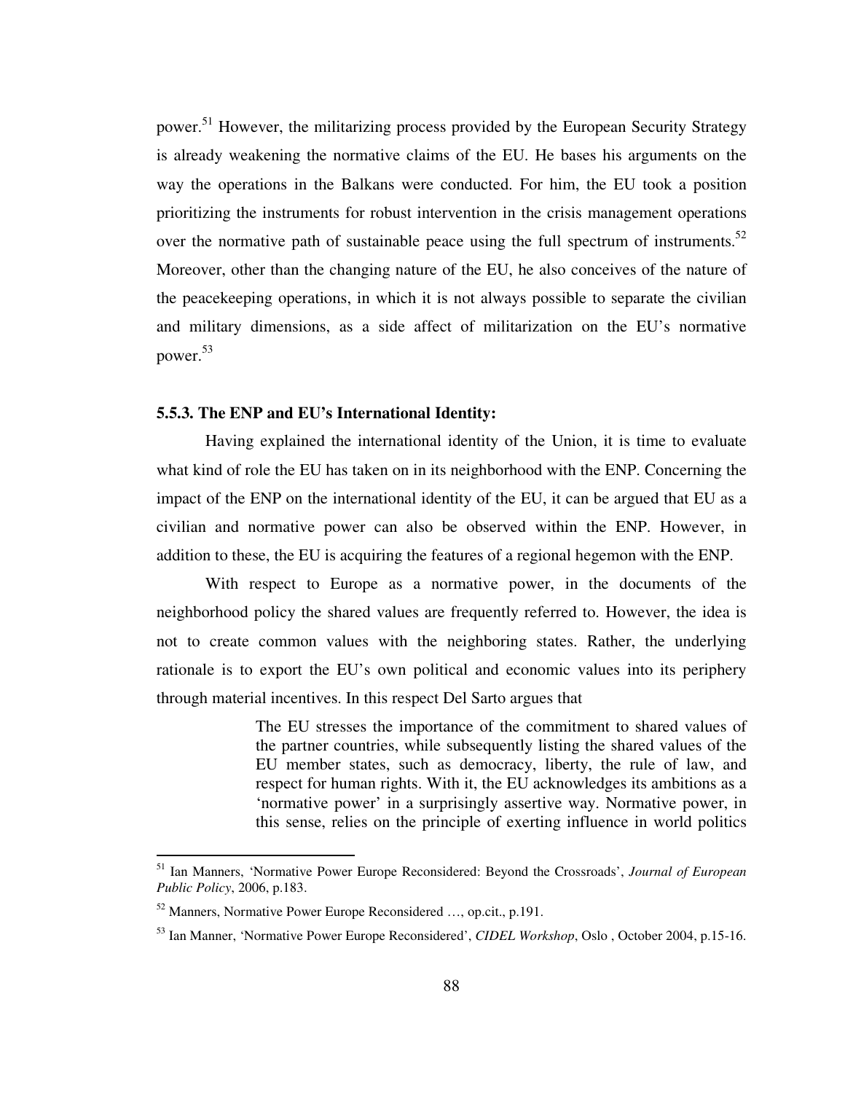power.<sup>51</sup> However, the militarizing process provided by the European Security Strategy is already weakening the normative claims of the EU. He bases his arguments on the way the operations in the Balkans were conducted. For him, the EU took a position prioritizing the instruments for robust intervention in the crisis management operations over the normative path of sustainable peace using the full spectrum of instruments.<sup>52</sup> Moreover, other than the changing nature of the EU, he also conceives of the nature of the peacekeeping operations, in which it is not always possible to separate the civilian and military dimensions, as a side affect of militarization on the EU's normative power.<sup>53</sup>

# **5.5.3. The ENP and EU's International Identity:**

Having explained the international identity of the Union, it is time to evaluate what kind of role the EU has taken on in its neighborhood with the ENP. Concerning the impact of the ENP on the international identity of the EU, it can be argued that EU as a civilian and normative power can also be observed within the ENP. However, in addition to these, the EU is acquiring the features of a regional hegemon with the ENP.

With respect to Europe as a normative power, in the documents of the neighborhood policy the shared values are frequently referred to. However, the idea is not to create common values with the neighboring states. Rather, the underlying rationale is to export the EU's own political and economic values into its periphery through material incentives. In this respect Del Sarto argues that

> The EU stresses the importance of the commitment to shared values of the partner countries, while subsequently listing the shared values of the EU member states, such as democracy, liberty, the rule of law, and respect for human rights. With it, the EU acknowledges its ambitions as a 'normative power' in a surprisingly assertive way. Normative power, in this sense, relies on the principle of exerting influence in world politics

<sup>51</sup> Ian Manners, 'Normative Power Europe Reconsidered: Beyond the Crossroads', *Journal of European Public Policy*, 2006, p.183.

<sup>52</sup> Manners, Normative Power Europe Reconsidered …, op.cit., p.191.

<sup>53</sup> Ian Manner, 'Normative Power Europe Reconsidered', *CIDEL Workshop*, Oslo , October 2004, p.15-16.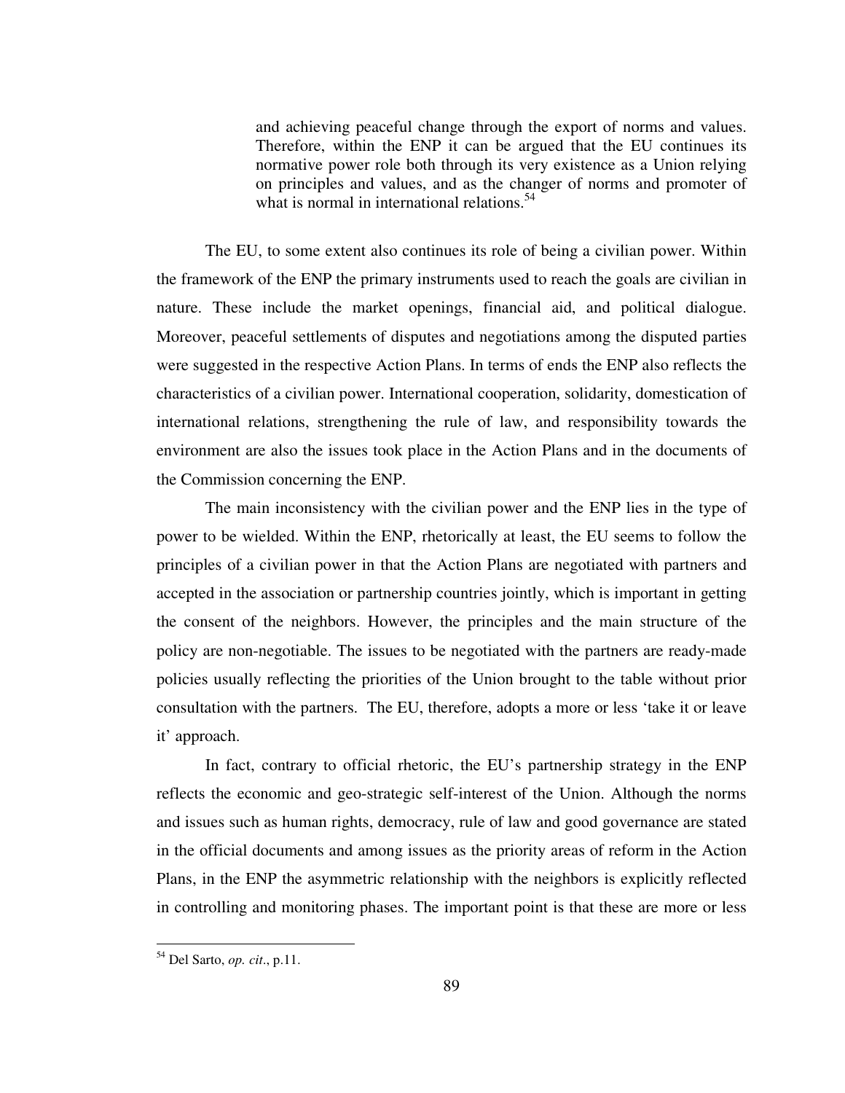and achieving peaceful change through the export of norms and values. Therefore, within the ENP it can be argued that the EU continues its normative power role both through its very existence as a Union relying on principles and values, and as the changer of norms and promoter of what is normal in international relations.<sup>54</sup>

The EU, to some extent also continues its role of being a civilian power. Within the framework of the ENP the primary instruments used to reach the goals are civilian in nature. These include the market openings, financial aid, and political dialogue. Moreover, peaceful settlements of disputes and negotiations among the disputed parties were suggested in the respective Action Plans. In terms of ends the ENP also reflects the characteristics of a civilian power. International cooperation, solidarity, domestication of international relations, strengthening the rule of law, and responsibility towards the environment are also the issues took place in the Action Plans and in the documents of the Commission concerning the ENP.

The main inconsistency with the civilian power and the ENP lies in the type of power to be wielded. Within the ENP, rhetorically at least, the EU seems to follow the principles of a civilian power in that the Action Plans are negotiated with partners and accepted in the association or partnership countries jointly, which is important in getting the consent of the neighbors. However, the principles and the main structure of the policy are non-negotiable. The issues to be negotiated with the partners are ready-made policies usually reflecting the priorities of the Union brought to the table without prior consultation with the partners. The EU, therefore, adopts a more or less 'take it or leave it' approach.

In fact, contrary to official rhetoric, the EU's partnership strategy in the ENP reflects the economic and geo-strategic self-interest of the Union. Although the norms and issues such as human rights, democracy, rule of law and good governance are stated in the official documents and among issues as the priority areas of reform in the Action Plans, in the ENP the asymmetric relationship with the neighbors is explicitly reflected in controlling and monitoring phases. The important point is that these are more or less

<sup>54</sup> Del Sarto, *op. cit*., p.11.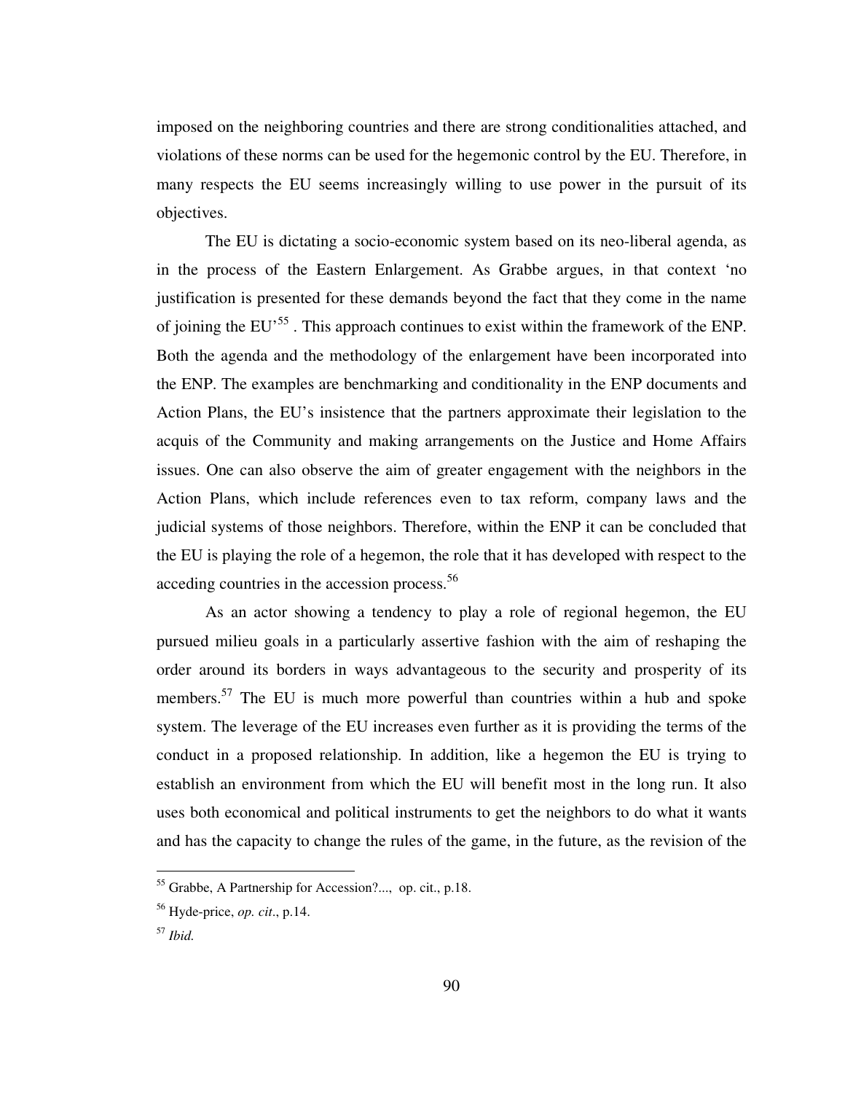imposed on the neighboring countries and there are strong conditionalities attached, and violations of these norms can be used for the hegemonic control by the EU. Therefore, in many respects the EU seems increasingly willing to use power in the pursuit of its objectives.

The EU is dictating a socio-economic system based on its neo-liberal agenda, as in the process of the Eastern Enlargement. As Grabbe argues, in that context 'no justification is presented for these demands beyond the fact that they come in the name of joining the EU<sup>55</sup>. This approach continues to exist within the framework of the ENP. Both the agenda and the methodology of the enlargement have been incorporated into the ENP. The examples are benchmarking and conditionality in the ENP documents and Action Plans, the EU's insistence that the partners approximate their legislation to the acquis of the Community and making arrangements on the Justice and Home Affairs issues. One can also observe the aim of greater engagement with the neighbors in the Action Plans, which include references even to tax reform, company laws and the judicial systems of those neighbors. Therefore, within the ENP it can be concluded that the EU is playing the role of a hegemon, the role that it has developed with respect to the acceding countries in the accession process.<sup>56</sup>

As an actor showing a tendency to play a role of regional hegemon, the EU pursued milieu goals in a particularly assertive fashion with the aim of reshaping the order around its borders in ways advantageous to the security and prosperity of its members.<sup>57</sup> The EU is much more powerful than countries within a hub and spoke system. The leverage of the EU increases even further as it is providing the terms of the conduct in a proposed relationship. In addition, like a hegemon the EU is trying to establish an environment from which the EU will benefit most in the long run. It also uses both economical and political instruments to get the neighbors to do what it wants and has the capacity to change the rules of the game, in the future, as the revision of the

<sup>55</sup> Grabbe, A Partnership for Accession?..., op. cit., p.18.

<sup>56</sup> Hyde-price, *op. cit*., p.14.

<sup>57</sup> *Ibid.*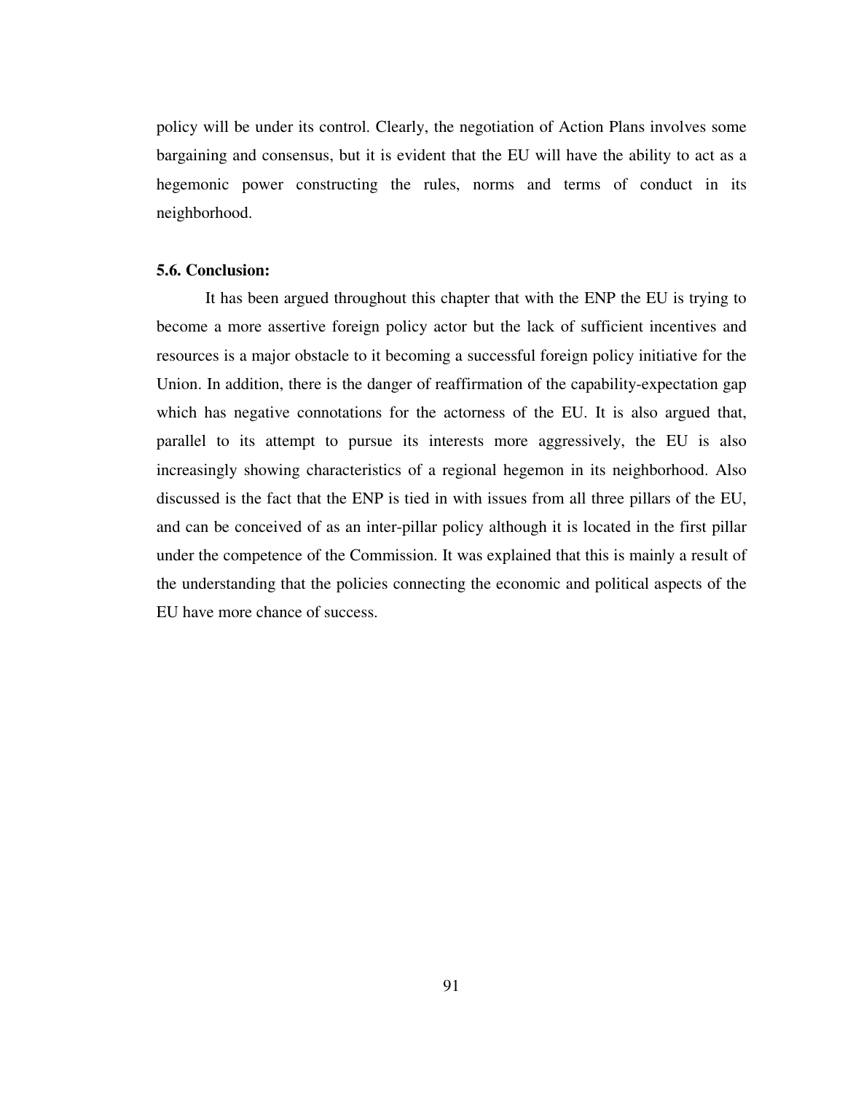policy will be under its control. Clearly, the negotiation of Action Plans involves some bargaining and consensus, but it is evident that the EU will have the ability to act as a hegemonic power constructing the rules, norms and terms of conduct in its neighborhood.

# **5.6. Conclusion:**

It has been argued throughout this chapter that with the ENP the EU is trying to become a more assertive foreign policy actor but the lack of sufficient incentives and resources is a major obstacle to it becoming a successful foreign policy initiative for the Union. In addition, there is the danger of reaffirmation of the capability-expectation gap which has negative connotations for the actorness of the EU. It is also argued that, parallel to its attempt to pursue its interests more aggressively, the EU is also increasingly showing characteristics of a regional hegemon in its neighborhood. Also discussed is the fact that the ENP is tied in with issues from all three pillars of the EU, and can be conceived of as an inter-pillar policy although it is located in the first pillar under the competence of the Commission. It was explained that this is mainly a result of the understanding that the policies connecting the economic and political aspects of the EU have more chance of success.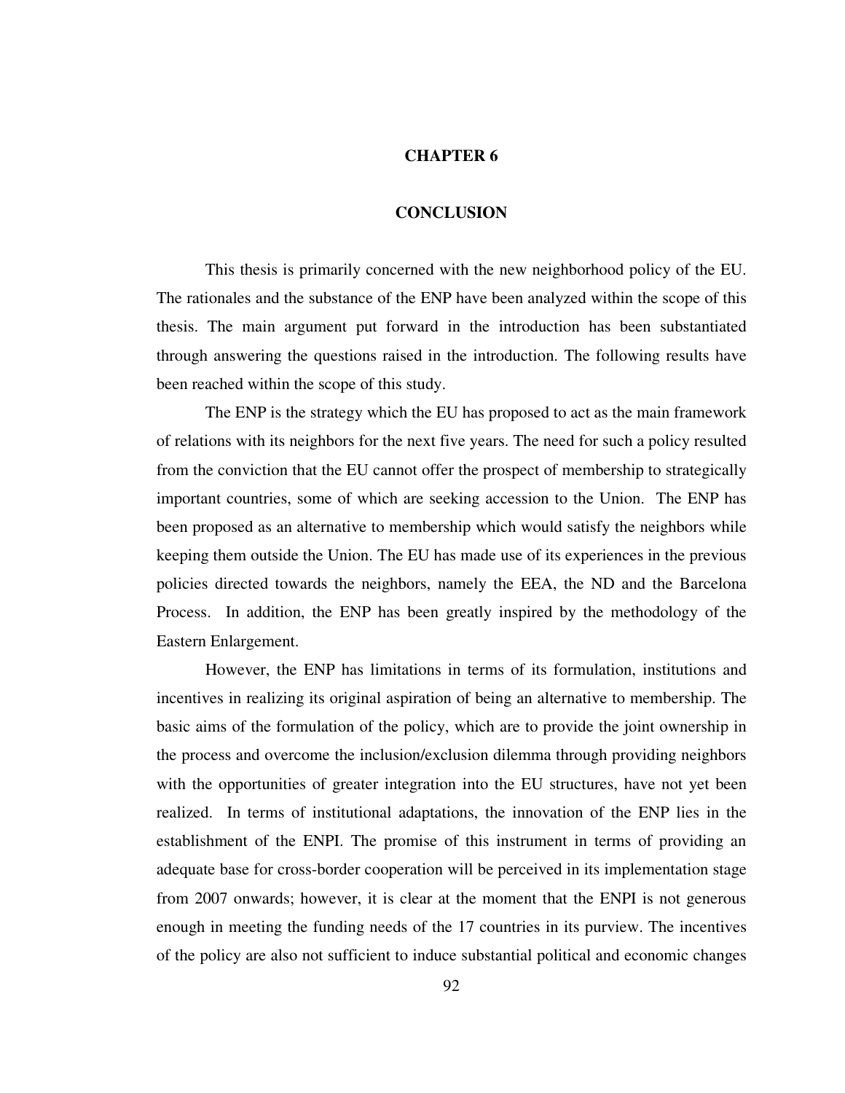## **CHAPTER 6**

# **CONCLUSION**

 This thesis is primarily concerned with the new neighborhood policy of the EU. The rationales and the substance of the ENP have been analyzed within the scope of this thesis. The main argument put forward in the introduction has been substantiated through answering the questions raised in the introduction. The following results have been reached within the scope of this study.

 The ENP is the strategy which the EU has proposed to act as the main framework of relations with its neighbors for the next five years. The need for such a policy resulted from the conviction that the EU cannot offer the prospect of membership to strategically important countries, some of which are seeking accession to the Union. The ENP has been proposed as an alternative to membership which would satisfy the neighbors while keeping them outside the Union. The EU has made use of its experiences in the previous policies directed towards the neighbors, namely the EEA, the ND and the Barcelona Process. In addition, the ENP has been greatly inspired by the methodology of the Eastern Enlargement.

 However, the ENP has limitations in terms of its formulation, institutions and incentives in realizing its original aspiration of being an alternative to membership. The basic aims of the formulation of the policy, which are to provide the joint ownership in the process and overcome the inclusion/exclusion dilemma through providing neighbors with the opportunities of greater integration into the EU structures, have not yet been realized. In terms of institutional adaptations, the innovation of the ENP lies in the establishment of the ENPI. The promise of this instrument in terms of providing an adequate base for cross-border cooperation will be perceived in its implementation stage from 2007 onwards; however, it is clear at the moment that the ENPI is not generous enough in meeting the funding needs of the 17 countries in its purview. The incentives of the policy are also not sufficient to induce substantial political and economic changes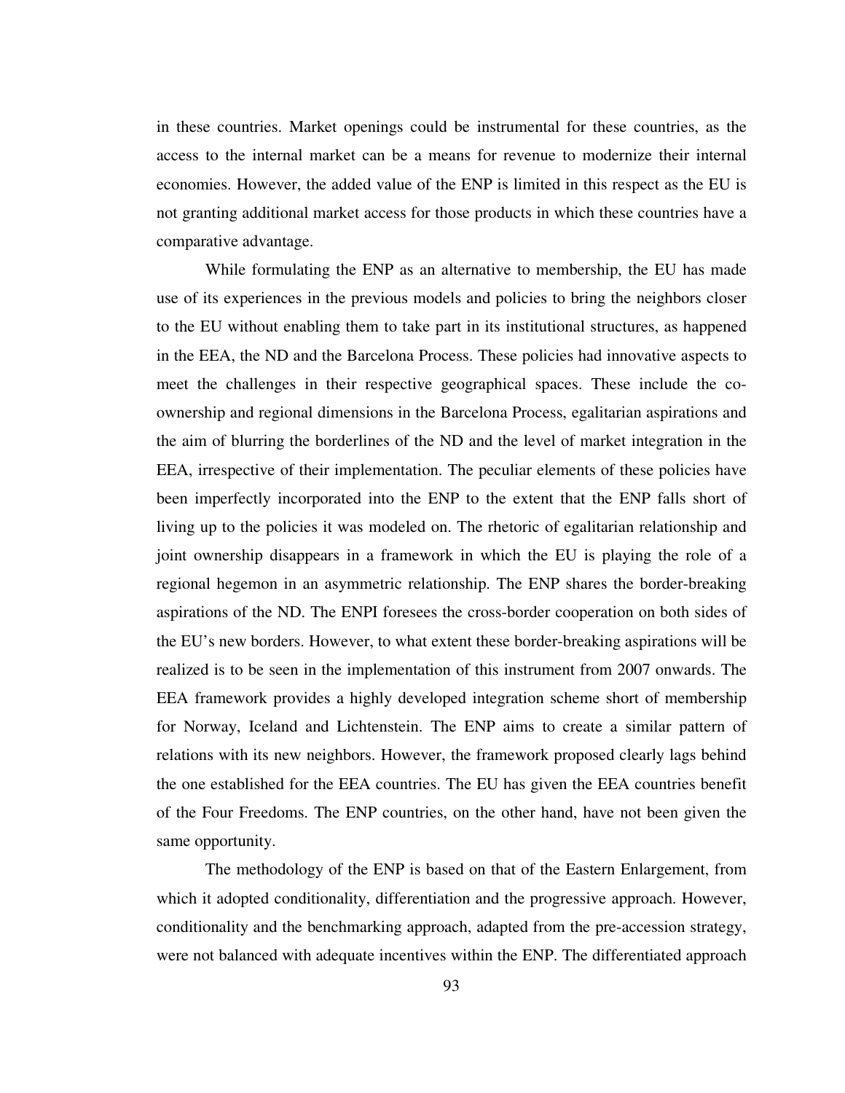in these countries. Market openings could be instrumental for these countries, as the access to the internal market can be a means for revenue to modernize their internal economies. However, the added value of the ENP is limited in this respect as the EU is not granting additional market access for those products in which these countries have a comparative advantage.

While formulating the ENP as an alternative to membership, the EU has made use of its experiences in the previous models and policies to bring the neighbors closer to the EU without enabling them to take part in its institutional structures, as happened in the EEA, the ND and the Barcelona Process. These policies had innovative aspects to meet the challenges in their respective geographical spaces. These include the coownership and regional dimensions in the Barcelona Process, egalitarian aspirations and the aim of blurring the borderlines of the ND and the level of market integration in the EEA, irrespective of their implementation. The peculiar elements of these policies have been imperfectly incorporated into the ENP to the extent that the ENP falls short of living up to the policies it was modeled on. The rhetoric of egalitarian relationship and joint ownership disappears in a framework in which the EU is playing the role of a regional hegemon in an asymmetric relationship. The ENP shares the border-breaking aspirations of the ND. The ENPI foresees the cross-border cooperation on both sides of the EU's new borders. However, to what extent these border-breaking aspirations will be realized is to be seen in the implementation of this instrument from 2007 onwards. The EEA framework provides a highly developed integration scheme short of membership for Norway, Iceland and Lichtenstein. The ENP aims to create a similar pattern of relations with its new neighbors. However, the framework proposed clearly lags behind the one established for the EEA countries. The EU has given the EEA countries benefit of the Four Freedoms. The ENP countries, on the other hand, have not been given the same opportunity.

The methodology of the ENP is based on that of the Eastern Enlargement, from which it adopted conditionality, differentiation and the progressive approach. However, conditionality and the benchmarking approach, adapted from the pre-accession strategy, were not balanced with adequate incentives within the ENP. The differentiated approach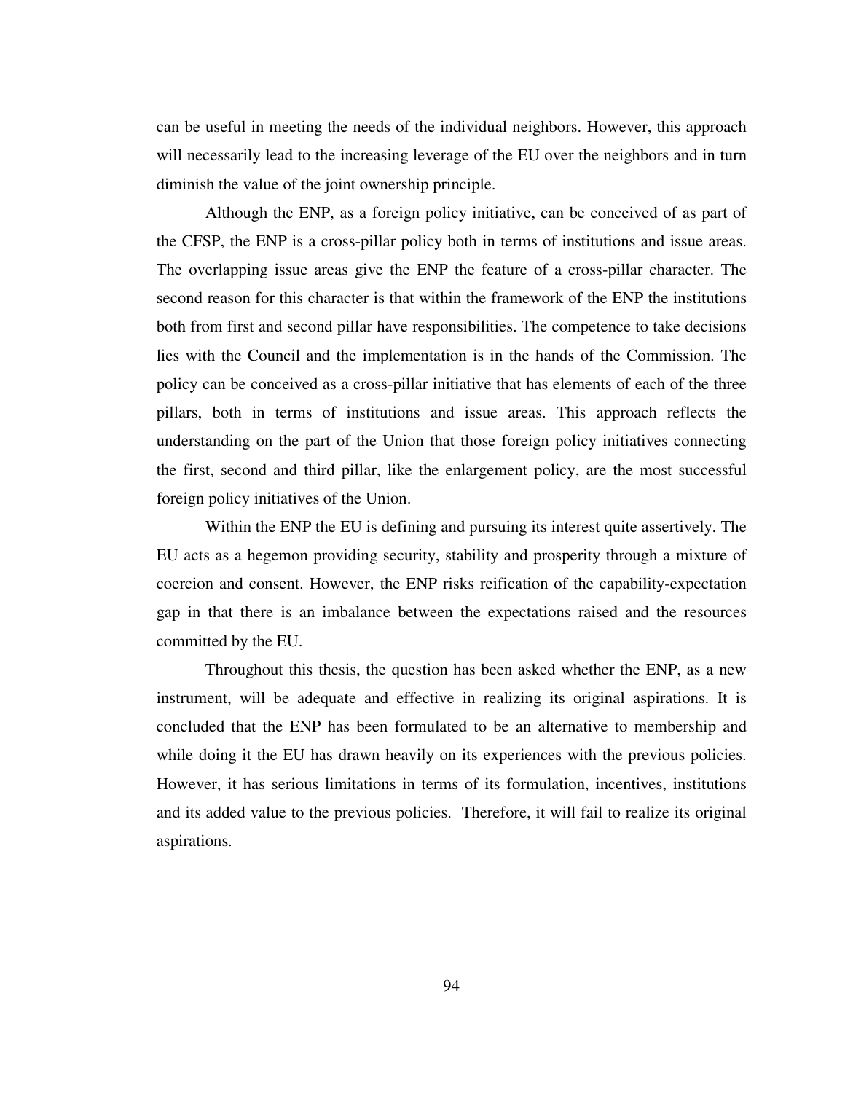can be useful in meeting the needs of the individual neighbors. However, this approach will necessarily lead to the increasing leverage of the EU over the neighbors and in turn diminish the value of the joint ownership principle.

 Although the ENP, as a foreign policy initiative, can be conceived of as part of the CFSP, the ENP is a cross-pillar policy both in terms of institutions and issue areas. The overlapping issue areas give the ENP the feature of a cross-pillar character. The second reason for this character is that within the framework of the ENP the institutions both from first and second pillar have responsibilities. The competence to take decisions lies with the Council and the implementation is in the hands of the Commission. The policy can be conceived as a cross-pillar initiative that has elements of each of the three pillars, both in terms of institutions and issue areas. This approach reflects the understanding on the part of the Union that those foreign policy initiatives connecting the first, second and third pillar, like the enlargement policy, are the most successful foreign policy initiatives of the Union.

 Within the ENP the EU is defining and pursuing its interest quite assertively. The EU acts as a hegemon providing security, stability and prosperity through a mixture of coercion and consent. However, the ENP risks reification of the capability-expectation gap in that there is an imbalance between the expectations raised and the resources committed by the EU.

 Throughout this thesis, the question has been asked whether the ENP, as a new instrument, will be adequate and effective in realizing its original aspirations. It is concluded that the ENP has been formulated to be an alternative to membership and while doing it the EU has drawn heavily on its experiences with the previous policies. However, it has serious limitations in terms of its formulation, incentives, institutions and its added value to the previous policies. Therefore, it will fail to realize its original aspirations.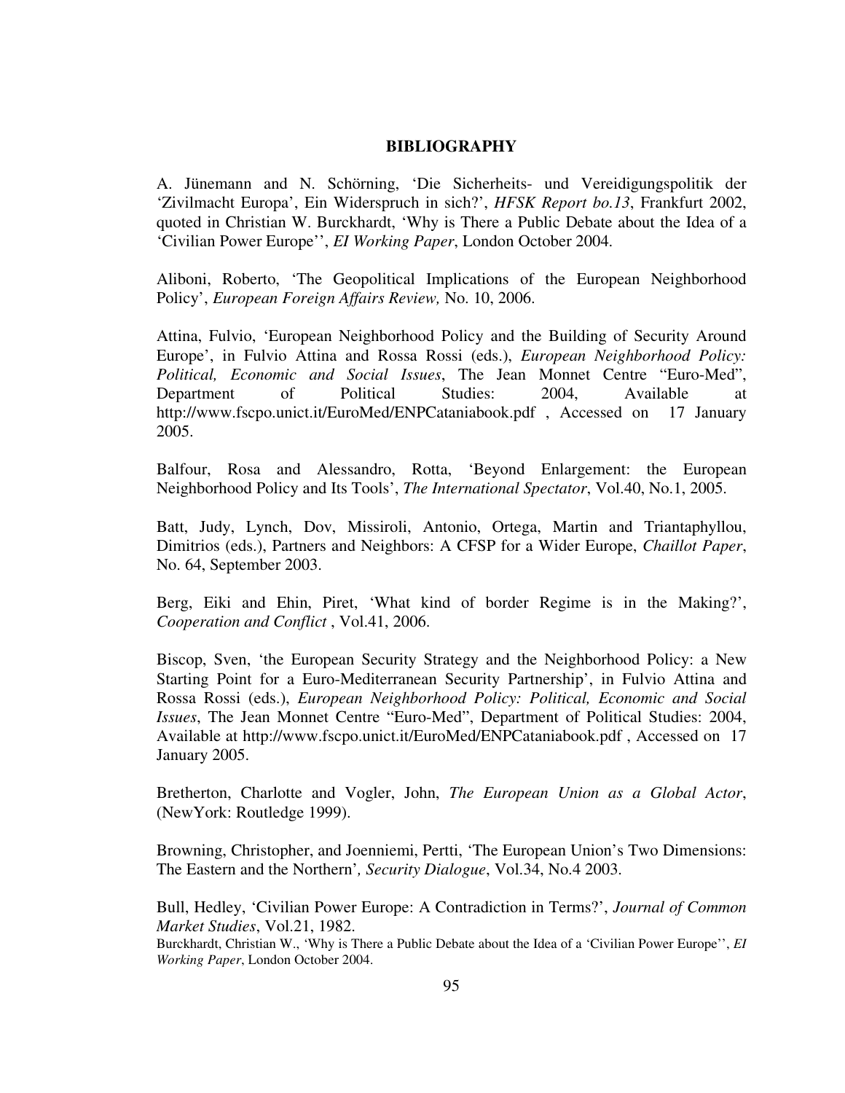## **BIBLIOGRAPHY**

A. Jünemann and N. Schörning, 'Die Sicherheits- und Vereidigungspolitik der 'Zivilmacht Europa', Ein Widerspruch in sich?', *HFSK Report bo.13*, Frankfurt 2002, quoted in Christian W. Burckhardt, 'Why is There a Public Debate about the Idea of a 'Civilian Power Europe'', *EI Working Paper*, London October 2004.

Aliboni, Roberto, 'The Geopolitical Implications of the European Neighborhood Policy', *European Foreign Affairs Review,* No. 10, 2006.

Attina, Fulvio, 'European Neighborhood Policy and the Building of Security Around Europe', in Fulvio Attina and Rossa Rossi (eds.), *European Neighborhood Policy: Political, Economic and Social Issues*, The Jean Monnet Centre "Euro-Med", Department of Political Studies: 2004, Available at http://www.fscpo.unict.it/EuroMed/ENPCataniabook.pdf , Accessed on 17 January 2005.

Balfour, Rosa and Alessandro, Rotta, 'Beyond Enlargement: the European Neighborhood Policy and Its Tools', *The International Spectator*, Vol.40, No.1, 2005.

Batt, Judy, Lynch, Dov, Missiroli, Antonio, Ortega, Martin and Triantaphyllou, Dimitrios (eds.), Partners and Neighbors: A CFSP for a Wider Europe, *Chaillot Paper*, No. 64, September 2003.

Berg, Eiki and Ehin, Piret, 'What kind of border Regime is in the Making?', *Cooperation and Conflict* , Vol.41, 2006.

Biscop, Sven, 'the European Security Strategy and the Neighborhood Policy: a New Starting Point for a Euro-Mediterranean Security Partnership', in Fulvio Attina and Rossa Rossi (eds.), *European Neighborhood Policy: Political, Economic and Social Issues*, The Jean Monnet Centre "Euro-Med", Department of Political Studies: 2004, Available at http://www.fscpo.unict.it/EuroMed/ENPCataniabook.pdf , Accessed on 17 January 2005.

Bretherton, Charlotte and Vogler, John, *The European Union as a Global Actor*, (NewYork: Routledge 1999).

Browning, Christopher, and Joenniemi, Pertti, 'The European Union's Two Dimensions: The Eastern and the Northern'*, Security Dialogue*, Vol.34, No.4 2003.

Bull, Hedley, 'Civilian Power Europe: A Contradiction in Terms?', *Journal of Common Market Studies*, Vol.21, 1982.

Burckhardt, Christian W., 'Why is There a Public Debate about the Idea of a 'Civilian Power Europe'', *EI Working Paper*, London October 2004.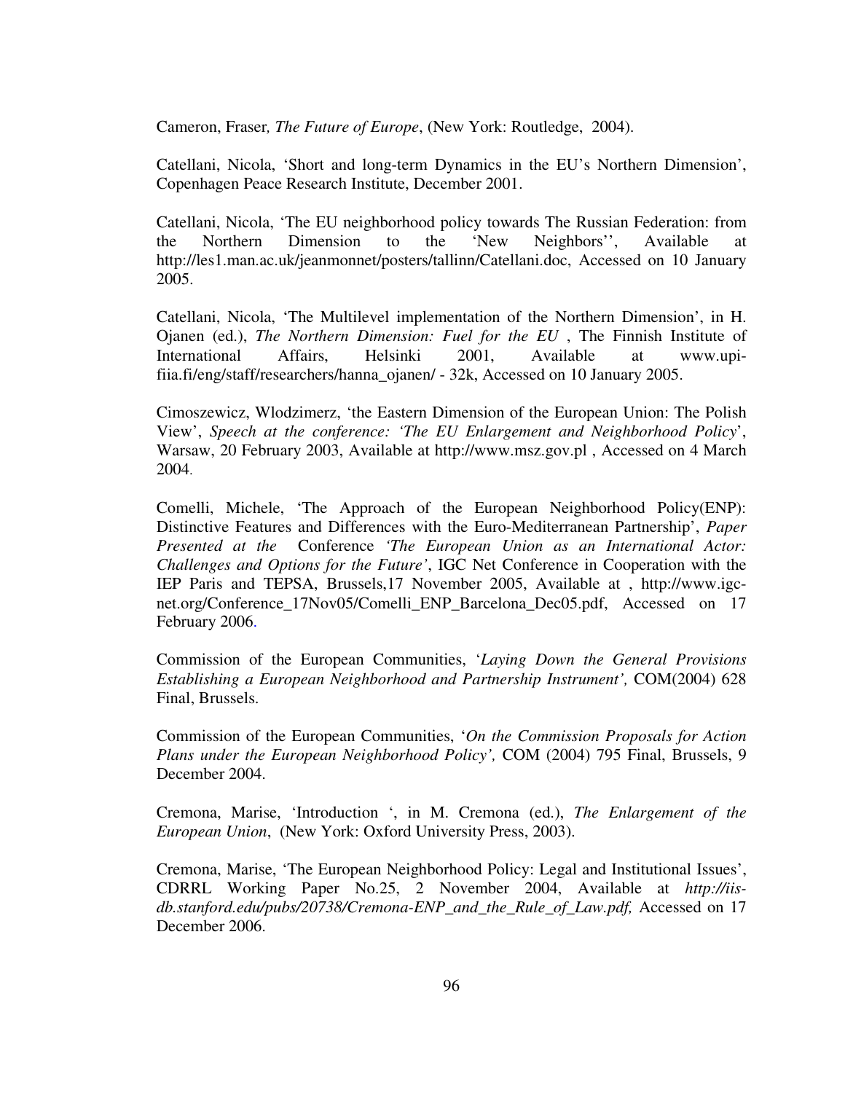Cameron, Fraser*, The Future of Europe*, (New York: Routledge, 2004).

Catellani, Nicola, 'Short and long-term Dynamics in the EU's Northern Dimension', Copenhagen Peace Research Institute, December 2001.

Catellani, Nicola, 'The EU neighborhood policy towards The Russian Federation: from the Northern Dimension to the 'New Neighbors'', Available at http://les1.man.ac.uk/jeanmonnet/posters/tallinn/Catellani.doc, Accessed on 10 January 2005.

Catellani, Nicola, 'The Multilevel implementation of the Northern Dimension', in H. Ojanen (ed.), *The Northern Dimension: Fuel for the EU* , The Finnish Institute of International Affairs, Helsinki 2001, Available at www.upifiia.fi/eng/staff/researchers/hanna\_ojanen/ - 32k, Accessed on 10 January 2005.

Cimoszewicz, Wlodzimerz, 'the Eastern Dimension of the European Union: The Polish View', *Speech at the conference: 'The EU Enlargement and Neighborhood Policy*', Warsaw, 20 February 2003, Available at http://www.msz.gov.pl , Accessed on 4 March 2004.

Comelli, Michele, 'The Approach of the European Neighborhood Policy(ENP): Distinctive Features and Differences with the Euro-Mediterranean Partnership', *Paper Presented at the* Conference *'The European Union as an International Actor: Challenges and Options for the Future'*, IGC Net Conference in Cooperation with the IEP Paris and TEPSA, Brussels,17 November 2005, Available at , http://www.igcnet.org/Conference 17Nov05/Comelli ENP Barcelona Dec05.pdf, Accessed on 17 February 2006.

Commission of the European Communities, '*Laying Down the General Provisions Establishing a European Neighborhood and Partnership Instrument',* COM(2004) 628 Final, Brussels.

Commission of the European Communities, '*On the Commission Proposals for Action Plans under the European Neighborhood Policy',* COM (2004) 795 Final, Brussels, 9 December 2004.

Cremona, Marise, 'Introduction ', in M. Cremona (ed.), *The Enlargement of the European Union*, (New York: Oxford University Press, 2003).

Cremona, Marise, 'The European Neighborhood Policy: Legal and Institutional Issues', CDRRL Working Paper No.25, 2 November 2004, Available at *http://iisdb.stanford.edu/pubs/20738/Cremona-ENP\_and\_the\_Rule\_of\_Law.pdf,* Accessed on 17 December 2006.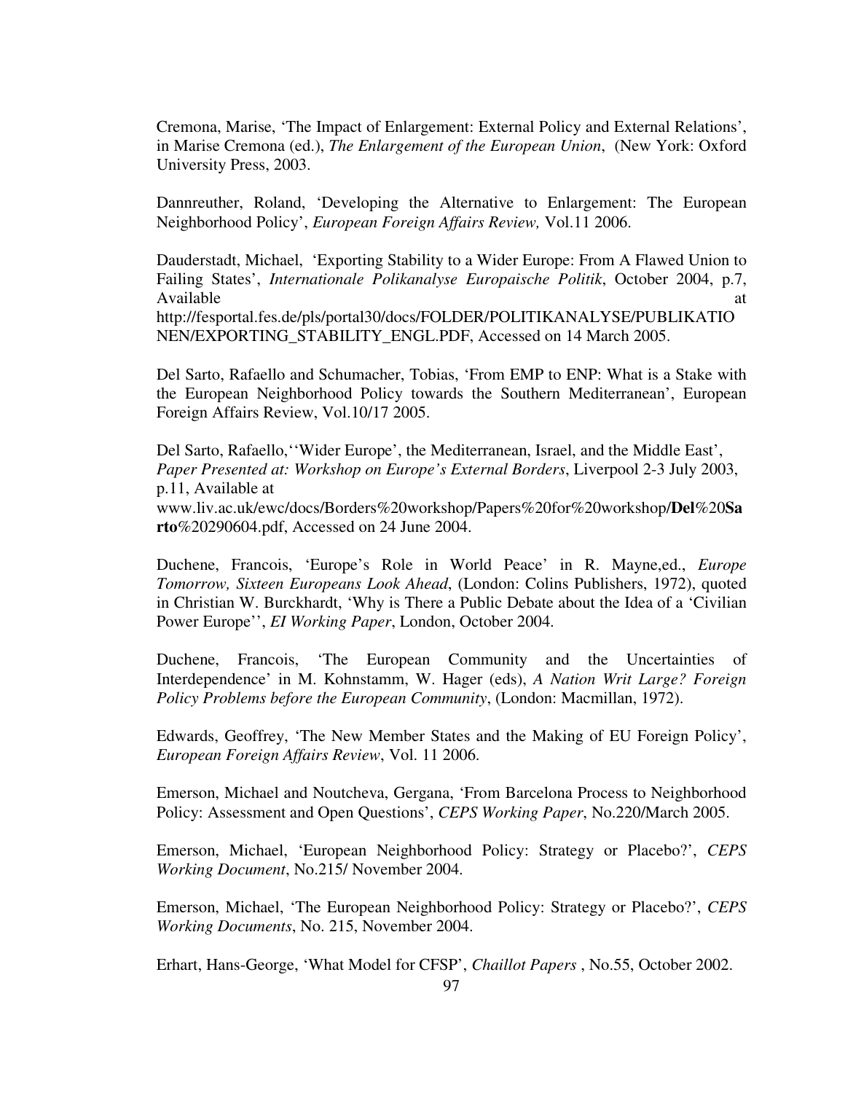Cremona, Marise, 'The Impact of Enlargement: External Policy and External Relations', in Marise Cremona (ed.), *The Enlargement of the European Union*, (New York: Oxford University Press, 2003.

Dannreuther, Roland, 'Developing the Alternative to Enlargement: The European Neighborhood Policy', *European Foreign Affairs Review,* Vol.11 2006.

Dauderstadt, Michael, 'Exporting Stability to a Wider Europe: From A Flawed Union to Failing States', *Internationale Polikanalyse Europaische Politik*, October 2004, p.7, Available at a state of  $\alpha$  at a state of  $\alpha$  at a state of  $\alpha$  at a state of  $\alpha$  at a state of  $\alpha$  at a state of  $\alpha$  at a state of  $\alpha$  at a state of  $\alpha$  at a state of  $\alpha$  at a state of  $\alpha$  at a state of  $\alpha$  at http://fesportal.fes.de/pls/portal30/docs/FOLDER/POLITIKANALYSE/PUBLIKATIO NEN/EXPORTING\_STABILITY\_ENGL.PDF, Accessed on 14 March 2005.

Del Sarto, Rafaello and Schumacher, Tobias, 'From EMP to ENP: What is a Stake with the European Neighborhood Policy towards the Southern Mediterranean', European Foreign Affairs Review, Vol.10/17 2005.

Del Sarto, Rafaello,''Wider Europe', the Mediterranean, Israel, and the Middle East', *Paper Presented at: Workshop on Europe's External Borders*, Liverpool 2-3 July 2003, p.11, Available at

www.liv.ac.uk/ewc/docs/Borders%20workshop/Papers%20for%20workshop/**Del**%20**Sa rto**%20290604.pdf, Accessed on 24 June 2004.

Duchene, Francois, 'Europe's Role in World Peace' in R. Mayne,ed., *Europe Tomorrow, Sixteen Europeans Look Ahead*, (London: Colins Publishers, 1972), quoted in Christian W. Burckhardt, 'Why is There a Public Debate about the Idea of a 'Civilian Power Europe'', *EI Working Paper*, London, October 2004.

Duchene, Francois, 'The European Community and the Uncertainties of Interdependence' in M. Kohnstamm, W. Hager (eds), *A Nation Writ Large? Foreign Policy Problems before the European Community*, (London: Macmillan, 1972).

Edwards, Geoffrey, 'The New Member States and the Making of EU Foreign Policy', *European Foreign Affairs Review*, Vol. 11 2006.

Emerson, Michael and Noutcheva, Gergana, 'From Barcelona Process to Neighborhood Policy: Assessment and Open Questions', *CEPS Working Paper*, No.220/March 2005.

Emerson, Michael, 'European Neighborhood Policy: Strategy or Placebo?', *CEPS Working Document*, No.215/ November 2004.

Emerson, Michael, 'The European Neighborhood Policy: Strategy or Placebo?', *CEPS Working Documents*, No. 215, November 2004.

Erhart, Hans-George, 'What Model for CFSP', *Chaillot Papers* , No.55, October 2002.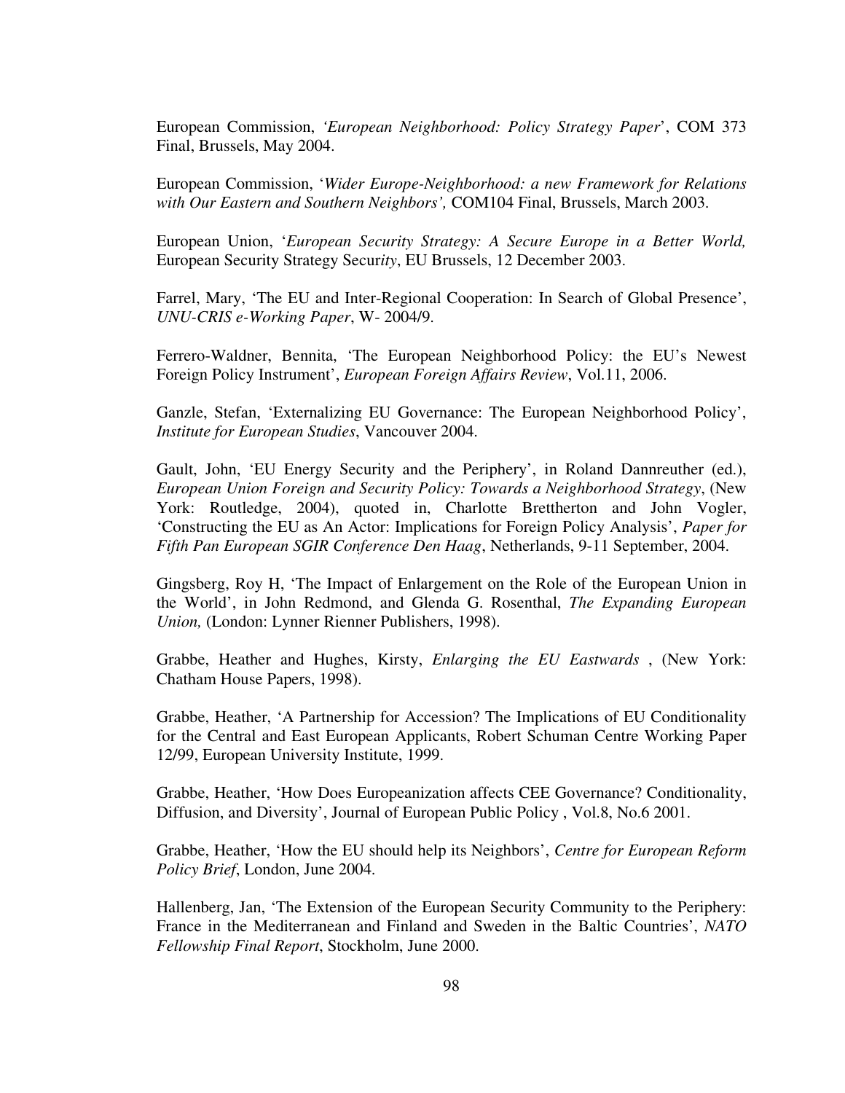European Commission, *'European Neighborhood: Policy Strategy Paper*', COM 373 Final, Brussels, May 2004.

European Commission, '*Wider Europe-Neighborhood: a new Framework for Relations with Our Eastern and Southern Neighbors',* COM104 Final, Brussels, March 2003.

European Union, '*European Security Strategy: A Secure Europe in a Better World,*  European Security Strategy Secur*ity*, EU Brussels, 12 December 2003.

Farrel, Mary, 'The EU and Inter-Regional Cooperation: In Search of Global Presence', *UNU-CRIS e-Working Paper*, W- 2004/9.

Ferrero-Waldner, Bennita, 'The European Neighborhood Policy: the EU's Newest Foreign Policy Instrument', *European Foreign Affairs Review*, Vol.11, 2006.

Ganzle, Stefan, 'Externalizing EU Governance: The European Neighborhood Policy', *Institute for European Studies*, Vancouver 2004.

Gault, John, 'EU Energy Security and the Periphery', in Roland Dannreuther (ed.), *European Union Foreign and Security Policy: Towards a Neighborhood Strategy*, (New York: Routledge, 2004), quoted in, Charlotte Brettherton and John Vogler, 'Constructing the EU as An Actor: Implications for Foreign Policy Analysis', *Paper for Fifth Pan European SGIR Conference Den Haag*, Netherlands, 9-11 September, 2004.

Gingsberg, Roy H, 'The Impact of Enlargement on the Role of the European Union in the World', in John Redmond, and Glenda G. Rosenthal, *The Expanding European Union,* (London: Lynner Rienner Publishers, 1998).

Grabbe, Heather and Hughes, Kirsty, *Enlarging the EU Eastwards* , (New York: Chatham House Papers, 1998).

Grabbe, Heather, 'A Partnership for Accession? The Implications of EU Conditionality for the Central and East European Applicants, Robert Schuman Centre Working Paper 12/99, European University Institute, 1999.

Grabbe, Heather, 'How Does Europeanization affects CEE Governance? Conditionality, Diffusion, and Diversity', Journal of European Public Policy , Vol.8, No.6 2001.

Grabbe, Heather, 'How the EU should help its Neighbors', *Centre for European Reform Policy Brief*, London, June 2004.

Hallenberg, Jan, 'The Extension of the European Security Community to the Periphery: France in the Mediterranean and Finland and Sweden in the Baltic Countries', *NATO Fellowship Final Report*, Stockholm, June 2000.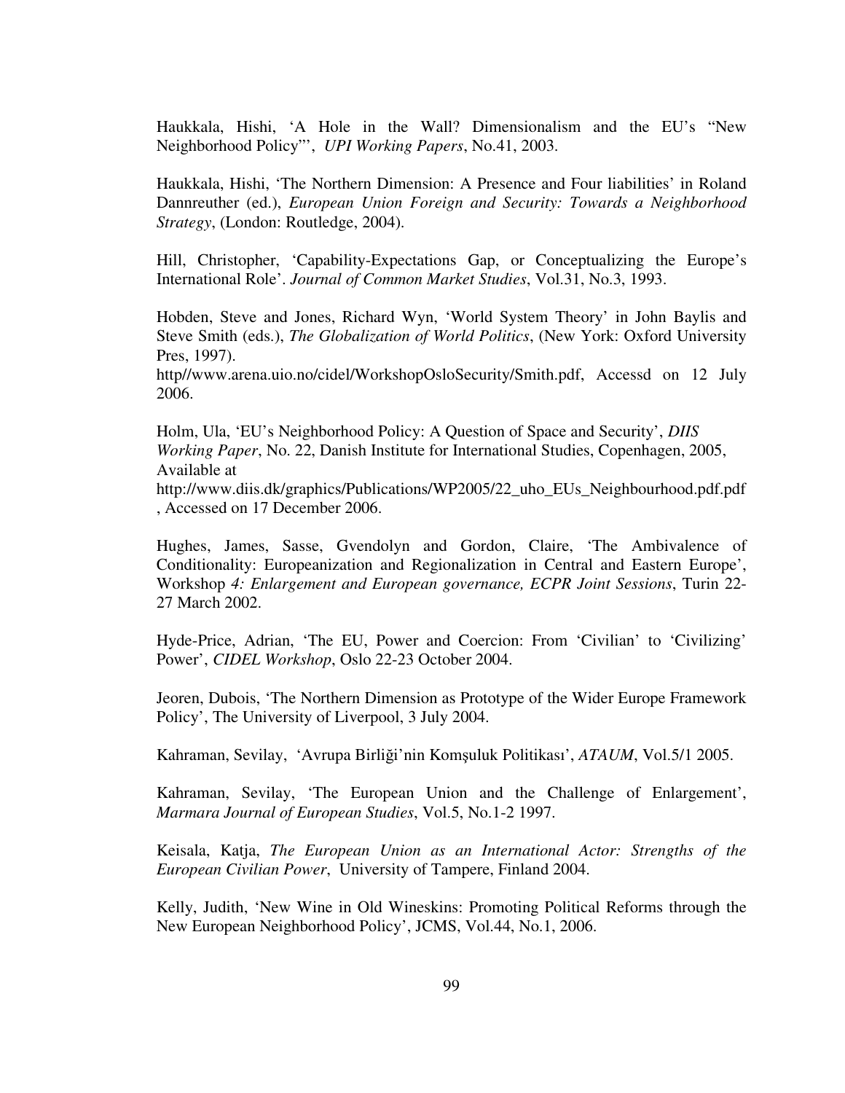Haukkala, Hishi, 'A Hole in the Wall? Dimensionalism and the EU's "New Neighborhood Policy"', *UPI Working Papers*, No.41, 2003.

Haukkala, Hishi, 'The Northern Dimension: A Presence and Four liabilities' in Roland Dannreuther (ed.), *European Union Foreign and Security: Towards a Neighborhood Strategy*, (London: Routledge, 2004).

Hill, Christopher, 'Capability-Expectations Gap, or Conceptualizing the Europe's International Role'. *Journal of Common Market Studies*, Vol.31, No.3, 1993.

Hobden, Steve and Jones, Richard Wyn, 'World System Theory' in John Baylis and Steve Smith (eds.), *The Globalization of World Politics*, (New York: Oxford University Pres, 1997).

http//www.arena.uio.no/cidel/WorkshopOsloSecurity/Smith.pdf, Accessd on 12 July 2006.

Holm, Ula, 'EU's Neighborhood Policy: A Question of Space and Security', *DIIS Working Paper*, No. 22, Danish Institute for International Studies, Copenhagen, 2005, Available at

http://www.diis.dk/graphics/Publications/WP2005/22\_uho\_EUs\_Neighbourhood.pdf.pdf , Accessed on 17 December 2006.

Hughes, James, Sasse, Gvendolyn and Gordon, Claire, 'The Ambivalence of Conditionality: Europeanization and Regionalization in Central and Eastern Europe', Workshop *4: Enlargement and European governance, ECPR Joint Sessions*, Turin 22- 27 March 2002.

Hyde-Price, Adrian, 'The EU, Power and Coercion: From 'Civilian' to 'Civilizing' Power', *CIDEL Workshop*, Oslo 22-23 October 2004.

Jeoren, Dubois, 'The Northern Dimension as Prototype of the Wider Europe Framework Policy', The University of Liverpool, 3 July 2004.

Kahraman, Sevilay, 'Avrupa Birliği'nin Komşuluk Politikası', *ATAUM*, Vol.5/1 2005.

Kahraman, Sevilay, 'The European Union and the Challenge of Enlargement', *Marmara Journal of European Studies*, Vol.5, No.1-2 1997.

Keisala, Katja, *The European Union as an International Actor: Strengths of the European Civilian Power*, University of Tampere, Finland 2004.

Kelly, Judith, 'New Wine in Old Wineskins: Promoting Political Reforms through the New European Neighborhood Policy', JCMS, Vol.44, No.1, 2006.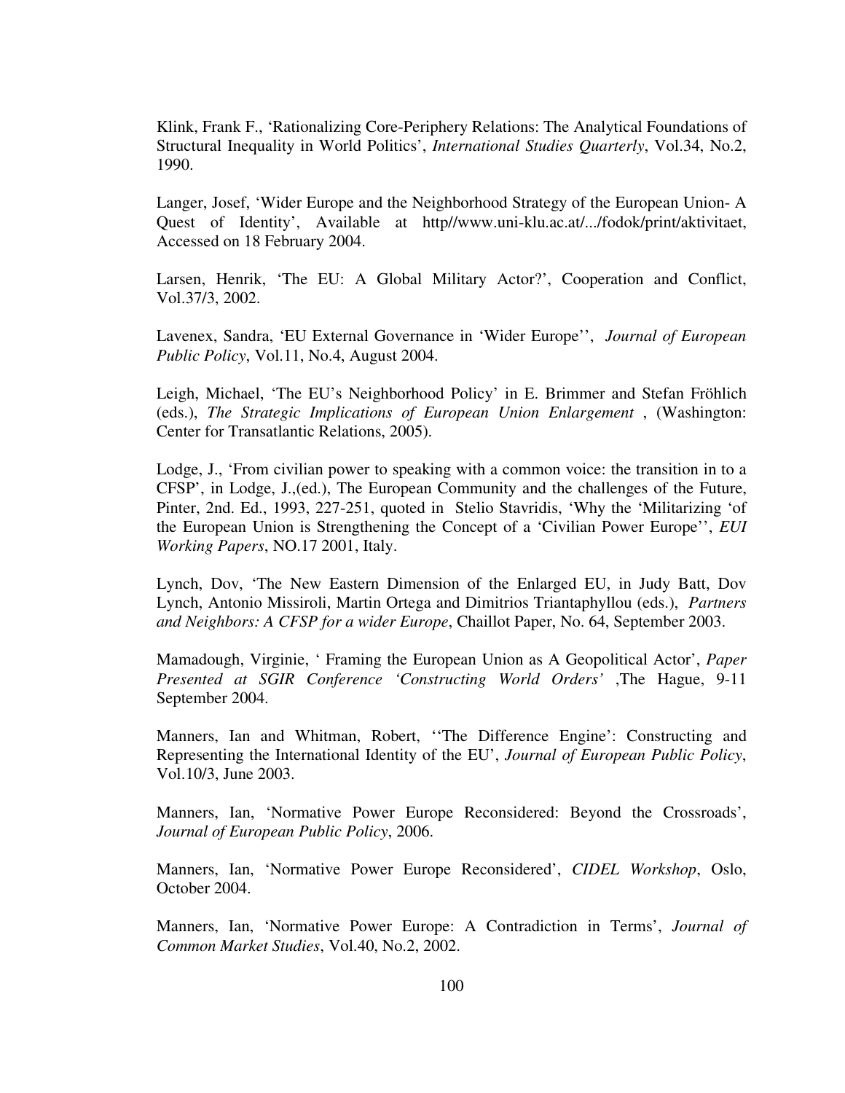Klink, Frank F., 'Rationalizing Core-Periphery Relations: The Analytical Foundations of Structural Inequality in World Politics', *International Studies Quarterly*, Vol.34, No.2, 1990.

Langer, Josef, 'Wider Europe and the Neighborhood Strategy of the European Union- A Quest of Identity', Available at http//www.uni-klu.ac.at/.../fodok/print/aktivitaet, Accessed on 18 February 2004.

Larsen, Henrik, 'The EU: A Global Military Actor?', Cooperation and Conflict, Vol.37/3, 2002.

Lavenex, Sandra, 'EU External Governance in 'Wider Europe'', *Journal of European Public Policy*, Vol.11, No.4, August 2004.

Leigh, Michael, 'The EU's Neighborhood Policy' in E. Brimmer and Stefan Fröhlich (eds.), *The Strategic Implications of European Union Enlargement* , (Washington: Center for Transatlantic Relations, 2005).

Lodge, J., 'From civilian power to speaking with a common voice: the transition in to a CFSP', in Lodge, J.,(ed.), The European Community and the challenges of the Future, Pinter, 2nd. Ed., 1993, 227-251, quoted in Stelio Stavridis, 'Why the 'Militarizing 'of the European Union is Strengthening the Concept of a 'Civilian Power Europe'', *EUI Working Papers*, NO.17 2001, Italy.

Lynch, Dov, 'The New Eastern Dimension of the Enlarged EU, in Judy Batt, Dov Lynch, Antonio Missiroli, Martin Ortega and Dimitrios Triantaphyllou (eds.), *Partners and Neighbors: A CFSP for a wider Europe*, Chaillot Paper, No. 64, September 2003.

Mamadough, Virginie, ' Framing the European Union as A Geopolitical Actor', *Paper Presented at SGIR Conference 'Constructing World Orders'* ,The Hague, 9-11 September 2004.

Manners, Ian and Whitman, Robert, ''The Difference Engine': Constructing and Representing the International Identity of the EU', *Journal of European Public Policy*, Vol.10/3, June 2003.

Manners, Ian, 'Normative Power Europe Reconsidered: Beyond the Crossroads', *Journal of European Public Policy*, 2006.

Manners, Ian, 'Normative Power Europe Reconsidered', *CIDEL Workshop*, Oslo, October 2004.

Manners, Ian, 'Normative Power Europe: A Contradiction in Terms', *Journal of Common Market Studies*, Vol.40, No.2, 2002.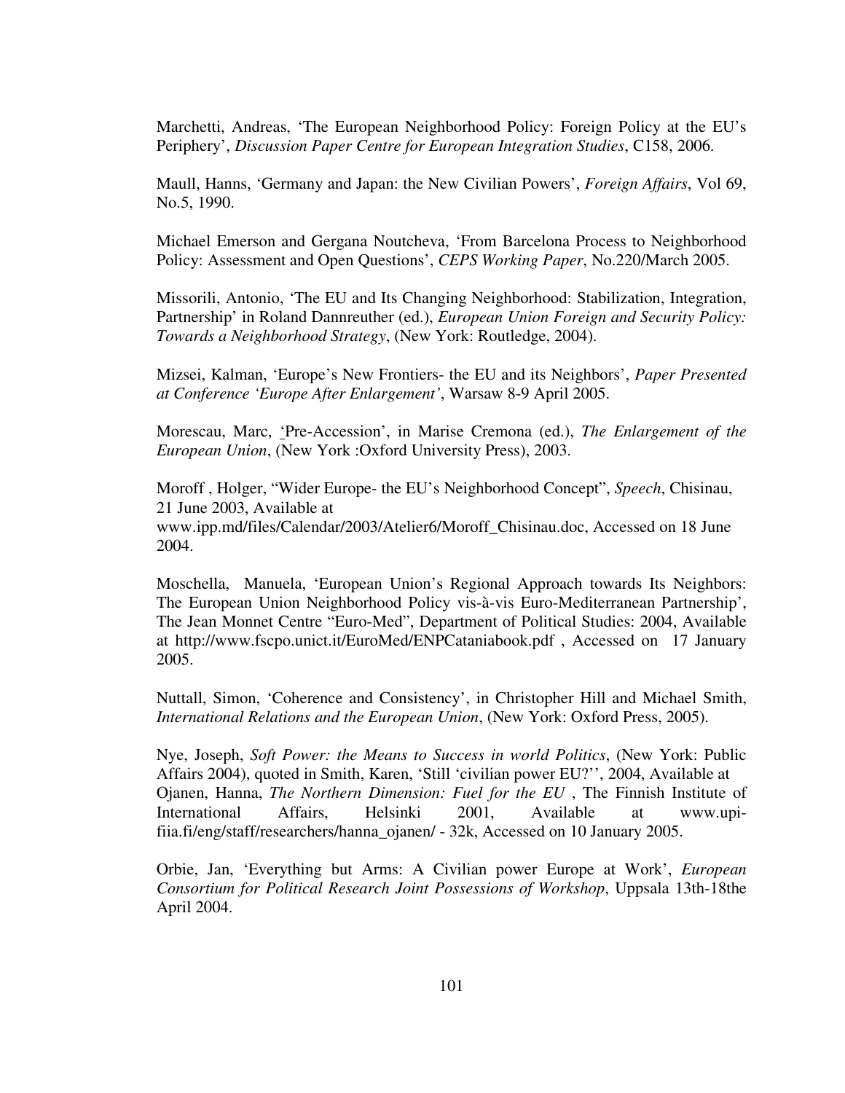Marchetti, Andreas, 'The European Neighborhood Policy: Foreign Policy at the EU's Periphery', *Discussion Paper Centre for European Integration Studies*, C158, 2006.

Maull, Hanns, 'Germany and Japan: the New Civilian Powers', *Foreign Affairs*, Vol 69, No.5, 1990.

Michael Emerson and Gergana Noutcheva, 'From Barcelona Process to Neighborhood Policy: Assessment and Open Questions', *CEPS Working Paper*, No.220/March 2005.

Missorili, Antonio, 'The EU and Its Changing Neighborhood: Stabilization, Integration, Partnership' in Roland Dannreuther (ed.), *European Union Foreign and Security Policy: Towards a Neighborhood Strategy*, (New York: Routledge, 2004).

Mizsei, Kalman, 'Europe's New Frontiers- the EU and its Neighbors', *Paper Presented at Conference 'Europe After Enlargement'*, Warsaw 8-9 April 2005.

Morescau, Marc, 'Pre-Accession', in Marise Cremona (ed.), *The Enlargement of the European Union*, (New York :Oxford University Press), 2003.

Moroff , Holger, "Wider Europe- the EU's Neighborhood Concept", *Speech*, Chisinau, 21 June 2003, Available at www.ipp.md/files/Calendar/2003/Atelier6/Moroff\_Chisinau.doc, Accessed on 18 June 2004.

Moschella, Manuela, 'European Union's Regional Approach towards Its Neighbors: The European Union Neighborhood Policy vis-à-vis Euro-Mediterranean Partnership', The Jean Monnet Centre "Euro-Med", Department of Political Studies: 2004, Available at http://www.fscpo.unict.it/EuroMed/ENPCataniabook.pdf , Accessed on 17 January 2005.

Nuttall, Simon, 'Coherence and Consistency', in Christopher Hill and Michael Smith, *International Relations and the European Union*, (New York: Oxford Press, 2005).

Nye, Joseph, *Soft Power: the Means to Success in world Politics*, (New York: Public Affairs 2004), quoted in Smith, Karen, 'Still 'civilian power EU?'', 2004, Available at Ojanen, Hanna, *The Northern Dimension: Fuel for the EU* , The Finnish Institute of International Affairs, Helsinki 2001, Available at www.upifiia.fi/eng/staff/researchers/hanna\_ojanen/ - 32k, Accessed on 10 January 2005.

Orbie, Jan, 'Everything but Arms: A Civilian power Europe at Work', *European Consortium for Political Research Joint Possessions of Workshop*, Uppsala 13th-18the April 2004.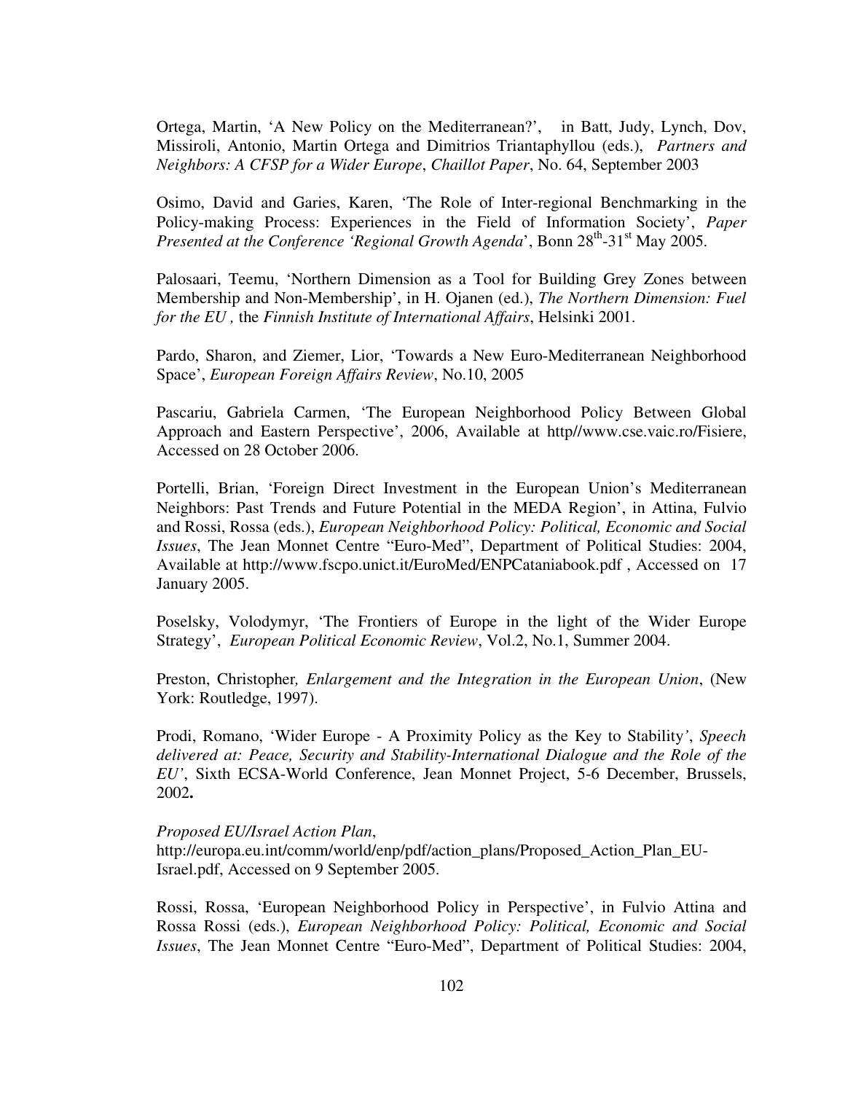Ortega, Martin, 'A New Policy on the Mediterranean?', in Batt, Judy, Lynch, Dov, Missiroli, Antonio, Martin Ortega and Dimitrios Triantaphyllou (eds.), *Partners and Neighbors: A CFSP for a Wider Europe*, *Chaillot Paper*, No. 64, September 2003

Osimo, David and Garies, Karen, 'The Role of Inter-regional Benchmarking in the Policy-making Process: Experiences in the Field of Information Society', *Paper Presented at the Conference 'Regional Growth Agenda'*, Bonn  $28^{th}$ -31<sup>st</sup> May 2005.

Palosaari, Teemu, 'Northern Dimension as a Tool for Building Grey Zones between Membership and Non-Membership', in H. Ojanen (ed.), *The Northern Dimension: Fuel for the EU ,* the *Finnish Institute of International Affairs*, Helsinki 2001.

Pardo, Sharon, and Ziemer, Lior, 'Towards a New Euro-Mediterranean Neighborhood Space', *European Foreign Affairs Review*, No.10, 2005

Pascariu, Gabriela Carmen, 'The European Neighborhood Policy Between Global Approach and Eastern Perspective', 2006, Available at http//www.cse.vaic.ro/Fisiere, Accessed on 28 October 2006.

Portelli, Brian, 'Foreign Direct Investment in the European Union's Mediterranean Neighbors: Past Trends and Future Potential in the MEDA Region', in Attina, Fulvio and Rossi, Rossa (eds.), *European Neighborhood Policy: Political, Economic and Social Issues*, The Jean Monnet Centre "Euro-Med", Department of Political Studies: 2004, Available at http://www.fscpo.unict.it/EuroMed/ENPCataniabook.pdf , Accessed on 17 January 2005.

Poselsky, Volodymyr, 'The Frontiers of Europe in the light of the Wider Europe Strategy', *European Political Economic Review*, Vol.2, No.1, Summer 2004.

Preston, Christopher*, Enlargement and the Integration in the European Union*, (New York: Routledge, 1997).

Prodi, Romano, 'Wider Europe - A Proximity Policy as the Key to Stability*'*, *Speech delivered at: Peace, Security and Stability-International Dialogue and the Role of the EU'*, Sixth ECSA-World Conference, Jean Monnet Project, 5-6 December, Brussels, 2002**.** 

## *Proposed EU/Israel Action Plan*,

http://europa.eu.int/comm/world/enp/pdf/action\_plans/Proposed\_Action\_Plan\_EU-Israel.pdf, Accessed on 9 September 2005.

Rossi, Rossa, 'European Neighborhood Policy in Perspective', in Fulvio Attina and Rossa Rossi (eds.), *European Neighborhood Policy: Political, Economic and Social Issues*, The Jean Monnet Centre "Euro-Med", Department of Political Studies: 2004,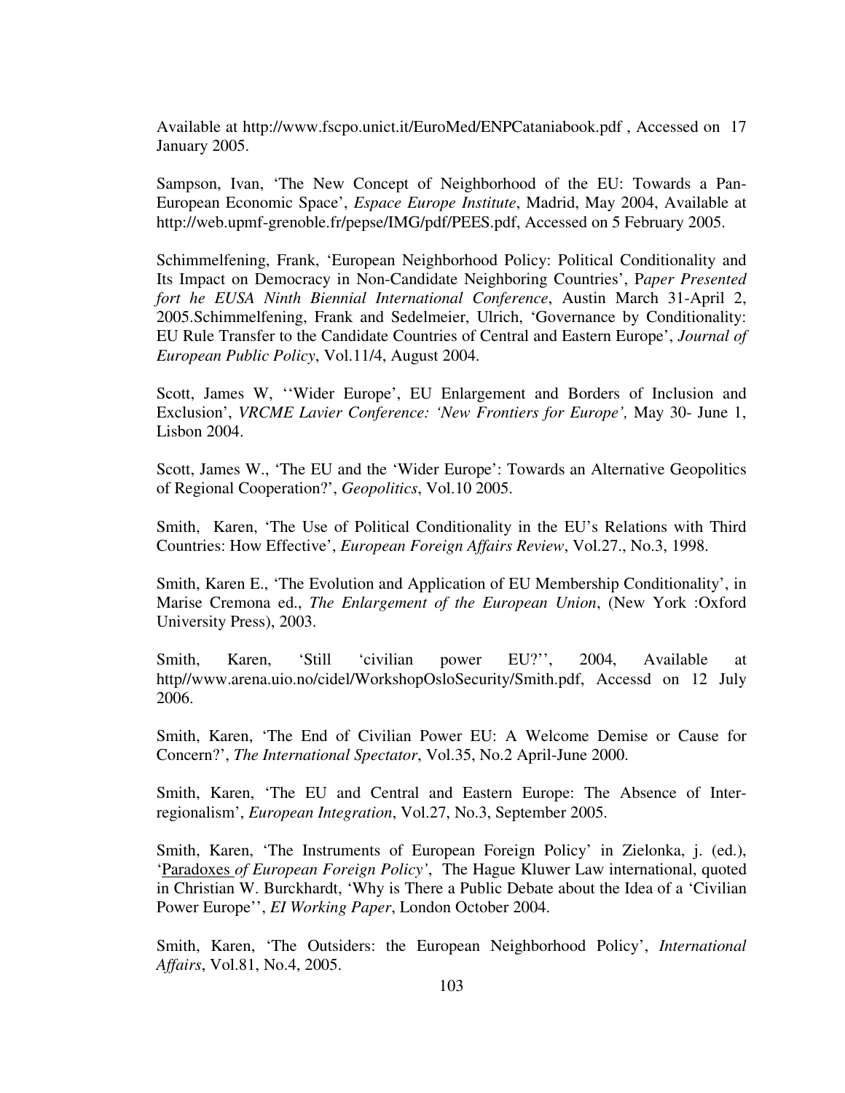Available at http://www.fscpo.unict.it/EuroMed/ENPCataniabook.pdf , Accessed on 17 January 2005.

Sampson, Ivan, 'The New Concept of Neighborhood of the EU: Towards a Pan-European Economic Space', *Espace Europe Institute*, Madrid, May 2004, Available at http://web.upmf-grenoble.fr/pepse/IMG/pdf/PEES.pdf, Accessed on 5 February 2005.

Schimmelfening, Frank, 'European Neighborhood Policy: Political Conditionality and Its Impact on Democracy in Non-Candidate Neighboring Countries', P*aper Presented fort he EUSA Ninth Biennial International Conference*, Austin March 31-April 2, 2005.Schimmelfening, Frank and Sedelmeier, Ulrich, 'Governance by Conditionality: EU Rule Transfer to the Candidate Countries of Central and Eastern Europe', *Journal of European Public Policy*, Vol.11/4, August 2004.

Scott, James W, ''Wider Europe', EU Enlargement and Borders of Inclusion and Exclusion', *VRCME Lavier Conference: 'New Frontiers for Europe',* May 30- June 1, Lisbon 2004.

Scott, James W., 'The EU and the 'Wider Europe': Towards an Alternative Geopolitics of Regional Cooperation?', *Geopolitics*, Vol.10 2005.

Smith, Karen, 'The Use of Political Conditionality in the EU's Relations with Third Countries: How Effective', *European Foreign Affairs Review*, Vol.27., No.3, 1998.

Smith, Karen E., 'The Evolution and Application of EU Membership Conditionality', in Marise Cremona ed., *The Enlargement of the European Union*, (New York :Oxford University Press), 2003.

Smith, Karen, 'Still 'civilian power EU?'', 2004, Available at http//www.arena.uio.no/cidel/WorkshopOsloSecurity/Smith.pdf, Accessd on 12 July 2006.

Smith, Karen, 'The End of Civilian Power EU: A Welcome Demise or Cause for Concern?', *The International Spectator*, Vol.35, No.2 April-June 2000.

Smith, Karen, 'The EU and Central and Eastern Europe: The Absence of Interregionalism', *European Integration*, Vol.27, No.3, September 2005.

Smith, Karen, 'The Instruments of European Foreign Policy' in Zielonka, j. (ed.), 'Paradoxes *of European Foreign Policy'*, The Hague Kluwer Law international, quoted in Christian W. Burckhardt, 'Why is There a Public Debate about the Idea of a 'Civilian Power Europe'', *EI Working Paper*, London October 2004.

Smith, Karen, 'The Outsiders: the European Neighborhood Policy', *International Affairs*, Vol.81, No.4, 2005.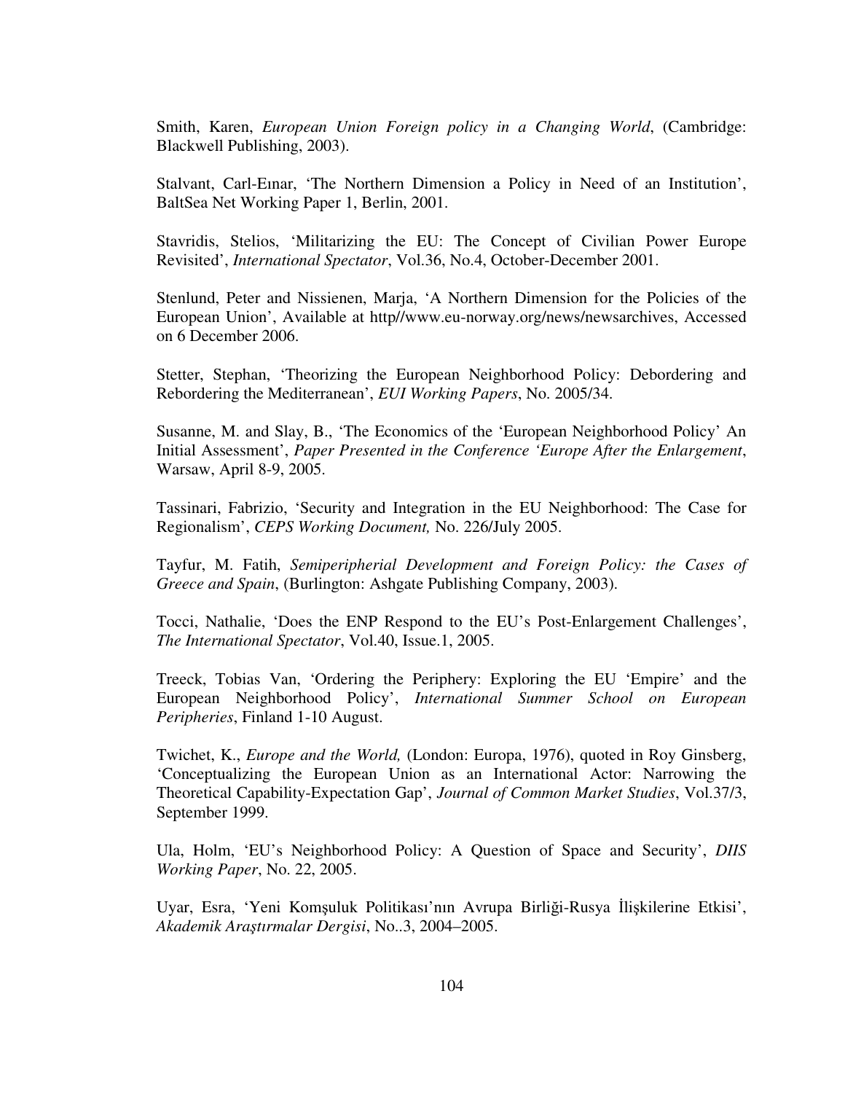Smith, Karen, *European Union Foreign policy in a Changing World*, (Cambridge: Blackwell Publishing, 2003).

Stalvant, Carl-Eınar, 'The Northern Dimension a Policy in Need of an Institution', BaltSea Net Working Paper 1, Berlin, 2001.

Stavridis, Stelios, 'Militarizing the EU: The Concept of Civilian Power Europe Revisited', *International Spectator*, Vol.36, No.4, October-December 2001.

Stenlund, Peter and Nissienen, Marja, 'A Northern Dimension for the Policies of the European Union', Available at http//www.eu-norway.org/news/newsarchives, Accessed on 6 December 2006.

Stetter, Stephan, 'Theorizing the European Neighborhood Policy: Debordering and Rebordering the Mediterranean', *EUI Working Papers*, No. 2005/34.

Susanne, M. and Slay, B., 'The Economics of the 'European Neighborhood Policy' An Initial Assessment', *Paper Presented in the Conference 'Europe After the Enlargement*, Warsaw, April 8-9, 2005.

Tassinari, Fabrizio, 'Security and Integration in the EU Neighborhood: The Case for Regionalism', *CEPS Working Document,* No. 226/July 2005.

Tayfur, M. Fatih, *Semiperipherial Development and Foreign Policy: the Cases of Greece and Spain*, (Burlington: Ashgate Publishing Company, 2003).

Tocci, Nathalie, 'Does the ENP Respond to the EU's Post-Enlargement Challenges', *The International Spectator*, Vol.40, Issue.1, 2005.

Treeck, Tobias Van, 'Ordering the Periphery: Exploring the EU 'Empire' and the European Neighborhood Policy', *International Summer School on European Peripheries*, Finland 1-10 August.

Twichet, K., *Europe and the World,* (London: Europa, 1976), quoted in Roy Ginsberg, 'Conceptualizing the European Union as an International Actor: Narrowing the Theoretical Capability-Expectation Gap', *Journal of Common Market Studies*, Vol.37/3, September 1999.

Ula, Holm, 'EU's Neighborhood Policy: A Question of Space and Security', *DIIS Working Paper*, No. 22, 2005.

Uyar, Esra, 'Yeni Komşuluk Politikası'nın Avrupa Birliği-Rusya İlişkilerine Etkisi', *Akademik Ara*ş*tırmalar Dergisi*, No..3, 2004–2005.